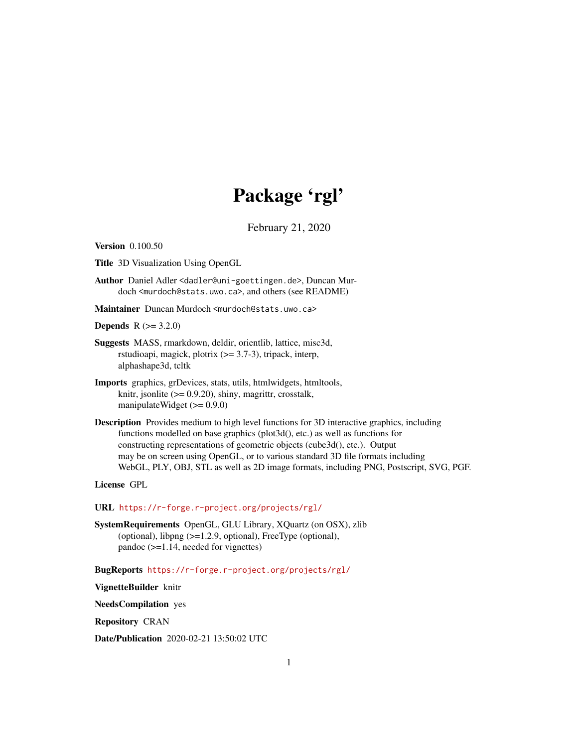# Package 'rgl'

February 21, 2020

<span id="page-0-0"></span>Version 0.100.50

Title 3D Visualization Using OpenGL

Author Daniel Adler <dadler@uni-goettingen.de>, Duncan Murdoch <murdoch@stats.uwo.ca>, and others (see README)

Maintainer Duncan Murdoch <murdoch@stats.uwo.ca>

**Depends**  $R (= 3.2.0)$ 

- Suggests MASS, rmarkdown, deldir, orientlib, lattice, misc3d, rstudioapi, magick, plotrix  $(>= 3.7-3)$ , tripack, interp, alphashape3d, tcltk
- Imports graphics, grDevices, stats, utils, htmlwidgets, htmltools, knitr, jsonlite (>= 0.9.20), shiny, magrittr, crosstalk, manipulateWidget (>= 0.9.0)
- Description Provides medium to high level functions for 3D interactive graphics, including functions modelled on base graphics (plot3d(), etc.) as well as functions for constructing representations of geometric objects (cube3d(), etc.). Output may be on screen using OpenGL, or to various standard 3D file formats including WebGL, PLY, OBJ, STL as well as 2D image formats, including PNG, Postscript, SVG, PGF.

License GPL

URL <https://r-forge.r-project.org/projects/rgl/>

SystemRequirements OpenGL, GLU Library, XQuartz (on OSX), zlib (optional), libpng (>=1.2.9, optional), FreeType (optional), pandoc (>=1.14, needed for vignettes)

BugReports <https://r-forge.r-project.org/projects/rgl/>

VignetteBuilder knitr

NeedsCompilation yes

Repository CRAN

Date/Publication 2020-02-21 13:50:02 UTC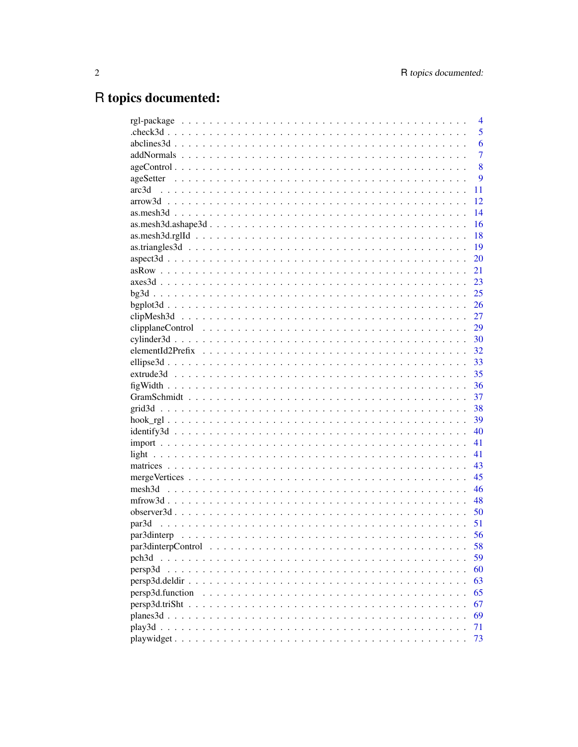# R topics documented:

|                                                                                                                                                          | $\overline{4}$ |
|----------------------------------------------------------------------------------------------------------------------------------------------------------|----------------|
|                                                                                                                                                          | 5              |
|                                                                                                                                                          | 6              |
|                                                                                                                                                          | 7              |
|                                                                                                                                                          | 8              |
|                                                                                                                                                          | 9              |
| arc3d                                                                                                                                                    | 11             |
|                                                                                                                                                          | 12             |
|                                                                                                                                                          | 14             |
|                                                                                                                                                          | 16             |
|                                                                                                                                                          | 18             |
|                                                                                                                                                          | 19             |
|                                                                                                                                                          | 20             |
|                                                                                                                                                          | 21             |
|                                                                                                                                                          | 23             |
|                                                                                                                                                          | 25             |
|                                                                                                                                                          | 26             |
|                                                                                                                                                          | 27             |
|                                                                                                                                                          | 29             |
|                                                                                                                                                          | 30             |
|                                                                                                                                                          | 32             |
|                                                                                                                                                          | 33             |
|                                                                                                                                                          | 35             |
|                                                                                                                                                          | 36             |
|                                                                                                                                                          | 37             |
|                                                                                                                                                          | 38             |
|                                                                                                                                                          | 39             |
|                                                                                                                                                          | 40             |
|                                                                                                                                                          | 41             |
|                                                                                                                                                          | 41             |
|                                                                                                                                                          | 43             |
|                                                                                                                                                          | 45             |
|                                                                                                                                                          | 46             |
|                                                                                                                                                          | 48             |
|                                                                                                                                                          | 50             |
|                                                                                                                                                          | 51             |
|                                                                                                                                                          | 56             |
| $\text{par3dinter}$ $\text{Center}$ $\ldots$ $\ldots$ $\ldots$ $\ldots$ $\ldots$ $\ldots$ $\ldots$ $\ldots$ $\ldots$ $\ldots$ $\ldots$ $\ldots$ $\ldots$ | 58             |
| pch <sub>3d</sub>                                                                                                                                        | 59             |
| persp3d                                                                                                                                                  | 60             |
| $persp3d.$ deldi $r \ldots \ldots \ldots \ldots \ldots \ldots \ldots \ldots \ldots \ldots \ldots \ldots$                                                 | 63             |
| persp3d.function                                                                                                                                         | 65             |
|                                                                                                                                                          | 67             |
|                                                                                                                                                          | 69             |
|                                                                                                                                                          | 71             |
|                                                                                                                                                          | 73             |
|                                                                                                                                                          |                |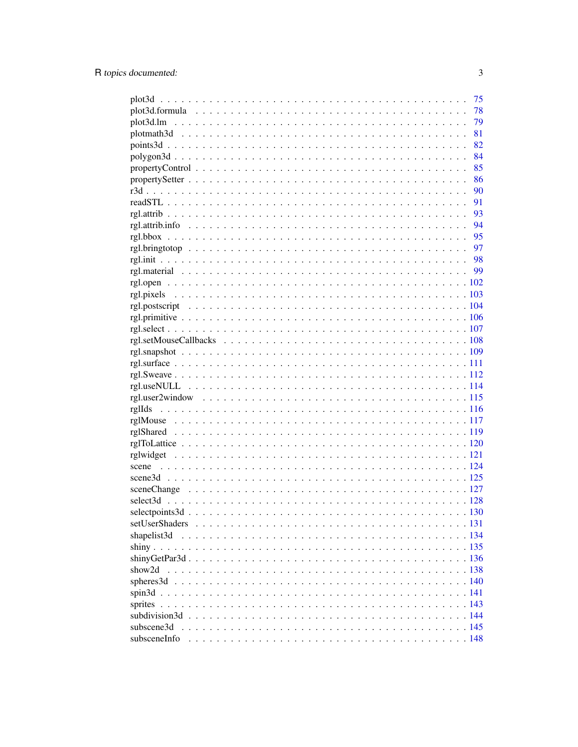|              | 75 |
|--------------|----|
|              | 78 |
|              | 79 |
|              | 81 |
|              | 82 |
|              | 84 |
|              | 85 |
|              | 86 |
|              | 90 |
|              | 91 |
|              |    |
|              |    |
|              |    |
|              |    |
|              |    |
|              | 99 |
|              |    |
|              |    |
|              |    |
|              |    |
|              |    |
|              |    |
|              |    |
|              |    |
|              |    |
|              |    |
|              |    |
|              |    |
|              |    |
|              |    |
|              |    |
|              |    |
|              |    |
|              |    |
|              |    |
|              |    |
|              |    |
|              |    |
| shapelist3d  |    |
|              |    |
|              |    |
| show2d       |    |
|              |    |
|              |    |
| sprites      |    |
|              |    |
| subscene3d   |    |
| subsceneInfo |    |
|              |    |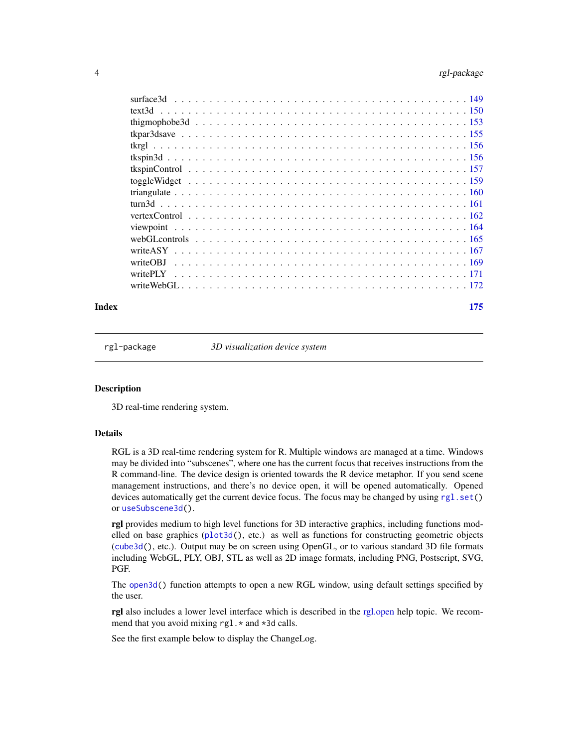<span id="page-3-0"></span>

| webGL controls $\ldots \ldots \ldots \ldots \ldots \ldots \ldots \ldots \ldots \ldots \ldots \ldots \ldots$ |  |
|-------------------------------------------------------------------------------------------------------------|--|
|                                                                                                             |  |
|                                                                                                             |  |
|                                                                                                             |  |
|                                                                                                             |  |
|                                                                                                             |  |

#### **Index** 2008 **Index** 2008 **Index**

rgl-package *3D visualization device system*

### Description

3D real-time rendering system.

#### Details

RGL is a 3D real-time rendering system for R. Multiple windows are managed at a time. Windows may be divided into "subscenes", where one has the current focus that receives instructions from the R command-line. The device design is oriented towards the R device metaphor. If you send scene management instructions, and there's no device open, it will be opened automatically. Opened devices automatically get the current device focus. The focus may be changed by using [rgl.set\(](#page-101-1)) or [useSubscene3d\(](#page-144-1)).

rgl provides medium to high level functions for 3D interactive graphics, including functions modelled on base graphics ([plot3d\(](#page-74-1)), etc.) as well as functions for constructing geometric objects ([cube3d\(](#page-45-1)), etc.). Output may be on screen using OpenGL, or to various standard 3D file formats including WebGL, PLY, OBJ, STL as well as 2D image formats, including PNG, Postscript, SVG, PGF.

The [open3d\(](#page-50-1)) function attempts to open a new RGL window, using default settings specified by the user.

rgl also includes a lower level interface which is described in the [rgl.open](#page-101-2) help topic. We recommend that you avoid mixing rgl. \* and \*3d calls.

See the first example below to display the ChangeLog.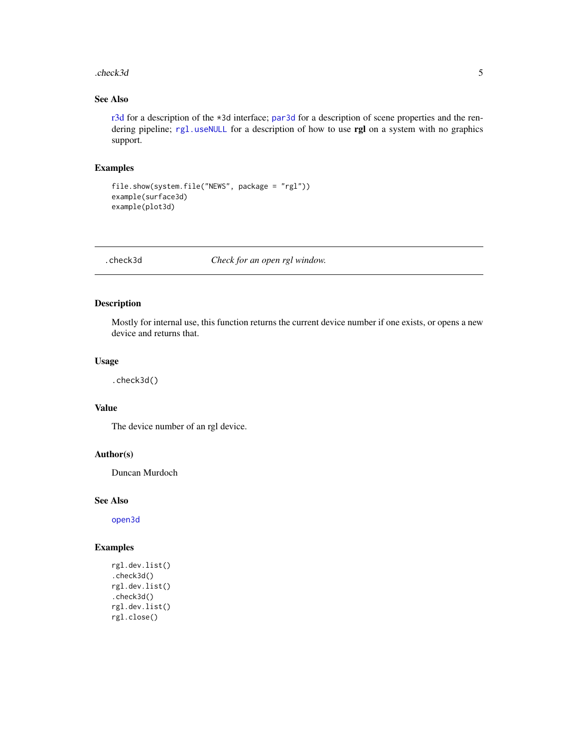#### <span id="page-4-0"></span>.check3d 5

## See Also

[r3d](#page-89-1) for a description of the \*3d interface; [par3d](#page-50-2) for a description of scene properties and the rendering pipeline; [rgl.useNULL](#page-113-1) for a description of how to use rgl on a system with no graphics support.

### Examples

```
file.show(system.file("NEWS", package = "rgl"))
example(surface3d)
example(plot3d)
```
### .check3d *Check for an open rgl window.*

### Description

Mostly for internal use, this function returns the current device number if one exists, or opens a new device and returns that.

### Usage

.check3d()

### Value

The device number of an rgl device.

### Author(s)

Duncan Murdoch

#### See Also

[open3d](#page-50-1)

```
rgl.dev.list()
.check3d()
rgl.dev.list()
.check3d()
rgl.dev.list()
rgl.close()
```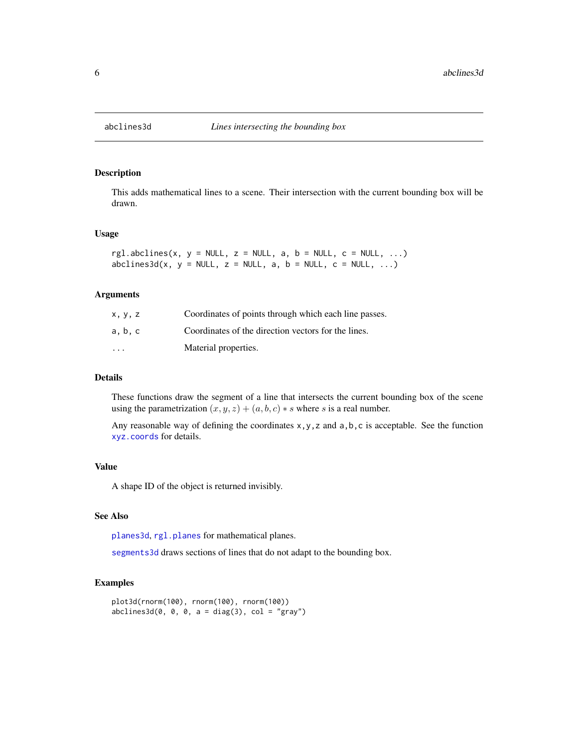<span id="page-5-0"></span>

This adds mathematical lines to a scene. Their intersection with the current bounding box will be drawn.

#### Usage

```
rgl.abclines(x, y = NULL, z = NULL, a, b = NULL, c = NULL, ...)
abclines3d(x, y = NULL, z = NULL, a, b = NULL, c = NULL, ...)
```
### Arguments

| x, y, z                 | Coordinates of points through which each line passes. |
|-------------------------|-------------------------------------------------------|
| a, b, c                 | Coordinates of the direction vectors for the lines.   |
| $\cdot$ $\cdot$ $\cdot$ | Material properties.                                  |

#### Details

These functions draw the segment of a line that intersects the current bounding box of the scene using the parametrization  $(x, y, z) + (a, b, c) * s$  where s is a real number.

Any reasonable way of defining the coordinates  $x, y, z$  and  $a, b, c$  is acceptable. See the function [xyz.coords](#page-0-0) for details.

### Value

A shape ID of the object is returned invisibly.

#### See Also

[planes3d](#page-68-1), [rgl.planes](#page-68-2) for mathematical planes.

[segments3d](#page-81-1) draws sections of lines that do not adapt to the bounding box.

```
plot3d(rnorm(100), rnorm(100), rnorm(100))
abclines3d(0, 0, 0, a = diag(3), col = "gray")
```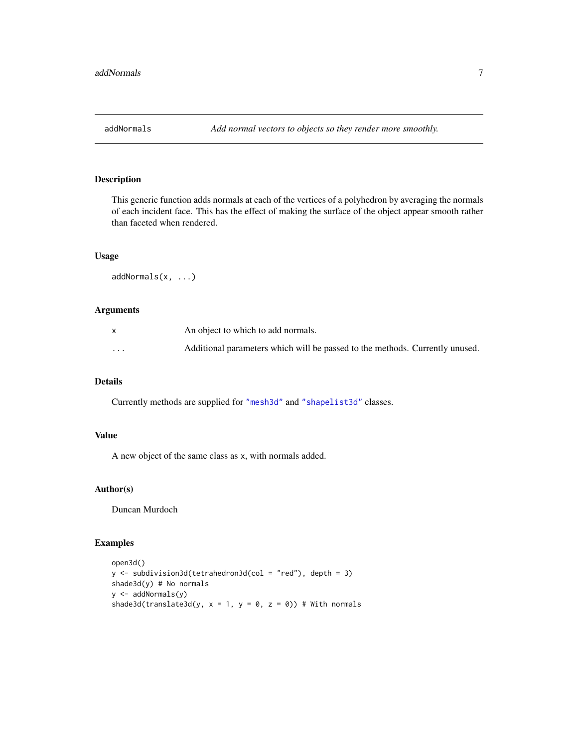<span id="page-6-1"></span><span id="page-6-0"></span>

This generic function adds normals at each of the vertices of a polyhedron by averaging the normals of each incident face. This has the effect of making the surface of the object appear smooth rather than faceted when rendered.

#### Usage

addNormals(x, ...)

### Arguments

|         | An object to which to add normals.                                           |
|---------|------------------------------------------------------------------------------|
| $\cdot$ | Additional parameters which will be passed to the methods. Currently unused. |

### Details

Currently methods are supplied for ["mesh3d"](#page-45-2) and ["shapelist3d"](#page-133-1) classes.

### Value

A new object of the same class as x, with normals added.

### Author(s)

Duncan Murdoch

```
open3d()
y <- subdivision3d(tetrahedron3d(col = "red"), depth = 3)
shade3d(y) # No normals
y <- addNormals(y)
shade3d(translate3d(y, x = 1, y = 0, z = 0)) # With normals
```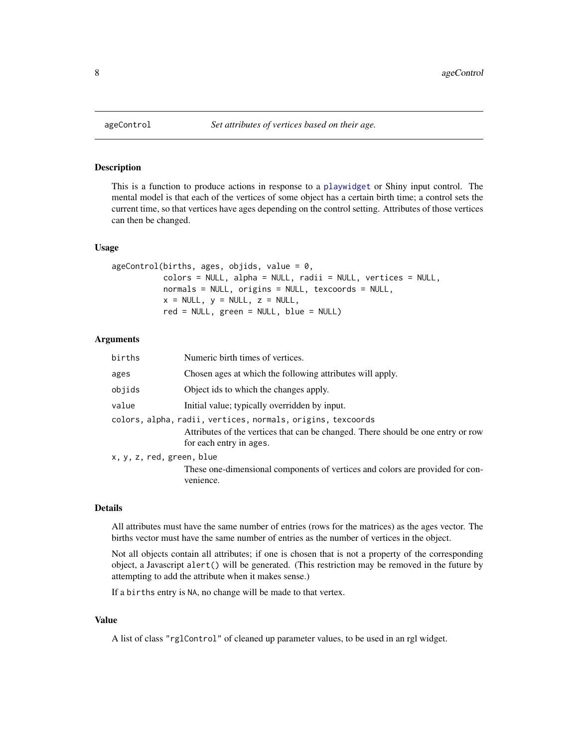This is a function to produce actions in response to a [playwidget](#page-72-1) or Shiny input control. The mental model is that each of the vertices of some object has a certain birth time; a control sets the current time, so that vertices have ages depending on the control setting. Attributes of those vertices can then be changed.

### Usage

```
ageControl(births, ages, objids, value = 0,
           colors = NULL, alpha = NULL, radii = NULL, vertices = NULL,
           normals = NULL, origins = NULL, texcoords = NULL,
           x = NULL, y = NULL, z = NULL,red = NULL, green = NULL, blue = NULL)
```
#### Arguments

| births                    | Numeric birth times of vertices.                                                                                                                                           |
|---------------------------|----------------------------------------------------------------------------------------------------------------------------------------------------------------------------|
| ages                      | Chosen ages at which the following attributes will apply.                                                                                                                  |
| objids                    | Object ids to which the changes apply.                                                                                                                                     |
| value                     | Initial value; typically overridden by input.                                                                                                                              |
|                           | colors, alpha, radii, vertices, normals, origins, texcoords<br>Attributes of the vertices that can be changed. There should be one entry or row<br>for each entry in ages. |
| x, y, z, red, green, blue |                                                                                                                                                                            |
|                           | These one-dimensional components of vertices and colors are provided for con-<br>venience.                                                                                 |

### Details

All attributes must have the same number of entries (rows for the matrices) as the ages vector. The births vector must have the same number of entries as the number of vertices in the object.

Not all objects contain all attributes; if one is chosen that is not a property of the corresponding object, a Javascript alert() will be generated. (This restriction may be removed in the future by attempting to add the attribute when it makes sense.)

If a births entry is NA, no change will be made to that vertex.

#### Value

A list of class "rglControl" of cleaned up parameter values, to be used in an rgl widget.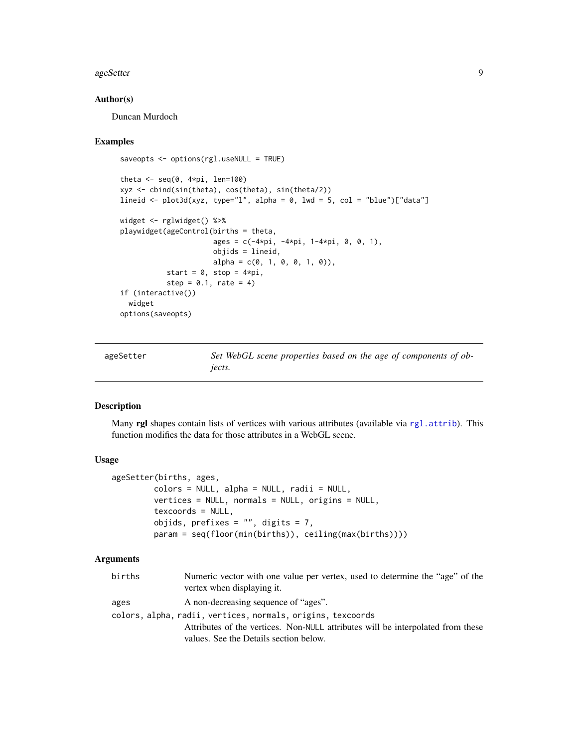#### <span id="page-8-0"></span>ageSetter 9

#### Author(s)

Duncan Murdoch

#### Examples

```
saveopts <- options(rgl.useNULL = TRUE)
theta \leq seq(0, 4*pi, len=100)
xyz <- cbind(sin(theta), cos(theta), sin(theta/2))
lineid <- plot3d(xyz, type="l", alpha = 0, lwd = 5, col = "blue")["data"]
widget <- rglwidget() %>%
playwidget(ageControl(births = theta,
                      ages = c(-4*pi, -4*pi, 1-4*pi, 0, 0, 1),objids = lineid,
                      alpha = c(0, 1, 0, 0, 1, 0),
           start = 0, stop = 4*pi,
           step = 0.1, rate = 4)
if (interactive())
  widget
options(saveopts)
```
ageSetter *Set WebGL scene properties based on the age of components of objects.*

### Description

Many rgl shapes contain lists of vertices with various attributes (available via [rgl.attrib](#page-92-1)). This function modifies the data for those attributes in a WebGL scene.

#### Usage

```
ageSetter(births, ages,
        colors = NULL, alpha = NULL, radii = NULL,vertices = NULL, normals = NULL, origins = NULL,
         texcoords = NULL,
         objids, prefixes = ", digits = 7,
        param = seq(floor(min(births)), ceiling(max(births))))
```
### Arguments

| births | Numeric vector with one value per vertex, used to determine the "age" of the<br>vertex when displaying it. |
|--------|------------------------------------------------------------------------------------------------------------|
| ages   | A non-decreasing sequence of "ages".                                                                       |
|        | colors, alpha, radii, vertices, normals, origins, texcoords                                                |
|        | Attributes of the vertices. Non-NULL attributes will be interpolated from these                            |
|        | values. See the Details section below.                                                                     |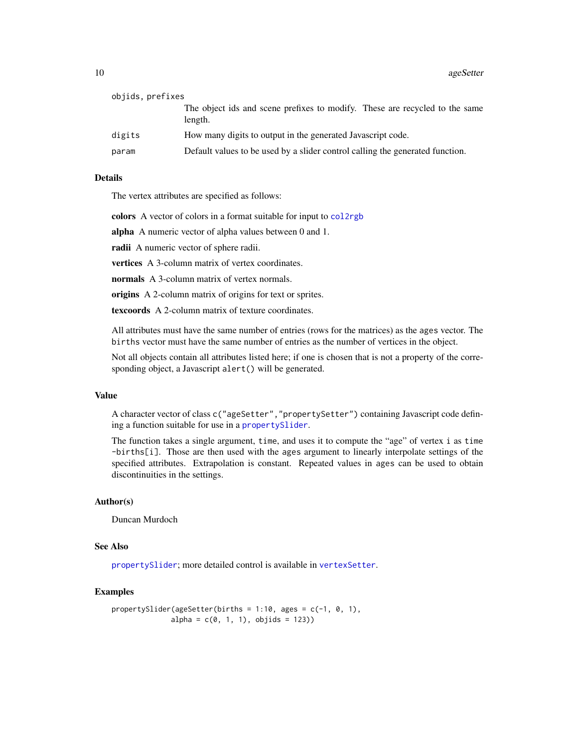| objids, prefixes |                                                                                        |
|------------------|----------------------------------------------------------------------------------------|
|                  | The object ids and scene prefixes to modify. These are recycled to the same<br>length. |
| digits           | How many digits to output in the generated Javascript code.                            |
| param            | Default values to be used by a slider control calling the generated function.          |

### Details

The vertex attributes are specified as follows:

colors A vector of colors in a format suitable for input to [col2rgb](#page-0-0)

alpha A numeric vector of alpha values between 0 and 1.

radii A numeric vector of sphere radii.

vertices A 3-column matrix of vertex coordinates.

normals A 3-column matrix of vertex normals.

origins A 2-column matrix of origins for text or sprites.

texcoords A 2-column matrix of texture coordinates.

All attributes must have the same number of entries (rows for the matrices) as the ages vector. The births vector must have the same number of entries as the number of vertices in the object.

Not all objects contain all attributes listed here; if one is chosen that is not a property of the corresponding object, a Javascript alert() will be generated.

#### Value

A character vector of class c("ageSetter","propertySetter") containing Javascript code defining a function suitable for use in a [propertySlider](#page-85-1).

The function takes a single argument, time, and uses it to compute the "age" of vertex i as time -births[i]. Those are then used with the ages argument to linearly interpolate settings of the specified attributes. Extrapolation is constant. Repeated values in ages can be used to obtain discontinuities in the settings.

#### Author(s)

Duncan Murdoch

### See Also

[propertySlider](#page-85-1); more detailed control is available in [vertexSetter](#page-85-1).

```
propertySlider(ageSetter(births = 1:10, ages = c(-1, 0, 1),
             alpha = c(0, 1, 1), objids = 123)
```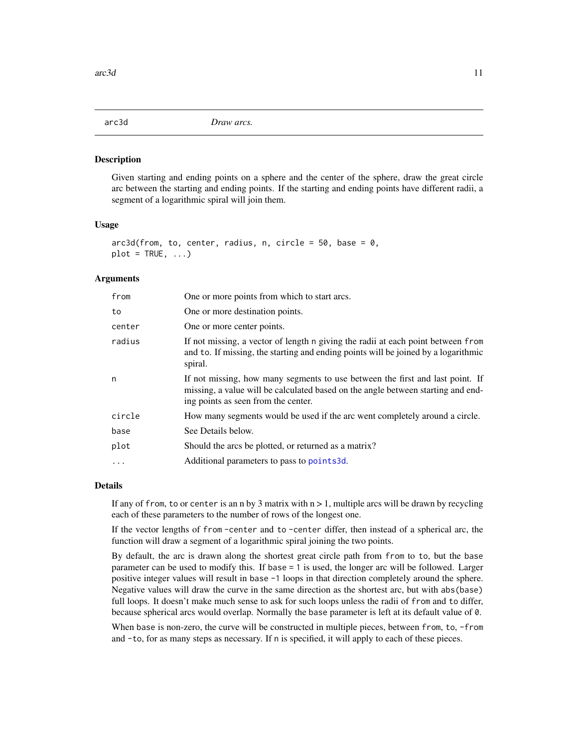<span id="page-10-0"></span>

Given starting and ending points on a sphere and the center of the sphere, draw the great circle arc between the starting and ending points. If the starting and ending points have different radii, a segment of a logarithmic spiral will join them.

#### Usage

```
arc3d(from, to, center, radius, n, circle = 50, base = 0,plot = TRUE, ...
```
#### Arguments

| from     | One or more points from which to start arcs.                                                                                                                                                             |
|----------|----------------------------------------------------------------------------------------------------------------------------------------------------------------------------------------------------------|
| to       | One or more destination points.                                                                                                                                                                          |
| center   | One or more center points.                                                                                                                                                                               |
| radius   | If not missing, a vector of length n giving the radii at each point between from<br>and to. If missing, the starting and ending points will be joined by a logarithmic<br>spiral.                        |
| n        | If not missing, how many segments to use between the first and last point. If<br>missing, a value will be calculated based on the angle between starting and end-<br>ing points as seen from the center. |
| circle   | How many segments would be used if the arc went completely around a circle.                                                                                                                              |
| base     | See Details below.                                                                                                                                                                                       |
| plot     | Should the arcs be plotted, or returned as a matrix?                                                                                                                                                     |
| $\ddots$ | Additional parameters to pass to points3d.                                                                                                                                                               |

#### Details

If any of from, to or center is an n by 3 matrix with  $n > 1$ , multiple arcs will be drawn by recycling each of these parameters to the number of rows of the longest one.

If the vector lengths of from -center and to -center differ, then instead of a spherical arc, the function will draw a segment of a logarithmic spiral joining the two points.

By default, the arc is drawn along the shortest great circle path from from to to, but the base parameter can be used to modify this. If base = 1 is used, the longer arc will be followed. Larger positive integer values will result in base -1 loops in that direction completely around the sphere. Negative values will draw the curve in the same direction as the shortest arc, but with abs(base) full loops. It doesn't make much sense to ask for such loops unless the radii of from and to differ, because spherical arcs would overlap. Normally the base parameter is left at its default value of 0.

When base is non-zero, the curve will be constructed in multiple pieces, between from, to, -from and -to, for as many steps as necessary. If n is specified, it will apply to each of these pieces.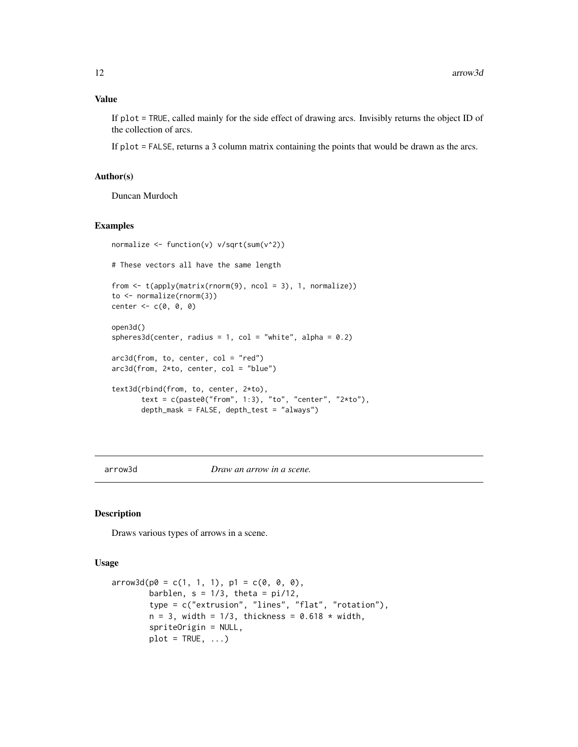If plot = TRUE, called mainly for the side effect of drawing arcs. Invisibly returns the object ID of the collection of arcs.

If plot = FALSE, returns a 3 column matrix containing the points that would be drawn as the arcs.

### Author(s)

Duncan Murdoch

#### Examples

```
normalize <- function(v) v/sqrt(sum(v^2))
# These vectors all have the same length
from <- t(apply(matrix(rnorm(9), ncol = 3), 1, normalize))
to <- normalize(rnorm(3))
center \leq c(\emptyset, \emptyset, \emptyset)open3d()
spheres3d(center, radius = 1, col = "white", alpha = 0.2)
arc3d(from, to, center, col = "red")
arc3d(from, 2*to, center, col = "blue")
text3d(rbind(from, to, center, 2*to),
       text = c(paste0("from", 1:3), "to", "center", "2*to"),
       depth_mask = FALSE, depth_test = "always")
```
<span id="page-11-1"></span>arrow3d *Draw an arrow in a scene.*

### Description

Draws various types of arrows in a scene.

#### Usage

```
arrow3d(p0 = c(1, 1, 1), p1 = c(0, 0, 0),barblen, s = 1/3, theta = pi/12,
       type = c("extrusion", "lines", "flat", "rotation"),
       n = 3, width = 1/3, thickness = 0.618 * width,
       spriteOrigin = NULL,
       plot = TRUE, ...)
```
<span id="page-11-0"></span>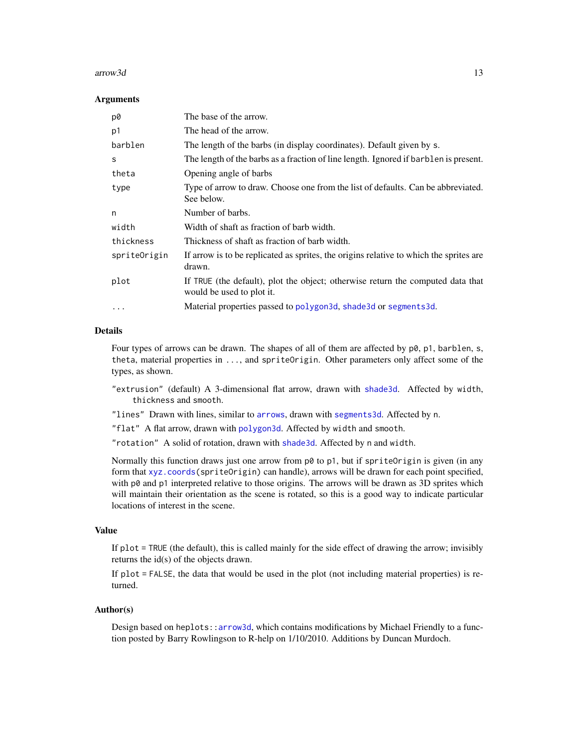#### $\arccos 3d$  13

#### **Arguments**

| p0           | The base of the arrow.                                                                                       |
|--------------|--------------------------------------------------------------------------------------------------------------|
| p1           | The head of the arrow.                                                                                       |
| barblen      | The length of the barbs (in display coordinates). Default given by s.                                        |
| S            | The length of the barbs as a fraction of line length. Ignored if barblen is present.                         |
| theta        | Opening angle of barbs                                                                                       |
| type         | Type of arrow to draw. Choose one from the list of defaults. Can be abbreviated.<br>See below.               |
| n            | Number of barbs.                                                                                             |
| width        | Width of shaft as fraction of barb width.                                                                    |
| thickness    | Thickness of shaft as fraction of barb width.                                                                |
| spriteOrigin | If arrow is to be replicated as sprites, the origins relative to which the sprites are<br>drawn.             |
| plot         | If TRUE (the default), plot the object; otherwise return the computed data that<br>would be used to plot it. |
| $\cdots$     | Material properties passed to polygon3d, shade3d or segments3d.                                              |

### Details

Four types of arrows can be drawn. The shapes of all of them are affected by  $p\theta$ ,  $p1$ , barblen, s, theta, material properties in ..., and spriteOrigin. Other parameters only affect some of the types, as shown.

- "extrusion" (default) A 3-dimensional flat arrow, drawn with [shade3d](#page-45-1). Affected by width, thickness and smooth.
- "lines" Drawn with lines, similar to [arrows](#page-0-0), drawn with [segments3d](#page-81-1). Affected by n.

"flat" A flat arrow, drawn with [polygon3d](#page-83-1). Affected by width and smooth.

"rotation" A solid of rotation, drawn with [shade3d](#page-45-1). Affected by n and width.

Normally this function draws just one arrow from  $p\emptyset$  to  $p1$ , but if spriteOrigin is given (in any form that [xyz.coords\(](#page-0-0)spriteOrigin) can handle), arrows will be drawn for each point specified, with p0 and p1 interpreted relative to those origins. The arrows will be drawn as 3D sprites which will maintain their orientation as the scene is rotated, so this is a good way to indicate particular locations of interest in the scene.

#### Value

If plot = TRUE (the default), this is called mainly for the side effect of drawing the arrow; invisibly returns the id(s) of the objects drawn.

If plot = FALSE, the data that would be used in the plot (not including material properties) is returned.

#### Author(s)

Design based on heplots:[:arrow3d](#page-11-1), which contains modifications by Michael Friendly to a function posted by Barry Rowlingson to R-help on 1/10/2010. Additions by Duncan Murdoch.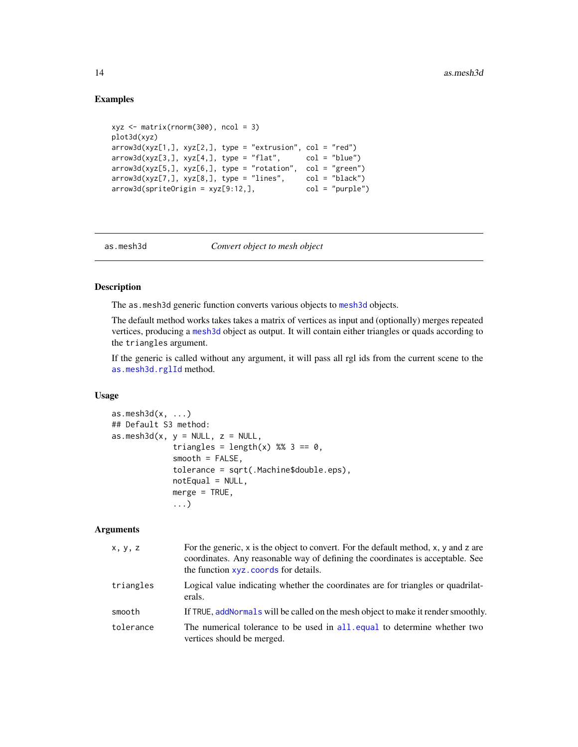### Examples

```
xyz \le matrix(rnorm(300), ncol = 3)
plot3d(xyz)
arrow3d(xyz[1,], xyz[2,], type = "extrusion", col = "red")arrow3d(xyz[3,], xyz[4,], type = "flat", col = "blue")arrow3d(xyz[5,], xyz[6,], type = "rotation", col = "green")arrow3d(xyz[7,], xyz[8,], type = "lines", col = "black")
arrow3d(spriteOrigin = xyz[9:12,], col = "purple")
```
<span id="page-13-1"></span>

as.mesh3d *Convert object to mesh object*

### Description

The as [mesh3d](#page-45-2) generic function converts various objects to mesh3d objects.

The default method works takes takes a matrix of vertices as input and (optionally) merges repeated vertices, producing a [mesh3d](#page-45-2) object as output. It will contain either triangles or quads according to the triangles argument.

If the generic is called without any argument, it will pass all rgl ids from the current scene to the [as.mesh3d.rglId](#page-17-1) method.

### Usage

```
as.mesh3d(x, ...)
## Default S3 method:
as.mesh3d(x, y = NULL, z = NULL,triangles = length(x) %% 3 == \theta,
             smooth = FALSE,tolerance = sqrt(.Machine$double.eps),
             notEqual = NULL,merge = TRUE,
             ...)
```
### Arguments

| x, y, z   | For the generic, $x$ is the object to convert. For the default method, $x$ , $y$ and $z$ are<br>coordinates. Any reasonable way of defining the coordinates is acceptable. See<br>the function xyz. coords for details. |
|-----------|-------------------------------------------------------------------------------------------------------------------------------------------------------------------------------------------------------------------------|
| triangles | Logical value indicating whether the coordinates are for triangles or quadrilat-<br>erals.                                                                                                                              |
| smooth    | If TRUE, add Normals will be called on the mesh object to make it render smoothly.                                                                                                                                      |
| tolerance | The numerical tolerance to be used in all, equal to determine whether two<br>vertices should be merged.                                                                                                                 |

<span id="page-13-0"></span>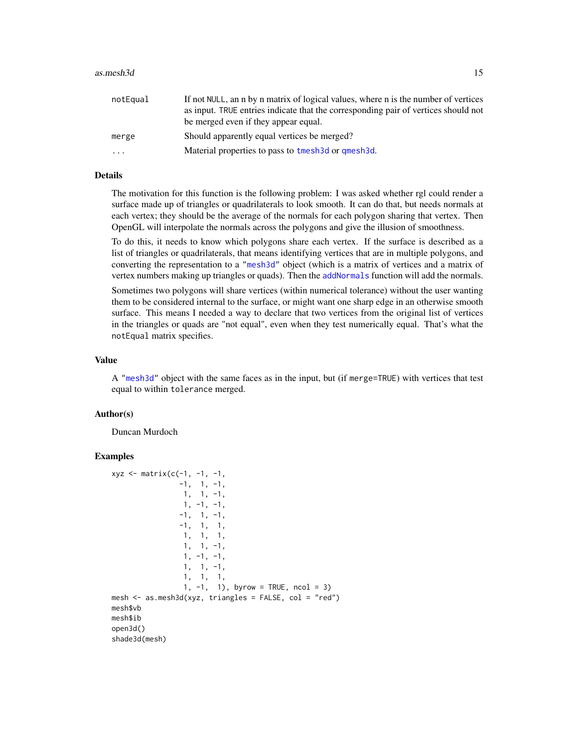| notEqual | If not NULL, an n by n matrix of logical values, where n is the number of vertices<br>as input. TRUE entries indicate that the corresponding pair of vertices should not<br>be merged even if they appear equal. |
|----------|------------------------------------------------------------------------------------------------------------------------------------------------------------------------------------------------------------------|
| merge    | Should apparently equal vertices be merged?                                                                                                                                                                      |
| $\cdot$  | Material properties to pass to tmesh3d or qmesh3d.                                                                                                                                                               |

### Details

The motivation for this function is the following problem: I was asked whether rgl could render a surface made up of triangles or quadrilaterals to look smooth. It can do that, but needs normals at each vertex; they should be the average of the normals for each polygon sharing that vertex. Then OpenGL will interpolate the normals across the polygons and give the illusion of smoothness.

To do this, it needs to know which polygons share each vertex. If the surface is described as a list of triangles or quadrilaterals, that means identifying vertices that are in multiple polygons, and converting the representation to a ["mesh3d"](#page-45-2) object (which is a matrix of vertices and a matrix of vertex numbers making up triangles or quads). Then the [addNormals](#page-6-1) function will add the normals.

Sometimes two polygons will share vertices (within numerical tolerance) without the user wanting them to be considered internal to the surface, or might want one sharp edge in an otherwise smooth surface. This means I needed a way to declare that two vertices from the original list of vertices in the triangles or quads are "not equal", even when they test numerically equal. That's what the notEqual matrix specifies.

#### Value

A ["mesh3d"](#page-45-2) object with the same faces as in the input, but (if merge=TRUE) with vertices that test equal to within tolerance merged.

### Author(s)

Duncan Murdoch

```
xyz \le matrix(c(-1, -1, -1,
               -1, 1, -1,1, 1, -1,
                 1, -1, -1,
               -1, 1, -1,
               -1, 1, 1,1, 1, 1,
                1, 1, -1,
                1, -1, -1,1, 1, -1,
                1, 1, 1,
                1, -1, 1), byrow = TRUE, ncol = 3)
mesh \leq as.mesh3d(xyz, triangles = FALSE, col = "red")
mesh$vb
mesh$ib
open3d()
shade3d(mesh)
```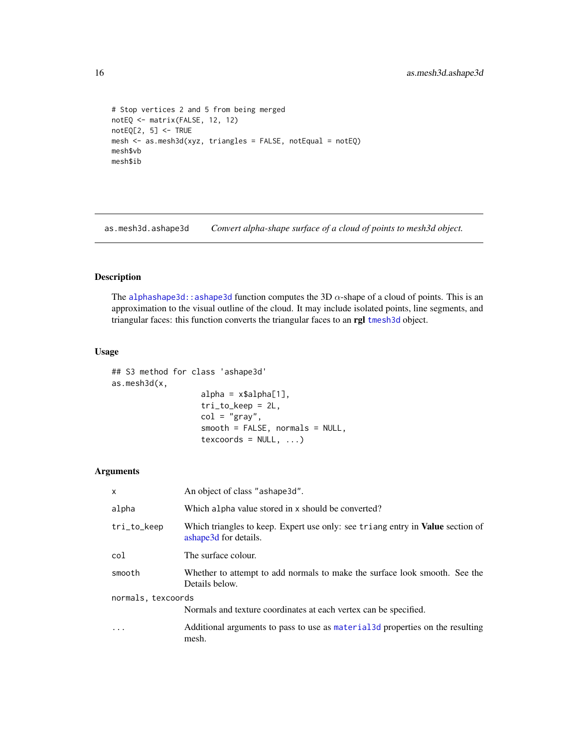```
# Stop vertices 2 and 5 from being merged
notEQ <- matrix(FALSE, 12, 12)
notEQ[2, 5] <- TRUE
mesh <- as.mesh3d(xyz, triangles = FALSE, notEqual = notEQ)
mesh$vb
mesh$ib
```
as.mesh3d.ashape3d *Convert alpha-shape surface of a cloud of points to mesh3d object.*

### Description

The [alphashape3d::ashape3d](#page-0-0) function computes the 3D  $\alpha$ -shape of a cloud of points. This is an approximation to the visual outline of the cloud. It may include isolated points, line segments, and triangular faces: this function converts the triangular faces to an rgl [tmesh3d](#page-45-1) object.

#### Usage

## S3 method for class 'ashape3d' as.mesh3d(x,  $alpha = x$alpha[1],$ tri\_to\_keep = 2L,  $col = "gray",$ smooth = FALSE, normals = NULL,

 $texfore{to}$  = NULL,  $\dots$ )

### Arguments

| $\mathsf{x}$       | An object of class "ashape3d".                                                                                 |  |
|--------------------|----------------------------------------------------------------------------------------------------------------|--|
| alpha              | Which alpha value stored in x should be converted?                                                             |  |
| tri_to_keep        | Which triangles to keep. Expert use only: see triang entry in <b>Value</b> section of<br>ashape3d for details. |  |
| col                | The surface colour.                                                                                            |  |
| smooth             | Whether to attempt to add normals to make the surface look smooth. See the<br>Details below.                   |  |
| normals, texcoords |                                                                                                                |  |
|                    | Normals and texture coordinates at each vertex can be specified.                                               |  |
|                    | Additional arguments to pass to use as material 3d properties on the resulting<br>mesh.                        |  |

<span id="page-15-0"></span>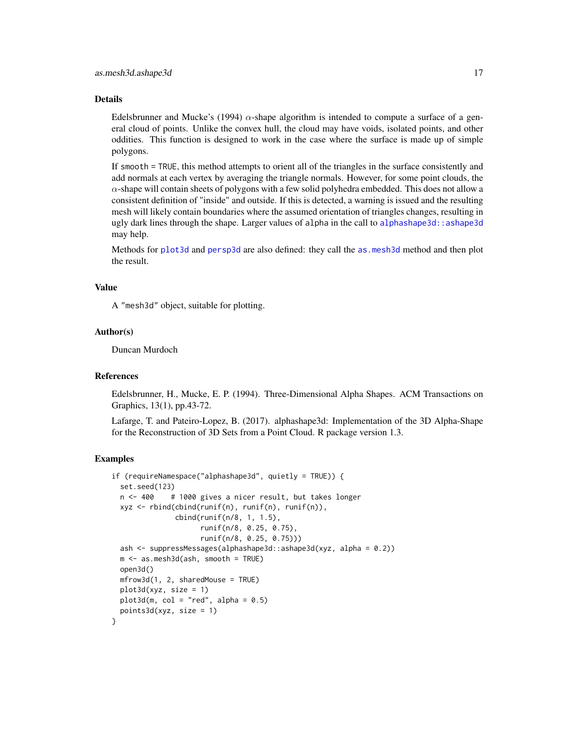#### Details

Edelsbrunner and Mucke's (1994)  $\alpha$ -shape algorithm is intended to compute a surface of a general cloud of points. Unlike the convex hull, the cloud may have voids, isolated points, and other oddities. This function is designed to work in the case where the surface is made up of simple polygons.

If smooth = TRUE, this method attempts to orient all of the triangles in the surface consistently and add normals at each vertex by averaging the triangle normals. However, for some point clouds, the  $\alpha$ -shape will contain sheets of polygons with a few solid polyhedra embedded. This does not allow a consistent definition of "inside" and outside. If this is detected, a warning is issued and the resulting mesh will likely contain boundaries where the assumed orientation of triangles changes, resulting in ugly dark lines through the shape. Larger values of alpha in the call to alphashape3d: : ashape3d may help.

Methods for [plot3d](#page-74-1) and [persp3d](#page-59-1) are also defined: they call the as. mesh3d method and then plot the result.

### Value

A "mesh3d" object, suitable for plotting.

#### Author(s)

Duncan Murdoch

#### References

Edelsbrunner, H., Mucke, E. P. (1994). Three-Dimensional Alpha Shapes. ACM Transactions on Graphics, 13(1), pp.43-72.

Lafarge, T. and Pateiro-Lopez, B. (2017). alphashape3d: Implementation of the 3D Alpha-Shape for the Reconstruction of 3D Sets from a Point Cloud. R package version 1.3.

```
if (requireNamespace("alphashape3d", quietly = TRUE)) {
 set.seed(123)
 n <- 400 # 1000 gives a nicer result, but takes longer
 xyz <- rbind(cbind(runif(n), runif(n), runif(n)),
               cbind(runif(n/8, 1, 1.5),
                     runif(n/8, 0.25, 0.75),
                     runif(n/8, 0.25, 0.75)))
 ash <- suppressMessages(alphashape3d::ashape3d(xyz, alpha = 0.2))
 m <- as.mesh3d(ash, smooth = TRUE)
 open3d()
 mfrow3d(1, 2, sharedMouse = TRUE)
 plot3d(xyz, size = 1)
 plot3d(m, col = "red", alpha = 0.5)points3d(xyz, size = 1)
}
```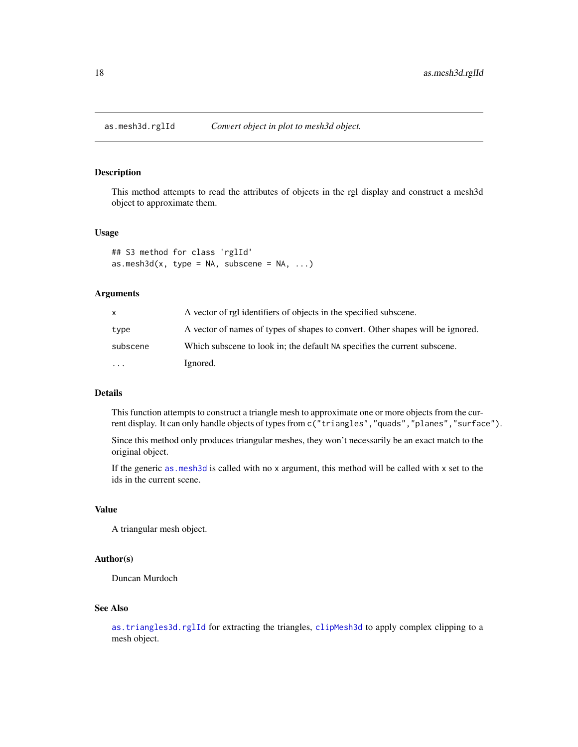<span id="page-17-1"></span><span id="page-17-0"></span>

This method attempts to read the attributes of objects in the rgl display and construct a mesh3d object to approximate them.

### Usage

```
## S3 method for class 'rglId'
as.mesh3d(x, type = NA, subscence = NA, ...)
```
#### Arguments

| X        | A vector of rgl identifiers of objects in the specified subscene.              |
|----------|--------------------------------------------------------------------------------|
| type     | A vector of names of types of shapes to convert. Other shapes will be ignored. |
| subscene | Which subscene to look in; the default NA specifies the current subscene.      |
| $\cdots$ | Ignored.                                                                       |

#### Details

This function attempts to construct a triangle mesh to approximate one or more objects from the current display. It can only handle objects of types from c("triangles","quads","planes","surface").

Since this method only produces triangular meshes, they won't necessarily be an exact match to the original object.

If the generic [as.mesh3d](#page-13-1) is called with no x argument, this method will be called with x set to the ids in the current scene.

#### Value

A triangular mesh object.

### Author(s)

Duncan Murdoch

### See Also

[as.triangles3d.rglId](#page-18-1) for extracting the triangles, [clipMesh3d](#page-26-1) to apply complex clipping to a mesh object.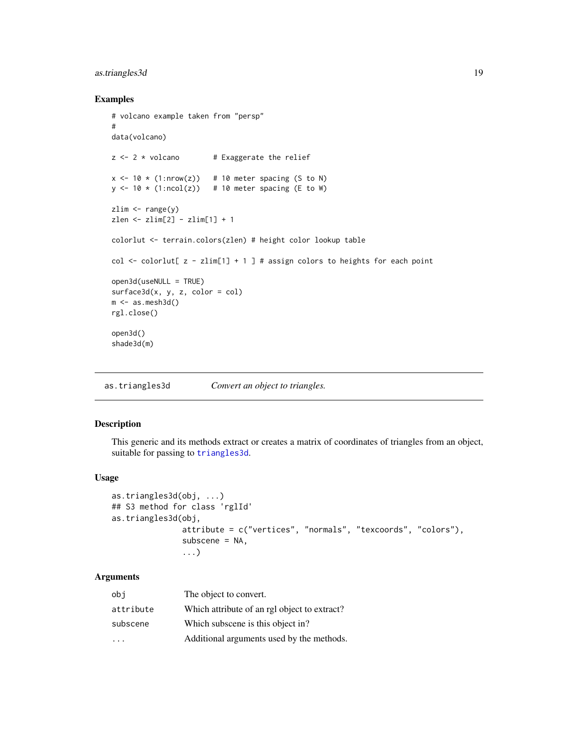### <span id="page-18-0"></span>as.triangles3d 19

#### Examples

```
# volcano example taken from "persp"
#
data(volcano)
z \le -2 \times volcano # Exaggerate the relief
x \le -10 \times (1: nrow(z)) # 10 meter spacing (S to N)
y \le -10 \times (1:\text{ncol}(z)) # 10 meter spacing (E to W)
zlim \leftarrow range(y)zlen <- zlim[2] - zlim[1] + 1
colorlut <- terrain.colors(zlen) # height color lookup table
col \le colorlut[ z - zlim[1] + 1 ] # assign colors to heights for each point
open3d(useNULL = TRUE)
surface3d(x, y, z, color = col)m \leq -as.mesh3d()rgl.close()
open3d()
shade3d(m)
```
as.triangles3d *Convert an object to triangles.*

### <span id="page-18-1"></span>Description

This generic and its methods extract or creates a matrix of coordinates of triangles from an object, suitable for passing to [triangles3d](#page-81-1).

#### Usage

```
as.triangles3d(obj, ...)
## S3 method for class 'rglId'
as.triangles3d(obj,
               attribute = c("vertices", "normals", "texcoords", "colors"),
               subscene = NA,
               ...)
```
### Arguments

| obi                     | The object to convert.                       |
|-------------------------|----------------------------------------------|
| attribute               | Which attribute of an rgl object to extract? |
| subscene                | Which subscene is this object in?            |
| $\cdot$ $\cdot$ $\cdot$ | Additional arguments used by the methods.    |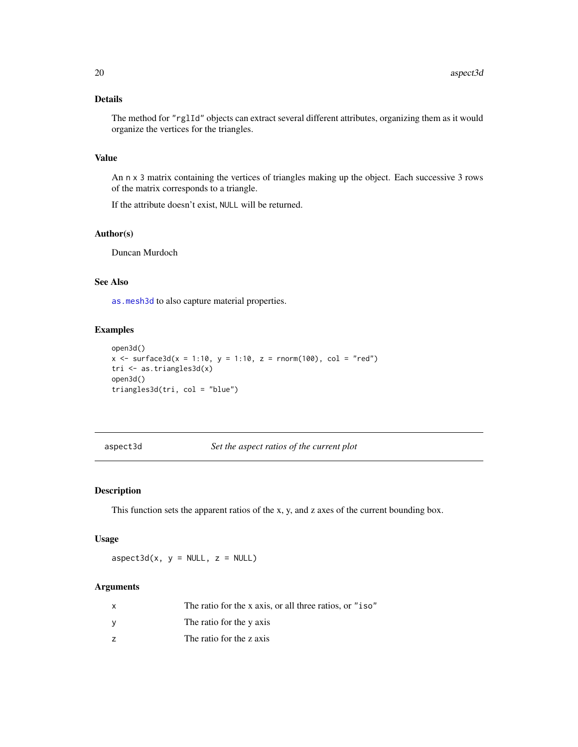## <span id="page-19-0"></span>Details

The method for "rglId" objects can extract several different attributes, organizing them as it would organize the vertices for the triangles.

### Value

An n x 3 matrix containing the vertices of triangles making up the object. Each successive 3 rows of the matrix corresponds to a triangle.

If the attribute doesn't exist, NULL will be returned.

### Author(s)

Duncan Murdoch

### See Also

[as.mesh3d](#page-13-1) to also capture material properties.

### Examples

```
open3d()
x \le - surface3d(x = 1:10, y = 1:10, z = rnorm(100), col = "red")
tri <- as.triangles3d(x)
open3d()
triangles3d(tri, col = "blue")
```
### aspect3d *Set the aspect ratios of the current plot*

#### Description

This function sets the apparent ratios of the x, y, and z axes of the current bounding box.

### Usage

 $aspect3d(x, y = NULL, z = NULL)$ 

### Arguments

| The ratio for the x axis, or all three ratios, or "iso" |
|---------------------------------------------------------|
| The ratio for the y axis                                |
| The ratio for the z axis                                |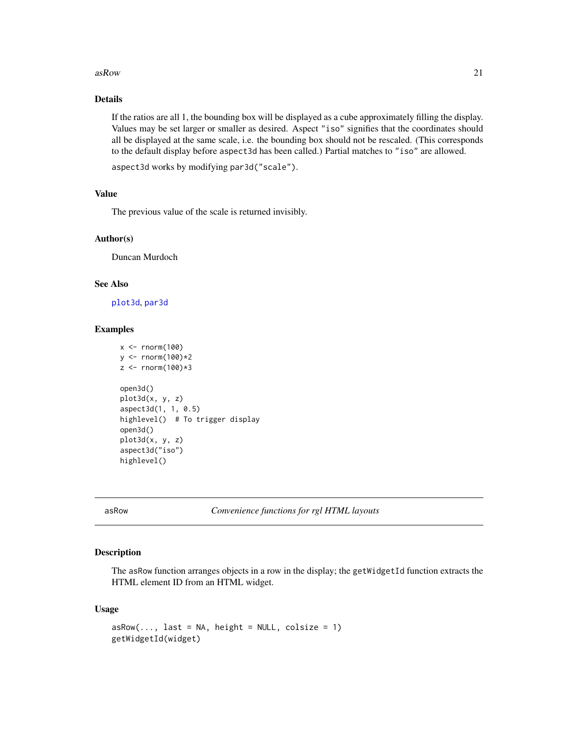#### <span id="page-20-0"></span> $asRow$  21

### Details

If the ratios are all 1, the bounding box will be displayed as a cube approximately filling the display. Values may be set larger or smaller as desired. Aspect "iso" signifies that the coordinates should all be displayed at the same scale, i.e. the bounding box should not be rescaled. (This corresponds to the default display before aspect3d has been called.) Partial matches to "iso" are allowed.

```
aspect3d works by modifying par3d("scale").
```
### Value

The previous value of the scale is returned invisibly.

#### Author(s)

Duncan Murdoch

#### See Also

[plot3d](#page-74-1), [par3d](#page-50-2)

#### Examples

```
x < - rnorm(100)
y <- rnorm(100)*2
z < - rnorm(100)*3
open3d()
plot3d(x, y, z)
aspect3d(1, 1, 0.5)
highlevel() # To trigger display
open3d()
plot3d(x, y, z)
aspect3d("iso")
highlevel()
```
asRow *Convenience functions for rgl HTML layouts*

### Description

The asRow function arranges objects in a row in the display; the getWidgetId function extracts the HTML element ID from an HTML widget.

#### Usage

```
asRow(..., last = NA, height = NULL, colsize = 1)getWidgetId(widget)
```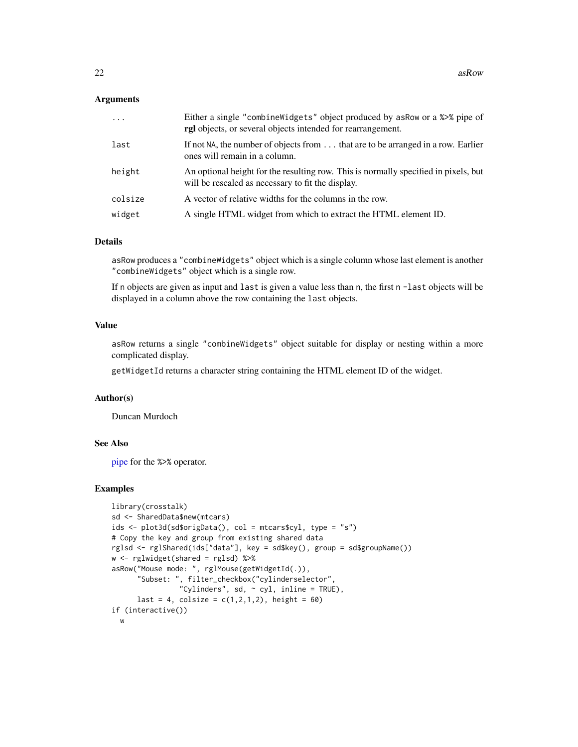### **Arguments**

| $\cdot$ | Either a single "combine Widgets" object produced by as Row or a %>% pipe of<br>rgl objects, or several objects intended for rearrangement. |
|---------|---------------------------------------------------------------------------------------------------------------------------------------------|
| last    | If not NA, the number of objects from  that are to be arranged in a row. Earlier<br>ones will remain in a column.                           |
| height  | An optional height for the resulting row. This is normally specified in pixels, but<br>will be rescaled as necessary to fit the display.    |
| colsize | A vector of relative widths for the columns in the row.                                                                                     |
| widget  | A single HTML widget from which to extract the HTML element ID.                                                                             |

#### Details

asRow produces a "combineWidgets" object which is a single column whose last element is another "combineWidgets" object which is a single row.

If n objects are given as input and last is given a value less than n, the first n -last objects will be displayed in a column above the row containing the last objects.

### Value

asRow returns a single "combineWidgets" object suitable for display or nesting within a more complicated display.

getWidgetId returns a character string containing the HTML element ID of the widget.

### Author(s)

Duncan Murdoch

#### See Also

[pipe](#page-40-1) for the %>% operator.

```
library(crosstalk)
sd <- SharedData$new(mtcars)
ids <- plot3d(sd$origData(), col = mtcars$cyl, type = "s")
# Copy the key and group from existing shared data
rglsd <- rglShared(ids["data"], key = sd$key(), group = sd$groupName())
w <- rglwidget(shared = rglsd) %>%
asRow("Mouse mode: ", rglMouse(getWidgetId(.)),
      "Subset: ", filter_checkbox("cylinderselector",
                "Cylinders", sd, \sim cyl, inline = TRUE),
     last = 4, colsize = c(1, 2, 1, 2), height = 60if (interactive())
 w
```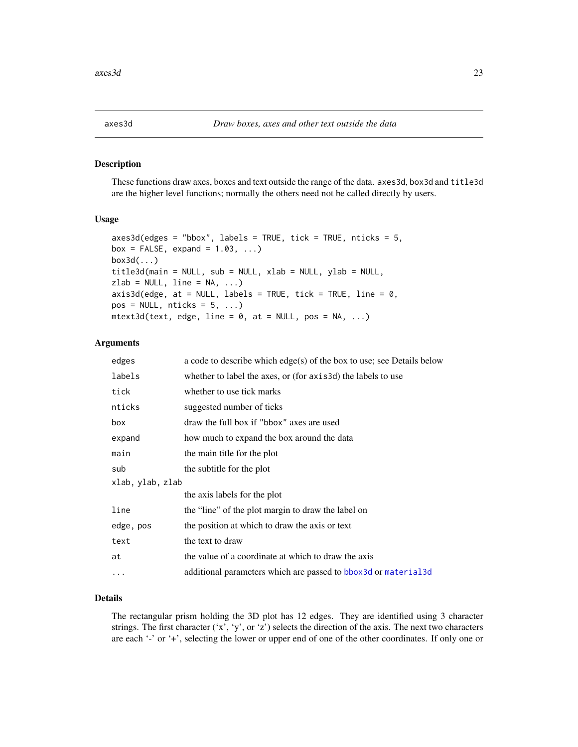<span id="page-22-0"></span>

These functions draw axes, boxes and text outside the range of the data. axes3d, box3d and title3d are the higher level functions; normally the others need not be called directly by users.

#### Usage

```
axes3d(edges = "bbox", labels = TRUE, tick = TRUE, nticks = 5,box = FALSE, expand = 1.03, ...)
box3d(...)
title3d(main = NULL, sub = NULL, xlab = NULL, ylab = NULL,
zlab = NULL, line = NA, ...)
axis3d(edge, at = NULL, labels = TRUE, tick = TRUE, line = 0,
pos = NULL, \n  <i>nticks = 5, \ldots</i> )mtext{text3d(text, edge, line = 0, at = NULL, pos = NA, ...})
```
### Arguments

| edges            | a code to describe which $edge(s)$ of the box to use; see Details below |
|------------------|-------------------------------------------------------------------------|
| labels           | whether to label the axes, or (for axis3d) the labels to use            |
| tick             | whether to use tick marks                                               |
| nticks           | suggested number of ticks                                               |
| box              | draw the full box if "bbox" axes are used                               |
| expand           | how much to expand the box around the data                              |
| main             | the main title for the plot                                             |
| sub              | the subtitle for the plot                                               |
| xlab, ylab, zlab |                                                                         |
|                  | the axis labels for the plot                                            |
| line             | the "line" of the plot margin to draw the label on                      |
| edge, pos        | the position at which to draw the axis or text                          |
| text             | the text to draw                                                        |
| at               | the value of a coordinate at which to draw the axis                     |
| $\ddotsc$        | additional parameters which are passed to bbox 3d or material 3d        |
|                  |                                                                         |

### Details

The rectangular prism holding the 3D plot has 12 edges. They are identified using 3 character strings. The first character ('x', 'y', or 'z') selects the direction of the axis. The next two characters are each '-' or '+', selecting the lower or upper end of one of the other coordinates. If only one or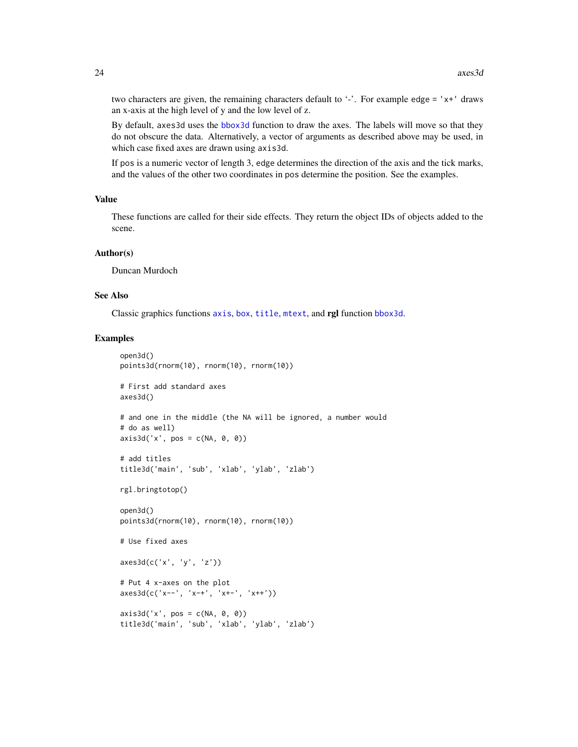two characters are given, the remaining characters default to  $\cdot$ . For example edge =  $x + 1$  draws an x-axis at the high level of y and the low level of z.

By default, axes3d uses the [bbox3d](#page-94-1) function to draw the axes. The labels will move so that they do not obscure the data. Alternatively, a vector of arguments as described above may be used, in which case fixed axes are drawn using axis3d.

If pos is a numeric vector of length 3, edge determines the direction of the axis and the tick marks, and the values of the other two coordinates in pos determine the position. See the examples.

#### Value

These functions are called for their side effects. They return the object IDs of objects added to the scene.

#### Author(s)

Duncan Murdoch

### See Also

Classic graphics functions [axis](#page-0-0), [box](#page-0-0), [title](#page-0-0), [mtext](#page-0-0), and rgl function [bbox3d](#page-94-1).

```
open3d()
points3d(rnorm(10), rnorm(10), rnorm(10))
# First add standard axes
axes3d()
# and one in the middle (the NA will be ignored, a number would
# do as well)
axis3d('x', pos = c(NA, 0, 0))# add titles
title3d('main', 'sub', 'xlab', 'ylab', 'zlab')
rgl.bringtotop()
open3d()
points3d(rnorm(10), rnorm(10), rnorm(10))
# Use fixed axes
axes3d(c('x', 'y', 'z'))
# Put 4 x-axes on the plot
axes3d(c('x--', 'x-+', 'x+-', 'x++'))
axis3d('x', pos = c(NA, 0, 0))title3d('main', 'sub', 'xlab', 'ylab', 'zlab')
```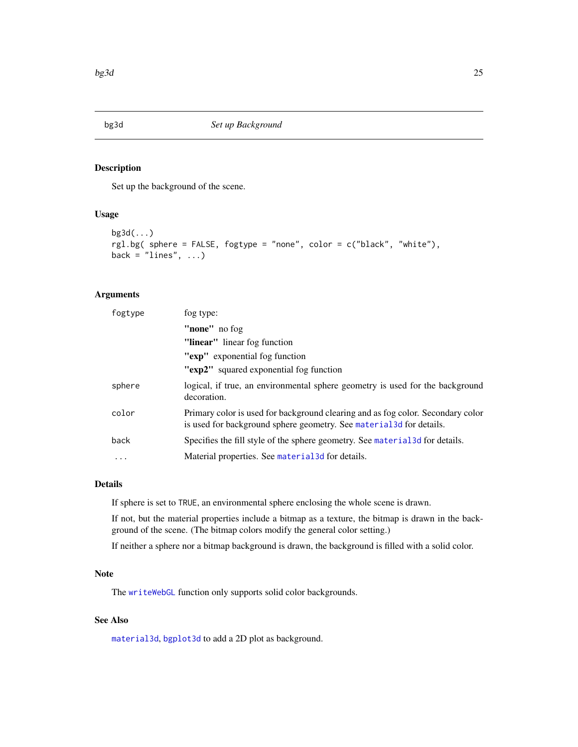<span id="page-24-1"></span><span id="page-24-0"></span>

Set up the background of the scene.

### Usage

```
bg3d(...)
rgl.bg( sphere = FALSE, fogtype = "none", color = c("black", "white"),
back = "lines", ...)
```
#### Arguments

| fogtype | fog type:                                                                                                                                               |
|---------|---------------------------------------------------------------------------------------------------------------------------------------------------------|
|         | "none" no fog                                                                                                                                           |
|         | "linear" linear fog function                                                                                                                            |
|         | "exp" exponential fog function                                                                                                                          |
|         | "exp2" squared exponential fog function                                                                                                                 |
| sphere  | logical, if true, an environmental sphere geometry is used for the background<br>decoration.                                                            |
| color   | Primary color is used for background clearing and as fog color. Secondary color<br>is used for background sphere geometry. See material 3d for details. |
| back    | Specifies the fill style of the sphere geometry. See material 3d for details.                                                                           |
| .       | Material properties. See material 3d for details.                                                                                                       |
|         |                                                                                                                                                         |

### Details

If sphere is set to TRUE, an environmental sphere enclosing the whole scene is drawn.

If not, but the material properties include a bitmap as a texture, the bitmap is drawn in the background of the scene. (The bitmap colors modify the general color setting.)

If neither a sphere nor a bitmap background is drawn, the background is filled with a solid color.

### Note

The [writeWebGL](#page-171-1) function only supports solid color backgrounds.

### See Also

[material3d](#page-98-1), [bgplot3d](#page-25-1) to add a 2D plot as background.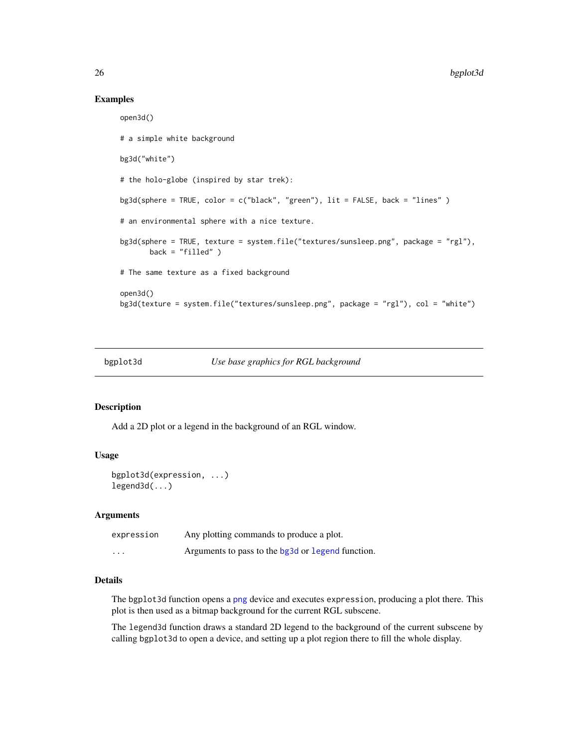#### Examples

```
open3d()
# a simple white background
bg3d("white")
# the holo-globe (inspired by star trek):
bg3d(sphere = TRUE, color = c("black", "green"), lit = FALSE, back = "lines" )
# an environmental sphere with a nice texture.
bg3d(sphere = TRUE, texture = system.file("textures/sunsleep.png", package = "rgl"),
      back = "filled" )# The same texture as a fixed background
open3d()
bg3d(texture = system.file("textures/sunsleep.png", package = "rgl"), col = "white")
```
<span id="page-25-1"></span>

| bgplot3d | Use base graphics for RGL background |
|----------|--------------------------------------|
|          |                                      |

#### Description

Add a 2D plot or a legend in the background of an RGL window.

#### Usage

```
bgplot3d(expression, ...)
legend3d(...)
```
#### Arguments

| expression | Any plotting commands to produce a plot.          |
|------------|---------------------------------------------------|
| $\cdots$   | Arguments to pass to the bg3d or legend function. |

### Details

The bgplot3d function opens a [png](#page-0-0) device and executes expression, producing a plot there. This plot is then used as a bitmap background for the current RGL subscene.

The legend3d function draws a standard 2D legend to the background of the current subscene by calling bgplot3d to open a device, and setting up a plot region there to fill the whole display.

<span id="page-25-0"></span>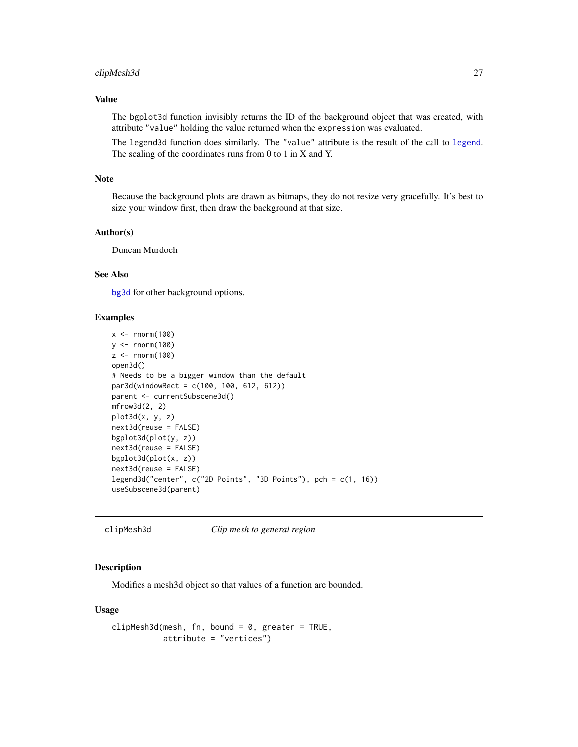### <span id="page-26-0"></span>clipMesh3d 27

### Value

The bgplot3d function invisibly returns the ID of the background object that was created, with attribute "value" holding the value returned when the expression was evaluated.

The legend3d function does similarly. The "value" attribute is the result of the call to [legend](#page-0-0). The scaling of the coordinates runs from 0 to 1 in X and Y.

### Note

Because the background plots are drawn as bitmaps, they do not resize very gracefully. It's best to size your window first, then draw the background at that size.

### Author(s)

Duncan Murdoch

### See Also

[bg3d](#page-24-1) for other background options.

#### Examples

```
x \le rnorm(100)
y <- rnorm(100)
z \le- rnorm(100)
open3d()
# Needs to be a bigger window than the default
par3d(windowRect = c(100, 100, 612, 612))parent <- currentSubscene3d()
mfrow3d(2, 2)
plot3d(x, y, z)
next3d(reuse = FALSE)
bgplot3d(plot(y, z))
next3d(reuse = FALSE)
bgplot3d(plot(x, z))
next3d(reuse = FALSE)
legend3d("center", c("2D Points", "3D Points"), pch = c(1, 16))
useSubscene3d(parent)
```
<span id="page-26-1"></span>clipMesh3d *Clip mesh to general region*

#### **Description**

Modifies a mesh3d object so that values of a function are bounded.

#### Usage

```
clipMesh3d(mesh, fn, bound = 0, greater = TRUE,attribute = "vertices")
```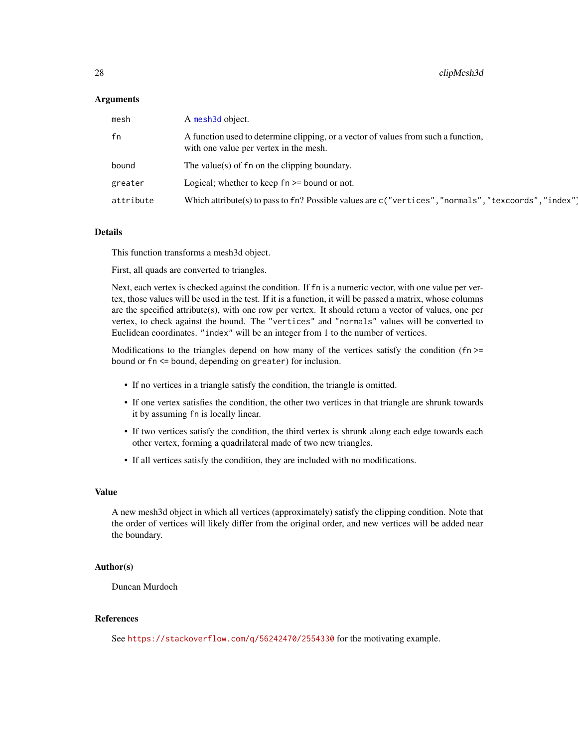#### Arguments

| mesh      | A mesh3d object.                                                                                                             |
|-----------|------------------------------------------------------------------------------------------------------------------------------|
| fn        | A function used to determine clipping, or a vector of values from such a function,<br>with one value per vertex in the mesh. |
| bound     | The value(s) of $f_n$ on the clipping boundary.                                                                              |
| greater   | Logical; whether to keep $fn \geq 5$ bound or not.                                                                           |
| attribute | Which attribute(s) to pass to fn? Possible values are c ("vertices", "normals", "texcoords", "index")                        |

### Details

This function transforms a mesh3d object.

First, all quads are converted to triangles.

Next, each vertex is checked against the condition. If fn is a numeric vector, with one value per vertex, those values will be used in the test. If it is a function, it will be passed a matrix, whose columns are the specified attribute(s), with one row per vertex. It should return a vector of values, one per vertex, to check against the bound. The "vertices" and "normals" values will be converted to Euclidean coordinates. "index" will be an integer from 1 to the number of vertices.

Modifications to the triangles depend on how many of the vertices satisfy the condition (fn  $\ge$ = bound or fn <= bound, depending on greater) for inclusion.

- If no vertices in a triangle satisfy the condition, the triangle is omitted.
- If one vertex satisfies the condition, the other two vertices in that triangle are shrunk towards it by assuming fn is locally linear.
- If two vertices satisfy the condition, the third vertex is shrunk along each edge towards each other vertex, forming a quadrilateral made of two new triangles.
- If all vertices satisfy the condition, they are included with no modifications.

#### Value

A new mesh3d object in which all vertices (approximately) satisfy the clipping condition. Note that the order of vertices will likely differ from the original order, and new vertices will be added near the boundary.

### Author(s)

Duncan Murdoch

### References

See <https://stackoverflow.com/q/56242470/2554330> for the motivating example.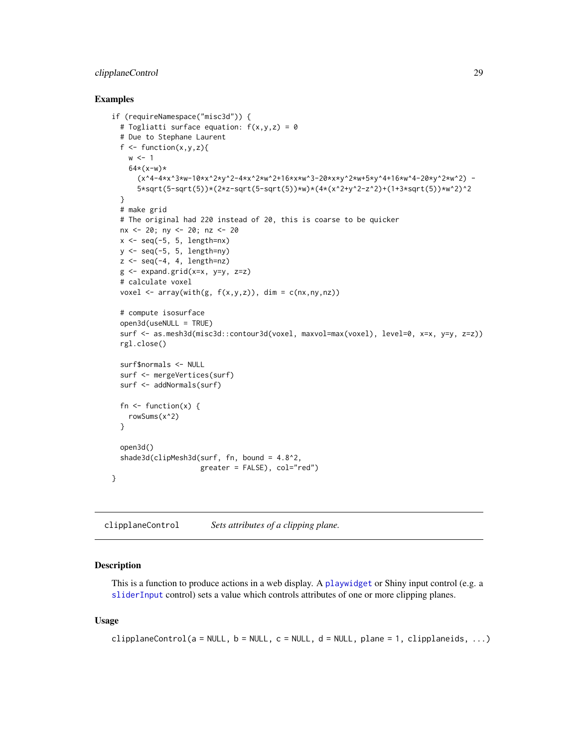### <span id="page-28-0"></span>clipplaneControl 29

#### Examples

```
if (requireNamespace("misc3d")) {
 # Togliatti surface equation: f(x,y,z) = 0# Due to Stephane Laurent
 f \leftarrow function(x, y, z)w < -164*(x-w)*(x^4-4*x^3*w-10*x^2*y^2-4*x^2*w^2+16*x*w^3-20*x*y^2*w+5*y^4+16*w^4-20*y^2*w^2) -
      5*sqrt(5-sqrt(5))*(2*z-sqrt(5-sqrt(5))*w)*(4*(x^2+y^2-z^2)+(1+3*sqrt(5))*w^2)^2
 }
 # make grid
 # The original had 220 instead of 20, this is coarse to be quicker
 nx <- 20; ny <- 20; nz <- 20
 x \leftarrow \text{seq}(-5, 5, \text{length}=\text{nx})y \leq -\text{seq}(-5, 5, \text{length} = ny)z \leq - seq(-4, 4, length=nz)
 g <- expand.grid(x=x, y=y, z=z)
 # calculate voxel
 voxel \leq array(with(g, f(x,y,z)), dim = c(nx,ny,nz))
 # compute isosurface
 open3d(useNULL = TRUE)
 surf <- as.mesh3d(misc3d::contour3d(voxel, maxvol=max(voxel), level=0, x=x, y=y, z=z))
 rgl.close()
 surf$normals <- NULL
 surf <- mergeVertices(surf)
 surf <- addNormals(surf)
 fn \leq function(x) {
    rowSums(x^2)
 }
 open3d()
 shade3d(clipMesh3d(surf, fn, bound = 4.8^2,
                      greater = FALSE), col="red")
}
```
clipplaneControl *Sets attributes of a clipping plane.*

### Description

This is a function to produce actions in a web display. A [playwidget](#page-72-1) or Shiny input control (e.g. a [sliderInput](#page-0-0) control) sets a value which controls attributes of one or more clipping planes.

### Usage

```
clipplaneControl(a = NULL, b = NULL, c = NULL, d = NULL, plane = 1, clipplaneids, ...)
```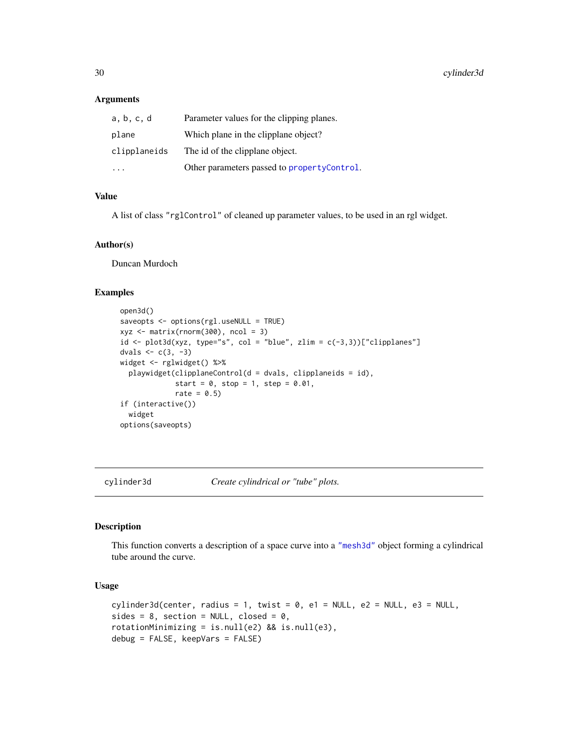#### <span id="page-29-0"></span>**Arguments**

| a, b, c, d   | Parameter values for the clipping planes.   |
|--------------|---------------------------------------------|
| plane        | Which plane in the clipplane object?        |
| clipplaneids | The id of the clipplane object.             |
|              | Other parameters passed to propertyControl. |

### Value

A list of class "rglControl" of cleaned up parameter values, to be used in an rgl widget.

### Author(s)

Duncan Murdoch

### Examples

```
open3d()
saveopts <- options(rgl.useNULL = TRUE)
xyz <- matrix(rnorm(300), ncol = 3)
id \leftarrow plot3d(xyz, type="s", col = "blue", zlim = c(-3,3))["clipplanes"]dvals <-c(3, -3)widget <- rglwidget() %>%
  playwidget(clipplaneControl(d = dvals, clipplaneids = id),
             start = 0, stop = 1, step = 0.01,
             rate = 0.5)
if (interactive())
  widget
options(saveopts)
```
cylinder3d *Create cylindrical or "tube" plots.*

#### Description

This function converts a description of a space curve into a ["mesh3d"](#page-45-2) object forming a cylindrical tube around the curve.

### Usage

```
cylinder3d(center, radius = 1, twist = 0, el = NULL, e2 = NULL, e3 = NULL,sides = 8, section = NULL, closed = 0,
rotationMinimizing = is.null(e2) && is.null(e3),
debug = FALSE, keepVars = FALSE)
```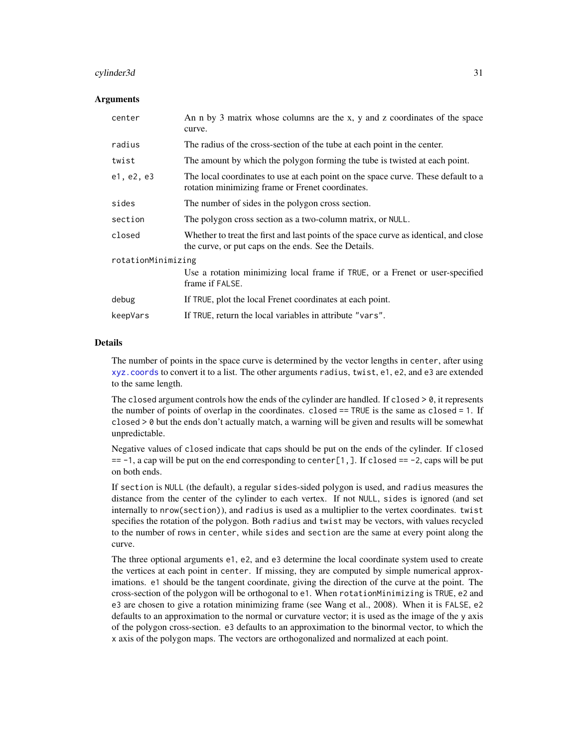#### cylinder3d 31

#### Arguments

| center             | An n by 3 matrix whose columns are the x, y and z coordinates of the space<br>curve.                                                          |  |
|--------------------|-----------------------------------------------------------------------------------------------------------------------------------------------|--|
| radius             | The radius of the cross-section of the tube at each point in the center.                                                                      |  |
| twist              | The amount by which the polygon forming the tube is twisted at each point.                                                                    |  |
| e1, e2, e3         | The local coordinates to use at each point on the space curve. These default to a<br>rotation minimizing frame or Frenet coordinates.         |  |
| sides              | The number of sides in the polygon cross section.                                                                                             |  |
| section            | The polygon cross section as a two-column matrix, or NULL.                                                                                    |  |
| closed             | Whether to treat the first and last points of the space curve as identical, and close<br>the curve, or put caps on the ends. See the Details. |  |
| rotationMinimizing |                                                                                                                                               |  |
|                    | Use a rotation minimizing local frame if TRUE, or a Frenet or user-specified<br>frame if FALSE.                                               |  |
| debug              | If TRUE, plot the local Frenet coordinates at each point.                                                                                     |  |
| keepVars           | If TRUE, return the local variables in attribute "vars".                                                                                      |  |

#### Details

The number of points in the space curve is determined by the vector lengths in center, after using [xyz.coords](#page-0-0) to convert it to a list. The other arguments radius, twist, e1, e2, and e3 are extended to the same length.

The closed argument controls how the ends of the cylinder are handled. If closed  $> 0$ , it represents the number of points of overlap in the coordinates. closed  $==$  TRUE is the same as closed  $= 1$ . If closed > 0 but the ends don't actually match, a warning will be given and results will be somewhat unpredictable.

Negative values of closed indicate that caps should be put on the ends of the cylinder. If closed  $== -1$ , a cap will be put on the end corresponding to center[1,]. If closed  $== -2$ , caps will be put on both ends.

If section is NULL (the default), a regular sides-sided polygon is used, and radius measures the distance from the center of the cylinder to each vertex. If not NULL, sides is ignored (and set internally to nrow(section)), and radius is used as a multiplier to the vertex coordinates. twist specifies the rotation of the polygon. Both radius and twist may be vectors, with values recycled to the number of rows in center, while sides and section are the same at every point along the curve.

The three optional arguments e1, e2, and e3 determine the local coordinate system used to create the vertices at each point in center. If missing, they are computed by simple numerical approximations. e1 should be the tangent coordinate, giving the direction of the curve at the point. The cross-section of the polygon will be orthogonal to e1. When rotationMinimizing is TRUE, e2 and e3 are chosen to give a rotation minimizing frame (see Wang et al., 2008). When it is FALSE, e2 defaults to an approximation to the normal or curvature vector; it is used as the image of the y axis of the polygon cross-section. e3 defaults to an approximation to the binormal vector, to which the x axis of the polygon maps. The vectors are orthogonalized and normalized at each point.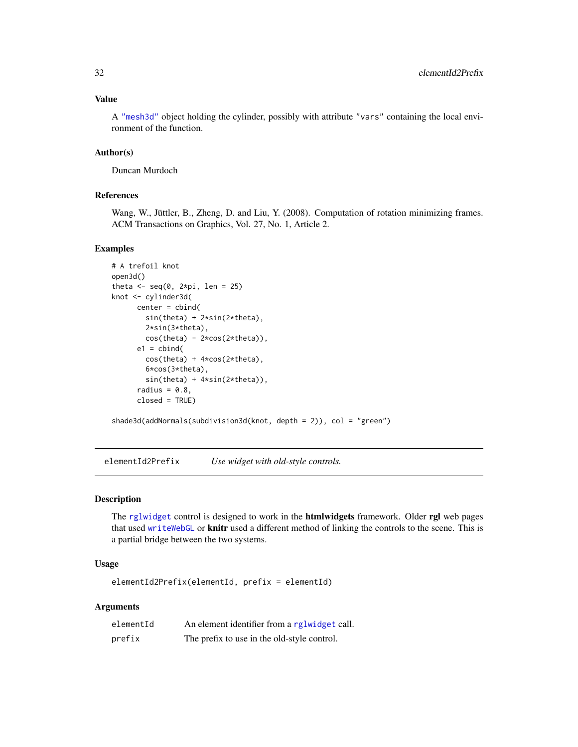### <span id="page-31-0"></span>Value

A ["mesh3d"](#page-45-2) object holding the cylinder, possibly with attribute "vars" containing the local environment of the function.

### Author(s)

Duncan Murdoch

### References

Wang, W., Jüttler, B., Zheng, D. and Liu, Y. (2008). Computation of rotation minimizing frames. ACM Transactions on Graphics, Vol. 27, No. 1, Article 2.

### Examples

```
# A trefoil knot
open3d()
theta \leq seq(0, 2*pi, len = 25)
knot <- cylinder3d(
      center = cbind(
        sin(theta) + 2*sin(2*theta),
        2*sin(3*theta),
        cos(theta) - 2*cos(2*theta),e1 = \text{cbind}(
        cos(theta) + 4*cos(2*theta),
        6*cos(3*theta),
        sin(theta) + 4*sin(2*theta)),
      radius = 0.8,
      closed = TRUE)
shade3d(addNormals(subdivision3d(knot, depth = 2)), col = "green")
```
elementId2Prefix *Use widget with old-style controls.*

#### Description

The [rglwidget](#page-120-1) control is designed to work in the **htmlwidgets** framework. Older rgl web pages that used [writeWebGL](#page-171-1) or knitr used a different method of linking the controls to the scene. This is a partial bridge between the two systems.

### Usage

elementId2Prefix(elementId, prefix = elementId)

#### Arguments

| elementId | An element identifier from a rglwidget call. |
|-----------|----------------------------------------------|
| prefix    | The prefix to use in the old-style control.  |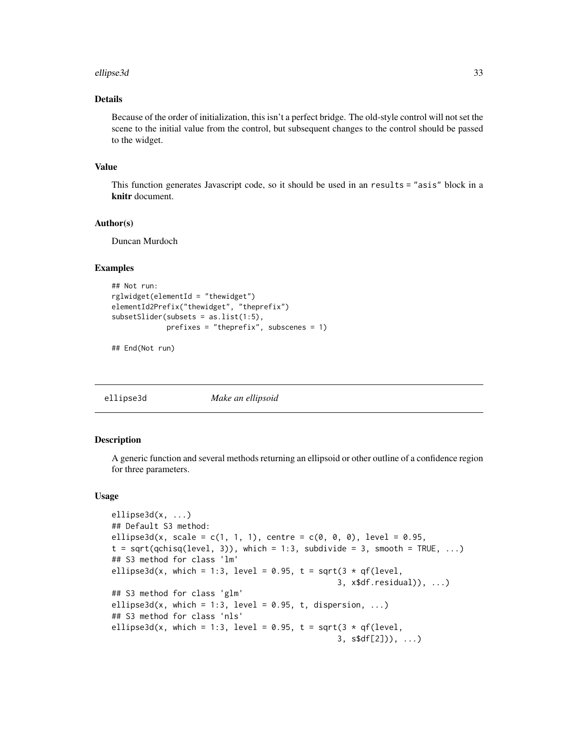#### <span id="page-32-0"></span>ellipse3d 33

### Details

Because of the order of initialization, this isn't a perfect bridge. The old-style control will not set the scene to the initial value from the control, but subsequent changes to the control should be passed to the widget.

#### Value

This function generates Javascript code, so it should be used in an results = "asis" block in a knitr document.

#### Author(s)

Duncan Murdoch

### Examples

```
## Not run:
rglwidget(elementId = "thewidget")
elementId2Prefix("thewidget", "theprefix")
subsetSlider(subsets = as.list(1:5),
             prefixes = "theprefix", subscenes = 1)
```
## End(Not run)

ellipse3d *Make an ellipsoid*

### **Description**

A generic function and several methods returning an ellipsoid or other outline of a confidence region for three parameters.

#### Usage

```
ellipse3d(x, ...)
## Default S3 method:
ellipse3d(x, scale = c(1, 1, 1), centre = c(0, 0, 0), level = 0.95,
t = sqrt(qchisq(level, 3)), which = 1:3, subdivide = 3, smooth = TRUE, ...)
## S3 method for class 'lm'
ellipse3d(x, which = 1:3, level = 0.95, t = sqrt(3 * qf(level,
                                                3, x$df.residual)), ...)
## S3 method for class 'glm'
ellipse3d(x, which = 1:3, level = 0.95, t, dispersion, ...)
## S3 method for class 'nls'
ellipse3d(x, which = 1:3, level = 0.95, t = sqrt(3 * qf(level,
                                                3, s$df[2])), ...)
```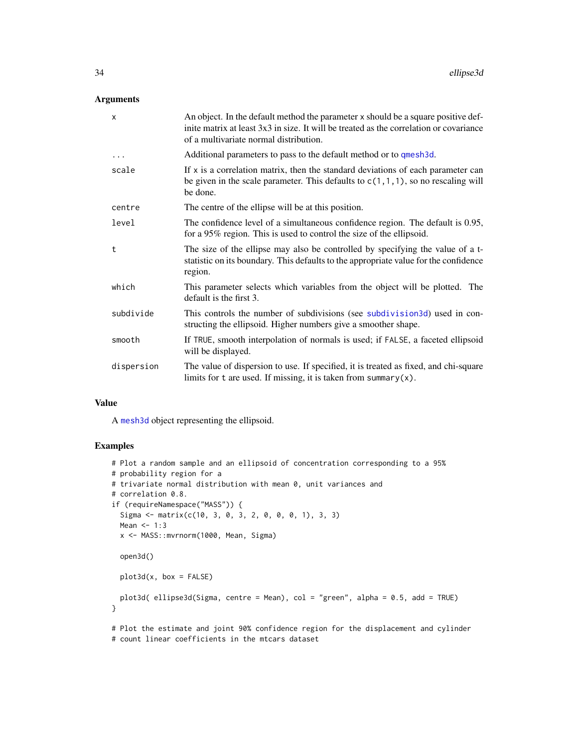### Arguments

| $\times$   | An object. In the default method the parameter x should be a square positive def-<br>inite matrix at least 3x3 in size. It will be treated as the correlation or covariance<br>of a multivariate normal distribution. |
|------------|-----------------------------------------------------------------------------------------------------------------------------------------------------------------------------------------------------------------------|
| $\cdots$   | Additional parameters to pass to the default method or to qmesh3d.                                                                                                                                                    |
| scale      | If $x$ is a correlation matrix, then the standard deviations of each parameter can<br>be given in the scale parameter. This defaults to $c(1,1,1)$ , so no rescaling will<br>be done.                                 |
| centre     | The centre of the ellipse will be at this position.                                                                                                                                                                   |
| level      | The confidence level of a simultaneous confidence region. The default is 0.95,<br>for a 95% region. This is used to control the size of the ellipsoid.                                                                |
| t          | The size of the ellipse may also be controlled by specifying the value of a t-<br>statistic on its boundary. This defaults to the appropriate value for the confidence<br>region.                                     |
| which      | This parameter selects which variables from the object will be plotted. The<br>default is the first 3.                                                                                                                |
| subdivide  | This controls the number of subdivisions (see subdivision 3d) used in con-<br>structing the ellipsoid. Higher numbers give a smoother shape.                                                                          |
| smooth     | If TRUE, smooth interpolation of normals is used; if FALSE, a faceted ellipsoid<br>will be displayed.                                                                                                                 |
| dispersion | The value of dispersion to use. If specified, it is treated as fixed, and chi-square<br>limits for $t$ are used. If missing, it is taken from summary $(x)$ .                                                         |

#### Value

A [mesh3d](#page-45-2) object representing the ellipsoid.

```
# Plot a random sample and an ellipsoid of concentration corresponding to a 95%
# probability region for a
# trivariate normal distribution with mean 0, unit variances and
# correlation 0.8.
if (requireNamespace("MASS")) {
  Sigma <- matrix(c(10, 3, 0, 3, 2, 0, 0, 0, 1), 3, 3)
 Mean <-1:3x <- MASS::mvrnorm(1000, Mean, Sigma)
  open3d()
  plot3d(x, box = FALSE)plot3d( ellipse3d(Sigma, centre = Mean), col = "green", alpha = 0.5, add = TRUE)
}
# Plot the estimate and joint 90% confidence region for the displacement and cylinder
# count linear coefficients in the mtcars dataset
```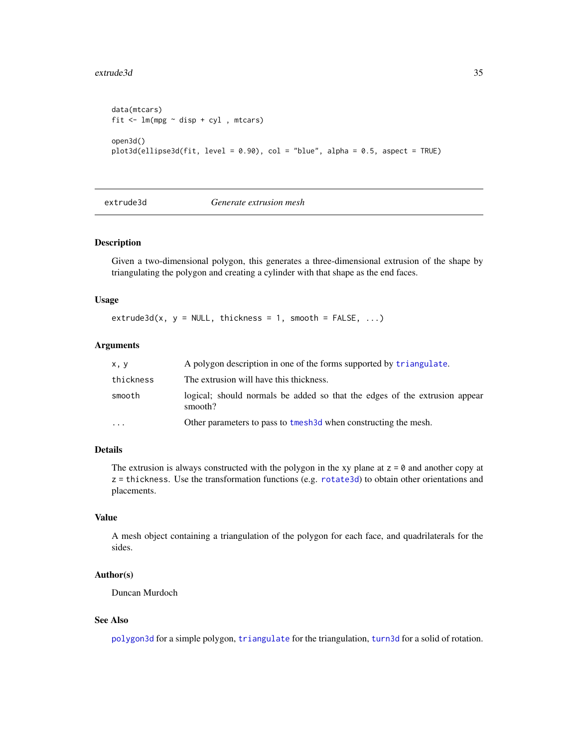#### <span id="page-34-0"></span>extrude3d 35

```
data(mtcars)
fit \leftarrow lm(mpg \sim disp + cyl , mtcars)
open3d()
plot3d(ellipse3d(fit, level = 0.90), col = "blue", alpha = 0.5, aspect = TRUE)
```
extrude3d *Generate extrusion mesh*

### Description

Given a two-dimensional polygon, this generates a three-dimensional extrusion of the shape by triangulating the polygon and creating a cylinder with that shape as the end faces.

#### Usage

 $extrude3d(x, y = NULL, thickness = 1, smooth = FALSE, ...)$ 

#### Arguments

| x, y      | A polygon description in one of the forms supported by triangulate.                   |
|-----------|---------------------------------------------------------------------------------------|
| thickness | The extrusion will have this thickness.                                               |
| smooth    | logical; should normals be added so that the edges of the extrusion appear<br>smooth? |
| $\cdots$  | Other parameters to pass to tmesh 3d when constructing the mesh.                      |

### Details

The extrusion is always constructed with the polygon in the xy plane at  $z = 0$  and another copy at  $z =$  thickness. Use the transformation functions (e.g. [rotate3d](#page-42-1)) to obtain other orientations and placements.

#### Value

A mesh object containing a triangulation of the polygon for each face, and quadrilaterals for the sides.

### Author(s)

Duncan Murdoch

#### See Also

[polygon3d](#page-83-1) for a simple polygon, [triangulate](#page-159-1) for the triangulation, [turn3d](#page-160-1) for a solid of rotation.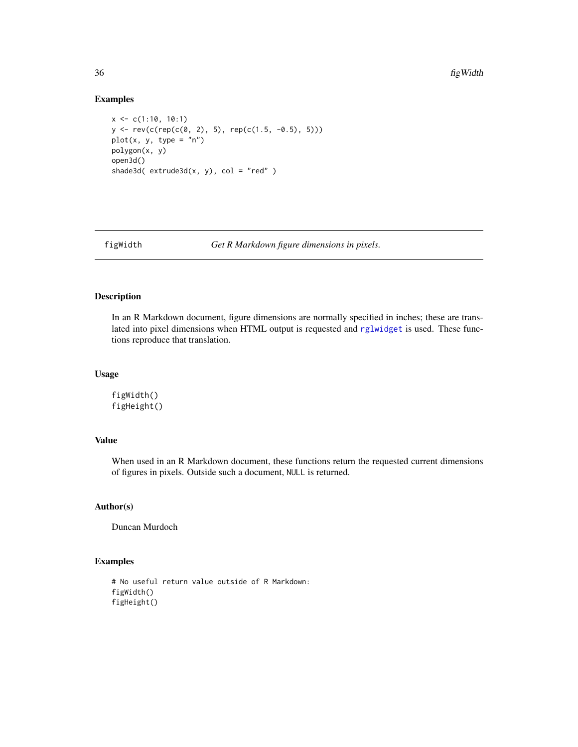#### Examples

```
x \leq -c(1:10, 10:1)y <- rev(c(rep(c(0, 2), 5), rep(c(1.5, -0.5), 5)))
plot(x, y, type = "n")polygon(x, y)
open3d()
shade3d( extrude3d(x, y), col = "red" )
```
figWidth *Get R Markdown figure dimensions in pixels.*

### Description

In an R Markdown document, figure dimensions are normally specified in inches; these are translated into pixel dimensions when HTML output is requested and [rglwidget](#page-120-1) is used. These functions reproduce that translation.

### Usage

figWidth() figHeight()

### Value

When used in an R Markdown document, these functions return the requested current dimensions of figures in pixels. Outside such a document, NULL is returned.

### Author(s)

Duncan Murdoch

```
# No useful return value outside of R Markdown:
figWidth()
figHeight()
```
<span id="page-35-0"></span>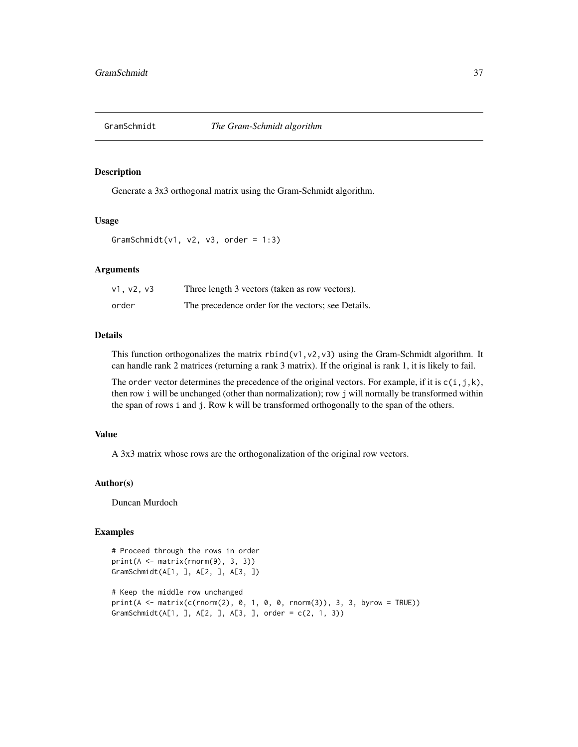# Description

Generate a 3x3 orthogonal matrix using the Gram-Schmidt algorithm.

### Usage

```
GramSchmidt(v1, v2, v3, order = 1:3)
```
# Arguments

| v1. v2. v3 | Three length 3 vectors (taken as row vectors).     |
|------------|----------------------------------------------------|
| order      | The precedence order for the vectors; see Details. |

### Details

This function orthogonalizes the matrix  $rbind(v1, v2, v3)$  using the Gram-Schmidt algorithm. It can handle rank 2 matrices (returning a rank 3 matrix). If the original is rank 1, it is likely to fail.

The order vector determines the precedence of the original vectors. For example, if it is  $c(i, j, k)$ , then row i will be unchanged (other than normalization); row j will normally be transformed within the span of rows i and j. Row k will be transformed orthogonally to the span of the others.

# Value

A 3x3 matrix whose rows are the orthogonalization of the original row vectors.

# Author(s)

Duncan Murdoch

# Examples

```
# Proceed through the rows in order
print(A \leq matrix(rnorm(9), 3, 3))GramSchmidt(A[1, ], A[2, ], A[3, ])
# Keep the middle row unchanged
print(A <- matrix(c(rnorm(2), 0, 1, 0, 0, rnorm(3)), 3, 3, byrow = TRUE))
GramSchmidt(A[1, ], A[2, ], A[3, ], order = c(2, 1, 3))
```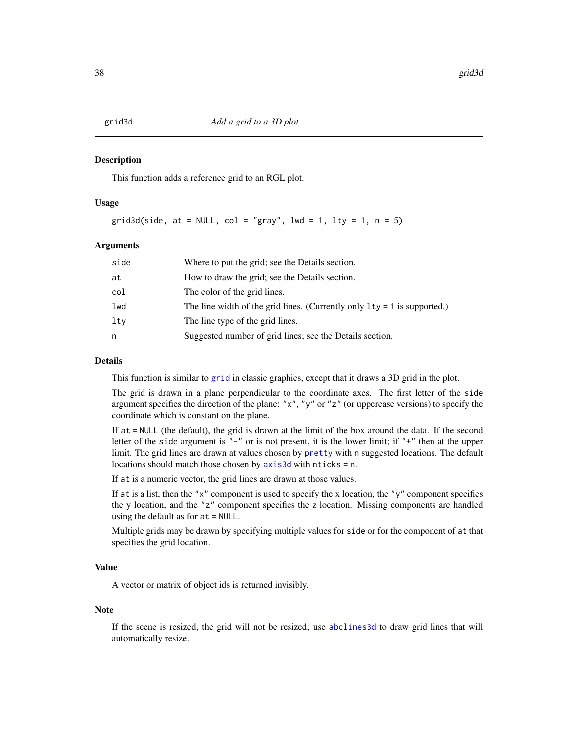#### Description

This function adds a reference grid to an RGL plot.

# Usage

grid3d(side, at = NULL, col = "gray", lwd = 1, lty = 1, n = 5)

#### Arguments

| side | Where to put the grid; see the Details section.                            |
|------|----------------------------------------------------------------------------|
| at   | How to draw the grid; see the Details section.                             |
| col  | The color of the grid lines.                                               |
| lwd  | The line width of the grid lines. (Currently only $1ty = 1$ is supported.) |
| ltv  | The line type of the grid lines.                                           |
| n    | Suggested number of grid lines; see the Details section.                   |
|      |                                                                            |

#### Details

This function is similar to [grid](#page-0-0) in classic graphics, except that it draws a 3D grid in the plot.

The grid is drawn in a plane perpendicular to the coordinate axes. The first letter of the side argument specifies the direction of the plane: "x", "y" or "z" (or uppercase versions) to specify the coordinate which is constant on the plane.

If at = NULL (the default), the grid is drawn at the limit of the box around the data. If the second letter of the side argument is "-" or is not present, it is the lower limit; if "+" then at the upper limit. The grid lines are drawn at values chosen by [pretty](#page-0-0) with n suggested locations. The default locations should match those chosen by [axis3d](#page-22-0) with nticks = n.

If at is a numeric vector, the grid lines are drawn at those values.

If at is a list, then the "x" component is used to specify the x location, the "y" component specifies the y location, and the "z" component specifies the z location. Missing components are handled using the default as for at = NULL.

Multiple grids may be drawn by specifying multiple values for side or for the component of at that specifies the grid location.

## Value

A vector or matrix of object ids is returned invisibly.

#### Note

If the scene is resized, the grid will not be resized; use [abclines3d](#page-5-0) to draw grid lines that will automatically resize.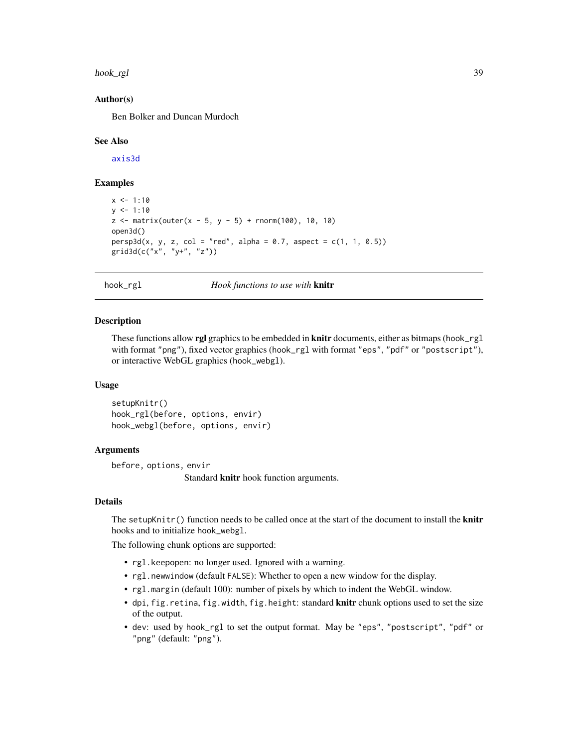hook\_rgl 39

## Author(s)

Ben Bolker and Duncan Murdoch

#### See Also

[axis3d](#page-22-0)

# Examples

```
x \le -1:10y \le -1:10z \le matrix(outer(x - 5, y - 5) + rnorm(100), 10, 10)
open3d()
persp3d(x, y, z, col = "red", alpha = 0.7, aspect = c(1, 1, 0.5))grid3d(c("x", "y+", "z"))
```
# hook\_rgl *Hook functions to use with* knitr

#### Description

These functions allow **rgl** graphics to be embedded in **knitr** documents, either as bitmaps (hook\_rgl with format "png"), fixed vector graphics (hook\_rgl with format "eps", "pdf" or "postscript"), or interactive WebGL graphics (hook\_webgl).

## Usage

```
setupKnitr()
hook_rgl(before, options, envir)
hook_webgl(before, options, envir)
```
## Arguments

before, options, envir

Standard knitr hook function arguments.

## Details

The setupKnitr $()$  function needs to be called once at the start of the document to install the **knitr** hooks and to initialize hook\_webgl.

The following chunk options are supported:

- rgl.keepopen: no longer used. Ignored with a warning.
- rgl.newwindow (default FALSE): Whether to open a new window for the display.
- rgl.margin (default 100): number of pixels by which to indent the WebGL window.
- dpi, fig.retina, fig.width, fig.height: standard knitr chunk options used to set the size of the output.
- dev: used by hook\_rgl to set the output format. May be "eps", "postscript", "pdf" or "png" (default: "png").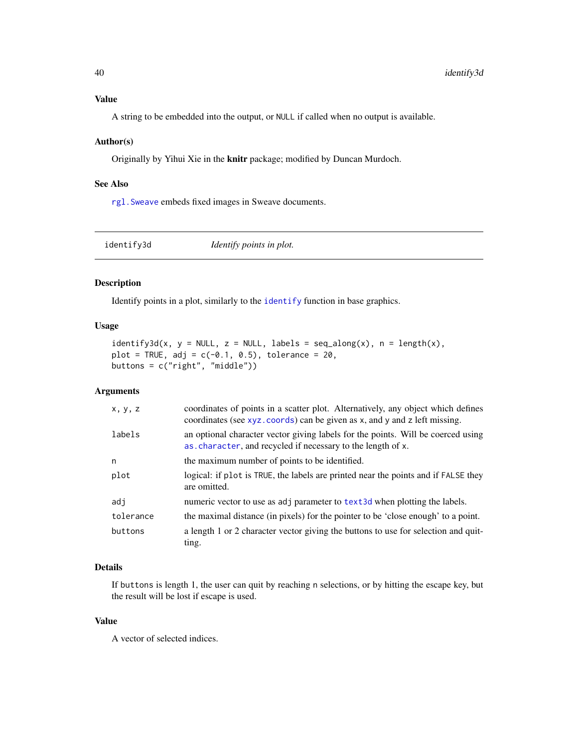A string to be embedded into the output, or NULL if called when no output is available.

### Author(s)

Originally by Yihui Xie in the knitr package; modified by Duncan Murdoch.

### See Also

[rgl.Sweave](#page-111-0) embeds fixed images in Sweave documents.

identify3d *Identify points in plot.*

## Description

Identify points in a plot, similarly to the [identify](#page-0-0) function in base graphics.

## Usage

```
identity3d(x, y = NULL, z = NULL, labels = seq_along(x), n = length(x),plot = TRUE, adj = c(-0.1, 0.5), tolerance = 20,buttons = c("right", "middle"))
```
## Arguments

| x, y, z   | coordinates of points in a scatter plot. Alternatively, any object which defines<br>coordinates (see xyz. coords) can be given as x, and y and z left missing. |
|-----------|----------------------------------------------------------------------------------------------------------------------------------------------------------------|
| labels    | an optional character vector giving labels for the points. Will be coerced using<br>as character, and recycled if necessary to the length of x.                |
| n         | the maximum number of points to be identified.                                                                                                                 |
| plot      | logical: if plot is TRUE, the labels are printed near the points and if FALSE they<br>are omitted.                                                             |
| adi       | numeric vector to use as adj parameter to text3d when plotting the labels.                                                                                     |
| tolerance | the maximal distance (in pixels) for the pointer to be 'close enough' to a point.                                                                              |
| buttons   | a length 1 or 2 character vector giving the buttons to use for selection and quit-<br>ting.                                                                    |

# Details

If buttons is length 1, the user can quit by reaching n selections, or by hitting the escape key, but the result will be lost if escape is used.

## Value

A vector of selected indices.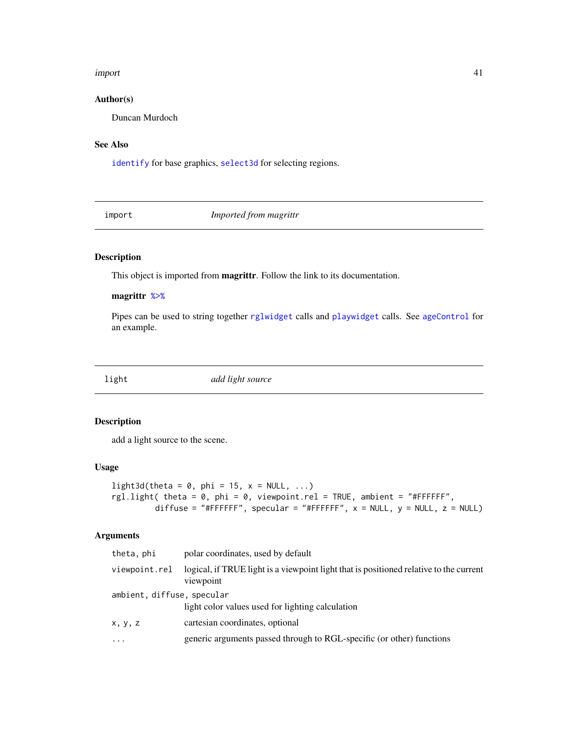#### import 41

# Author(s)

Duncan Murdoch

# See Also

[identify](#page-0-0) for base graphics, [select3d](#page-127-0) for selecting regions.

import *Imported from magrittr*

# <span id="page-40-0"></span>Description

This object is imported from magrittr. Follow the link to its documentation.

# magrittr [%>%](#page-40-0)

Pipes can be used to string together [rglwidget](#page-120-0) calls and [playwidget](#page-72-0) calls. See [ageControl](#page-7-0) for an example.

light *add light source*

## Description

add a light source to the scene.

## Usage

```
light3d(theta = 0, phi = 15, x = NULL, ...)rgl.light( theta = 0, phi = 0, viewpoint.rel = TRUE, ambient = "#FFFFFF",
         diffuse = "#FFFFFF", specular = "#FFFFFF", x = NULL, y = NULL, z = NULL)
```
## Arguments

| theta, phi                 | polar coordinates, used by default                                                                  |
|----------------------------|-----------------------------------------------------------------------------------------------------|
| viewpoint.rel              | logical, if TRUE light is a viewpoint light that is positioned relative to the current<br>viewpoint |
| ambient, diffuse, specular |                                                                                                     |
|                            | light color values used for lighting calculation                                                    |
| x, y, z                    | cartesian coordinates, optional                                                                     |
| $\cdots$                   | generic arguments passed through to RGL-specific (or other) functions                               |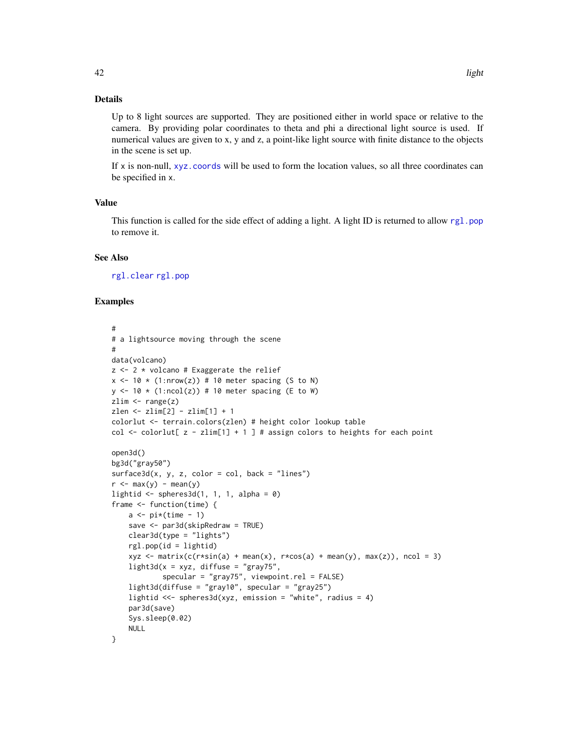# Details

Up to 8 light sources are supported. They are positioned either in world space or relative to the camera. By providing polar coordinates to theta and phi a directional light source is used. If numerical values are given to x, y and z, a point-like light source with finite distance to the objects in the scene is set up.

If  $x$  is non-null,  $xyz$  coords will be used to form the location values, so all three coordinates can be specified in x.

# Value

This function is called for the side effect of adding a light. A light ID is returned to allow [rgl.pop](#page-123-0) to remove it.

## See Also

[rgl.clear](#page-123-0) [rgl.pop](#page-123-0)

## Examples

```
#
# a lightsource moving through the scene
#
data(volcano)
z \le -2 * volcano # Exaggerate the relief
x \le -10 \times (1: nrow(z)) # 10 meter spacing (S to N)
y \le -10 \times (1:\text{ncol}(z)) # 10 meter spacing (E to W)
zlim \leftarrow range(z)zlen <- zlim[2] - zlim[1] + 1
colorlut <- terrain.colors(zlen) # height color lookup table
col \le colorlut[ z - zlim[1] + 1 ] # assign colors to heights for each point
open3d()
bg3d("gray50")
surface3d(x, y, z, color = col, back = "lines")r <- max(y) - mean(y)lightid \leq spheres3d(1, 1, 1, alpha = 0)
frame <- function(time) {
    a \leftarrow \text{pi*(time - 1)}save <- par3d(skipRedraw = TRUE)
    clear3d(type = "lights")
    rgl.pop(id = lightid)
    xyz <- matrix(c(r*sin(a) + mean(x), r*cos(a) + mean(y), max(z)), ncol = 3)light3d(x = xyz, diffuse = "gray75",specular = "gray75", viewpoint.rel = FALSE)
    light3d(diffuse = "gray10", specular = "gray25")
    lightid <<- spheres3d(xyz, emission = "white", radius = 4)
    par3d(save)
    Sys.sleep(0.02)
    NULL
}
```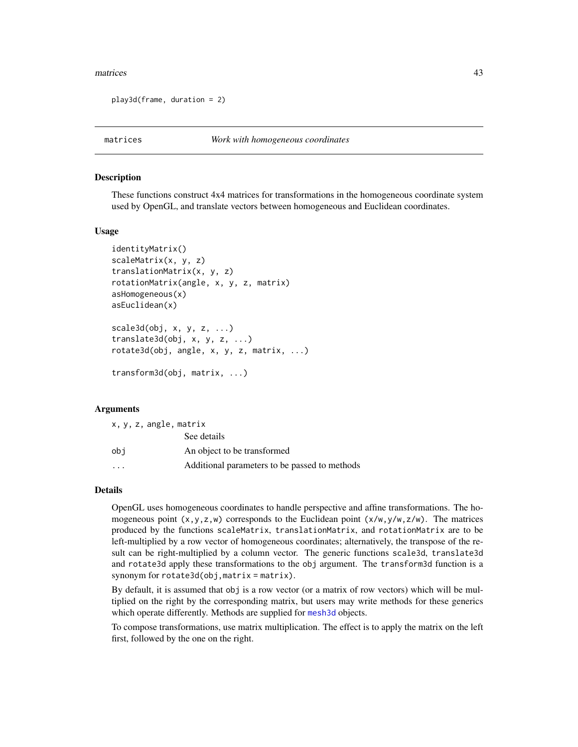#### matrices and the contract of the contract of the contract of the contract of the contract of the contract of the contract of the contract of the contract of the contract of the contract of the contract of the contract of t

```
play3d(frame, duration = 2)
```
## **Description**

These functions construct 4x4 matrices for transformations in the homogeneous coordinate system used by OpenGL, and translate vectors between homogeneous and Euclidean coordinates.

#### Usage

```
identityMatrix()
scaleMatrix(x, y, z)
translationMatrix(x, y, z)
rotationMatrix(angle, x, y, z, matrix)
asHomogeneous(x)
asEuclidean(x)
scale3d(obj, x, y, z, ...)
translate3d(obj, x, y, z, ...)
rotate3d(obj, angle, x, y, z, matrix, ...)
transform3d(obj, matrix, ...)
```
## Arguments

| x, y, z, angle, matrix  |                                               |
|-------------------------|-----------------------------------------------|
|                         | See details                                   |
| obi                     | An object to be transformed                   |
| $\cdot$ $\cdot$ $\cdot$ | Additional parameters to be passed to methods |

#### Details

OpenGL uses homogeneous coordinates to handle perspective and affine transformations. The homogeneous point  $(x, y, z, w)$  corresponds to the Euclidean point  $(x/w, y/w, z/w)$ . The matrices produced by the functions scaleMatrix, translationMatrix, and rotationMatrix are to be left-multiplied by a row vector of homogeneous coordinates; alternatively, the transpose of the result can be right-multiplied by a column vector. The generic functions scale3d, translate3d and rotate3d apply these transformations to the obj argument. The transform3d function is a synonym for rotate3d(obj,matrix = matrix).

By default, it is assumed that obj is a row vector (or a matrix of row vectors) which will be multiplied on the right by the corresponding matrix, but users may write methods for these generics which operate differently. Methods are supplied for [mesh3d](#page-45-0) objects.

To compose transformations, use matrix multiplication. The effect is to apply the matrix on the left first, followed by the one on the right.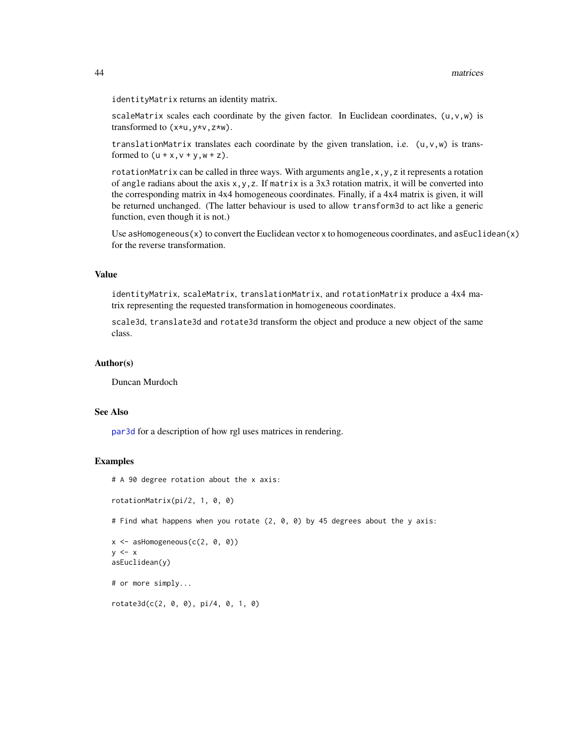#### 44 matrices

identityMatrix returns an identity matrix.

scaleMatrix scales each coordinate by the given factor. In Euclidean coordinates,  $(u, v, w)$  is transformed to (x\*u,y\*v,z\*w).

translationMatrix translates each coordinate by the given translation, i.e.  $(u, v, w)$  is transformed to  $(u + x, v + y, w + z)$ .

rotationMatrix can be called in three ways. With arguments angle,  $x, y, z$  it represents a rotation of angle radians about the axis  $x, y, z$ . If matrix is a 3x3 rotation matrix, it will be converted into the corresponding matrix in 4x4 homogeneous coordinates. Finally, if a 4x4 matrix is given, it will be returned unchanged. (The latter behaviour is used to allow transform3d to act like a generic function, even though it is not.)

Use as Homogeneous $(x)$  to convert the Euclidean vector x to homogeneous coordinates, and as Euclidean $(x)$ for the reverse transformation.

# Value

identityMatrix, scaleMatrix, translationMatrix, and rotationMatrix produce a 4x4 matrix representing the requested transformation in homogeneous coordinates.

scale3d, translate3d and rotate3d transform the object and produce a new object of the same class.

### Author(s)

Duncan Murdoch

#### See Also

[par3d](#page-50-0) for a description of how rgl uses matrices in rendering.

## Examples

```
# A 90 degree rotation about the x axis:
```

```
rotationMatrix(pi/2, 1, 0, 0)
```
# Find what happens when you rotate (2, 0, 0) by 45 degrees about the y axis:

```
x \le - asHomogeneous(c(2, 0, 0))
y \leq -xasEuclidean(y)
```

```
# or more simply...
```
rotate3d(c(2, 0, 0), pi/4, 0, 1, 0)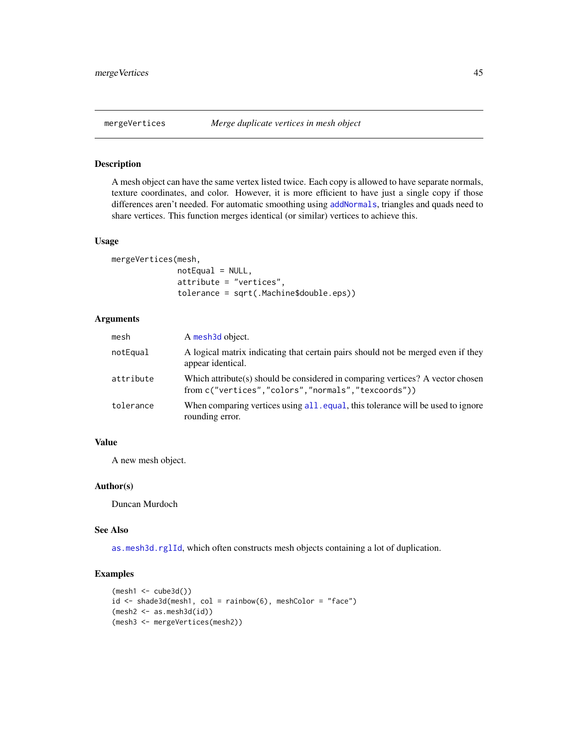## Description

A mesh object can have the same vertex listed twice. Each copy is allowed to have separate normals, texture coordinates, and color. However, it is more efficient to have just a single copy if those differences aren't needed. For automatic smoothing using [addNormals](#page-6-0), triangles and quads need to share vertices. This function merges identical (or similar) vertices to achieve this.

#### Usage

mergeVertices(mesh,  $notEqual = NULL,$ attribute = "vertices", tolerance = sqrt(.Machine\$double.eps))

## Arguments

| mesh      | A mesh3d object.                                                                                                                     |
|-----------|--------------------------------------------------------------------------------------------------------------------------------------|
| notEqual  | A logical matrix indicating that certain pairs should not be merged even if they<br>appear identical.                                |
| attribute | Which attribute(s) should be considered in comparing vertices? A vector chosen<br>from c("vertices","colors","normals","texcoords")) |
| tolerance | When comparing vertices using all equal, this tolerance will be used to ignore<br>rounding error.                                    |

# Value

A new mesh object.

### Author(s)

Duncan Murdoch

## See Also

[as.mesh3d.rglId](#page-17-0), which often constructs mesh objects containing a lot of duplication.

# Examples

```
(mesh1 <- cube3d())
id \le - shade3d(mesh1, col = rainbow(6), meshColor = "face")
(mesh2 <- as.mesh3d(id))
(mesh3 <- mergeVertices(mesh2))
```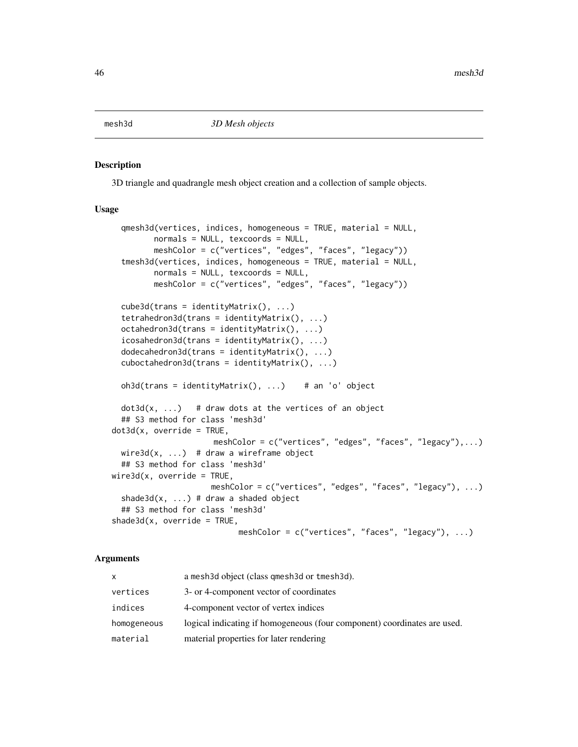<span id="page-45-0"></span>

## <span id="page-45-1"></span>Description

3D triangle and quadrangle mesh object creation and a collection of sample objects.

#### Usage

```
qmesh3d(vertices, indices, homogeneous = TRUE, material = NULL,
         normals = NULL, texcoords = NULL,
        meshColor = c("vertices", "edges", "faces", "legacy"))
  tmesh3d(vertices, indices, homogeneous = TRUE, material = NULL,
         normals = NULL, texcoords = NULL,
        meshColor = c("vertices", "edges", "faces", "legacy"))
  cube3d(trans = identityMatrix(), ...)tetrahedron3d(trans = identityMatrix(), ...)
  octahedron3d(trans = identityMatrix(), ...)
  icosahedron3d(trans = identityMatrix(), ...)
  dodecahedron3d(trans = identityMatrix(), ...)
  cuboctahedron3d(trans = identityMatrix(), ...)oh3d(trans = identityMatrix(), ...) # an 'o' object
  dot3d(x, ...) # draw dots at the vertices of an object
  ## S3 method for class 'mesh3d'
dot3d(x, override = TRUE,meshColor = c("vertices", "edges", "faces", "legacy"),...)
 wire3d(x, ...) # draw a wireframe object
  ## S3 method for class 'mesh3d'
wire3d(x, override = TRUE,meshColor = c("vertices", "edges", "faces", "legacy"), ...)
  shade3d(x, ...) # draw a shaded object
  ## S3 method for class 'mesh3d'
shade3d(x, override = TRUE,meshColor = c("vertices", "faces", "legacy"), ...)
```
#### Arguments

| x           | a mesh3d object (class qmesh3d or tmesh3d).                              |
|-------------|--------------------------------------------------------------------------|
| vertices    | 3- or 4-component vector of coordinates                                  |
| indices     | 4-component vector of vertex indices                                     |
| homogeneous | logical indicating if homogeneous (four component) coordinates are used. |
| material    | material properties for later rendering                                  |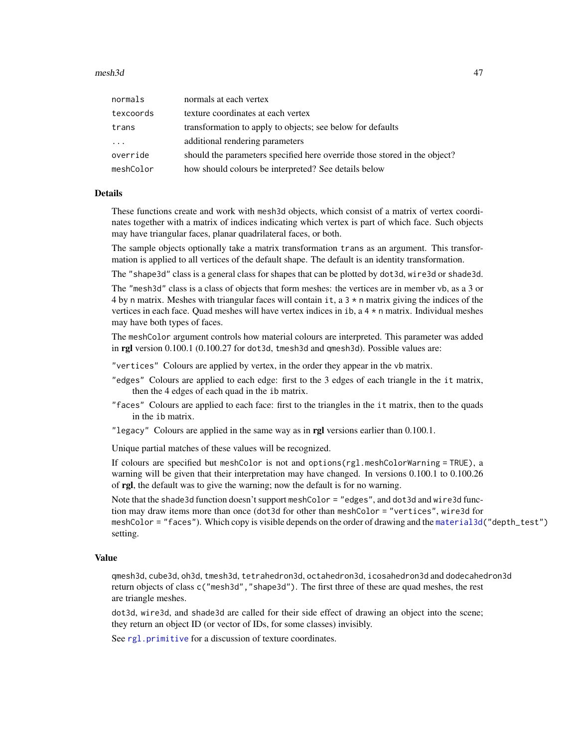#### $mesh3d$   $47$

| normals   | normals at each vertex                                                    |
|-----------|---------------------------------------------------------------------------|
| texcoords | texture coordinates at each vertex                                        |
| trans     | transformation to apply to objects; see below for defaults                |
| $\cdot$   | additional rendering parameters                                           |
| override  | should the parameters specified here override those stored in the object? |
| meshColor | how should colours be interpreted? See details below                      |

#### Details

These functions create and work with mesh3d objects, which consist of a matrix of vertex coordinates together with a matrix of indices indicating which vertex is part of which face. Such objects may have triangular faces, planar quadrilateral faces, or both.

The sample objects optionally take a matrix transformation trans as an argument. This transformation is applied to all vertices of the default shape. The default is an identity transformation.

The "shape3d" class is a general class for shapes that can be plotted by dot3d, wire3d or shade3d.

The "mesh3d" class is a class of objects that form meshes: the vertices are in member vb, as a 3 or 4 by n matrix. Meshes with triangular faces will contain it, a  $3 \times n$  matrix giving the indices of the vertices in each face. Quad meshes will have vertex indices in ib, a 4 \* n matrix. Individual meshes may have both types of faces.

The meshColor argument controls how material colours are interpreted. This parameter was added in rgl version 0.100.1 (0.100.27 for dot3d, tmesh3d and qmesh3d). Possible values are:

"vertices" Colours are applied by vertex, in the order they appear in the vb matrix.

- "edges" Colours are applied to each edge: first to the 3 edges of each triangle in the it matrix, then the 4 edges of each quad in the ib matrix.
- "faces" Colours are applied to each face: first to the triangles in the it matrix, then to the quads in the ib matrix.
- "legacy" Colours are applied in the same way as in rgl versions earlier than 0.100.1.

Unique partial matches of these values will be recognized.

If colours are specified but meshColor is not and options(rgl.meshColorWarning = TRUE), a warning will be given that their interpretation may have changed. In versions 0.100.1 to 0.100.26 of rgl, the default was to give the warning; now the default is for no warning.

Note that the shade3d function doesn't support meshColor = "edges", and dot3d and wire3d function may draw items more than once (dot3d for other than meshColor = "vertices", wire3d for meshColor = "faces"). Which copy is visible depends on the order of drawing and the [material3d\(](#page-98-0)"depth\_test") setting.

### Value

qmesh3d, cube3d, oh3d, tmesh3d, tetrahedron3d, octahedron3d, icosahedron3d and dodecahedron3d return objects of class c("mesh3d","shape3d"). The first three of these are quad meshes, the rest are triangle meshes.

dot3d, wire3d, and shade3d are called for their side effect of drawing an object into the scene; they return an object ID (or vector of IDs, for some classes) invisibly.

See [rgl.primitive](#page-105-0) for a discussion of texture coordinates.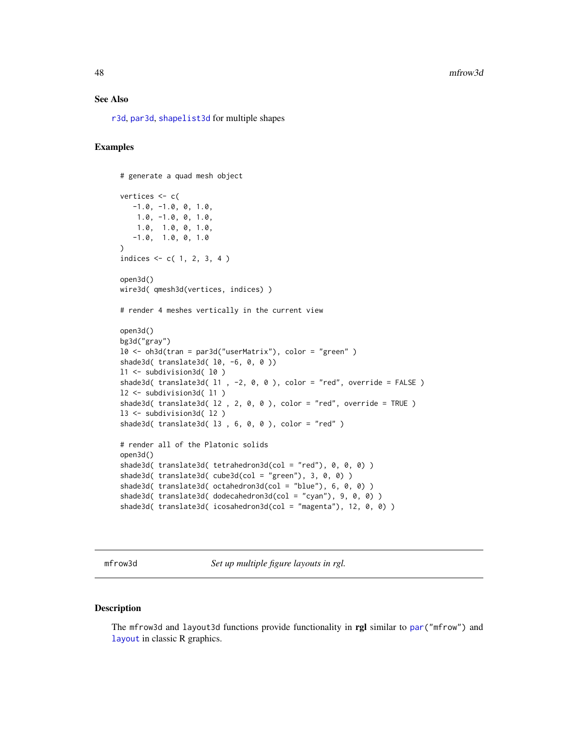## See Also

[r3d](#page-89-0), [par3d](#page-50-0), [shapelist3d](#page-133-0) for multiple shapes

## Examples

```
# generate a quad mesh object
vertices <- c(
  -1.0, -1.0, 0, 1.0,1.0, -1.0, 0, 1.0,
   1.0, 1.0, 0, 1.0,
   -1.0, 1.0, 0, 1.0)
indices <- c( 1, 2, 3, 4 )
open3d()
wire3d( qmesh3d(vertices, indices) )
# render 4 meshes vertically in the current view
open3d()
bg3d("gray")
l0 <- oh3d(tran = par3d("userMatrix"), color = "green" )
shade3d( translate3d( 10, -6, 0, 0 ))
l1 <- subdivision3d( l0 )
shade3d( translate3d( 11 , -2, 0, 0 ), color = "red", override = FALSE )
l2 <- subdivision3d( l1 )
shade3d( translate3d( l2 , 2, 0, 0 ), color = "red", override = TRUE )
l3 <- subdivision3d( l2 )
shade3d( translate3d( l3 , 6, 0, 0 ), color = "red" )
# render all of the Platonic solids
open3d()
shade3d( translate3d( tetrahedron3d(col = "red"), 0, 0, 0) )
shade3d( translate3d( cube3d(col = "green"), 3, 0, 0) )
shade3d( translate3d( octahedron3d(col = "blue"), 6, 0, 0) )
shade3d( translate3d( dodecahedron3d(col = "cyan"), 9, 0, 0) )
shade3d( translate3d( icosahedron3d(col = "magenta"), 12, 0, 0) )
```
mfrow3d *Set up multiple figure layouts in rgl.*

# Description

The mfrow3d and layout3d functions provide functionality in rgl similar to [par\(](#page-0-0)"mfrow") and [layout](#page-0-0) in classic R graphics.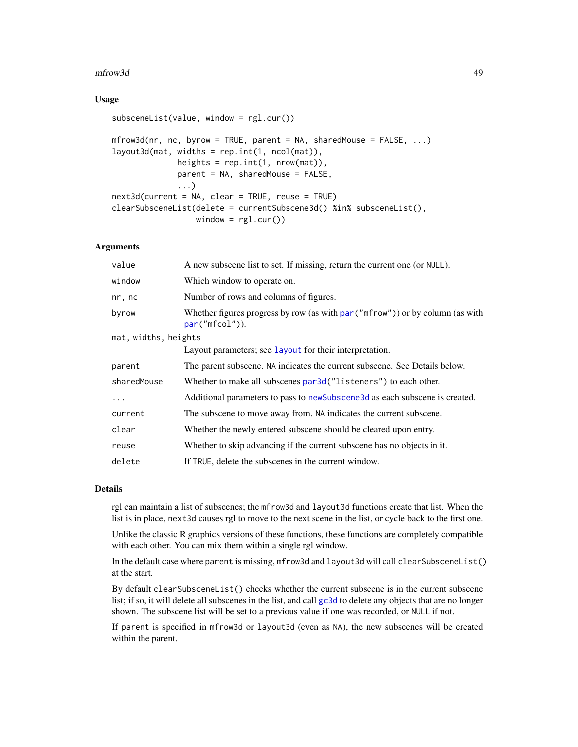#### mfrow3d 49

## Usage

```
subsceneList(value, window = rgl.cur())
mfrow3d(nr, nc, byrow = TRUE, parent = NA, sharedMouse = FALSE, ...)layout3d(mat, widths = rep.int(1, ncol(mat)),
             heights = rep.int(1, nrow(mat)),parent = NA, sharedMouse = FALSE,
              ...)
next3d(current = NA, clear = TRUE, reuse = TRUE)
clearSubsceneList(delete = currentSubscene3d() %in% subsceneList(),
                 window = rgl.cur()
```
## Arguments

| value                | A new subscene list to set. If missing, return the current one (or NULL).                            |  |
|----------------------|------------------------------------------------------------------------------------------------------|--|
| window               | Which window to operate on.                                                                          |  |
| nr, nc               | Number of rows and columns of figures.                                                               |  |
| byrow                | Whether figures progress by row (as with $par("mfrom")$ ) or by column (as with<br>$par("mfcol")$ ). |  |
| mat, widths, heights |                                                                                                      |  |
|                      | Layout parameters; see layout for their interpretation.                                              |  |
| parent               | The parent subscene. NA indicates the current subscene. See Details below.                           |  |
| sharedMouse          | Whether to make all subscenes par3d ("listeners") to each other.                                     |  |
| .                    | Additional parameters to pass to new Subscene 3d as each subscene is created.                        |  |
| current              | The subscene to move away from. NA indicates the current subscene.                                   |  |
| clear                | Whether the newly entered subscene should be cleared upon entry.                                     |  |
| reuse                | Whether to skip advancing if the current subscene has no objects in it.                              |  |
| delete               | If TRUE, delete the subscenes in the current window.                                                 |  |

## Details

rgl can maintain a list of subscenes; the mfrow3d and layout3d functions create that list. When the list is in place, next3d causes rgl to move to the next scene in the list, or cycle back to the first one.

Unlike the classic R graphics versions of these functions, these functions are completely compatible with each other. You can mix them within a single rgl window.

In the default case where parent is missing, mfrow3d and layout3d will call clearSubsceneList() at the start.

By default clearSubsceneList() checks whether the current subscene is in the current subscene list; if so, it will delete all subscenes in the list, and call [gc3d](#page-144-0) to delete any objects that are no longer shown. The subscene list will be set to a previous value if one was recorded, or NULL if not.

If parent is specified in mfrow3d or layout3d (even as NA), the new subscenes will be created within the parent.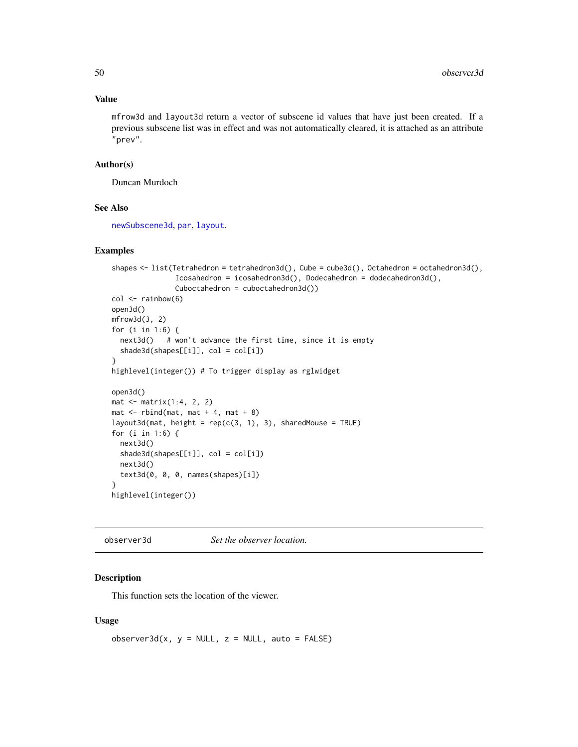# Value

mfrow3d and layout3d return a vector of subscene id values that have just been created. If a previous subscene list was in effect and was not automatically cleared, it is attached as an attribute "prev".

## Author(s)

Duncan Murdoch

# See Also

[newSubscene3d](#page-144-0), [par](#page-0-0), [layout](#page-0-0).

#### Examples

```
shapes <- list(Tetrahedron = tetrahedron3d(), Cube = cube3d(), Octahedron = octahedron3d(),
               Icosahedron = icosahedron3d(), Dodecahedron = dodecahedron3d(),
               Cuboctahedron = cuboctahedron3d())
col \leftarrow rainbow(6)open3d()
mfrow3d(3, 2)
for (i in 1:6) {
  next3d() # won't advance the first time, since it is empty
  shade3d(shapes[[i]], col = col[i])}
highlevel(integer()) # To trigger display as rglwidget
open3d()
mat \leq matrix(1:4, 2, 2)
mat < -rbind(mat, mat + 4, mat + 8)layout3d(mat, height = rep(c(3, 1), 3), sharedMouse = TRUE)for (i in 1:6) {
  next3d()
  shade3d(shapes[[i]], col = col[i])
  next3d()
  text3d(0, 0, 0, names(shapes)[i])
}
highlevel(integer())
```
<span id="page-49-0"></span>observer3d *Set the observer location.*

#### Description

This function sets the location of the viewer.

#### Usage

 $observer3d(x, y = NULL, z = NULL, auto = FALSE)$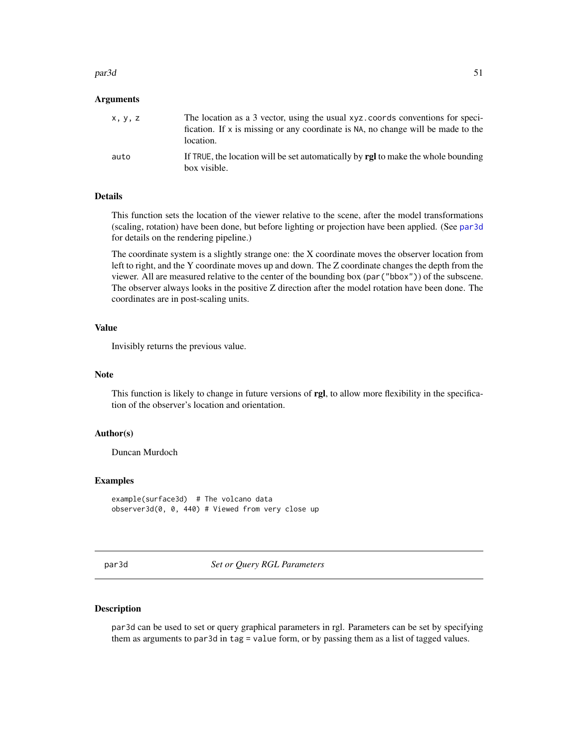#### $par3d$  51

#### Arguments

| x, y, z | The location as a 3 vector, using the usual xyz.coords conventions for speci-<br>fication. If $x$ is missing or any coordinate is NA, no change will be made to the<br>location. |
|---------|----------------------------------------------------------------------------------------------------------------------------------------------------------------------------------|
| auto    | If TRUE, the location will be set automatically by <b>rgl</b> to make the whole bounding<br>box visible.                                                                         |

# Details

This function sets the location of the viewer relative to the scene, after the model transformations (scaling, rotation) have been done, but before lighting or projection have been applied. (See [par3d](#page-50-0) for details on the rendering pipeline.)

The coordinate system is a slightly strange one: the X coordinate moves the observer location from left to right, and the Y coordinate moves up and down. The Z coordinate changes the depth from the viewer. All are measured relative to the center of the bounding box (par("bbox")) of the subscene. The observer always looks in the positive Z direction after the model rotation have been done. The coordinates are in post-scaling units.

# Value

Invisibly returns the previous value.

# Note

This function is likely to change in future versions of rgl, to allow more flexibility in the specification of the observer's location and orientation.

## Author(s)

Duncan Murdoch

## Examples

example(surface3d) # The volcano data observer3d(0, 0, 440) # Viewed from very close up

<span id="page-50-0"></span>par3d *Set or Query RGL Parameters*

## <span id="page-50-1"></span>Description

par3d can be used to set or query graphical parameters in rgl. Parameters can be set by specifying them as arguments to par3d in tag = value form, or by passing them as a list of tagged values.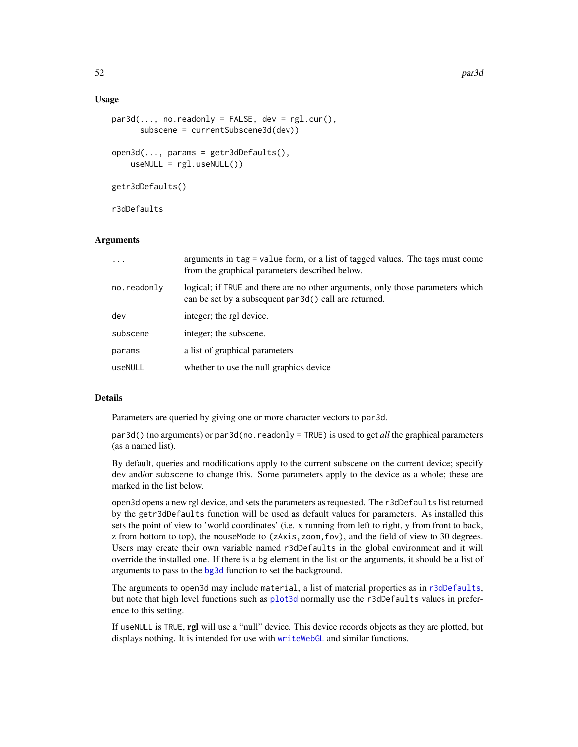#### Usage

```
par3d(..., no.readonly = FALSE, dev = rg1.cur(),subscene = currentSubscene3d(dev))
open3d(..., params = getr3dDefaults(),
   useNULL = rgl.useNULL()getr3dDefaults()
```
r3dDefaults

## Arguments

| $\cdots$    | arguments in tag = value form, or a list of tagged values. The tags must come<br>from the graphical parameters described below.         |
|-------------|-----------------------------------------------------------------------------------------------------------------------------------------|
| no.readonly | logical; if TRUE and there are no other arguments, only those parameters which<br>can be set by a subsequent par3d() call are returned. |
| dev         | integer; the rgl device.                                                                                                                |
| subscene    | integer; the subscene.                                                                                                                  |
| params      | a list of graphical parameters                                                                                                          |
| useNULL     | whether to use the null graphics device                                                                                                 |

## Details

Parameters are queried by giving one or more character vectors to par3d.

par3d() (no arguments) or par3d(no.readonly = TRUE) is used to get *all* the graphical parameters (as a named list).

By default, queries and modifications apply to the current subscene on the current device; specify dev and/or subscene to change this. Some parameters apply to the device as a whole; these are marked in the list below.

open3d opens a new rgl device, and sets the parameters as requested. The r3dDefaults list returned by the getr3dDefaults function will be used as default values for parameters. As installed this sets the point of view to 'world coordinates' (i.e. x running from left to right, y from front to back, z from bottom to top), the mouseMode to (zAxis,zoom,fov), and the field of view to 30 degrees. Users may create their own variable named r3dDefaults in the global environment and it will override the installed one. If there is a bg element in the list or the arguments, it should be a list of arguments to pass to the [bg3d](#page-24-0) function to set the background.

The arguments to open3d may include material, a list of material properties as in [r3dDefaults](#page-50-1), but note that high level functions such as [plot3d](#page-74-0) normally use the r3dDefaults values in preference to this setting.

If useNULL is TRUE, rgl will use a "null" device. This device records objects as they are plotted, but displays nothing. It is intended for use with [writeWebGL](#page-171-0) and similar functions.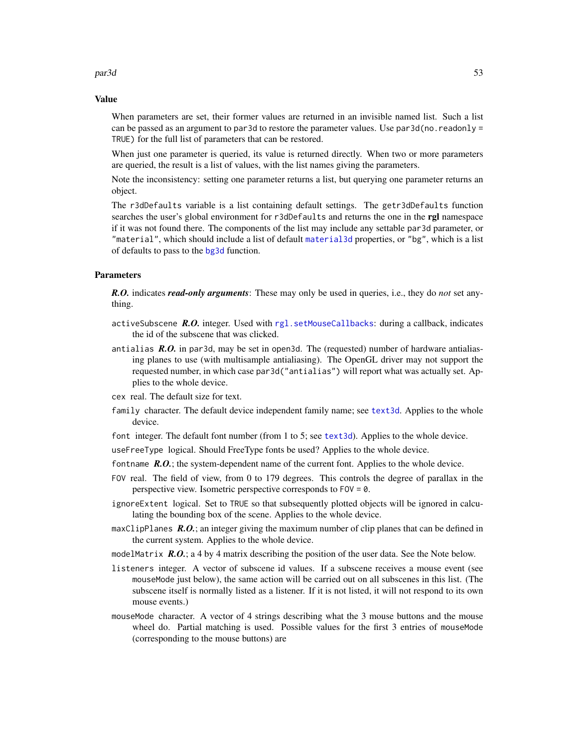#### $par3d$  53

## Value

When parameters are set, their former values are returned in an invisible named list. Such a list can be passed as an argument to par3d to restore the parameter values. Use  $par3d(no.readonly =$ TRUE) for the full list of parameters that can be restored.

When just one parameter is queried, its value is returned directly. When two or more parameters are queried, the result is a list of values, with the list names giving the parameters.

Note the inconsistency: setting one parameter returns a list, but querying one parameter returns an object.

The r3dDefaults variable is a list containing default settings. The getr3dDefaults function searches the user's global environment for r3dDefaults and returns the one in the rgl namespace if it was not found there. The components of the list may include any settable par3d parameter, or "material", which should include a list of default [material3d](#page-98-0) properties, or "bg", which is a list of defaults to pass to the [bg3d](#page-24-0) function.

# **Parameters**

*R.O.* indicates *read-only arguments*: These may only be used in queries, i.e., they do *not* set anything.

- activeSubscene *R.O.* integer. Used with [rgl.setMouseCallbacks](#page-107-0): during a callback, indicates the id of the subscene that was clicked.
- antialias *R.O.* in par3d, may be set in open3d. The (requested) number of hardware antialiasing planes to use (with multisample antialiasing). The OpenGL driver may not support the requested number, in which case par3d("antialias") will report what was actually set. Applies to the whole device.
- cex real. The default size for text.
- family character. The default device independent family name; see [text3d](#page-149-0). Applies to the whole device.

font integer. The default font number (from 1 to 5; see [text3d](#page-149-0)). Applies to the whole device.

useFreeType logical. Should FreeType fonts be used? Applies to the whole device.

- fontname **R.O.**; the system-dependent name of the current font. Applies to the whole device.
- FOV real. The field of view, from 0 to 179 degrees. This controls the degree of parallax in the perspective view. Isometric perspective corresponds to FOV = 0.
- ignoreExtent logical. Set to TRUE so that subsequently plotted objects will be ignored in calculating the bounding box of the scene. Applies to the whole device.
- maxClipPlanes *R.O.*; an integer giving the maximum number of clip planes that can be defined in the current system. Applies to the whole device.
- modelMatrix *R.O.*; a 4 by 4 matrix describing the position of the user data. See the Note below.
- listeners integer. A vector of subscene id values. If a subscene receives a mouse event (see mouseMode just below), the same action will be carried out on all subscenes in this list. (The subscene itself is normally listed as a listener. If it is not listed, it will not respond to its own mouse events.)
- mouseMode character. A vector of 4 strings describing what the 3 mouse buttons and the mouse wheel do. Partial matching is used. Possible values for the first 3 entries of mouseMode (corresponding to the mouse buttons) are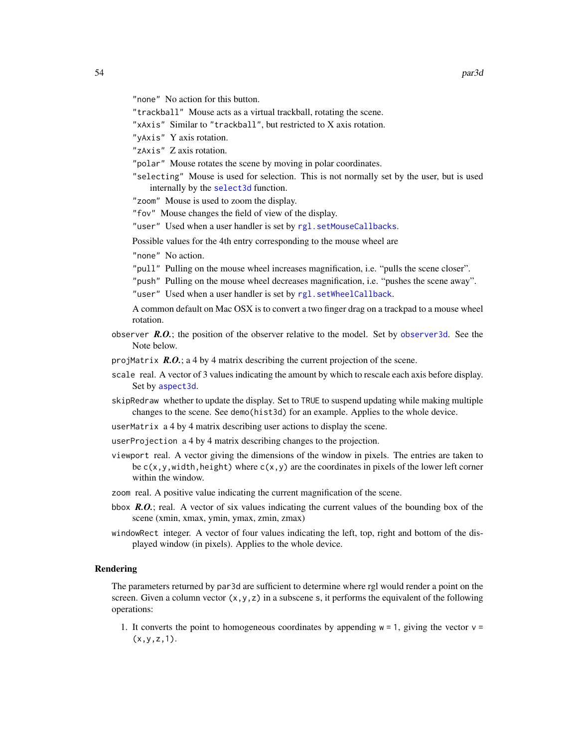- "none" No action for this button.
- "trackball" Mouse acts as a virtual trackball, rotating the scene.
- "xAxis" Similar to "trackball", but restricted to X axis rotation.
- "yAxis" Y axis rotation.
- "zAxis" Z axis rotation.
- "polar" Mouse rotates the scene by moving in polar coordinates.
- "selecting" Mouse is used for selection. This is not normally set by the user, but is used internally by the [select3d](#page-127-0) function.

"zoom" Mouse is used to zoom the display.

- "fov" Mouse changes the field of view of the display.
- "user" Used when a user handler is set by [rgl.setMouseCallbacks](#page-107-0).

Possible values for the 4th entry corresponding to the mouse wheel are

- "none" No action.
- "pull" Pulling on the mouse wheel increases magnification, i.e. "pulls the scene closer".
- "push" Pulling on the mouse wheel decreases magnification, i.e. "pushes the scene away". "user" Used when a user handler is set by [rgl.setWheelCallback](#page-107-1).

A common default on Mac OSX is to convert a two finger drag on a trackpad to a mouse wheel rotation.

- observer  $R.O.$ ; the position of the observer relative to the model. Set by observer 3d. See the Note below.
- projMatrix *R.O.*; a 4 by 4 matrix describing the current projection of the scene.
- scale real. A vector of 3 values indicating the amount by which to rescale each axis before display. Set by [aspect3d](#page-19-0).
- skipRedraw whether to update the display. Set to TRUE to suspend updating while making multiple changes to the scene. See demo(hist3d) for an example. Applies to the whole device.
- userMatrix a 4 by 4 matrix describing user actions to display the scene.
- userProjection a 4 by 4 matrix describing changes to the projection.
- viewport real. A vector giving the dimensions of the window in pixels. The entries are taken to be  $c(x,y,width, height)$  where  $c(x,y)$  are the coordinates in pixels of the lower left corner within the window.
- zoom real. A positive value indicating the current magnification of the scene.
- bbox *R.O.*; real. A vector of six values indicating the current values of the bounding box of the scene (xmin, xmax, ymin, ymax, zmin, zmax)
- windowRect integer. A vector of four values indicating the left, top, right and bottom of the displayed window (in pixels). Applies to the whole device.

### Rendering

The parameters returned by par3d are sufficient to determine where rgl would render a point on the screen. Given a column vector  $(x, y, z)$  in a subscene s, it performs the equivalent of the following operations:

1. It converts the point to homogeneous coordinates by appending  $w = 1$ , giving the vector  $v =$  $(x, y, z, 1)$ .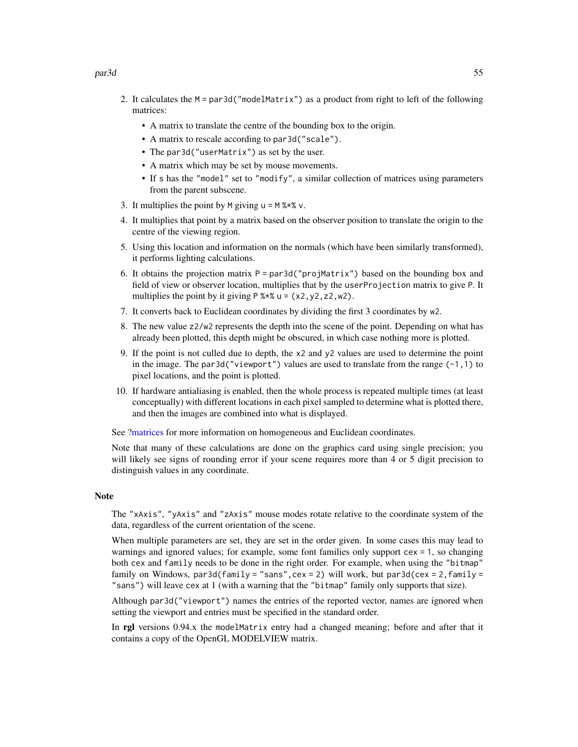#### par3d 55

- 2. It calculates the  $M = par3d('modelMatrix")$  as a product from right to left of the following matrices:
	- A matrix to translate the centre of the bounding box to the origin.
	- A matrix to rescale according to par3d("scale").
	- The par3d("userMatrix") as set by the user.
	- A matrix which may be set by mouse movements.
	- If s has the "model" set to "modify", a similar collection of matrices using parameters from the parent subscene.
- 3. It multiplies the point by M giving  $u = M$  %\*% v.
- 4. It multiplies that point by a matrix based on the observer position to translate the origin to the centre of the viewing region.
- 5. Using this location and information on the normals (which have been similarly transformed), it performs lighting calculations.
- 6. It obtains the projection matrix  $P = par3d("projMatrix")$  based on the bounding box and field of view or observer location, multiplies that by the userProjection matrix to give P. It multiplies the point by it giving  $P$  %\*% u = (x2, y2, z2, w2).
- 7. It converts back to Euclidean coordinates by dividing the first 3 coordinates by w2.
- 8. The new value z2/w2 represents the depth into the scene of the point. Depending on what has already been plotted, this depth might be obscured, in which case nothing more is plotted.
- 9. If the point is not culled due to depth, the x2 and y2 values are used to determine the point in the image. The par3d("viewport") values are used to translate from the range  $(-1,1)$  to pixel locations, and the point is plotted.
- 10. If hardware antialiasing is enabled, then the whole process is repeated multiple times (at least conceptually) with different locations in each pixel sampled to determine what is plotted there, and then the images are combined into what is displayed.

See [?matrices](#page-42-0) for more information on homogeneous and Euclidean coordinates.

Note that many of these calculations are done on the graphics card using single precision; you will likely see signs of rounding error if your scene requires more than 4 or 5 digit precision to distinguish values in any coordinate.

#### Note

The "xAxis", "yAxis" and "zAxis" mouse modes rotate relative to the coordinate system of the data, regardless of the current orientation of the scene.

When multiple parameters are set, they are set in the order given. In some cases this may lead to warnings and ignored values; for example, some font families only support cex = 1, so changing both cex and family needs to be done in the right order. For example, when using the "bitmap" family on Windows, par3d(family = "sans",  $cex = 2$ ) will work, but par3d( $cex = 2$ , family = "sans") will leave cex at 1 (with a warning that the "bitmap" family only supports that size).

Although par3d("viewport") names the entries of the reported vector, names are ignored when setting the viewport and entries must be specified in the standard order.

In rgl versions 0.94.x the modelMatrix entry had a changed meaning; before and after that it contains a copy of the OpenGL MODELVIEW matrix.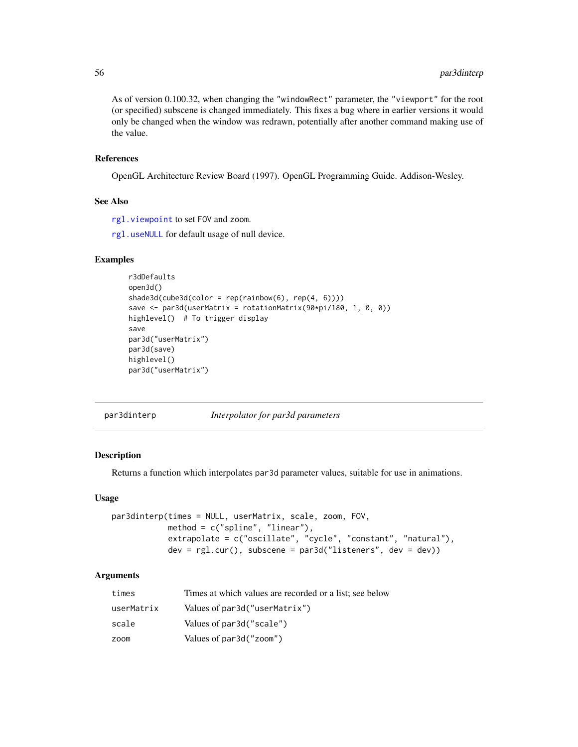As of version 0.100.32, when changing the "windowRect" parameter, the "viewport" for the root (or specified) subscene is changed immediately. This fixes a bug where in earlier versions it would only be changed when the window was redrawn, potentially after another command making use of the value.

## References

OpenGL Architecture Review Board (1997). OpenGL Programming Guide. Addison-Wesley.

#### See Also

[rgl.viewpoint](#page-163-0) to set FOV and zoom.

[rgl.useNULL](#page-113-0) for default usage of null device.

## Examples

```
r3dDefaults
open3d()
shade3d(cube3d(color = rep(rainbow(6), rep(4, 6))))save <- par3d(userMatrix = rotationMatrix(90*pi/180, 1, 0, 0))
highlevel() # To trigger display
save
par3d("userMatrix")
par3d(save)
highlevel()
par3d("userMatrix")
```
<span id="page-55-0"></span>par3dinterp *Interpolator for par3d parameters*

#### Description

Returns a function which interpolates par3d parameter values, suitable for use in animations.

### Usage

```
par3dinterp(times = NULL, userMatrix, scale, zoom, FOV,
           method = c("spline", "linear"),
           extrapolate = c("oscillate", "cycle", "constant", "natural"),
           dev = rg1.cur(), subscene = par3d("listeners", dev = dev))
```
# Arguments

| times      | Times at which values are recorded or a list; see below |
|------------|---------------------------------------------------------|
| userMatrix | Values of par3d("userMatrix")                           |
| scale      | Values of par3d("scale")                                |
| zoom       | Values of par3d("zoom")                                 |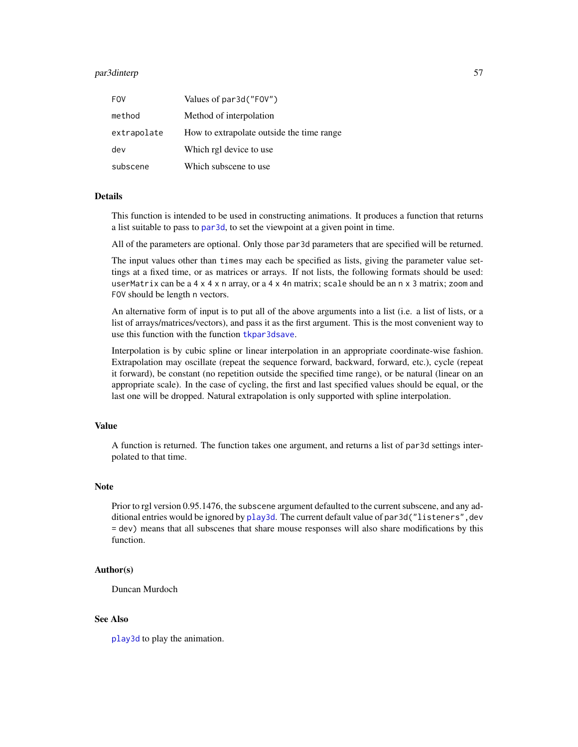# par3dinterp 57

| <b>FOV</b>  | Values of par3d("FOV")                    |
|-------------|-------------------------------------------|
| method      | Method of interpolation                   |
| extrapolate | How to extrapolate outside the time range |
| dev         | Which rgl device to use                   |
| subscene    | Which subscene to use                     |

#### Details

This function is intended to be used in constructing animations. It produces a function that returns a list suitable to pass to [par3d](#page-50-0), to set the viewpoint at a given point in time.

All of the parameters are optional. Only those par3d parameters that are specified will be returned.

The input values other than times may each be specified as lists, giving the parameter value settings at a fixed time, or as matrices or arrays. If not lists, the following formats should be used: userMatrix can be a 4  $\times$  4  $\times$  n array, or a 4  $\times$  4n matrix; scale should be an  $n \times 3$  matrix; zoom and FOV should be length n vectors.

An alternative form of input is to put all of the above arguments into a list (i.e. a list of lists, or a list of arrays/matrices/vectors), and pass it as the first argument. This is the most convenient way to use this function with the function [tkpar3dsave](#page-154-0).

Interpolation is by cubic spline or linear interpolation in an appropriate coordinate-wise fashion. Extrapolation may oscillate (repeat the sequence forward, backward, forward, etc.), cycle (repeat it forward), be constant (no repetition outside the specified time range), or be natural (linear on an appropriate scale). In the case of cycling, the first and last specified values should be equal, or the last one will be dropped. Natural extrapolation is only supported with spline interpolation.

# Value

A function is returned. The function takes one argument, and returns a list of par3d settings interpolated to that time.

### Note

Prior to rgl version 0.95.1476, the subscene argument defaulted to the current subscene, and any additional entries would be ignored by [play3d](#page-70-0). The current default value of par3d("listeners", dev = dev) means that all subscenes that share mouse responses will also share modifications by this function.

### Author(s)

Duncan Murdoch

## See Also

[play3d](#page-70-0) to play the animation.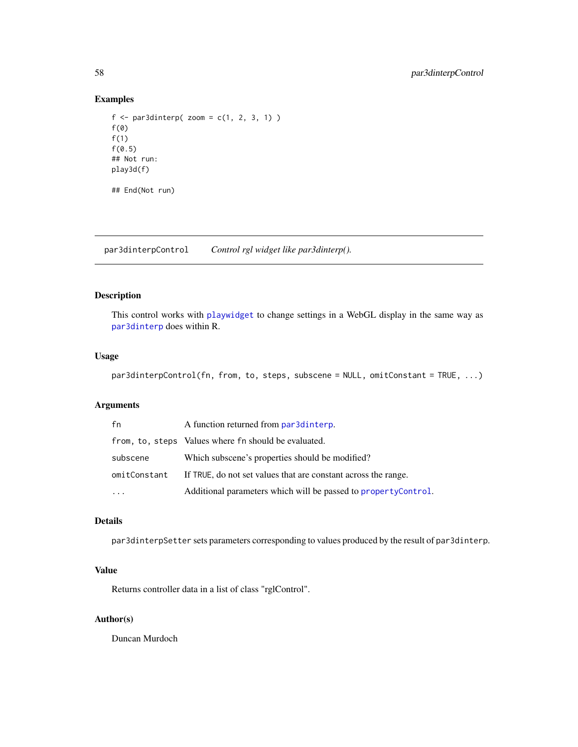## Examples

```
f \leftarrow par3dinterp( zoom = c(1, 2, 3, 1))f(\emptyset)f(1)
f(0.5)## Not run:
play3d(f)
## End(Not run)
```
par3dinterpControl *Control rgl widget like par3dinterp().*

# Description

This control works with [playwidget](#page-72-0) to change settings in a WebGL display in the same way as [par3dinterp](#page-55-0) does within R.

## Usage

```
par3dinterpControl(fn, from, to, steps, subscene = NULL, omitConstant = TRUE, ...)
```
# Arguments

| fn           | A function returned from par3dinterp.                           |
|--------------|-----------------------------------------------------------------|
|              | from, to, steps Values where fn should be evaluated.            |
| subscene     | Which subscene's properties should be modified?                 |
| omitConstant | If TRUE, do not set values that are constant across the range.  |
|              | Additional parameters which will be passed to property Control. |

# Details

par3dinterpSetter sets parameters corresponding to values produced by the result of par3dinterp.

# Value

Returns controller data in a list of class "rglControl".

## Author(s)

Duncan Murdoch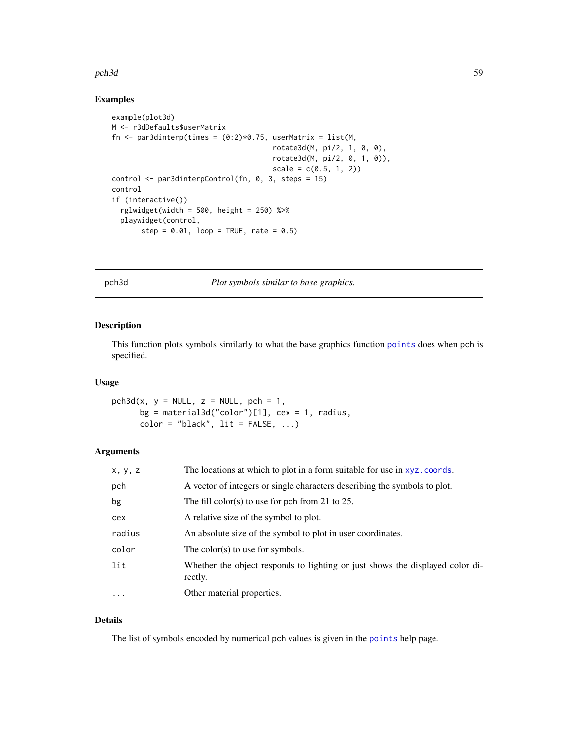### pch3d 59

## Examples

```
example(plot3d)
M <- r3dDefaults$userMatrix
fn <- par3dinterp(times = (0:2)*0.75, userMatrix = list(M,
                                      rotate3d(M, pi/2, 1, 0, 0),
                                      rotate3d(M, pi/2, 0, 1, 0)),
                                      scale = c(0.5, 1, 2)control <- par3dinterpControl(fn, 0, 3, steps = 15)
control
if (interactive())
  rglwidget(width = 500, height = 250) %>%
  playwidget(control,
       step = 0.01, loop = TRUE, rate = 0.5)
```
pch3d *Plot symbols similar to base graphics.*

# Description

This function plots symbols similarly to what the base graphics function [points](#page-0-0) does when pch is specified.

## Usage

```
pch3d(x, y = NULL, z = NULL, pch = 1,bg = material3d("color")[1], cex = 1, radius,
      color = "black", lit = FALSE, ...)
```
# Arguments

| x, y, z  | The locations at which to plot in a form suitable for use in xyz.coords.                 |
|----------|------------------------------------------------------------------------------------------|
| pch      | A vector of integers or single characters describing the symbols to plot.                |
| bg       | The fill color(s) to use for pch from 21 to 25.                                          |
| cex      | A relative size of the symbol to plot.                                                   |
| radius   | An absolute size of the symbol to plot in user coordinates.                              |
| color    | The color(s) to use for symbols.                                                         |
| lit      | Whether the object responds to lighting or just shows the displayed color di-<br>rectly. |
| $\cdots$ | Other material properties.                                                               |

## Details

The list of symbols encoded by numerical pch values is given in the [points](#page-0-0) help page.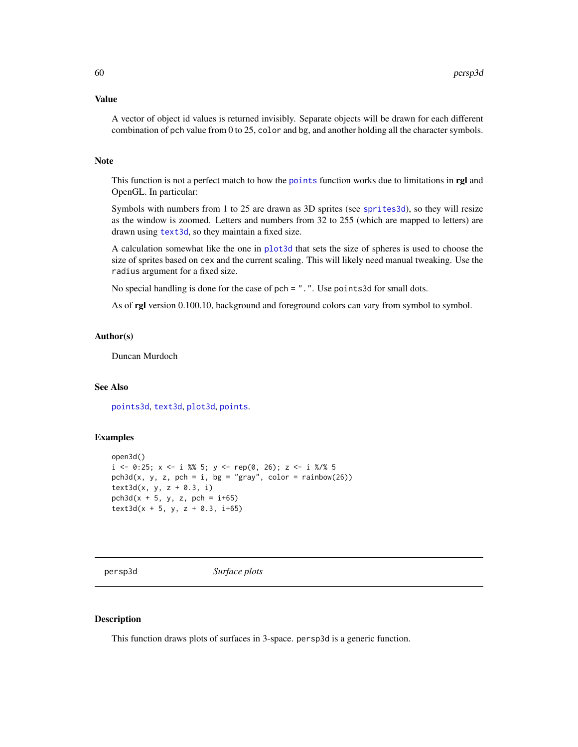## Value

A vector of object id values is returned invisibly. Separate objects will be drawn for each different combination of pch value from 0 to 25, color and bg, and another holding all the character symbols.

## Note

This function is not a perfect match to how the [points](#page-0-0) function works due to limitations in rgl and OpenGL. In particular:

Symbols with numbers from 1 to 25 are drawn as 3D sprites (see [sprites3d](#page-142-0)), so they will resize as the window is zoomed. Letters and numbers from 32 to 255 (which are mapped to letters) are drawn using [text3d](#page-149-0), so they maintain a fixed size.

A calculation somewhat like the one in [plot3d](#page-74-0) that sets the size of spheres is used to choose the size of sprites based on cex and the current scaling. This will likely need manual tweaking. Use the radius argument for a fixed size.

No special handling is done for the case of pch = ".". Use points3d for small dots.

As of rgl version 0.100.10, background and foreground colors can vary from symbol to symbol.

# Author(s)

Duncan Murdoch

# See Also

[points3d](#page-81-0), [text3d](#page-149-0), [plot3d](#page-74-0), [points](#page-0-0).

# Examples

```
open3d()
i \le -0:25; x \le -i \frac{8}{9} 5; y \le -\text{rep}(0, 26); z \le -i \frac{8}{9} 5
pch3d(x, y, z, pch = i, bg = "gray", color = rainbow(26))text3d(x, y, z + 0.3, i)
pch3d(x + 5, y, z, pch = i+65)text3d(x + 5, y, z + 0.3, i+65)
```
<span id="page-59-0"></span>

persp3d *Surface plots*

## Description

This function draws plots of surfaces in 3-space. persp3d is a generic function.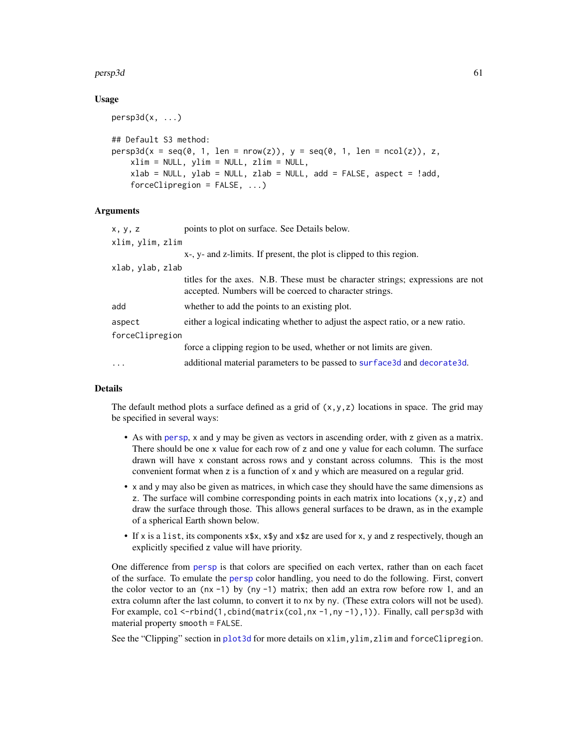#### $persp3d$  61

## Usage

```
persp3d(x, \ldots)## Default S3 method:
persp3d(x = seq(0, 1, len = nrow(z)), y = seq(0, 1, len = ncol(z)), z,xlim = NULL, ylim = NULL, zlim = NULL,
    xlab = NULL, ylab = NULL, zlab = NULL, add = FALSE, aspect = !add,
    forceClipregion = FALSE, ...)
```
# Arguments

| x, y, z          | points to plot on surface. See Details below.                                                                                             |
|------------------|-------------------------------------------------------------------------------------------------------------------------------------------|
| xlim, ylim, zlim |                                                                                                                                           |
|                  | x-, y- and z-limits. If present, the plot is clipped to this region.                                                                      |
| xlab, ylab, zlab |                                                                                                                                           |
|                  | titles for the axes. N.B. These must be character strings; expressions are not<br>accepted. Numbers will be coerced to character strings. |
| add              | whether to add the points to an existing plot.                                                                                            |
| aspect           | either a logical indicating whether to adjust the aspect ratio, or a new ratio.                                                           |
| forceClipregion  |                                                                                                                                           |
|                  | force a clipping region to be used, whether or not limits are given.                                                                      |
| .                | additional material parameters to be passed to surface 3d and decorate 3d.                                                                |
|                  |                                                                                                                                           |

## Details

The default method plots a surface defined as a grid of  $(x, y, z)$  locations in space. The grid may be specified in several ways:

- As with [persp](#page-0-0), x and y may be given as vectors in ascending order, with z given as a matrix. There should be one x value for each row of z and one y value for each column. The surface drawn will have x constant across rows and y constant across columns. This is the most convenient format when z is a function of x and y which are measured on a regular grid.
- x and y may also be given as matrices, in which case they should have the same dimensions as z. The surface will combine corresponding points in each matrix into locations  $(x, y, z)$  and draw the surface through those. This allows general surfaces to be drawn, as in the example of a spherical Earth shown below.
- If x is a list, its components x\$x, x\$y and x\$z are used for x, y and z respectively, though an explicitly specified z value will have priority.

One difference from [persp](#page-0-0) is that colors are specified on each vertex, rather than on each facet of the surface. To emulate the [persp](#page-0-0) color handling, you need to do the following. First, convert the color vector to an  $(nx -1)$  by  $(ny -1)$  matrix; then add an extra row before row 1, and an extra column after the last column, to convert it to nx by ny. (These extra colors will not be used). For example,  $col \leq -rbind(1,cbind(maxrix(cd,nx -1,ny -1),1))$ . Finally, call persp3d with material property smooth = FALSE.

See the "Clipping" section in [plot3d](#page-74-0) for more details on xlim, ylim, zlim and forceClipregion.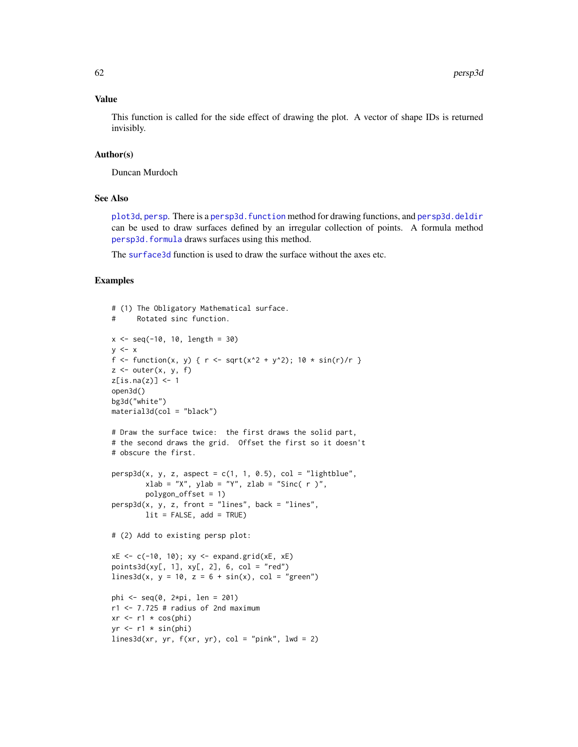#### Value

This function is called for the side effect of drawing the plot. A vector of shape IDs is returned invisibly.

# Author(s)

Duncan Murdoch

# See Also

[plot3d](#page-74-0), [persp](#page-0-0). There is a persp3d. function method for drawing functions, and [persp3d.deldir](#page-62-0) can be used to draw surfaces defined by an irregular collection of points. A formula method [persp3d.formula](#page-77-0) draws surfaces using this method.

The [surface3d](#page-148-0) function is used to draw the surface without the axes etc.

## Examples

```
# (1) The Obligatory Mathematical surface.
# Rotated sinc function.
x \le - seq(-10, 10, length = 30)
y \leq -xf <- function(x, y) { r <- sqrt(x^2 + y^2); 10 * sin(r)/r }
z \le outer(x, y, f)
z[is.na(z)] <- 1
open3d()
bg3d("white")
material3d(col = "black")
# Draw the surface twice: the first draws the solid part,
# the second draws the grid. Offset the first so it doesn't
# obscure the first.
persp3d(x, y, z, aspect = c(1, 1, 0.5), col = "lightblue",xlab = "X", ylab = "Y", zlab = "Sinc( r )",polygon_offset = 1)
persp3d(x, y, z, front = "lines", back = "lines",lit = FALSE, add = TRUE)# (2) Add to existing persp plot:
xE \leftarrow c(-10, 10); xy \leftarrow expand.grid(xE, xE)points3d(xy[, 1], xy[, 2], 6, col = "red")
lines3d(x, y = 10, z = 6 + sin(x), col = "green")phi <- seq(0, 2*pi, len = 201)
r1 < -7.725 # radius of 2nd maximum
xr \leftarrow r1 * \cos(\phi h i)yr < - r1 * sin(\pi)lines3d(xr, yr, f(xr, yr), col = "pink", lwd = 2)
```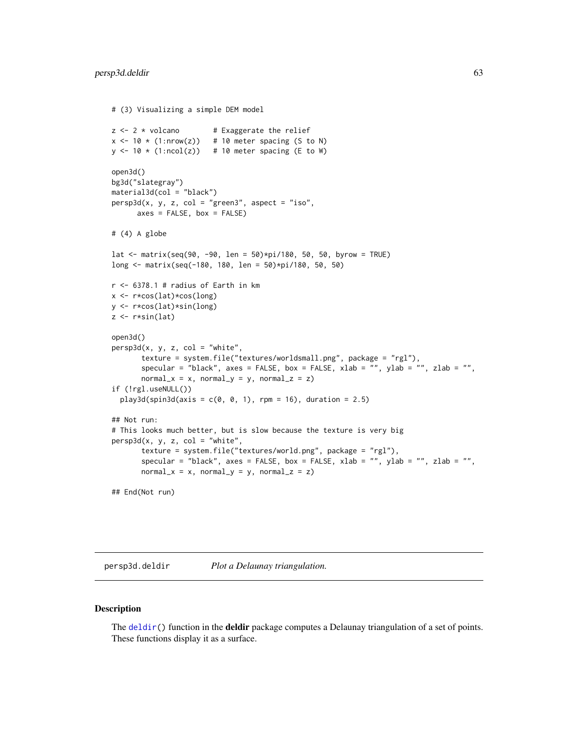```
# (3) Visualizing a simple DEM model
z \le -2 \times volcano # Exaggerate the relief
x \le -10 \times (1: nrow(z)) # 10 meter spacing (S to N)
y \le -10 \times (1:\text{ncol}(z)) # 10 meter spacing (E to W)
open3d()
bg3d("slategray")
material3d(col = "black")
persp3d(x, y, z, col = "green3", aspect = "iso",axes = FALSE, box = FALSE)# (4) A globe
lat <- matrix(seq(90, -90, len = 50)*pi/180, 50, 50, byrow = TRUE)
long <- matrix(seq(-180, 180, len = 50)*pi/180, 50, 50)
r <- 6378.1 # radius of Earth in kmx <- r*cos(lat)*cos(long)
y <- r*cos(lat)*sin(long)
z \leftarrow r * sin(lat)open3d()
persp3d(x, y, z, col = "white",texture = system.file("textures/worldsmall.png", package = "rgl"),
       specular = "black", axes = FALSE, box = FALSE, xlab = "", ylab = "", zlab = "",
       normal_x = x, normal_y = y, normal_z = z)
if (!rgl.useNULL())
  play3d(spin3d(axis = c(0, 0, 1), rpm = 16), duration = 2.5)## Not run:
# This looks much better, but is slow because the texture is very big
persp3d(x, y, z, col = "white",texture = system.file("textures/world.png", package = "rgl"),
       specular = "black", axes = FALSE, box = FALSE, xlab = "", ylab = "", zlab = "",
       normal_x = x, normal_y = y, normal_z = z)
## End(Not run)
```
<span id="page-62-0"></span>persp3d.deldir *Plot a Delaunay triangulation.*

## Description

The  $deldir()$  $deldir()$  function in the **deldir** package computes a Delaunay triangulation of a set of points. These functions display it as a surface.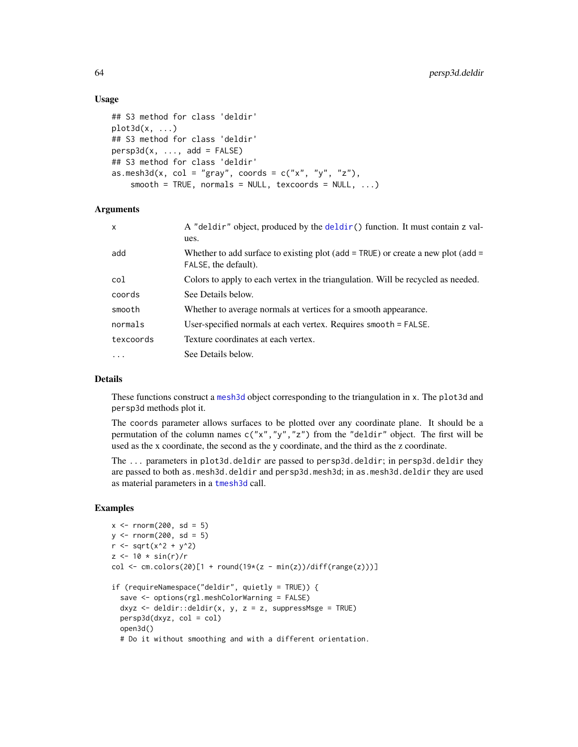## Usage

```
## S3 method for class 'deldir'
plot3d(x, \ldots)## S3 method for class 'deldir'
persp3d(x, ..., add = FALSE)## S3 method for class 'deldir'
as.mesh3d(x, col = "gray", coords = c("x", "y", "z"),
    smooth = TRUE, normals = NULL, texcoords = NULL, ...)
```
## **Arguments**

| $\mathsf{x}$ | A "deldir" object, produced by the deldir() function. It must contain z val-<br>ues.                     |
|--------------|----------------------------------------------------------------------------------------------------------|
| add          | Whether to add surface to existing plot (add = TRUE) or create a new plot (add =<br>FALSE, the default). |
| col          | Colors to apply to each vertex in the triangulation. Will be recycled as needed.                         |
| coords       | See Details below.                                                                                       |
| smooth       | Whether to average normals at vertices for a smooth appearance.                                          |
| normals      | User-specified normals at each vertex. Requires smooth = FALSE.                                          |
| texcoords    | Texture coordinates at each vertex.                                                                      |
| .            | See Details below.                                                                                       |

# Details

These functions construct a [mesh3d](#page-45-0) object corresponding to the triangulation in x. The plot3d and persp3d methods plot it.

The coords parameter allows surfaces to be plotted over any coordinate plane. It should be a permutation of the column names  $c("x", "y", "z")$  from the "deldir" object. The first will be used as the x coordinate, the second as the y coordinate, and the third as the z coordinate.

The ... parameters in plot3d.deldir are passed to persp3d.deldir; in persp3d.deldir they are passed to both as.mesh3d.deldir and persp3d.mesh3d; in as.mesh3d.deldir they are used as material parameters in a [tmesh3d](#page-45-1) call.

# Examples

```
x \le - rnorm(200, sd = 5)
y \le - rnorm(200, sd = 5)
r <- sqrt(x^2 + y^2)
z \le -10 * \sin(r)/rcol <- cm.colors(20)[1 + round(19*(z - min(z))/diff(range(z)))]
if (requireNamespace("deldir", quietly = TRUE)) {
  save <- options(rgl.meshColorWarning = FALSE)
  dxyz \leq deldir::deldir(x, y, z = z, suppressMsge = TRUE)
  persp3d(dxyz, col = col)
  open3d()
  # Do it without smoothing and with a different orientation.
```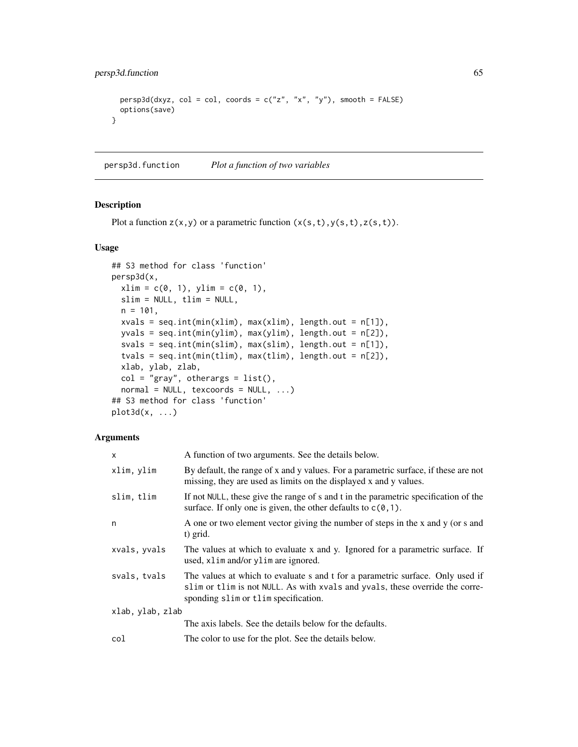```
persp3d(dxyz, col = col, coords = c("z", "x", "y"), smooth = FALSE)options(save)
}
```
<span id="page-64-0"></span>persp3d.function *Plot a function of two variables*

# Description

Plot a function  $z(x,y)$  or a parametric function  $(x(s,t),y(s,t),z(s,t))$ .

## Usage

```
## S3 method for class 'function'
persp3d(x,
 xlim = c(0, 1), ylim = c(0, 1),slim = NULL, tlim = NULL,
 n = 101,
 xvals = seq.int(min(xlim), max(xlim), length.out = n[1]),
 yvals = seq.int(min(ylim), max(ylim), length.out = n[2]),
 svals = seq.int(min(slim), max(slim), length.out = n[1]),
  tvals = seq.int(min(tlim), max(tlim), length.out = n[2]),
 xlab, ylab, zlab,
 col = "gray", others = list(),normal = NULL, texcoords = NULL, ...## S3 method for class 'function'
plot3d(x, \ldots)
```
# Arguments

| x                | A function of two arguments. See the details below.                                                                                                                                                    |
|------------------|--------------------------------------------------------------------------------------------------------------------------------------------------------------------------------------------------------|
| xlim, ylim       | By default, the range of x and y values. For a parametric surface, if these are not<br>missing, they are used as limits on the displayed x and y values.                                               |
| slim, tlim       | If not NULL, these give the range of s and t in the parametric specification of the<br>surface. If only one is given, the other defaults to $c(0,1)$ .                                                 |
| n                | A one or two element vector giving the number of steps in the x and y (or s and<br>t) grid.                                                                                                            |
| xvals, yvals     | The values at which to evaluate x and y. Ignored for a parametric surface. If<br>used, xlim and/or ylim are ignored.                                                                                   |
| svals, tvals     | The values at which to evaluate s and t for a parametric surface. Only used if<br>slim or tlim is not NULL. As with xvals and yvals, these override the corre-<br>sponding slim or tlim specification. |
| xlab, ylab, zlab |                                                                                                                                                                                                        |
|                  | The axis labels. See the details below for the defaults.                                                                                                                                               |
| col              | The color to use for the plot. See the details below.                                                                                                                                                  |
|                  |                                                                                                                                                                                                        |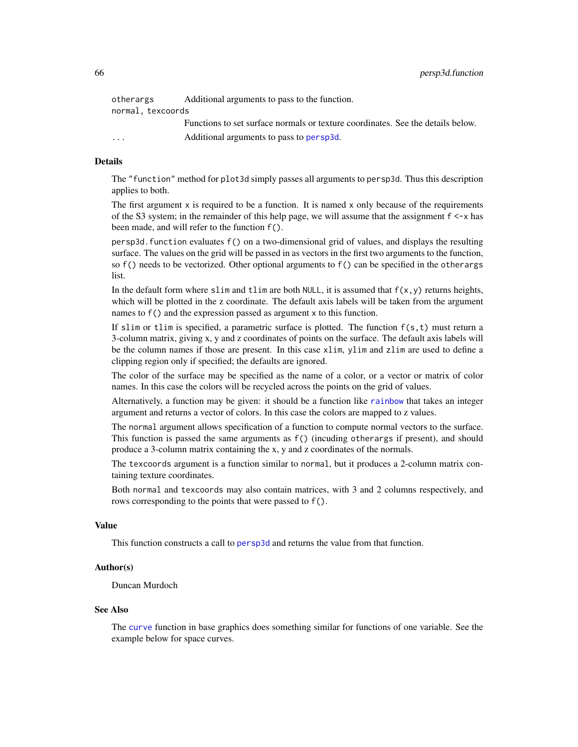| otherargs               | Additional arguments to pass to the function.                                   |
|-------------------------|---------------------------------------------------------------------------------|
| normal, texcoords       |                                                                                 |
|                         | Functions to set surface normals or texture coordinates. See the details below. |
| $\cdot$ $\cdot$ $\cdot$ | Additional arguments to pass to persp3d.                                        |
|                         |                                                                                 |

## Details

The "function" method for plot3d simply passes all arguments to persp3d. Thus this description applies to both.

The first argument  $x$  is required to be a function. It is named  $x$  only because of the requirements of the S3 system; in the remainder of this help page, we will assume that the assignment  $f \leq -x$  has been made, and will refer to the function f().

persp3d.function evaluates f() on a two-dimensional grid of values, and displays the resulting surface. The values on the grid will be passed in as vectors in the first two arguments to the function, so  $f()$  needs to be vectorized. Other optional arguments to  $f()$  can be specified in the otherargs list.

In the default form where slim and tlim are both NULL, it is assumed that  $f(x,y)$  returns heights, which will be plotted in the z coordinate. The default axis labels will be taken from the argument names to f() and the expression passed as argument x to this function.

If slim or tlim is specified, a parametric surface is plotted. The function  $f(s, t)$  must return a 3-column matrix, giving x, y and z coordinates of points on the surface. The default axis labels will be the column names if those are present. In this case xlim, ylim and zlim are used to define a clipping region only if specified; the defaults are ignored.

The color of the surface may be specified as the name of a color, or a vector or matrix of color names. In this case the colors will be recycled across the points on the grid of values.

Alternatively, a function may be given: it should be a function like [rainbow](#page-0-0) that takes an integer argument and returns a vector of colors. In this case the colors are mapped to z values.

The normal argument allows specification of a function to compute normal vectors to the surface. This function is passed the same arguments as f() (incuding otherargs if present), and should produce a 3-column matrix containing the x, y and z coordinates of the normals.

The texcoords argument is a function similar to normal, but it produces a 2-column matrix containing texture coordinates.

Both normal and texcoords may also contain matrices, with 3 and 2 columns respectively, and rows corresponding to the points that were passed to f().

## Value

This function constructs a call to [persp3d](#page-59-0) and returns the value from that function.

# Author(s)

Duncan Murdoch

#### See Also

The [curve](#page-0-0) function in base graphics does something similar for functions of one variable. See the example below for space curves.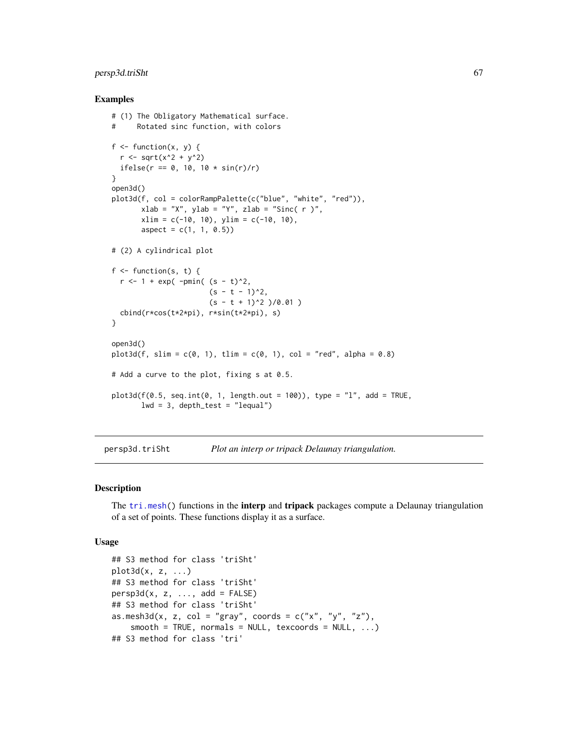# persp3d.triSht 67

## Examples

```
# (1) The Obligatory Mathematical surface.
# Rotated sinc function, with colors
f \leftarrow function(x, y) {
 r <- sqrt(x^2 + y^2)
 ifelse(r == 0, 10, 10 * sin(r)/r)}
open3d()
plot3d(f, col = colorRampPalette(c("blue", "white", "red")),
       xlab = "X", ylab = "Y", zlab = "Sinc( r )",xlim = c(-10, 10), ylim = c(-10, 10),aspect = c(1, 1, 0.5)# (2) A cylindrical plot
f \leftarrow function(s, t) {
 r <- 1 + exp( -pmin( (s - t)^2,
                       (s - t - 1)^2,
                       (s - t + 1)^2 )/0.01 )
 cbind(r*cos(t*2*pi), r*sin(t*2*pi), s)
}
open3d()
plot3d(f, slim = c(0, 1), tlim = c(0, 1), col = "red", alpha = 0.8)# Add a curve to the plot, fixing s at 0.5.
plot3d(f(0.5, seq.int(0, 1, length.out = 100)), type = "l", add = TRUE,lwd = 3, depth_test = "lequal")
```
persp3d.triSht *Plot an interp or tripack Delaunay triangulation.*

### Description

The [tri.mesh\(](#page-0-0)) functions in the **interp** and **tripack** packages compute a Delaunay triangulation of a set of points. These functions display it as a surface.

#### Usage

```
## S3 method for class 'triSht'
plot3d(x, z, ...)
## S3 method for class 'triSht'
persp3d(x, z, ..., add = FALSE)## S3 method for class 'triSht'
as.mesh3d(x, z, col = "gray", coords = c("x", "y", "z"),smooth = TRUE, normals = NULL, texcoords = NULL, ...)## S3 method for class 'tri'
```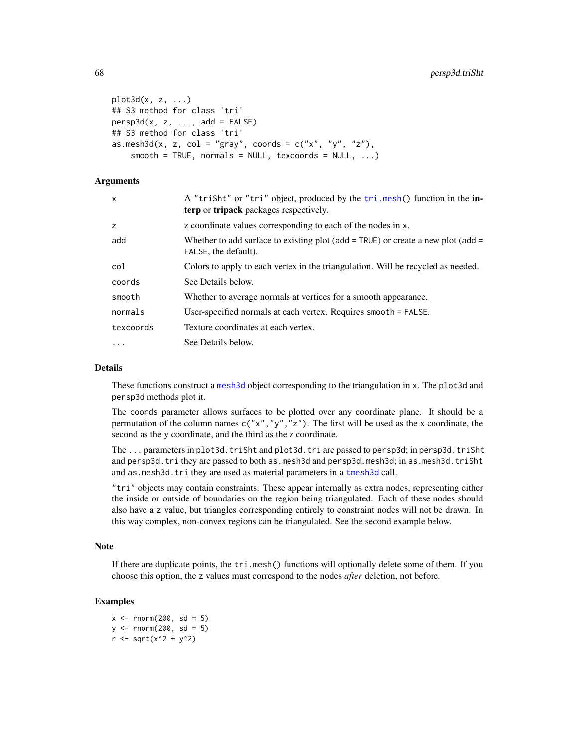```
plot3d(x, z, ...)
## S3 method for class 'tri'
persp3d(x, z, \ldots, add = FALSE)## S3 method for class 'tri'
as.mesh3d(x, z, col = "gray", coords = c("x", "y", "z"),smooth = TRUE, normals = NULL, texcoords = NULL, ...)
```
### Arguments

| $\times$  | A "triSht" or "tri" object, produced by the tri.mesh() function in the in-<br><b>terp</b> or <b>tripack</b> packages respectively. |
|-----------|------------------------------------------------------------------------------------------------------------------------------------|
| z         | z coordinate values corresponding to each of the nodes in x.                                                                       |
| add       | Whether to add surface to existing plot (add = TRUE) or create a new plot (add =<br>FALSE, the default).                           |
| col       | Colors to apply to each vertex in the triangulation. Will be recycled as needed.                                                   |
| coords    | See Details below.                                                                                                                 |
| smooth    | Whether to average normals at vertices for a smooth appearance.                                                                    |
| normals   | User-specified normals at each vertex. Requires smooth = FALSE.                                                                    |
| texcoords | Texture coordinates at each vertex.                                                                                                |
| $\cdot$   | See Details below.                                                                                                                 |

## Details

These functions construct a [mesh3d](#page-45-0) object corresponding to the triangulation in x. The plot3d and persp3d methods plot it.

The coords parameter allows surfaces to be plotted over any coordinate plane. It should be a permutation of the column names  $c("x", "y", "z")$ . The first will be used as the x coordinate, the second as the y coordinate, and the third as the z coordinate.

The ... parameters in plot3d.triSht and plot3d.tri are passed to persp3d; in persp3d.triSht and persp3d.tri they are passed to both as.mesh3d and persp3d.mesh3d; in as.mesh3d.triSht and as.mesh3d.tri they are used as material parameters in a [tmesh3d](#page-45-1) call.

"tri" objects may contain constraints. These appear internally as extra nodes, representing either the inside or outside of boundaries on the region being triangulated. Each of these nodes should also have a z value, but triangles corresponding entirely to constraint nodes will not be drawn. In this way complex, non-convex regions can be triangulated. See the second example below.

# Note

If there are duplicate points, the tri.mesh() functions will optionally delete some of them. If you choose this option, the z values must correspond to the nodes *after* deletion, not before.

# Examples

 $x \le -$  rnorm(200, sd = 5)  $y \le -$  rnorm(200, sd = 5)  $r$  <- sqrt(x^2 + y^2)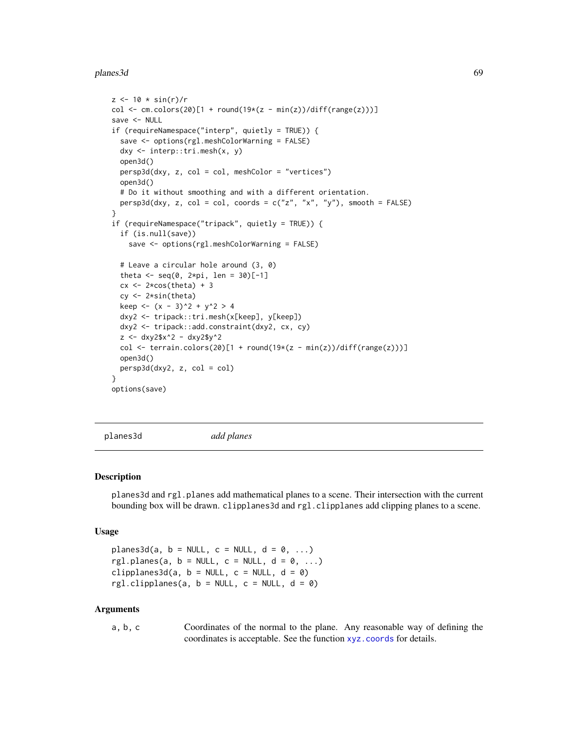#### planes3d 69

```
z < -10 * sin(r)/rcol <- cm.colors(20)[1 + round(19*(z - min(z))/diff(range(z)))]
save <- NULL
if (requireNamespace("interp", quietly = TRUE)) {
  save <- options(rgl.meshColorWarning = FALSE)
  dxy <- interp::tri.mesh(x, y)
  open3d()
  persp3d(dxy, z, col = col, meshColor = "vertices")
  open3d()
  # Do it without smoothing and with a different orientation.
  persp3d(dxy, z, col = col, coords = c("z", "x", "y"), smooth = FALSE)}
if (requireNamespace("tripack", quietly = TRUE)) {
  if (is.null(save))
    save <- options(rgl.meshColorWarning = FALSE)
  # Leave a circular hole around (3, 0)
  theta <- seq(0, 2*pi, len = 30)[-1]cx \leq 2 \star cos(theta) + 3cy <- 2*sin(theta)
  keep <- (x - 3)^2 + y^2 > 4dxy2 <- tripack::tri.mesh(x[keep], y[keep])
  dxy2 <- tripack::add.constraint(dxy2, cx, cy)
  z <- dxy2$x^2 - dxy2$y^2
  col <- terrain.colors(20)[1 + round(19*(z - min(z))/diff(range(z)))]
  open3d()
  persp3d(dxy2, z, col = col)}
options(save)
```
planes3d *add planes*

### **Description**

planes3d and rgl.planes add mathematical planes to a scene. Their intersection with the current bounding box will be drawn. clipplanes3d and rgl.clipplanes add clipping planes to a scene.

#### Usage

planes3d(a,  $b = NULL$ ,  $c = NULL$ ,  $d = 0$ , ...) rgl.planes(a,  $b = NULL$ ,  $c = NULL$ ,  $d = 0$ , ...) clipplanes3d(a,  $b = NULL$ ,  $c = NULL$ ,  $d = 0$ ) rgl.clipplanes(a,  $b = NULL$ ,  $c = NULL$ ,  $d = 0$ )

#### Arguments

a, b, c Coordinates of the normal to the plane. Any reasonable way of defining the coordinates is acceptable. See the function [xyz.coords](#page-0-0) for details.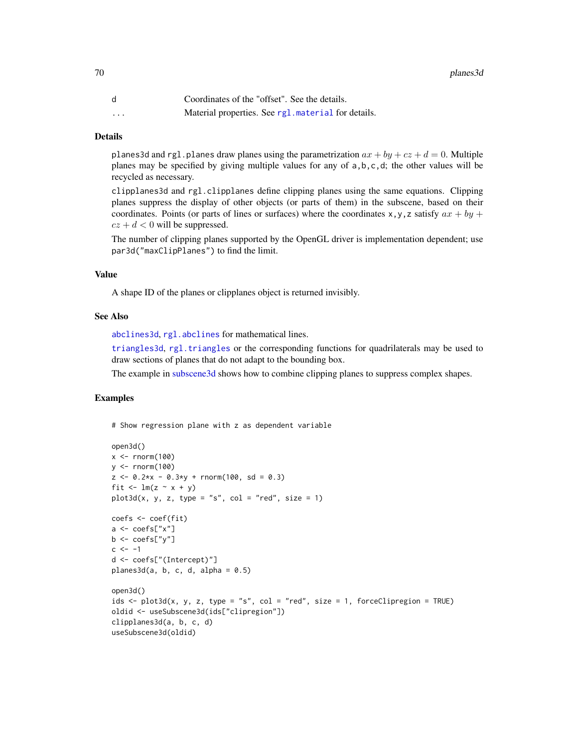|          | Coordinates of the "offset". See the details.       |
|----------|-----------------------------------------------------|
| $\cdots$ | Material properties. See rg1. material for details. |

#### Details

planes3d and rgl.planes draw planes using the parametrization  $ax + by + cz + d = 0$ . Multiple planes may be specified by giving multiple values for any of a,b,c,d; the other values will be recycled as necessary.

clipplanes3d and rgl.clipplanes define clipping planes using the same equations. Clipping planes suppress the display of other objects (or parts of them) in the subscene, based on their coordinates. Points (or parts of lines or surfaces) where the coordinates x,y,z satisfy  $ax + by +$  $cz + d < 0$  will be suppressed.

The number of clipping planes supported by the OpenGL driver is implementation dependent; use par3d("maxClipPlanes") to find the limit.

# Value

A shape ID of the planes or clipplanes object is returned invisibly.

# See Also

[abclines3d](#page-5-0), [rgl.abclines](#page-5-1) for mathematical lines.

[triangles3d](#page-81-1), [rgl.triangles](#page-105-1) or the corresponding functions for quadrilaterals may be used to draw sections of planes that do not adapt to the bounding box.

The example in [subscene3d](#page-144-1) shows how to combine clipping planes to suppress complex shapes.

## Examples

# Show regression plane with z as dependent variable

```
open3d()
x \le rnorm(100)
y <- rnorm(100)
z \le -0.2*x - 0.3*y + rnorm(100, sd = 0.3)fit \leftarrow lm(z \sim x + y)plot3d(x, y, z, type = "s", col = "red", size = 1)coefs <- coef(fit)
a \leftarrow \text{coeffs["x"]}b \leftarrow \text{coeffs['y'']}c <- -1d <- coefs["(Intercept)"]
planes3d(a, b, c, d, alpha = 0.5)open3d()
ids \le plot3d(x, y, z, type = "s", col = "red", size = 1, forceClipregion = TRUE)
oldid <- useSubscene3d(ids["clipregion"])
clipplanes3d(a, b, c, d)
useSubscene3d(oldid)
```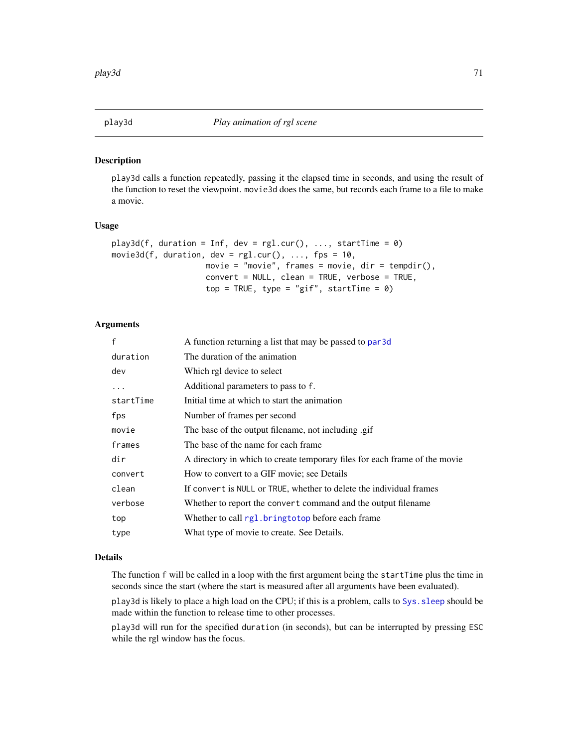<span id="page-70-0"></span>

# Description

play3d calls a function repeatedly, passing it the elapsed time in seconds, and using the result of the function to reset the viewpoint. movie3d does the same, but records each frame to a file to make a movie.

#### Usage

```
play3d(f, duration = Inf, dev = rg1.cur(), ..., startTime = 0)movie3d(f, duration, dev = rgl.cur(), ..., fps = 10,
                   movie = "movie", frames = movie, dir = tempdir(),
                   convert = NULL, clean = TRUE, verbose = TRUE,
                    top = TRUE, type = "gif", startTime = 0)
```
# Arguments

| $\mathsf{f}$ | A function returning a list that may be passed to par 3d                   |
|--------------|----------------------------------------------------------------------------|
| duration     | The duration of the animation                                              |
| dev          | Which rgl device to select                                                 |
|              | Additional parameters to pass to f.                                        |
| startTime    | Initial time at which to start the animation                               |
| fps          | Number of frames per second                                                |
| movie        | The base of the output filename, not including .gif                        |
| frames       | The base of the name for each frame                                        |
| dir          | A directory in which to create temporary files for each frame of the movie |
| convert      | How to convert to a GIF movie; see Details                                 |
| clean        | If convert is NULL or TRUE, whether to delete the individual frames        |
| verbose      | Whether to report the convert command and the output filename              |
| top          | Whether to call rgl. bringtotop before each frame                          |
| type         | What type of movie to create. See Details.                                 |

## Details

The function f will be called in a loop with the first argument being the startTime plus the time in seconds since the start (where the start is measured after all arguments have been evaluated).

play3d is likely to place a high load on the CPU; if this is a problem, calls to [Sys.sleep](#page-0-0) should be made within the function to release time to other processes.

play3d will run for the specified duration (in seconds), but can be interrupted by pressing ESC while the rgl window has the focus.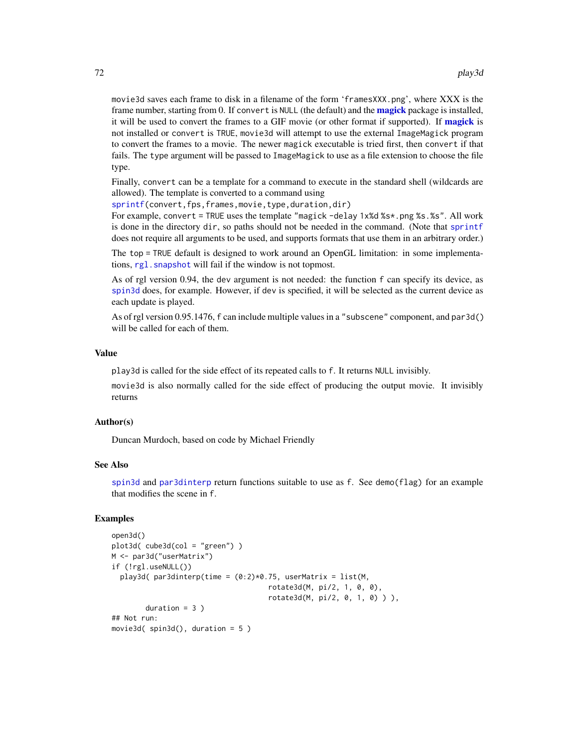movie3d saves each frame to disk in a filename of the form 'framesXXX.png', where XXX is the frame number, starting from 0. If convert is NULL (the default) and the **[magick](#page-0-0)** package is installed, it will be used to convert the frames to a GIF movie (or other format if supported). If **[magick](#page-0-0)** is not installed or convert is TRUE, movie3d will attempt to use the external ImageMagick program to convert the frames to a movie. The newer magick executable is tried first, then convert if that fails. The type argument will be passed to ImageMagick to use as a file extension to choose the file type.

Finally, convert can be a template for a command to execute in the standard shell (wildcards are allowed). The template is converted to a command using

[sprintf\(](#page-0-0)convert,fps,frames,movie,type,duration,dir)

For example, convert = TRUE uses the template "magick -delay 1x%d %s\*.png %s.%s". All work is done in the directory dir, so paths should not be needed in the command. (Note that [sprintf](#page-0-0) does not require all arguments to be used, and supports formats that use them in an arbitrary order.)

The top = TRUE default is designed to work around an OpenGL limitation: in some implementations, rgl. snapshot will fail if the window is not topmost.

As of rgl version 0.94, the dev argument is not needed: the function f can specify its device, as [spin3d](#page-140-0) does, for example. However, if dev is specified, it will be selected as the current device as each update is played.

As of rgl version 0.95.1476, f can include multiple values in a "subscene" component, and par3d() will be called for each of them.

#### Value

play3d is called for the side effect of its repeated calls to f. It returns NULL invisibly.

movie3d is also normally called for the side effect of producing the output movie. It invisibly returns

## Author(s)

Duncan Murdoch, based on code by Michael Friendly

# See Also

[spin3d](#page-140-0) and [par3dinterp](#page-55-0) return functions suitable to use as f. See demo(flag) for an example that modifies the scene in f.

# Examples

```
open3d()
plot3d( cube3d(col = "green") )
M <- par3d("userMatrix")
if (!rgl.useNULL())
  play3d( par3dinterp(time = (0:2)*0.75, userMatrix = list(M,
                                     rotate3d(M, pi/2, 1, 0, 0),
                                     rotate3d(M, pi/2, 0, 1, 0) ) ),
        duration = 3)
## Not run:
movie3d( spin3d(), duration = 5 )
```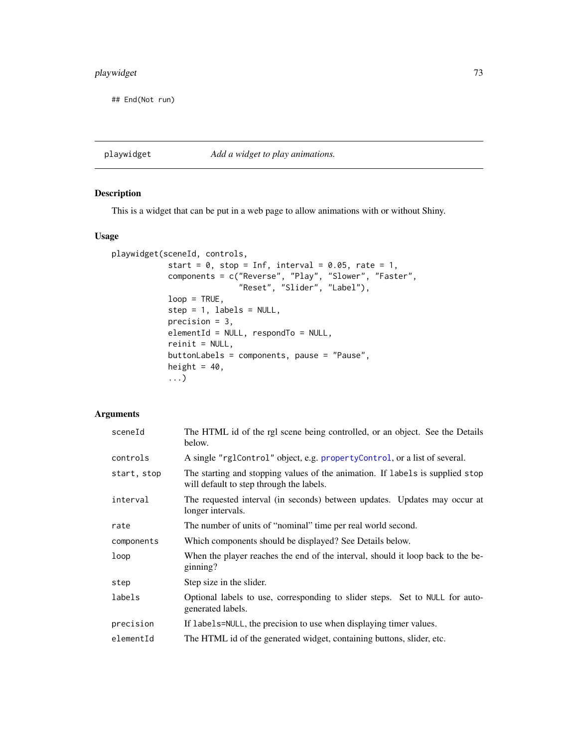# playwidget 73

## End(Not run)

<span id="page-72-0"></span>playwidget *Add a widget to play animations.*

# Description

This is a widget that can be put in a web page to allow animations with or without Shiny.

#### Usage

```
playwidget(sceneId, controls,
            start = 0, stop = Inf, interval = 0.05, rate = 1,
            components = c("Reverse", "Play", "Slower", "Faster",
                            "Reset", "Slider", "Label"),
            loop = TRUE,step = 1, labels = NULL,
            precision = 3,
            elementId = NULL, respondTo = NULL,
            reinit = NULL,
            buttonLabels = components, pause = "Pause",
            height = 40,
            ...)
```

| sceneId     | The HTML id of the rgl scene being controlled, or an object. See the Details<br>below.                                    |
|-------------|---------------------------------------------------------------------------------------------------------------------------|
| controls    | A single "rglControl" object, e.g. propertyControl, or a list of several.                                                 |
| start, stop | The starting and stopping values of the animation. If labels is supplied stop<br>will default to step through the labels. |
| interval    | The requested interval (in seconds) between updates. Updates may occur at<br>longer intervals.                            |
| rate        | The number of units of "nominal" time per real world second.                                                              |
| components  | Which components should be displayed? See Details below.                                                                  |
| loop        | When the player reaches the end of the interval, should it loop back to the be-<br>ginning?                               |
| step        | Step size in the slider.                                                                                                  |
| labels      | Optional labels to use, corresponding to slider steps. Set to NULL for auto-<br>generated labels.                         |
| precision   | If labels=NULL, the precision to use when displaying timer values.                                                        |
| elementId   | The HTML id of the generated widget, containing buttons, slider, etc.                                                     |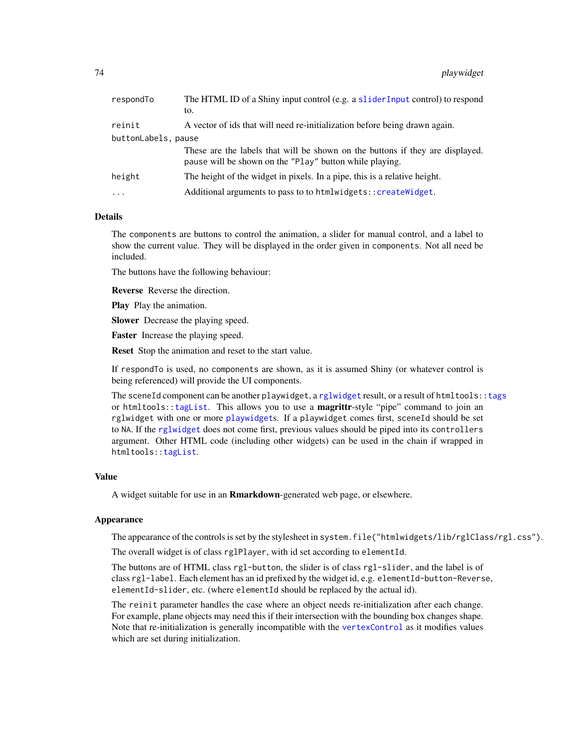| respondTo           | The HTML ID of a Shiny input control (e.g. a slider Input control) to respond<br>to.                                                     |  |
|---------------------|------------------------------------------------------------------------------------------------------------------------------------------|--|
| reinit              | A vector of ids that will need re-initialization before being drawn again.                                                               |  |
| buttonLabels, pause |                                                                                                                                          |  |
|                     | These are the labels that will be shown on the buttons if they are displayed.<br>pause will be shown on the "Play" button while playing. |  |
| height              | The height of the widget in pixels. In a pipe, this is a relative height.                                                                |  |
| $\cdots$            | Additional arguments to pass to to htmlwidgets:: createWidget.                                                                           |  |
|                     |                                                                                                                                          |  |

## Details

The components are buttons to control the animation, a slider for manual control, and a label to show the current value. They will be displayed in the order given in components. Not all need be included.

The buttons have the following behaviour:

Reverse Reverse the direction.

Play Play the animation.

Slower Decrease the playing speed.

Faster Increase the playing speed.

Reset Stop the animation and reset to the start value.

If respondTo is used, no components are shown, as it is assumed Shiny (or whatever control is being referenced) will provide the UI components.

The sceneId component can be another playwidget, a [rglwidget](#page-120-0) result, or a result of htmltools:[:tags](#page-0-0) or htmltools: : tagList. This allows you to use a **magrittr**-style "pipe" command to join an rglwidget with one or more [playwidget](#page-72-0)s. If a playwidget comes first, sceneId should be set to NA. If the [rglwidget](#page-120-0) does not come first, previous values should be piped into its controllers argument. Other HTML code (including other widgets) can be used in the chain if wrapped in htmltools:[:tagList](#page-0-0).

# Value

A widget suitable for use in an **Rmarkdown**-generated web page, or elsewhere.

#### Appearance

The appearance of the controls is set by the stylesheet in system.file("htmlwidgets/lib/rglClass/rgl.css").

The overall widget is of class rglPlayer, with id set according to elementId.

The buttons are of HTML class rgl-button, the slider is of class rgl-slider, and the label is of class rgl-label. Each element has an id prefixed by the widget id, e.g. elementId-button-Reverse, elementId-slider, etc. (where elementId should be replaced by the actual id).

The reinit parameter handles the case where an object needs re-initialization after each change. For example, plane objects may need this if their intersection with the bounding box changes shape. Note that re-initialization is generally incompatible with the [vertexControl](#page-161-0) as it modifies values which are set during initialization.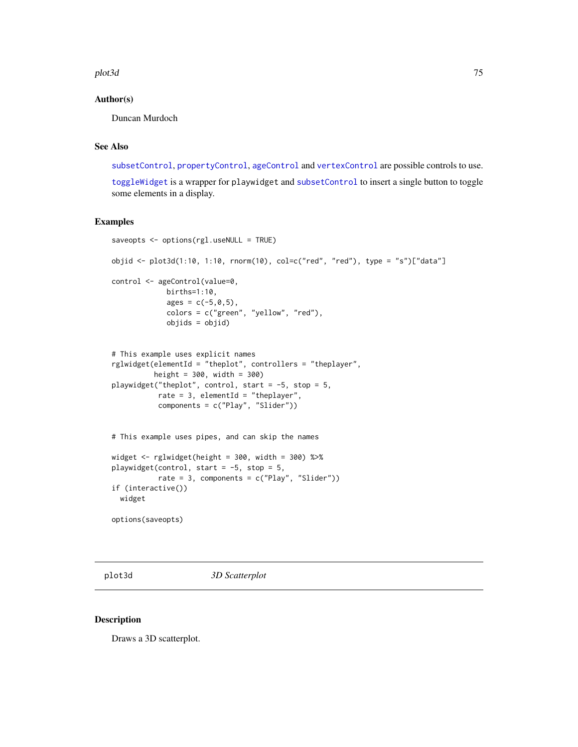#### plot3d **75**

## Author(s)

Duncan Murdoch

## See Also

[subsetControl](#page-84-1), [propertyControl](#page-84-0), [ageControl](#page-7-0) and [vertexControl](#page-161-0) are possible controls to use.

[toggleWidget](#page-158-0) is a wrapper for playwidget and [subsetControl](#page-84-1) to insert a single button to toggle some elements in a display.

## Examples

```
saveopts <- options(rgl.useNULL = TRUE)
objid <- plot3d(1:10, 1:10, rnorm(10), col=c("red", "red"), type = "s")["data"]
control <- ageControl(value=0,
            births=1:10,
             ages = c(-5, 0, 5),colors = c("green", "yellow", "red"),
             objids = objid)
# This example uses explicit names
rglwidget(elementId = "theplot", controllers = "theplayer",
          height = 300, width = 300)
playwidget("theplot", control, start = -5, stop = 5,
           rate = 3, elementId = "theplayer",
           components = c("Play", "Slider"))
# This example uses pipes, and can skip the names
widget \le rglwidget(height = 300, width = 300) %>%
playwidget(control, start = -5, stop = 5,
           rate = 3, components = c("Play", "Slider"))
if (interactive())
 widget
options(saveopts)
```
<span id="page-74-0"></span>plot3d *3D Scatterplot*

#### <span id="page-74-1"></span>Description

Draws a 3D scatterplot.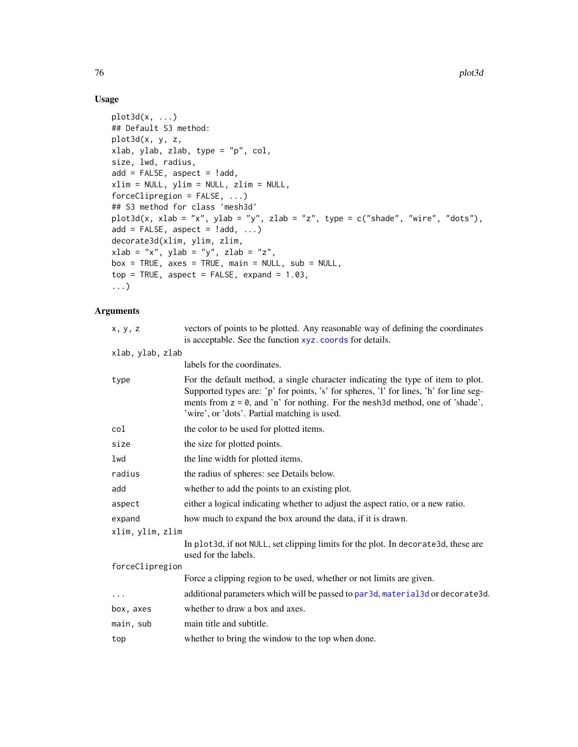# Usage

```
plot3d(x, ...)
## Default S3 method:
plot3d(x, y, z,
xlab, ylab, zlab, type = "p", col,
size, lwd, radius,
add = FALSE, aspect = !add,xlim = NULL, ylim = NULL, zlim = NULL,
forceClipregion = FALSE, ...)## S3 method for class 'mesh3d'
plot3d(x, xlab = "x", ylab = "y", zlab = "z", type = c("shade", "wire", "dots"),add = FALSE, aspect = !add, ...)decorate3d(xlim, ylim, zlim,
xlab = "x", ylab = "y", zlab = "z",box = TRUE, axes = TRUE, main = NULL, sub = NULL,
top = TRUE, aspect = FALSE, expand = 1.03,
...)
```

| x, y, z          | vectors of points to be plotted. Any reasonable way of defining the coordinates<br>is acceptable. See the function xyz. coords for details.                                                                                                                                                                   |
|------------------|---------------------------------------------------------------------------------------------------------------------------------------------------------------------------------------------------------------------------------------------------------------------------------------------------------------|
| xlab, ylab, zlab |                                                                                                                                                                                                                                                                                                               |
|                  | labels for the coordinates.                                                                                                                                                                                                                                                                                   |
| type             | For the default method, a single character indicating the type of item to plot.<br>Supported types are: 'p' for points, 's' for spheres, 'l' for lines, 'h' for line seg-<br>ments from $z = 0$ , and 'n' for nothing. For the mesh3d method, one of 'shade',<br>'wire', or 'dots'. Partial matching is used. |
| col              | the color to be used for plotted items.                                                                                                                                                                                                                                                                       |
| size             | the size for plotted points.                                                                                                                                                                                                                                                                                  |
| lwd              | the line width for plotted items.                                                                                                                                                                                                                                                                             |
| radius           | the radius of spheres: see Details below.                                                                                                                                                                                                                                                                     |
| add              | whether to add the points to an existing plot.                                                                                                                                                                                                                                                                |
| aspect           | either a logical indicating whether to adjust the aspect ratio, or a new ratio.                                                                                                                                                                                                                               |
| expand           | how much to expand the box around the data, if it is drawn.                                                                                                                                                                                                                                                   |
| xlim, ylim, zlim |                                                                                                                                                                                                                                                                                                               |
|                  | In plot3d, if not NULL, set clipping limits for the plot. In decorate3d, these are<br>used for the labels.                                                                                                                                                                                                    |
| forceClipregion  |                                                                                                                                                                                                                                                                                                               |
|                  | Force a clipping region to be used, whether or not limits are given.                                                                                                                                                                                                                                          |
| .                | additional parameters which will be passed to par3d, material3d or decorate3d.                                                                                                                                                                                                                                |
| box, axes        | whether to draw a box and axes.                                                                                                                                                                                                                                                                               |
| main, sub        | main title and subtitle.                                                                                                                                                                                                                                                                                      |
| top              | whether to bring the window to the top when done.                                                                                                                                                                                                                                                             |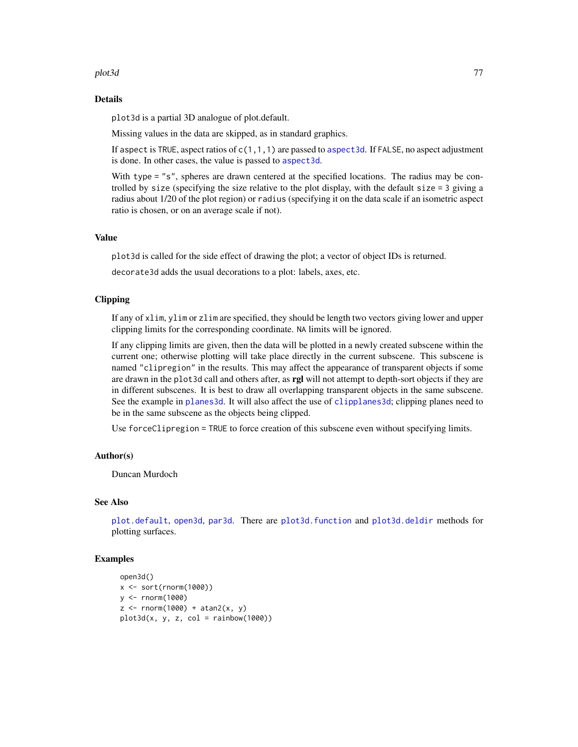#### plot3d 77

#### Details

plot3d is a partial 3D analogue of plot.default.

Missing values in the data are skipped, as in standard graphics.

If aspect is TRUE, aspect ratios of  $c(1,1,1)$  are passed to aspect 3d. If FALSE, no aspect adjustment is done. In other cases, the value is passed to [aspect3d](#page-19-0).

With type = "s", spheres are drawn centered at the specified locations. The radius may be controlled by size (specifying the size relative to the plot display, with the default size = 3 giving a radius about 1/20 of the plot region) or radius (specifying it on the data scale if an isometric aspect ratio is chosen, or on an average scale if not).

## Value

plot3d is called for the side effect of drawing the plot; a vector of object IDs is returned.

decorate3d adds the usual decorations to a plot: labels, axes, etc.

# Clipping

If any of xlim, ylim or zlim are specified, they should be length two vectors giving lower and upper clipping limits for the corresponding coordinate. NA limits will be ignored.

If any clipping limits are given, then the data will be plotted in a newly created subscene within the current one; otherwise plotting will take place directly in the current subscene. This subscene is named "clipregion" in the results. This may affect the appearance of transparent objects if some are drawn in the plot3d call and others after, as rgl will not attempt to depth-sort objects if they are in different subscenes. It is best to draw all overlapping transparent objects in the same subscene. See the example in [planes3d](#page-68-0). It will also affect the use of [clipplanes3d](#page-68-1); clipping planes need to be in the same subscene as the objects being clipped.

Use forceClipregion = TRUE to force creation of this subscene even without specifying limits.

## Author(s)

Duncan Murdoch

## See Also

[plot.default](#page-0-0), [open3d](#page-50-1), [par3d](#page-50-0). There are [plot3d.function](#page-64-0) and [plot3d.deldir](#page-62-0) methods for plotting surfaces.

## Examples

```
open3d()
x <- sort(rnorm(1000))
y <- rnorm(1000)
z <- rnorm(1000) + atan2(x, y)
plot3d(x, y, z, col = rainbow(1000))
```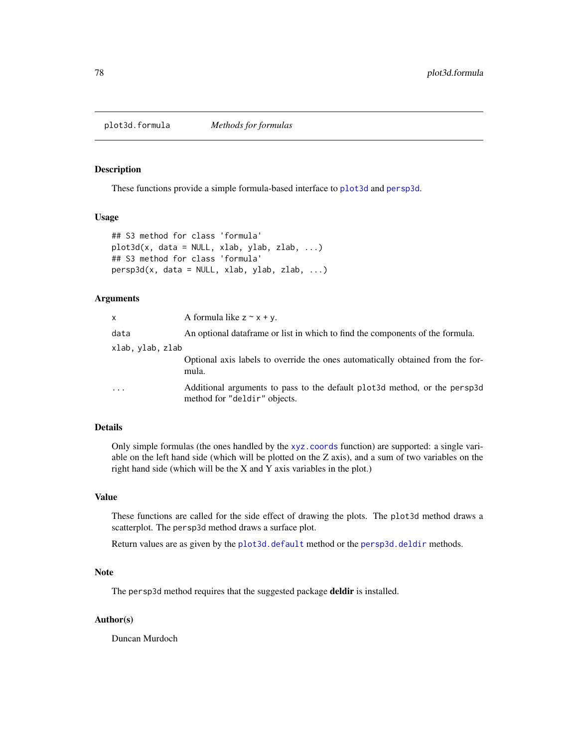plot3d.formula *Methods for formulas*

#### Description

These functions provide a simple formula-based interface to [plot3d](#page-74-0) and [persp3d](#page-59-0).

# Usage

```
## S3 method for class 'formula'
plot3d(x, data = NULL, xlab, ylab, zlab, ...)## S3 method for class 'formula'
persp3d(x, data = NULL, xlab, ylab, zlab, ...)
```
## Arguments

| X                | A formula like $z \sim x + y$ .                                                                            |
|------------------|------------------------------------------------------------------------------------------------------------|
| data             | An optional data frame or list in which to find the components of the formula.                             |
| xlab, ylab, zlab |                                                                                                            |
|                  | Optional axis labels to override the ones automatically obtained from the for-<br>mula.                    |
| $\ddotsc$        | Additional arguments to pass to the default plot 3d method, or the persp3d<br>method for "deldir" objects. |

## Details

Only simple formulas (the ones handled by the [xyz.coords](#page-0-0) function) are supported: a single variable on the left hand side (which will be plotted on the Z axis), and a sum of two variables on the right hand side (which will be the X and Y axis variables in the plot.)

## Value

These functions are called for the side effect of drawing the plots. The plot3d method draws a scatterplot. The persp3d method draws a surface plot.

Return values are as given by the [plot3d.default](#page-74-1) method or the [persp3d.deldir](#page-62-1) methods.

#### Note

The persp3d method requires that the suggested package deldir is installed.

## Author(s)

Duncan Murdoch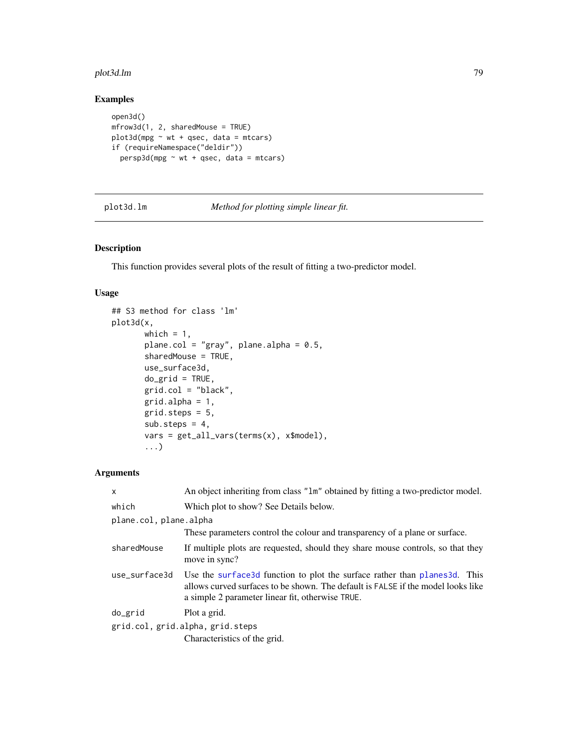#### plot3d.lm 79

# Examples

```
open3d()
mfrow3d(1, 2, sharedMouse = TRUE)
plot3d(mpg \sim wt + qsec, data = mtcars)if (requireNamespace("deldir"))
  persp3d(mpg ~ wt + qsec, data = mtcars)
```
plot3d.lm *Method for plotting simple linear fit.*

# Description

This function provides several plots of the result of fitting a two-predictor model.

## Usage

```
## S3 method for class 'lm'
plot3d(x,
       which = 1,
       plane.col = "gray", plane.alpha = 0.5,
       sharedMouse = TRUE,
       use_surface3d,
       do\_grid = TRUE,grid,col = "black",grid.alpha = 1,
       grid.steps = 5,
       sub. steps = 4,vars = get_all_vars(terms(x), x$model),
       ...)
```

| $\times$                         | An object inheriting from class "1m" obtained by fitting a two-predictor model.                                                                                                                                   |
|----------------------------------|-------------------------------------------------------------------------------------------------------------------------------------------------------------------------------------------------------------------|
| which                            | Which plot to show? See Details below.                                                                                                                                                                            |
| plane.col, plane.alpha           |                                                                                                                                                                                                                   |
|                                  | These parameters control the colour and transparency of a plane or surface.                                                                                                                                       |
| sharedMouse                      | If multiple plots are requested, should they share mouse controls, so that they<br>move in sync?                                                                                                                  |
| use surface3d                    | Use the surface3d function to plot the surface rather than planes3d. This<br>allows curved surfaces to be shown. The default is FALSE if the model looks like<br>a simple 2 parameter linear fit, otherwise TRUE. |
| do_grid                          | Plot a grid.                                                                                                                                                                                                      |
| grid.col, grid.alpha, grid.steps |                                                                                                                                                                                                                   |
|                                  | Characteristics of the grid.                                                                                                                                                                                      |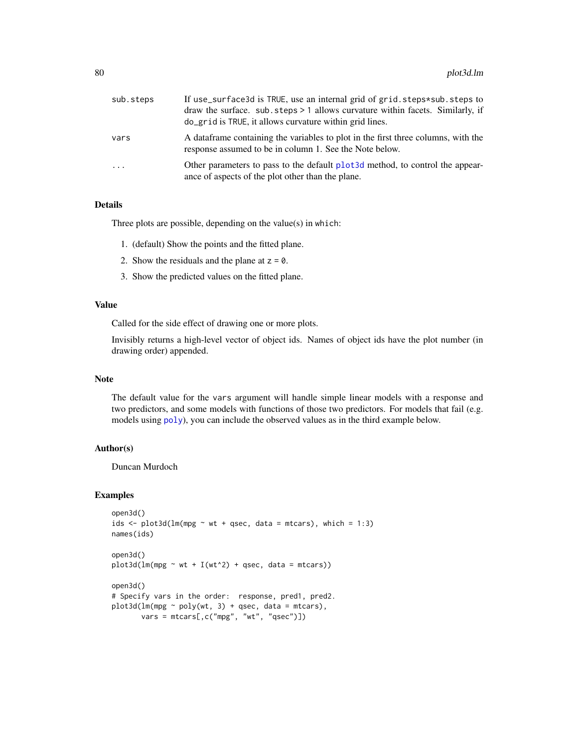| sub.steps | If use_surface3d is TRUE, use an internal grid of grid.steps*sub.steps to<br>draw the surface. sub. steps $> 1$ allows curvature within facets. Similarly, if<br>do_grid is TRUE, it allows curvature within grid lines. |  |
|-----------|--------------------------------------------------------------------------------------------------------------------------------------------------------------------------------------------------------------------------|--|
| vars      | A data frame containing the variables to plot in the first three columns, with the<br>response assumed to be in column 1. See the Note below.                                                                            |  |
| $\cdot$   | Other parameters to pass to the default plot 3d method, to control the appear-<br>ance of aspects of the plot other than the plane.                                                                                      |  |

## Details

Three plots are possible, depending on the value(s) in which:

- 1. (default) Show the points and the fitted plane.
- 2. Show the residuals and the plane at  $z = 0$ .
- 3. Show the predicted values on the fitted plane.

## Value

Called for the side effect of drawing one or more plots.

Invisibly returns a high-level vector of object ids. Names of object ids have the plot number (in drawing order) appended.

# Note

The default value for the vars argument will handle simple linear models with a response and two predictors, and some models with functions of those two predictors. For models that fail (e.g. models using [poly](#page-0-0)), you can include the observed values as in the third example below.

## Author(s)

Duncan Murdoch

#### Examples

```
open3d()
ids \le plot3d(lm(mpg \sim wt + qsec, data = mtcars), which = 1:3)
names(ids)
open3d()
plot3d(lm(mpg \sim wt + I(wt^2) + qsec, data = mtcars))open3d()
# Specify vars in the order: response, pred1, pred2.
plot3d(lm(mpg \sim poly(wt, 3) + qsec, data = mtcars),vars = mtcars[,c("mpg", "wt", "qsec")])
```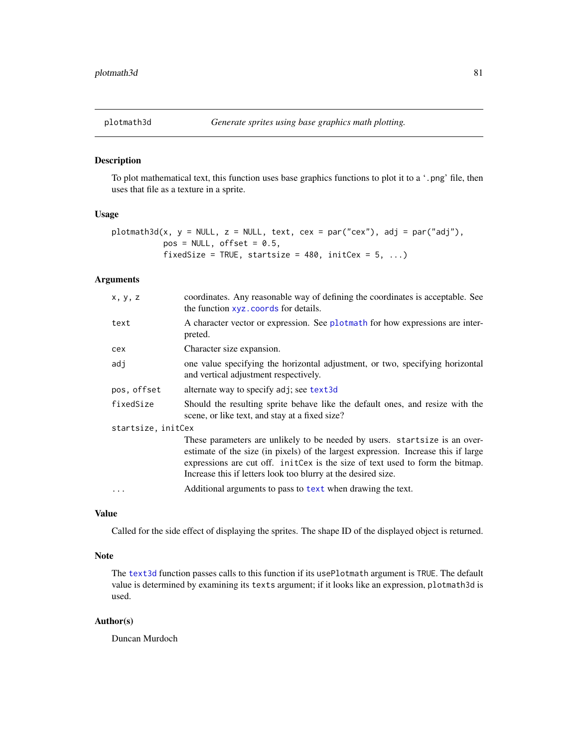# Description

To plot mathematical text, this function uses base graphics functions to plot it to a '.png' file, then uses that file as a texture in a sprite.

#### Usage

```
plotmath3d(x, y = NULL, z = NULL, text, cex = par("cex"), adj = par("adj"),
          pos = NULL, offset = 0.5,fixedSize = TRUE, startsize = 480, initCex = 5, ...)
```
# Arguments

| x, y, z            | coordinates. Any reasonable way of defining the coordinates is acceptable. See<br>the function xyz. coords for details.                                                                                                                                                                                            |  |
|--------------------|--------------------------------------------------------------------------------------------------------------------------------------------------------------------------------------------------------------------------------------------------------------------------------------------------------------------|--|
| text               | A character vector or expression. See plotmath for how expressions are inter-<br>preted.                                                                                                                                                                                                                           |  |
| cex                | Character size expansion.                                                                                                                                                                                                                                                                                          |  |
| adj                | one value specifying the horizontal adjustment, or two, specifying horizontal<br>and vertical adjustment respectively.                                                                                                                                                                                             |  |
| pos, offset        | alternate way to specify adj; see text3d                                                                                                                                                                                                                                                                           |  |
| fixedSize          | Should the resulting sprite behave like the default ones, and resize with the<br>scene, or like text, and stay at a fixed size?                                                                                                                                                                                    |  |
| startsize, initCex |                                                                                                                                                                                                                                                                                                                    |  |
|                    | These parameters are unlikely to be needed by users. startsize is an over-<br>estimate of the size (in pixels) of the largest expression. Increase this if large<br>expressions are cut off. initcex is the size of text used to form the bitmap.<br>Increase this if letters look too blurry at the desired size. |  |
|                    | Additional arguments to pass to text when drawing the text.                                                                                                                                                                                                                                                        |  |

## Value

Called for the side effect of displaying the sprites. The shape ID of the displayed object is returned.

## Note

The [text3d](#page-149-0) function passes calls to this function if its usePlotmath argument is TRUE. The default value is determined by examining its texts argument; if it looks like an expression, plotmath3d is used.

#### Author(s)

Duncan Murdoch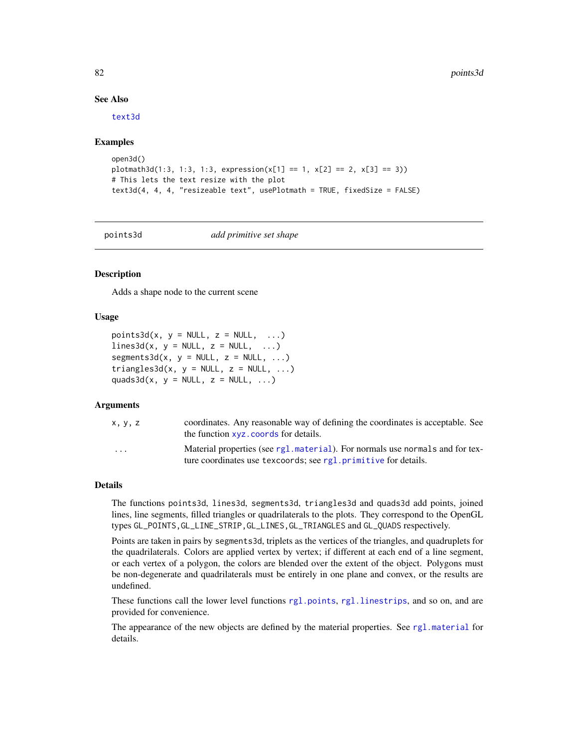82 points3d

#### See Also

[text3d](#page-149-0)

## Examples

```
open3d()
plotmath3d(1:3, 1:3, 1:3, expression(x[1] == 1, x[2] == 2, x[3] == 3))# This lets the text resize with the plot
text3d(4, 4, 4, "resizeable text", usePlotmath = TRUE, fixedSize = FALSE)
```
<span id="page-81-1"></span>

points3d *add primitive set shape*

# <span id="page-81-0"></span>**Description**

Adds a shape node to the current scene

## Usage

```
points3d(x, y = NULL, z = NULL, ...)
lines3d(x, y = NULL, z = NULL, ...)segments3d(x, y = NULL, z = NULL, ...)triangle3d(x, y = NULL, z = NULL, ...)quads3d(x, y = NULL, z = NULL, ...)
```
## Arguments

| x, y, z | coordinates. Any reasonable way of defining the coordinates is acceptable. See<br>the function xyz. coords for details.                         |
|---------|-------------------------------------------------------------------------------------------------------------------------------------------------|
| .       | Material properties (see rg1, material). For normals use normals and for tex-<br>ture coordinates use texcoords; see rgl.primitive for details. |

#### Details

The functions points3d, lines3d, segments3d, triangles3d and quads3d add points, joined lines, line segments, filled triangles or quadrilaterals to the plots. They correspond to the OpenGL types GL\_POINTS,GL\_LINE\_STRIP,GL\_LINES,GL\_TRIANGLES and GL\_QUADS respectively.

Points are taken in pairs by segments3d, triplets as the vertices of the triangles, and quadruplets for the quadrilaterals. Colors are applied vertex by vertex; if different at each end of a line segment, or each vertex of a polygon, the colors are blended over the extent of the object. Polygons must be non-degenerate and quadrilaterals must be entirely in one plane and convex, or the results are undefined.

These functions call the lower level functions [rgl.points](#page-105-1), [rgl.linestrips](#page-105-1), and so on, and are provided for convenience.

The appearance of the new objects are defined by the material properties. See [rgl.material](#page-98-1) for details.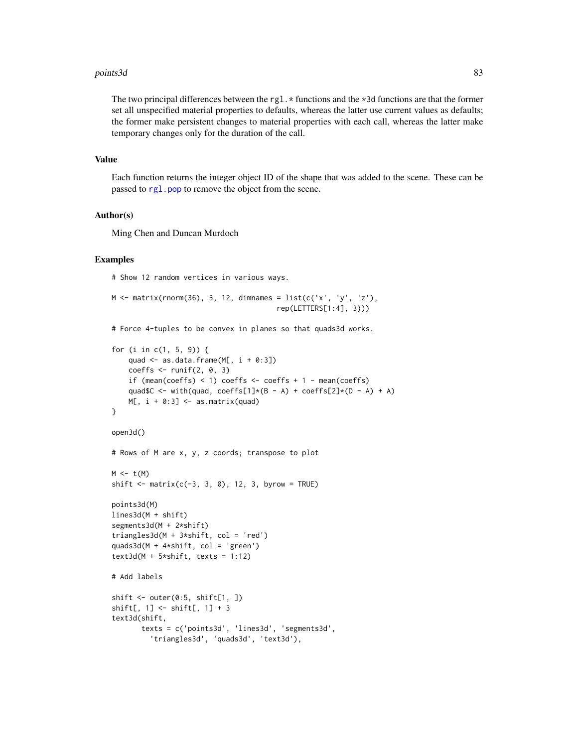#### points3d 83

The two principal differences between the rgl.  $\star$  functions and the  $\star$ 3d functions are that the former set all unspecified material properties to defaults, whereas the latter use current values as defaults; the former make persistent changes to material properties with each call, whereas the latter make temporary changes only for the duration of the call.

## Value

Each function returns the integer object ID of the shape that was added to the scene. These can be passed to [rgl.pop](#page-123-0) to remove the object from the scene.

## Author(s)

Ming Chen and Duncan Murdoch

#### Examples

# Show 12 random vertices in various ways.

```
M \leq - matrix(rnorm(36), 3, 12, dimnames = list(c('x', 'y', 'z'),
                                         rep(LETTERS[1:4], 3)))
```
# Force 4-tuples to be convex in planes so that quads3d works.

```
for (i in c(1, 5, 9)) {
    quad \leq as.data.frame(M[, i + 0:3])
    coeffs \le runif(2, 0, 3)
    if (mean(coeffs) < 1) coeffs <- coeffs + 1 - mean(coeffs)
    quad$C <- with(quad, coeffs[1]*(B - A) + coeffs[2]*(D - A) + A)
   M[, i + 0:3] < - as.matrix(quad)
}
open3d()
# Rows of M are x, y, z coords; transpose to plot
M \leftarrow t(M)shift \leq matrix(c(-3, 3, 0), 12, 3, byrow = TRUE)
points3d(M)
lines3d(M + shift)
segments3d(M + 2*shift)
triangles3d(M + 3*shift, col = 'red')
quads3d(M + 4*shift, col = 'green')
text3d(M + 5*shift, texts = 1:12)# Add labels
shift \leq outer(0:5, shift[1, ])
shift[, 1] <- shift[, 1] + 3
text3d(shift,
       texts = c('points3d', 'lines3d', 'segments3d',
         'triangles3d', 'quads3d', 'text3d'),
```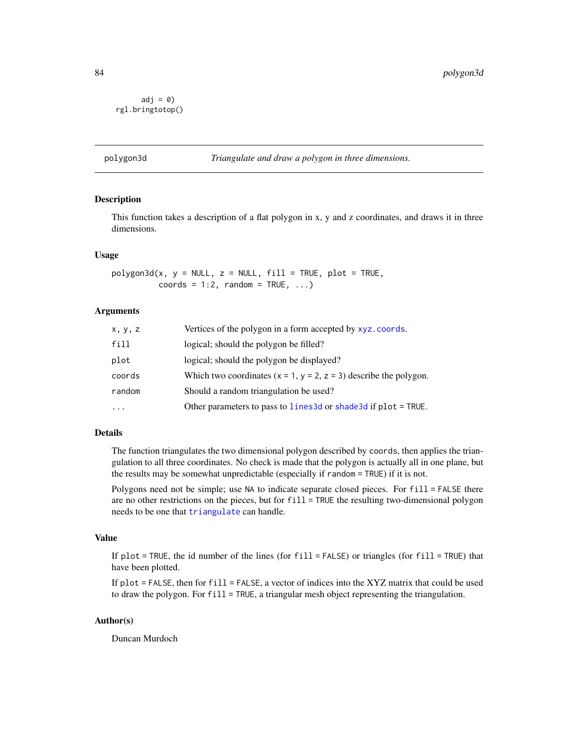```
adj = 0rgl.bringtotop()
```
## Description

This function takes a description of a flat polygon in x, y and z coordinates, and draws it in three dimensions.

## Usage

 $polygon3d(x, y = NULL, z = NULL, fill = TRUE, plot = TRUE,$ coords =  $1:2$ , random = TRUE, ...)

# Arguments

| X, Y, Z | Vertices of the polygon in a form accepted by xyz.coords.           |
|---------|---------------------------------------------------------------------|
| fill    | logical; should the polygon be filled?                              |
| plot    | logical; should the polygon be displayed?                           |
| coords  | Which two coordinates $(x = 1, y = 2, z = 3)$ describe the polygon. |
| random  | Should a random triangulation be used?                              |
|         | Other parameters to pass to lines 3d or shade 3d if plot = TRUE.    |

#### Details

The function triangulates the two dimensional polygon described by coords, then applies the triangulation to all three coordinates. No check is made that the polygon is actually all in one plane, but the results may be somewhat unpredictable (especially if random = TRUE) if it is not.

Polygons need not be simple; use NA to indicate separate closed pieces. For fill = FALSE there are no other restrictions on the pieces, but for fill = TRUE the resulting two-dimensional polygon needs to be one that [triangulate](#page-159-0) can handle.

#### Value

If plot = TRUE, the id number of the lines (for  $fill = FALSE$ ) or triangles (for  $fill = TRUE$ ) that have been plotted.

If plot  $=$  FALSE, then for fill  $=$  FALSE, a vector of indices into the XYZ matrix that could be used to draw the polygon. For fill = TRUE, a triangular mesh object representing the triangulation.

## Author(s)

Duncan Murdoch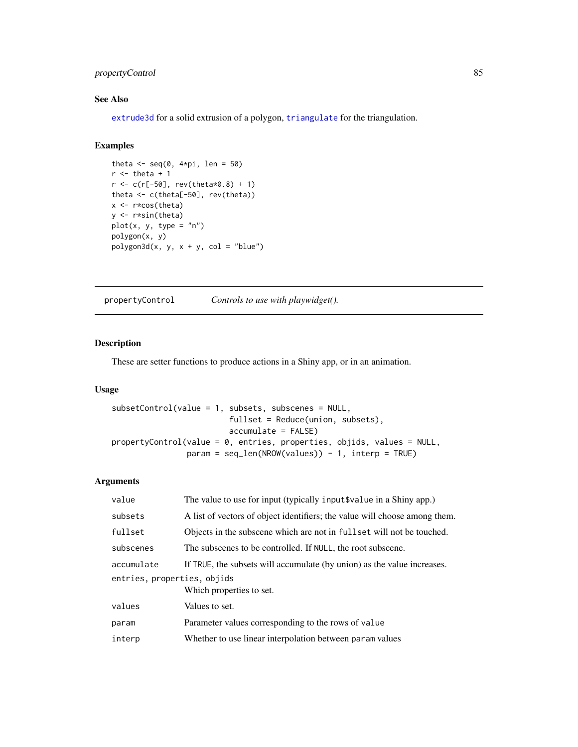# propertyControl 85

# See Also

[extrude3d](#page-34-0) for a solid extrusion of a polygon, [triangulate](#page-159-0) for the triangulation.

# Examples

```
theta \leq seq(0, 4*pi, len = 50)
r <- theta + 1
r < -c(r[-50], rev(the tax 0.8) + 1)theta <- c(theta[-50], rev(theta))
x <- r*cos(theta)
y <- r*sin(theta)
plot(x, y, type = "n")polygon(x, y)
polygon3d(x, y, x + y, col = "blue")
```
<span id="page-84-0"></span>propertyControl *Controls to use with playwidget().*

# <span id="page-84-1"></span>Description

These are setter functions to produce actions in a Shiny app, or in an animation.

# Usage

```
subsetControl(value = 1, subsets, subscenes = NULL,
                         fullset = Reduce(union, subsets),
                         accumulate = FALSE)
propertyControl(value = 0, entries, properties, objids, values = NULL,
                param = seq_len(NROW(values)) - 1, interp = TRUE)
```

| value                       | The value to use for input (typically input \$value in a Shiny app.)       |  |
|-----------------------------|----------------------------------------------------------------------------|--|
| subsets                     | A list of vectors of object identifiers; the value will choose among them. |  |
| fullset                     | Objects in the subscene which are not in fullet will not be touched.       |  |
| subscenes                   | The subscenes to be controlled. If NULL, the root subscene.                |  |
| accumulate                  | If TRUE, the subsets will accumulate (by union) as the value increases.    |  |
| entries, properties, objids |                                                                            |  |
|                             | Which properties to set.                                                   |  |
| values                      | Values to set.                                                             |  |
| param                       | Parameter values corresponding to the rows of value                        |  |
| interp                      | Whether to use linear interpolation between param values                   |  |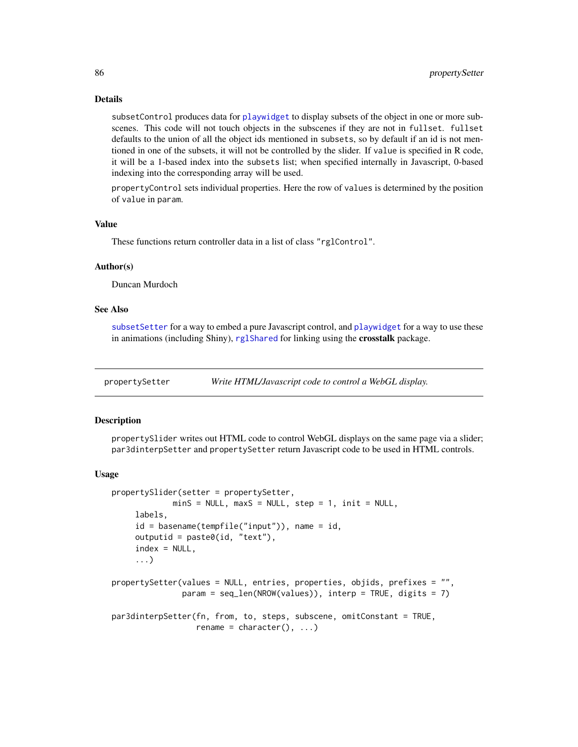## Details

subsetControl produces data for [playwidget](#page-72-0) to display subsets of the object in one or more subscenes. This code will not touch objects in the subscenes if they are not in fullset. fullset defaults to the union of all the object ids mentioned in subsets, so by default if an id is not mentioned in one of the subsets, it will not be controlled by the slider. If value is specified in R code, it will be a 1-based index into the subsets list; when specified internally in Javascript, 0-based indexing into the corresponding array will be used.

propertyControl sets individual properties. Here the row of values is determined by the position of value in param.

## Value

These functions return controller data in a list of class "rglControl".

#### Author(s)

Duncan Murdoch

## See Also

[subsetSetter](#page-164-0) for a way to embed a pure Javascript control, and [playwidget](#page-72-0) for a way to use these in animations (including Shiny), [rglShared](#page-118-0) for linking using the crosstalk package.

propertySetter *Write HTML/Javascript code to control a WebGL display.*

## **Description**

propertySlider writes out HTML code to control WebGL displays on the same page via a slider; par3dinterpSetter and propertySetter return Javascript code to be used in HTML controls.

#### Usage

```
propertySlider(setter = propertySetter,
             minS = NULL, maxS = NULL, step = 1, init = NULL,
     labels,
     id = basename(tempfile("input")), name = id,
     outputid = past@(id, "text"),
     index = NULL,...)
propertySetter(values = NULL, entries, properties, objids, prefixes = "",
               param = seq_len(NROW(values)), interp = TRUE, digits = 7)
par3dinterpSetter(fn, from, to, steps, subscene, omitConstant = TRUE,
                  rename = character(), ...)
```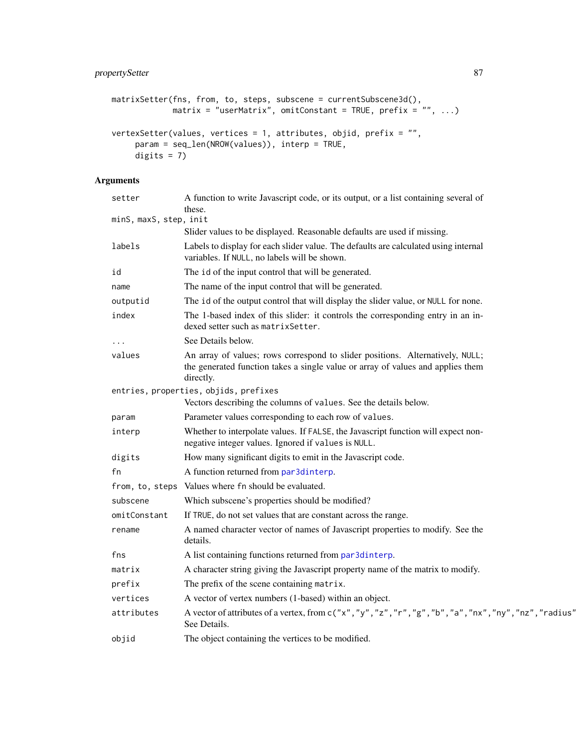```
matrixSetter(fns, from, to, steps, subscene = currentSubscene3d(),
             \text{matrix} = \text{"userMatrix"}, omitConstant = TRUE, prefix = "", ...)
vertexSetter(values, vertices = 1, attributes, objid, prefix = "",
     param = seq_len(NROW(values)), interp = TRUE,
     digits = 7)
```

|                        | setter       | A function to write Javascript code, or its output, or a list containing several of<br>these.                                                                                 |
|------------------------|--------------|-------------------------------------------------------------------------------------------------------------------------------------------------------------------------------|
| minS, maxS, step, init |              |                                                                                                                                                                               |
|                        |              | Slider values to be displayed. Reasonable defaults are used if missing.                                                                                                       |
|                        | labels       | Labels to display for each slider value. The defaults are calculated using internal<br>variables. If NULL, no labels will be shown.                                           |
|                        | id           | The id of the input control that will be generated.                                                                                                                           |
|                        | name         | The name of the input control that will be generated.                                                                                                                         |
|                        | outputid     | The id of the output control that will display the slider value, or NULL for none.                                                                                            |
|                        | index        | The 1-based index of this slider: it controls the corresponding entry in an in-<br>dexed setter such as matrix Setter.                                                        |
|                        |              | See Details below.                                                                                                                                                            |
|                        | values       | An array of values; rows correspond to slider positions. Alternatively, NULL;<br>the generated function takes a single value or array of values and applies them<br>directly. |
|                        |              | entries, properties, objids, prefixes                                                                                                                                         |
|                        |              | Vectors describing the columns of values. See the details below.                                                                                                              |
|                        | param        | Parameter values corresponding to each row of values.                                                                                                                         |
|                        | interp       | Whether to interpolate values. If FALSE, the Javascript function will expect non-<br>negative integer values. Ignored if values is NULL.                                      |
|                        | digits       | How many significant digits to emit in the Javascript code.                                                                                                                   |
|                        | fn           | A function returned from par3dinterp.                                                                                                                                         |
|                        |              | from, to, steps Values where fn should be evaluated.                                                                                                                          |
|                        | subscene     | Which subscene's properties should be modified?                                                                                                                               |
|                        | omitConstant | If TRUE, do not set values that are constant across the range.                                                                                                                |
|                        | rename       | A named character vector of names of Javascript properties to modify. See the<br>details.                                                                                     |
|                        | fns          | A list containing functions returned from par3dinterp.                                                                                                                        |
|                        | matrix       | A character string giving the Javascript property name of the matrix to modify.                                                                                               |
|                        | prefix       | The prefix of the scene containing matrix.                                                                                                                                    |
|                        | vertices     | A vector of vertex numbers (1-based) within an object.                                                                                                                        |
|                        | attributes   | A vector of attributes of a vertex, from c("x","y","z","r","g","b","a","nx","ny","nz","radius"<br>See Details.                                                                |
|                        | objid        | The object containing the vertices to be modified.                                                                                                                            |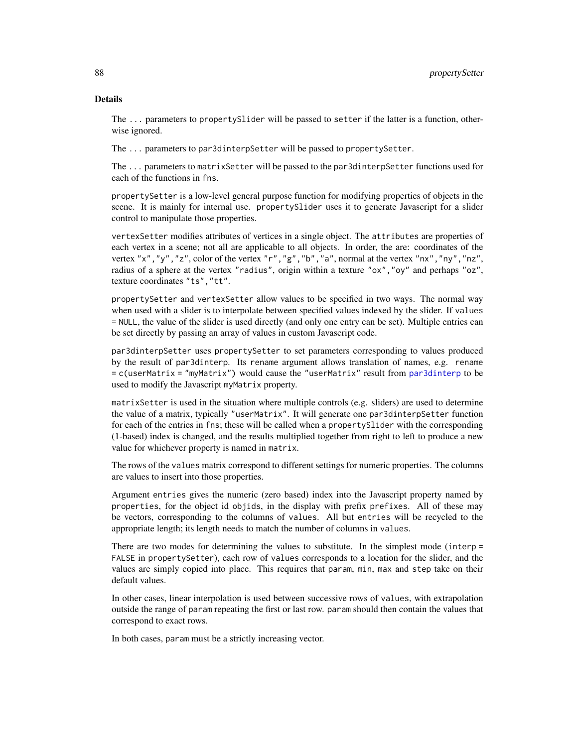## Details

The ... parameters to propertySlider will be passed to setter if the latter is a function, otherwise ignored.

The ... parameters to par3dinterpSetter will be passed to propertySetter.

The ... parameters to matrixSetter will be passed to the par3dinterpSetter functions used for each of the functions in fns.

propertySetter is a low-level general purpose function for modifying properties of objects in the scene. It is mainly for internal use. propertySlider uses it to generate Javascript for a slider control to manipulate those properties.

vertexSetter modifies attributes of vertices in a single object. The attributes are properties of each vertex in a scene; not all are applicable to all objects. In order, the are: coordinates of the vertex "x", "y", "z", color of the vertex "r", "g", "b", "a", normal at the vertex "nx", "ny", "nz", radius of a sphere at the vertex "radius", origin within a texture "ox","oy" and perhaps "oz", texture coordinates "ts","tt".

propertySetter and vertexSetter allow values to be specified in two ways. The normal way when used with a slider is to interpolate between specified values indexed by the slider. If values = NULL, the value of the slider is used directly (and only one entry can be set). Multiple entries can be set directly by passing an array of values in custom Javascript code.

par3dinterpSetter uses propertySetter to set parameters corresponding to values produced by the result of par3dinterp. Its rename argument allows translation of names, e.g. rename = c(userMatrix = "myMatrix") would cause the "userMatrix" result from [par3dinterp](#page-55-0) to be used to modify the Javascript myMatrix property.

matrixSetter is used in the situation where multiple controls (e.g. sliders) are used to determine the value of a matrix, typically "userMatrix". It will generate one par3dinterpSetter function for each of the entries in fns; these will be called when a propertySlider with the corresponding (1-based) index is changed, and the results multiplied together from right to left to produce a new value for whichever property is named in matrix.

The rows of the values matrix correspond to different settings for numeric properties. The columns are values to insert into those properties.

Argument entries gives the numeric (zero based) index into the Javascript property named by properties, for the object id objids, in the display with prefix prefixes. All of these may be vectors, corresponding to the columns of values. All but entries will be recycled to the appropriate length; its length needs to match the number of columns in values.

There are two modes for determining the values to substitute. In the simplest mode (interp = FALSE in propertySetter), each row of values corresponds to a location for the slider, and the values are simply copied into place. This requires that param, min, max and step take on their default values.

In other cases, linear interpolation is used between successive rows of values, with extrapolation outside the range of param repeating the first or last row. param should then contain the values that correspond to exact rows.

In both cases, param must be a strictly increasing vector.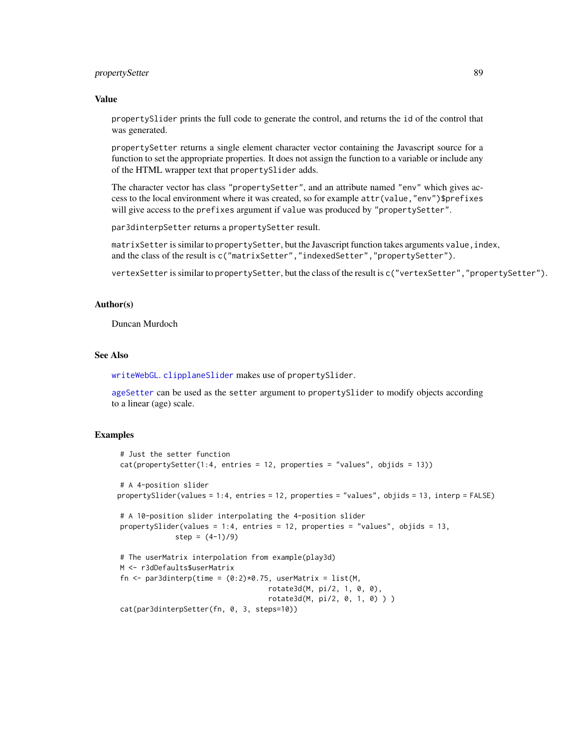# propertySetter 89

## Value

propertySlider prints the full code to generate the control, and returns the id of the control that was generated.

propertySetter returns a single element character vector containing the Javascript source for a function to set the appropriate properties. It does not assign the function to a variable or include any of the HTML wrapper text that propertySlider adds.

The character vector has class "propertySetter", and an attribute named "env" which gives access to the local environment where it was created, so for example attr(value,"env")\$prefixes will give access to the prefixes argument if value was produced by "propertySetter".

par3dinterpSetter returns a propertySetter result.

matrixSetter is similar to propertySetter, but the Javascript function takes arguments value, index, and the class of the result is c("matrixSetter","indexedSetter","propertySetter").

vertexSetter is similar to propertySetter, but the class of the result is c("vertexSetter","propertySetter").

## Author(s)

Duncan Murdoch

## See Also

[writeWebGL](#page-171-0). [clipplaneSlider](#page-164-0) makes use of propertySlider.

[ageSetter](#page-8-0) can be used as the setter argument to propertySlider to modify objects according to a linear (age) scale.

# Examples

```
# Just the setter function
cat(propertySetter(1:4, entries = 12, properties = "values", objids = 13))
# A 4-position slider
propertySlider(values = 1:4, entries = 12, properties = "values", objids = 13, interp = FALSE)
# A 10-position slider interpolating the 4-position slider
propertySlider(values = 1:4, entries = 12, properties = "values", objids = 13,
             step = (4-1)/9)
# The userMatrix interpolation from example(play3d)
M <- r3dDefaults$userMatrix
fn \leq par3dinterp(time = (0:2)*0.75, userMatrix = list(M,
                                   rotate3d(M, pi/2, 1, 0, 0),
                                   rotate3d(M, pi/2, 0, 1, 0) ) )
cat(par3dinterpSetter(fn, 0, 3, steps=10))
```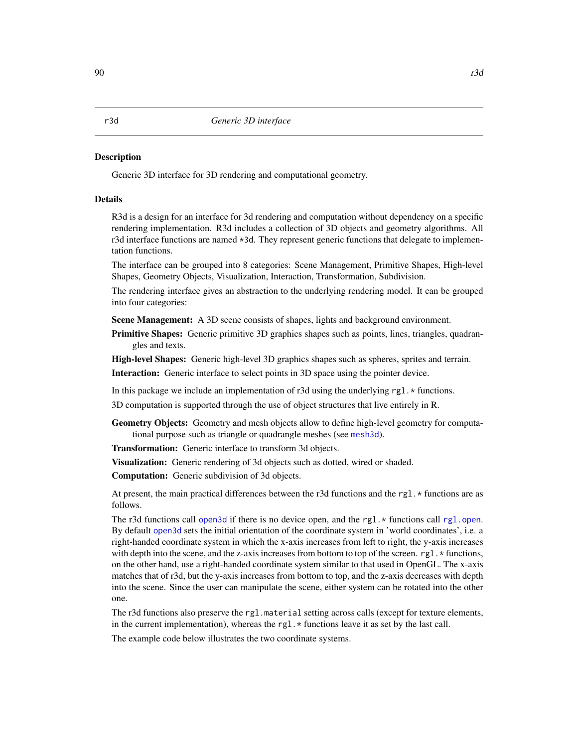#### <span id="page-89-0"></span>Description

Generic 3D interface for 3D rendering and computational geometry.

#### Details

R3d is a design for an interface for 3d rendering and computation without dependency on a specific rendering implementation. R3d includes a collection of 3D objects and geometry algorithms. All r3d interface functions are named \*3d. They represent generic functions that delegate to implementation functions.

The interface can be grouped into 8 categories: Scene Management, Primitive Shapes, High-level Shapes, Geometry Objects, Visualization, Interaction, Transformation, Subdivision.

The rendering interface gives an abstraction to the underlying rendering model. It can be grouped into four categories:

Scene Management: A 3D scene consists of shapes, lights and background environment.

**Primitive Shapes:** Generic primitive 3D graphics shapes such as points, lines, triangles, quadrangles and texts.

High-level Shapes: Generic high-level 3D graphics shapes such as spheres, sprites and terrain.

Interaction: Generic interface to select points in 3D space using the pointer device.

In this package we include an implementation of r3d using the underlying rgl.  $\star$  functions.

3D computation is supported through the use of object structures that live entirely in R.

Geometry Objects: Geometry and mesh objects allow to define high-level geometry for computational purpose such as triangle or quadrangle meshes (see [mesh3d](#page-45-1)).

Transformation: Generic interface to transform 3d objects.

Visualization: Generic rendering of 3d objects such as dotted, wired or shaded.

Computation: Generic subdivision of 3d objects.

At present, the main practical differences between the r3d functions and the rgl.  $\star$  functions are as follows.

The r3d functions call [open3d](#page-50-1) if there is no device open, and the rgl. $*$  functions call [rgl.open](#page-101-0). By default [open3d](#page-50-1) sets the initial orientation of the coordinate system in 'world coordinates', i.e. a right-handed coordinate system in which the x-axis increases from left to right, the y-axis increases with depth into the scene, and the z-axis increases from bottom to top of the screen.  $rgl.*$  functions, on the other hand, use a right-handed coordinate system similar to that used in OpenGL. The x-axis matches that of r3d, but the y-axis increases from bottom to top, and the z-axis decreases with depth into the scene. Since the user can manipulate the scene, either system can be rotated into the other one.

The r3d functions also preserve the rgl.material setting across calls (except for texture elements, in the current implementation), whereas the rg1. $\star$  functions leave it as set by the last call.

The example code below illustrates the two coordinate systems.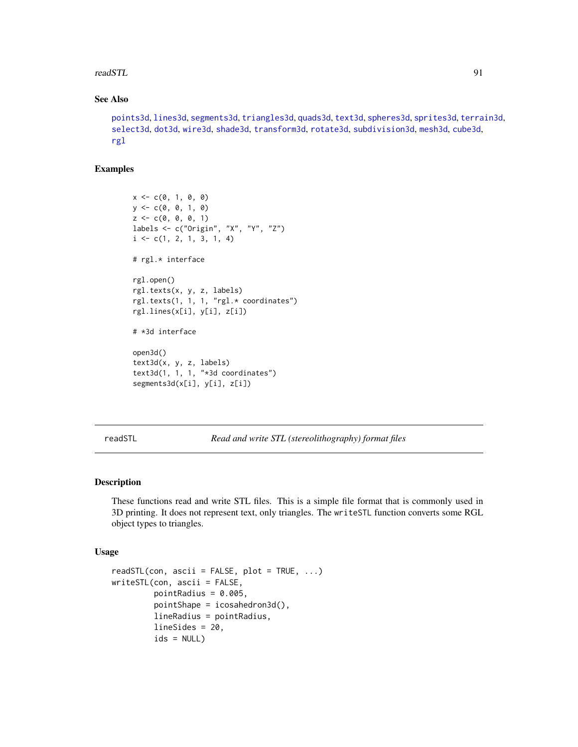## readSTL 91

# See Also

```
points3d, lines3d, segments3d, triangles3d, quads3d, text3d, spheres3d, sprites3d, terrain3d,
select3d, dot3d, wire3d, shade3d, transform3d, rotate3d, subdivision3d, mesh3d, cube3d,
rgl
```
## Examples

```
x \leq -c(0, 1, 0, 0)y \leq -c(0, 0, 1, 0)z \leq c(\emptyset, \emptyset, \emptyset, 1)labels <- c("Origin", "X", "Y", "Z")
i \leftarrow c(1, 2, 1, 3, 1, 4)# rgl.* interface
rgl.open()
rgl.texts(x, y, z, labels)
rgl.texts(1, 1, 1, "rgl.* coordinates")
rgl.lines(x[i], y[i], z[i])
# *3d interface
open3d()
text3d(x, y, z, labels)
text3d(1, 1, 1, "*3d coordinates")
segments3d(x[i], y[i], z[i])
```
readSTL *Read and write STL (stereolithography) format files*

# <span id="page-90-0"></span>Description

These functions read and write STL files. This is a simple file format that is commonly used in 3D printing. It does not represent text, only triangles. The writeSTL function converts some RGL object types to triangles.

#### Usage

```
readSTL(con, ascii = FALSE, plot = TRUE, ...)
writeSTL(con, ascii = FALSE,
         pointRadius = 0.005,
         pointShape = icosahedron3d(),
         lineRadius = pointRadius,
         lineSides = 20,
         ids = NULL)
```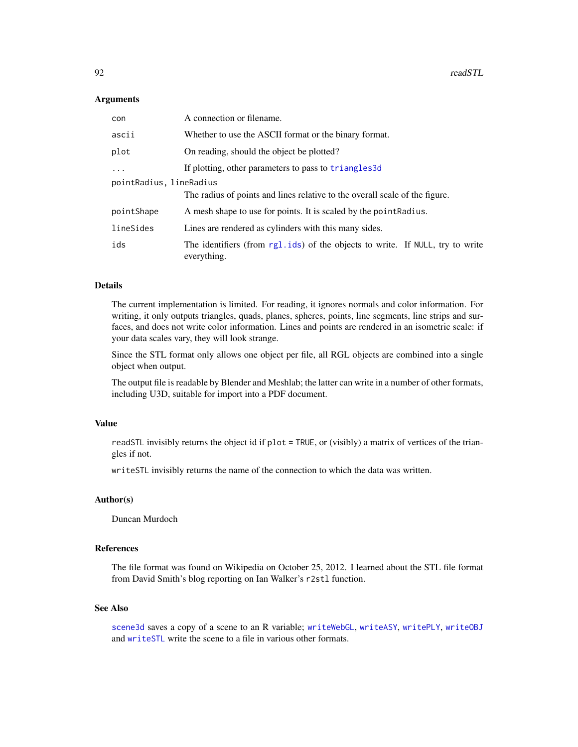## **Arguments**

| con                     | A connection or filename.                                                                    |
|-------------------------|----------------------------------------------------------------------------------------------|
| ascii                   | Whether to use the ASCII format or the binary format.                                        |
| plot                    | On reading, should the object be plotted?                                                    |
| $\ddots$                | If plotting, other parameters to pass to triangles3d                                         |
| pointRadius, lineRadius |                                                                                              |
|                         | The radius of points and lines relative to the overall scale of the figure.                  |
| pointShape              | A mesh shape to use for points. It is scaled by the point Radius.                            |
| lineSides               | Lines are rendered as cylinders with this many sides.                                        |
| ids                     | The identifiers (from rg1.ids) of the objects to write. If NULL, try to write<br>everything. |

# Details

The current implementation is limited. For reading, it ignores normals and color information. For writing, it only outputs triangles, quads, planes, spheres, points, line segments, line strips and surfaces, and does not write color information. Lines and points are rendered in an isometric scale: if your data scales vary, they will look strange.

Since the STL format only allows one object per file, all RGL objects are combined into a single object when output.

The output file is readable by Blender and Meshlab; the latter can write in a number of other formats, including U3D, suitable for import into a PDF document.

## Value

readSTL invisibly returns the object id if plot = TRUE, or (visibly) a matrix of vertices of the triangles if not.

writeSTL invisibly returns the name of the connection to which the data was written.

## Author(s)

Duncan Murdoch

## References

The file format was found on Wikipedia on October 25, 2012. I learned about the STL file format from David Smith's blog reporting on Ian Walker's r2stl function.

## See Also

[scene3d](#page-124-0) saves a copy of a scene to an R variable; [writeWebGL](#page-171-0), [writeASY](#page-166-0), [writePLY](#page-170-0), [writeOBJ](#page-168-0) and [writeSTL](#page-90-0) write the scene to a file in various other formats.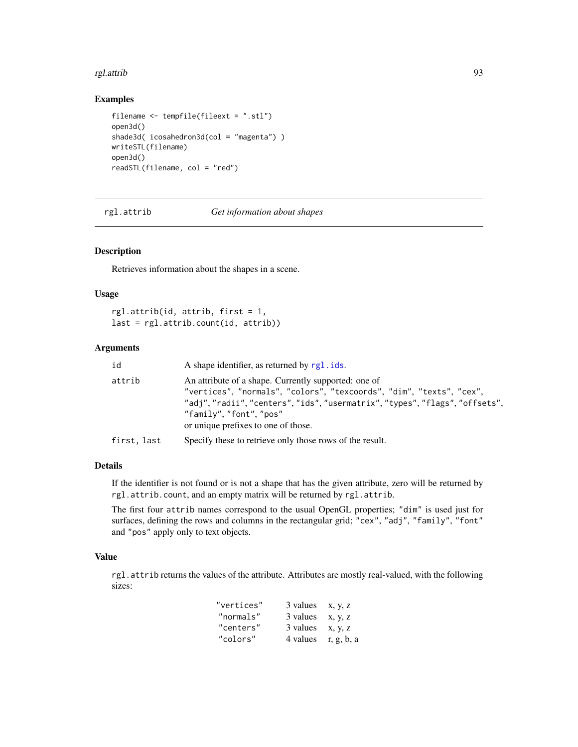#### rgl.attrib 93

## Examples

```
filename <- tempfile(fileext = ".stl")
open3d()
shade3d( icosahedron3d(col = "magenta") )
writeSTL(filename)
open3d()
readSTL(filename, col = "red")
```
<span id="page-92-0"></span>rgl.attrib *Get information about shapes*

## Description

Retrieves information about the shapes in a scene.

#### Usage

rgl.attrib(id, attrib, first = 1, last = rgl.attrib.count(id, attrib))

# Arguments

| id          | A shape identifier, as returned by rgl. ids.                                                                                                                                                                                                                          |
|-------------|-----------------------------------------------------------------------------------------------------------------------------------------------------------------------------------------------------------------------------------------------------------------------|
| attrib      | An attribute of a shape. Currently supported: one of<br>"vertices", "normals", "colors", "texcoords", "dim", "texts", "cex",<br>"adj","radii","centers","ids","usermatrix","types","flags","offsets",<br>"family"."font"."pos"<br>or unique prefixes to one of those. |
| first, last | Specify these to retrieve only those rows of the result.                                                                                                                                                                                                              |

## Details

If the identifier is not found or is not a shape that has the given attribute, zero will be returned by rgl.attrib.count, and an empty matrix will be returned by rgl.attrib.

The first four attrib names correspond to the usual OpenGL properties; "dim" is used just for surfaces, defining the rows and columns in the rectangular grid; "cex", "adj", "family", "font" and "pos" apply only to text objects.

## Value

rgl.attrib returns the values of the attribute. Attributes are mostly real-valued, with the following sizes:

| "vertices" | 3 values | X, y, Z    |
|------------|----------|------------|
| "normals"  | 3 values | x, y, z    |
| "centers"  | 3 values | X, y, Z    |
| "colors"   | 4 values | r, g, b, a |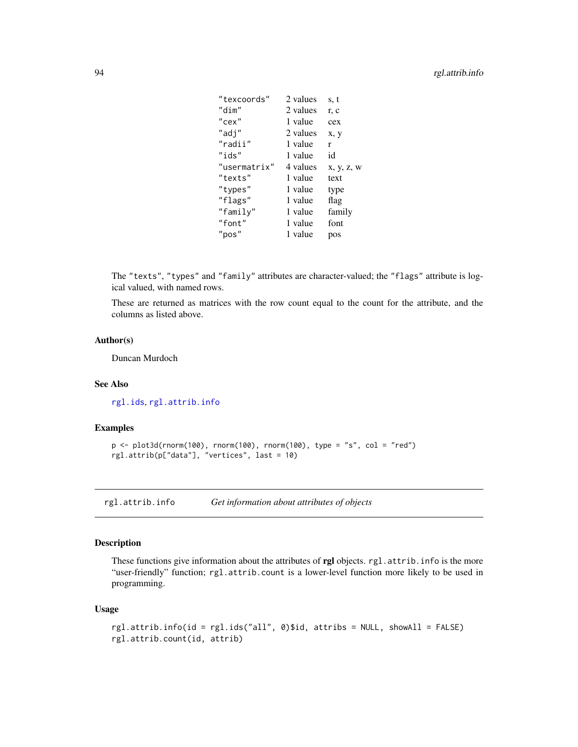| "texcoords"  | 2 values | s, t       |
|--------------|----------|------------|
| "dim"        | 2 values | r, c       |
| $"$ cex"     | 1 value  | cex        |
| "adj"        | 2 values | x, y       |
| "radii"      | 1 value  | r          |
| "ids"        | 1 value  | id         |
| "usermatrix" | 4 values | x, y, z, w |
| "texts"      | 1 value  | text       |
| "types"      | 1 value  | type       |
| "flags"      | 1 value  | flag       |
| "family"     | 1 value  | family     |
| "font"       | 1 value  | font       |
| "pos"        | 1 value  | pos        |

The "texts", "types" and "family" attributes are character-valued; the "flags" attribute is logical valued, with named rows.

These are returned as matrices with the row count equal to the count for the attribute, and the columns as listed above.

# Author(s)

Duncan Murdoch

# See Also

[rgl.ids](#page-123-0), [rgl.attrib.info](#page-93-0)

## Examples

```
p \leftarrow plot3d(rnorm(100), rnorm(100), rnorm(100), type = "s", col = "red")rgl.attrib(p["data"], "vertices", last = 10)
```
<span id="page-93-0"></span>rgl.attrib.info *Get information about attributes of objects*

## Description

These functions give information about the attributes of rgl objects. rgl.attrib.info is the more "user-friendly" function; rgl.attrib.count is a lower-level function more likely to be used in programming.

## Usage

```
rgl.attrib.info(id = rgl.ids("all", 0)$id, attribs = NULL, showAll = FALSE)
rgl.attrib.count(id, attrib)
```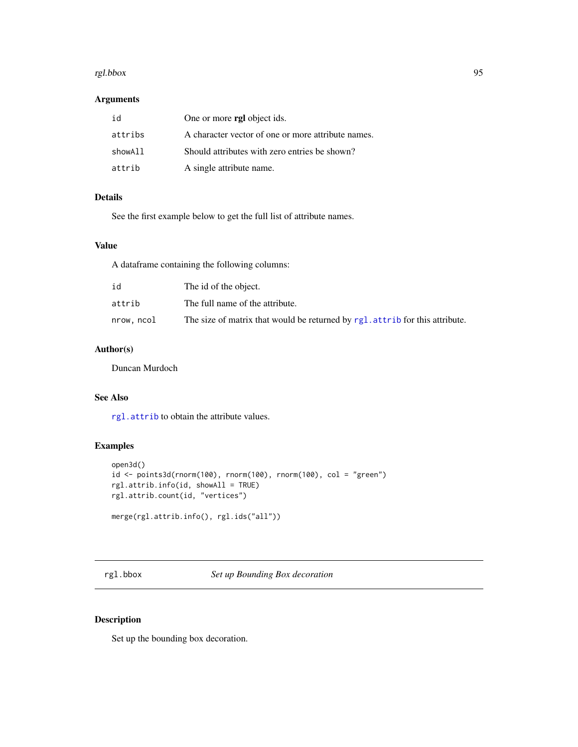#### rgl.bbox 95

## Arguments

| id      | One or more rgl object ids.                        |
|---------|----------------------------------------------------|
| attribs | A character vector of one or more attribute names. |
| showAll | Should attributes with zero entries be shown?      |
| attrib  | A single attribute name.                           |

# Details

See the first example below to get the full list of attribute names.

# Value

A dataframe containing the following columns:

| id         | The id of the object.                                                           |
|------------|---------------------------------------------------------------------------------|
| attrib     | The full name of the attribute.                                                 |
| nrow, ncol | The size of matrix that would be returned by rgl. attribute for this attribute. |

# Author(s)

Duncan Murdoch

# See Also

[rgl.attrib](#page-92-0) to obtain the attribute values.

# Examples

```
open3d()
id \leq points3d(rnorm(100), rnorm(100), rnorm(100), col = "green")rgl.attrib.info(id, showAll = TRUE)
rgl.attrib.count(id, "vertices")
merge(rgl.attrib.info(), rgl.ids("all"))
```
<span id="page-94-0"></span>rgl.bbox *Set up Bounding Box decoration*

# <span id="page-94-1"></span>Description

Set up the bounding box decoration.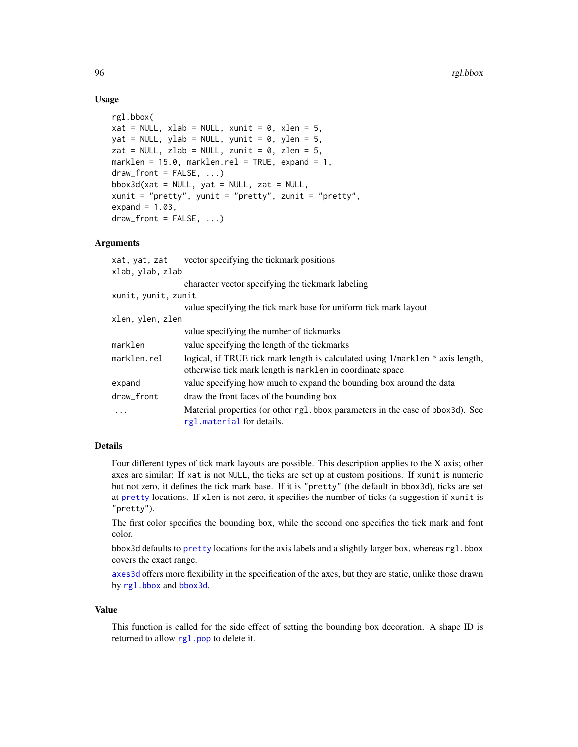## Usage

```
rgl.bbox(
xat = NULL, xlab = NULL, xunit = 0, xlen = 5,
yat = NULL, ylab = NULL, yunit = 0, ylen = 5,
zat = NULL, zlab = NULL, zunit = 0, zlen = 5,
marklen = 15.0, marklen.rel = TRUE, expand = 1,
draw_front = FALSE, ...)bbox3d(xat = NULL, yat = NULL, zat = NULL,xunit = "pretty", yunit = "pretty", zunit = "pretty",
expand = 1.03,
draw_front = FALSE, ...)
```
## Arguments

| vector specifying the tickmark positions                                                                                                    |
|---------------------------------------------------------------------------------------------------------------------------------------------|
| xlab, ylab, zlab                                                                                                                            |
| character vector specifying the tickmark labeling                                                                                           |
| xunit, yunit, zunit                                                                                                                         |
| value specifying the tick mark base for uniform tick mark layout                                                                            |
| xlen, ylen, zlen                                                                                                                            |
| value specifying the number of tickmarks                                                                                                    |
| value specifying the length of the tickmarks                                                                                                |
| logical, if TRUE tick mark length is calculated using 1/marklen * axis length,<br>otherwise tick mark length is marklen in coordinate space |
| value specifying how much to expand the bounding box around the data                                                                        |
| draw the front faces of the bounding box                                                                                                    |
| Material properties (or other rg1.bbox parameters in the case of bbox3d). See<br>rgl. material for details.                                 |
|                                                                                                                                             |

# Details

Four different types of tick mark layouts are possible. This description applies to the X axis; other axes are similar: If xat is not NULL, the ticks are set up at custom positions. If xunit is numeric but not zero, it defines the tick mark base. If it is "pretty" (the default in bbox3d), ticks are set at [pretty](#page-0-0) locations. If xlen is not zero, it specifies the number of ticks (a suggestion if xunit is "pretty").

The first color specifies the bounding box, while the second one specifies the tick mark and font color.

bbox3d defaults to [pretty](#page-0-0) locations for the axis labels and a slightly larger box, whereas rgl.bbox covers the exact range.

[axes3d](#page-22-0) offers more flexibility in the specification of the axes, but they are static, unlike those drawn by [rgl.bbox](#page-94-0) and [bbox3d](#page-94-1).

#### Value

This function is called for the side effect of setting the bounding box decoration. A shape ID is returned to allow [rgl.pop](#page-123-0) to delete it.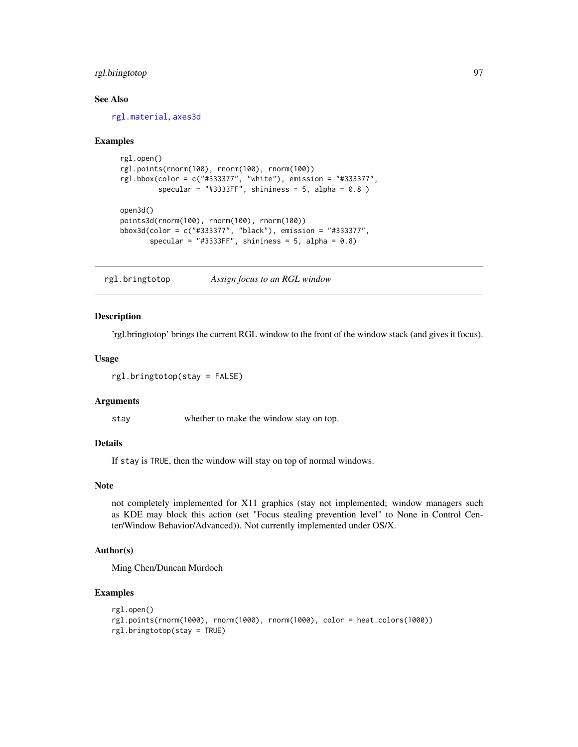# rgl.bringtotop 97

## See Also

[rgl.material](#page-98-1), [axes3d](#page-22-0)

## Examples

```
rgl.open()
rgl.points(rnorm(100), rnorm(100), rnorm(100))
rgl.bbox(color = c("#333377", "white"), emission = "#333377",
         specular = "#3333FF", shininess = 5, alpha = 0.8)
open3d()
points3d(rnorm(100), rnorm(100), rnorm(100))
bbox3d(color = c("#333377", "black"), emission = "#333377",
       specular = "#3333FF", shininess = 5, alpha = 0.8)
```
rgl.bringtotop *Assign focus to an RGL window*

# Description

'rgl.bringtotop' brings the current RGL window to the front of the window stack (and gives it focus).

## Usage

```
rgl.bringtotop(stay = FALSE)
```
#### Arguments

stay whether to make the window stay on top.

## Details

If stay is TRUE, then the window will stay on top of normal windows.

#### Note

not completely implemented for X11 graphics (stay not implemented; window managers such as KDE may block this action (set "Focus stealing prevention level" to None in Control Center/Window Behavior/Advanced)). Not currently implemented under OS/X.

# Author(s)

Ming Chen/Duncan Murdoch

#### Examples

```
rgl.open()
rgl.points(rnorm(1000), rnorm(1000), rnorm(1000), color = heat.colors(1000))
rgl.bringtotop(stay = TRUE)
```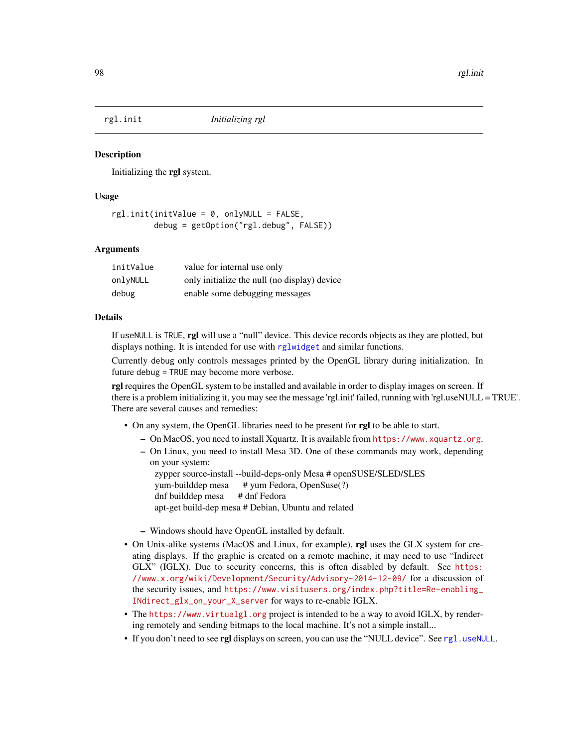<span id="page-97-0"></span>

## **Description**

Initializing the rgl system.

## Usage

```
rgl.init(initValue = 0, only NULL = FALSE,debug = getOption("rgl.debug", FALSE))
```
## Arguments

| initValue | value for internal use only                  |
|-----------|----------------------------------------------|
| onlyNULL  | only initialize the null (no display) device |
| debug     | enable some debugging messages               |

# Details

If useNULL is TRUE, rgl will use a "null" device. This device records objects as they are plotted, but displays nothing. It is intended for use with [rglwidget](#page-120-0) and similar functions.

Currently debug only controls messages printed by the OpenGL library during initialization. In future debug = TRUE may become more verbose.

**rgl** requires the OpenGL system to be installed and available in order to display images on screen. If there is a problem initializing it, you may see the message 'rgl.init' failed, running with 'rgl.useNULL = TRUE'. There are several causes and remedies:

- On any system, the OpenGL libraries need to be present for rgl to be able to start.
	- On MacOS, you need to install Xquartz. It is available from <https://www.xquartz.org>.
	- On Linux, you need to install Mesa 3D. One of these commands may work, depending on your system:

zypper source-install --build-deps-only Mesa # openSUSE/SLED/SLES yum-builddep mesa # yum Fedora, OpenSuse(?) dnf builddep mesa # dnf Fedora apt-get build-dep mesa # Debian, Ubuntu and related

- Windows should have OpenGL installed by default.
- On Unix-alike systems (MacOS and Linux, for example), rgl uses the GLX system for creating displays. If the graphic is created on a remote machine, it may need to use "Indirect GLX" (IGLX). Due to security concerns, this is often disabled by default. See [https:](https://www.x.org/wiki/Development/Security/Advisory-2014-12-09/) [//www.x.org/wiki/Development/Security/Advisory-2014-12-09/](https://www.x.org/wiki/Development/Security/Advisory-2014-12-09/) for a discussion of the security issues, and [https://www.visitusers.org/index.php?title=Re-enabling\\_](https://www.visitusers.org/index.php?title=Re-enabling_INdirect_glx_on_your_X_server) [INdirect\\_glx\\_on\\_your\\_X\\_server](https://www.visitusers.org/index.php?title=Re-enabling_INdirect_glx_on_your_X_server) for ways to re-enable IGLX.
- The <https://www.virtualgl.org> project is intended to be a way to avoid IGLX, by rendering remotely and sending bitmaps to the local machine. It's not a simple install...
- If you don't need to see rgl displays on screen, you can use the "NULL device". See [rgl.useNULL](#page-113-0).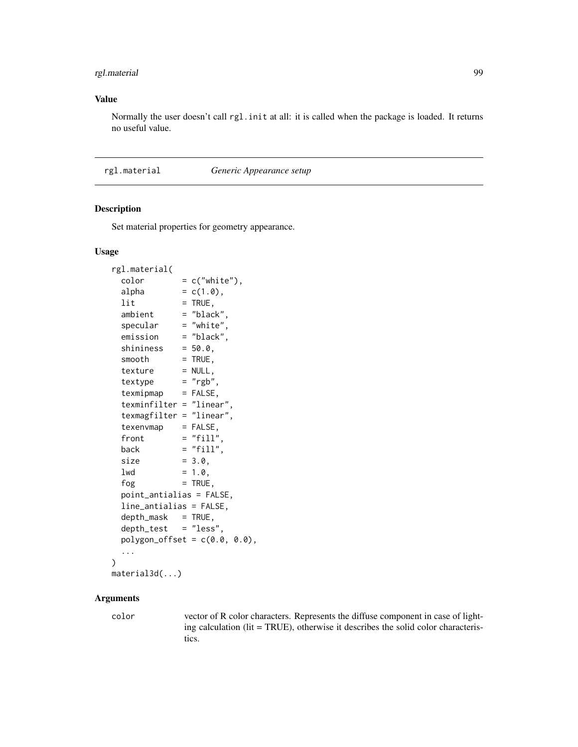# rgl.material 99

# Value

Normally the user doesn't call rgl.init at all: it is called when the package is loaded. It returns no useful value.

# <span id="page-98-1"></span>rgl.material *Generic Appearance setup*

## <span id="page-98-0"></span>Description

Set material properties for geometry appearance.

#### Usage

```
rgl.material(
 color = c("white"),alpha = c(1.0),
 lit = TRUE,ambient = "black"
 specular = "white",
 emission = "black",
 shinines = 50.0,
 smooth = TRUE,
 text{text} = NULL,text{textype} = "rgb",
 texmipmap = FALSE,
 texminfilter = "linear",
 texmagfilter = "linear",
 texenvmap = FALSE,front = "fill",back = "fill",size = 3.0,
 1wd = 1.0,
 f \circ g = TRUE,
 point_antialias = FALSE,
 line_antialias = FALSE,
 depth\_mask = TRUE,
 depth_test = "less",
 polygon_offset = c(0.0, 0.0),
 ...
)
material3d(...)
```
# Arguments

color vector of R color characters. Represents the diffuse component in case of lighting calculation (lit = TRUE), otherwise it describes the solid color characteristics.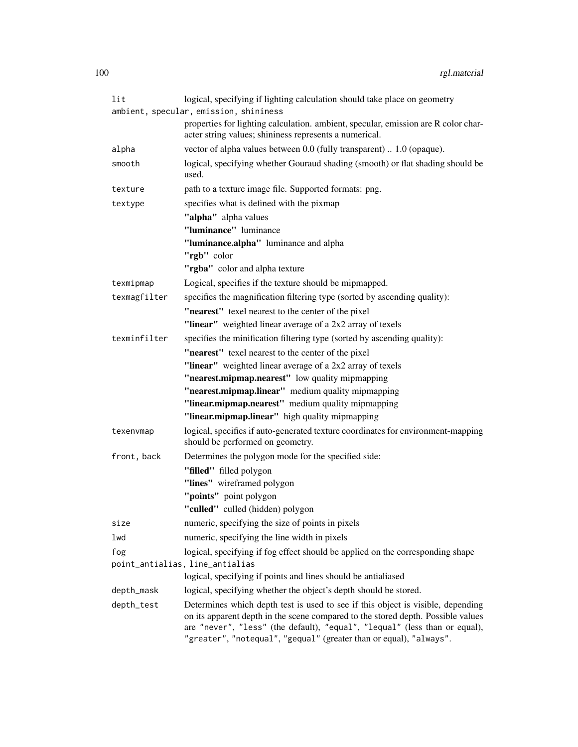| lit          | logical, specifying if lighting calculation should take place on geometry                                                                                                                                                                                                                                               |
|--------------|-------------------------------------------------------------------------------------------------------------------------------------------------------------------------------------------------------------------------------------------------------------------------------------------------------------------------|
|              | ambient, specular, emission, shininess                                                                                                                                                                                                                                                                                  |
|              | properties for lighting calculation. ambient, specular, emission are R color char-<br>acter string values; shininess represents a numerical.                                                                                                                                                                            |
| alpha        | vector of alpha values between 0.0 (fully transparent)  1.0 (opaque).                                                                                                                                                                                                                                                   |
| smooth       | logical, specifying whether Gouraud shading (smooth) or flat shading should be<br>used.                                                                                                                                                                                                                                 |
| texture      | path to a texture image file. Supported formats: png.                                                                                                                                                                                                                                                                   |
| textype      | specifies what is defined with the pixmap                                                                                                                                                                                                                                                                               |
|              | "alpha" alpha values                                                                                                                                                                                                                                                                                                    |
|              | "luminance" luminance                                                                                                                                                                                                                                                                                                   |
|              | "luminance.alpha" luminance and alpha                                                                                                                                                                                                                                                                                   |
|              | "rgb" color                                                                                                                                                                                                                                                                                                             |
|              | "rgba" color and alpha texture                                                                                                                                                                                                                                                                                          |
| texmipmap    | Logical, specifies if the texture should be mipmapped.                                                                                                                                                                                                                                                                  |
| texmagfilter | specifies the magnification filtering type (sorted by ascending quality):                                                                                                                                                                                                                                               |
|              | "nearest" texel nearest to the center of the pixel                                                                                                                                                                                                                                                                      |
|              | "linear" weighted linear average of a 2x2 array of texels                                                                                                                                                                                                                                                               |
| texminfilter | specifies the minification filtering type (sorted by ascending quality):                                                                                                                                                                                                                                                |
|              | "nearest" texel nearest to the center of the pixel                                                                                                                                                                                                                                                                      |
|              | "linear" weighted linear average of a 2x2 array of texels                                                                                                                                                                                                                                                               |
|              | "nearest.mipmap.nearest" low quality mipmapping                                                                                                                                                                                                                                                                         |
|              | "nearest.mipmap.linear" medium quality mipmapping                                                                                                                                                                                                                                                                       |
|              | "linear.mipmap.nearest" medium quality mipmapping                                                                                                                                                                                                                                                                       |
|              | "linear.mipmap.linear" high quality mipmapping                                                                                                                                                                                                                                                                          |
| texenvmap    | logical, specifies if auto-generated texture coordinates for environment-mapping<br>should be performed on geometry.                                                                                                                                                                                                    |
| front, back  | Determines the polygon mode for the specified side:                                                                                                                                                                                                                                                                     |
|              | "filled" filled polygon                                                                                                                                                                                                                                                                                                 |
|              | "lines" wireframed polygon                                                                                                                                                                                                                                                                                              |
|              | "points" point polygon                                                                                                                                                                                                                                                                                                  |
|              | "culled" culled (hidden) polygon                                                                                                                                                                                                                                                                                        |
| size         | numeric, specifying the size of points in pixels                                                                                                                                                                                                                                                                        |
| lwd          | numeric, specifying the line width in pixels                                                                                                                                                                                                                                                                            |
| fog          | logical, specifying if fog effect should be applied on the corresponding shape                                                                                                                                                                                                                                          |
|              | point_antialias, line_antialias                                                                                                                                                                                                                                                                                         |
|              | logical, specifying if points and lines should be antialiased                                                                                                                                                                                                                                                           |
| depth_mask   | logical, specifying whether the object's depth should be stored.                                                                                                                                                                                                                                                        |
| depth_test   | Determines which depth test is used to see if this object is visible, depending<br>on its apparent depth in the scene compared to the stored depth. Possible values<br>are "never", "less" (the default), "equal", "lequal" (less than or equal),<br>"greater", "notequal", "gequal" (greater than or equal), "always". |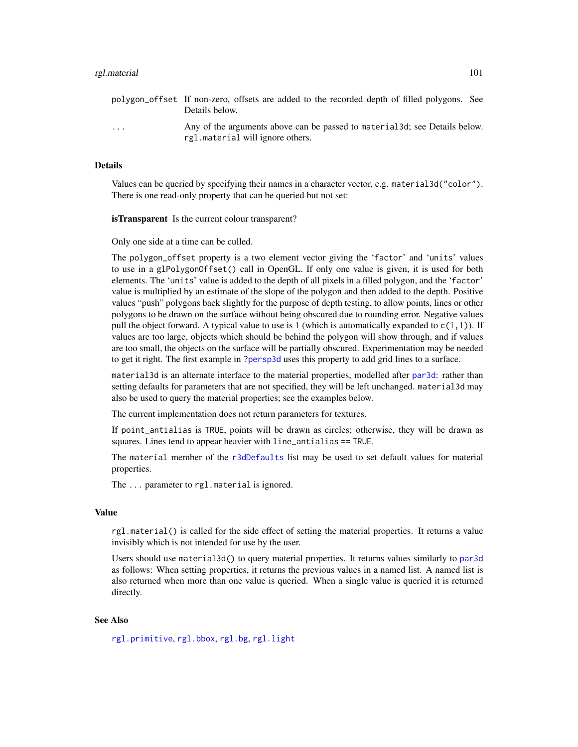#### rgl.material 101

polygon\_offset If non-zero, offsets are added to the recorded depth of filled polygons. See Details below. ... Any of the arguments above can be passed to material3d; see Details below. rgl.material will ignore others.

# **Details**

Values can be queried by specifying their names in a character vector, e.g. material3d("color"). There is one read-only property that can be queried but not set:

isTransparent Is the current colour transparent?

Only one side at a time can be culled.

The polygon\_offset property is a two element vector giving the 'factor' and 'units' values to use in a glPolygonOffset() call in OpenGL. If only one value is given, it is used for both elements. The 'units' value is added to the depth of all pixels in a filled polygon, and the 'factor' value is multiplied by an estimate of the slope of the polygon and then added to the depth. Positive values "push" polygons back slightly for the purpose of depth testing, to allow points, lines or other polygons to be drawn on the surface without being obscured due to rounding error. Negative values pull the object forward. A typical value to use is 1 (which is automatically expanded to  $c(1,1)$ ). If values are too large, objects which should be behind the polygon will show through, and if values are too small, the objects on the surface will be partially obscured. Experimentation may be needed to get it right. The first example in [?persp3d](#page-59-0) uses this property to add grid lines to a surface.

material3d is an alternate interface to the material properties, modelled after [par3d](#page-50-0): rather than setting defaults for parameters that are not specified, they will be left unchanged. material3d may also be used to query the material properties; see the examples below.

The current implementation does not return parameters for textures.

If point\_antialias is TRUE, points will be drawn as circles; otherwise, they will be drawn as squares. Lines tend to appear heavier with line\_antialias == TRUE.

The material member of the [r3dDefaults](#page-50-1) list may be used to set default values for material properties.

The ... parameter to rgl.material is ignored.

#### Value

rgl.material() is called for the side effect of setting the material properties. It returns a value invisibly which is not intended for use by the user.

Users should use material3d() to query material properties. It returns values similarly to [par3d](#page-50-0) as follows: When setting properties, it returns the previous values in a named list. A named list is also returned when more than one value is queried. When a single value is queried it is returned directly.

## See Also

[rgl.primitive](#page-105-0), [rgl.bbox](#page-94-0), [rgl.bg](#page-24-0), [rgl.light](#page-40-0)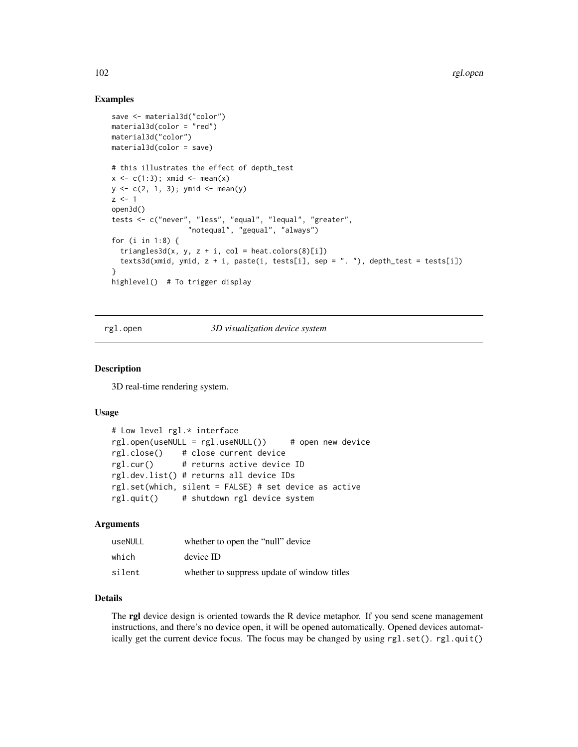## Examples

```
save <- material3d("color")
material3d(color = "red")
material3d("color")
material3d(color = save)
# this illustrates the effect of depth_test
x \leftarrow c(1:3); xmid \leftarrow mean(x)
y \leq c(2, 1, 3); ymid \leq mean(y)
z \le -1open3d()
tests <- c("never", "less", "equal", "lequal", "greater",
                   "notequal", "gequal", "always")
for (i in 1:8) {
  triangles3d(x, y, z + i, col = heat.colors(8)[i])
  texts3d(xmid, ymid, z + i, paste(i, tests[i], sep = ". "), depth_test = tests[i])
}
highlevel() # To trigger display
```
<span id="page-101-0"></span>rgl.open *3D visualization device system*

## Description

3D real-time rendering system.

#### Usage

```
# Low level rgl.* interface
rgl.open(useNULL = rgl.useNULL()) # open new device
rgl.close() # close current device
rgl.cur() # returns active device ID
rgl.dev.list() # returns all device IDs
rgl.set(which, silent = FALSE) # set device as active
rgl.quit() # shutdown rgl device system
```
## Arguments

| useNULL | whether to open the "null" device           |
|---------|---------------------------------------------|
| which   | device ID                                   |
| silent  | whether to suppress update of window titles |

## Details

The rgl device design is oriented towards the R device metaphor. If you send scene management instructions, and there's no device open, it will be opened automatically. Opened devices automatically get the current device focus. The focus may be changed by using rgl.set(). rgl.quit()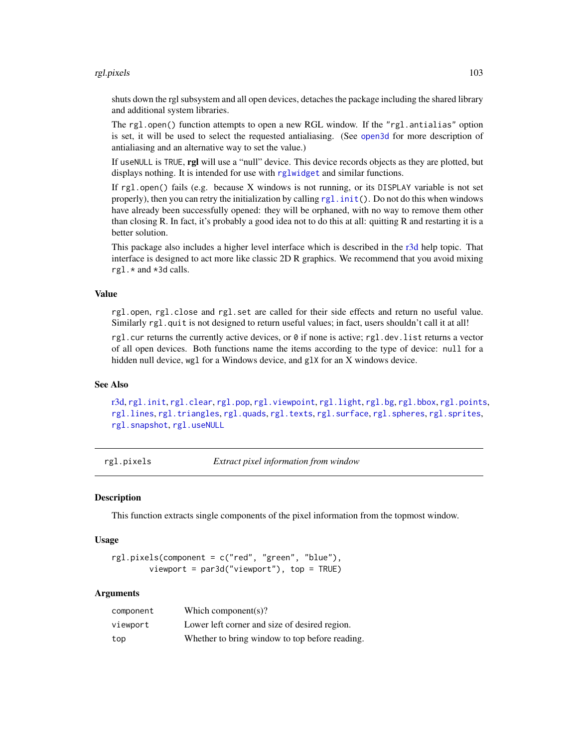#### rgl.pixels 103

shuts down the rgl subsystem and all open devices, detaches the package including the shared library and additional system libraries.

The rgl.open() function attempts to open a new RGL window. If the "rgl.antialias" option is set, it will be used to select the requested antialiasing. (See [open3d](#page-50-1) for more description of antialiasing and an alternative way to set the value.)

If useNULL is TRUE, rgl will use a "null" device. This device records objects as they are plotted, but displays nothing. It is intended for use with [rglwidget](#page-120-0) and similar functions.

If rgl.open() fails (e.g. because X windows is not running, or its DISPLAY variable is not set properly), then you can retry the initialization by calling  $rgl$ , init(). Do not do this when windows have already been successfully opened: they will be orphaned, with no way to remove them other than closing R. In fact, it's probably a good idea not to do this at all: quitting R and restarting it is a better solution.

This package also includes a higher level interface which is described in the [r3d](#page-89-0) help topic. That interface is designed to act more like classic 2D R graphics. We recommend that you avoid mixing rgl.\* and \*3d calls.

## Value

rgl.open, rgl.close and rgl.set are called for their side effects and return no useful value. Similarly rgl.quit is not designed to return useful values; in fact, users shouldn't call it at all!

rgl.cur returns the currently active devices, or  $\theta$  if none is active; rgl.dev.list returns a vector of all open devices. Both functions name the items according to the type of device: null for a hidden null device, wgl for a Windows device, and glX for an X windows device.

# See Also

[r3d,](#page-89-0) [rgl.init](#page-97-0), [rgl.clear](#page-123-0), [rgl.pop](#page-123-0), [rgl.viewpoint](#page-163-0), [rgl.light](#page-40-0), [rgl.bg](#page-24-0), [rgl.bbox](#page-94-0), [rgl.points](#page-105-1), [rgl.lines](#page-105-1), [rgl.triangles](#page-105-1), [rgl.quads](#page-105-1), [rgl.texts](#page-149-1), [rgl.surface](#page-110-0), [rgl.spheres](#page-139-1), [rgl.sprites](#page-142-0), [rgl.snapshot](#page-108-0), [rgl.useNULL](#page-113-0)

rgl.pixels *Extract pixel information from window*

#### Description

This function extracts single components of the pixel information from the topmost window.

#### Usage

```
rgl.pixels(component = c("red", "green", "blue"),
       viewport = par3d("viewport"), top = TRUE)
```

| component | Which component(s)?                            |
|-----------|------------------------------------------------|
| viewport  | Lower left corner and size of desired region.  |
| top       | Whether to bring window to top before reading. |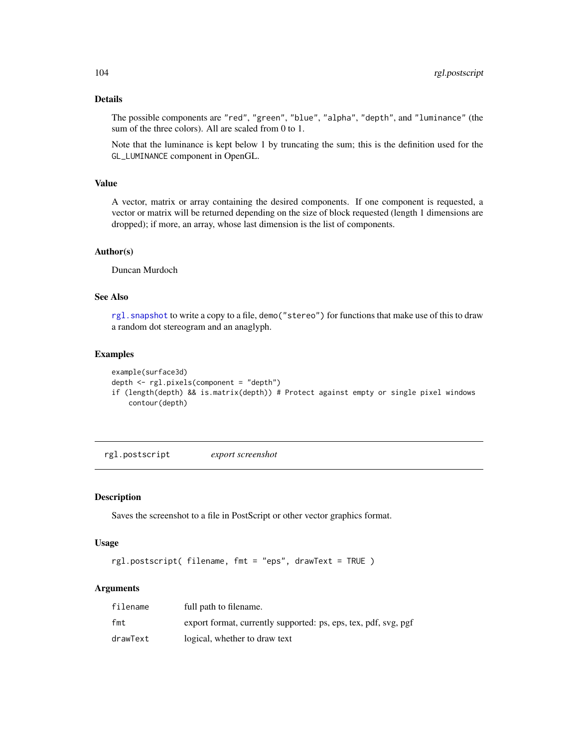# Details

The possible components are "red", "green", "blue", "alpha", "depth", and "luminance" (the sum of the three colors). All are scaled from 0 to 1.

Note that the luminance is kept below 1 by truncating the sum; this is the definition used for the GL\_LUMINANCE component in OpenGL.

# Value

A vector, matrix or array containing the desired components. If one component is requested, a vector or matrix will be returned depending on the size of block requested (length 1 dimensions are dropped); if more, an array, whose last dimension is the list of components.

## Author(s)

Duncan Murdoch

# See Also

[rgl.snapshot](#page-108-0) to write a copy to a file, demo("stereo") for functions that make use of this to draw a random dot stereogram and an anaglyph.

## Examples

```
example(surface3d)
depth <- rgl.pixels(component = "depth")
if (length(depth) && is.matrix(depth)) # Protect against empty or single pixel windows
    contour(depth)
```
rgl.postscript *export screenshot*

# Description

Saves the screenshot to a file in PostScript or other vector graphics format.

## Usage

rgl.postscript( filename, fmt = "eps", drawText = TRUE )

| filename | full path to filename.                                          |
|----------|-----------------------------------------------------------------|
| fmt      | export format, currently supported: ps, eps, tex, pdf, svg, pgf |
| drawText | logical, whether to draw text                                   |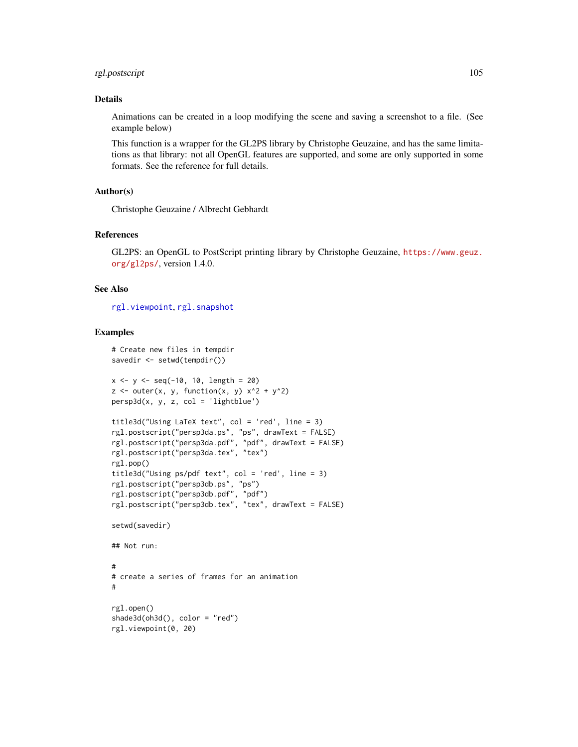# rgl.postscript 105

## Details

Animations can be created in a loop modifying the scene and saving a screenshot to a file. (See example below)

This function is a wrapper for the GL2PS library by Christophe Geuzaine, and has the same limitations as that library: not all OpenGL features are supported, and some are only supported in some formats. See the reference for full details.

## Author(s)

Christophe Geuzaine / Albrecht Gebhardt

#### References

GL2PS: an OpenGL to PostScript printing library by Christophe Geuzaine, [https://www.geuz.](https://www.geuz.org/gl2ps/) [org/gl2ps/](https://www.geuz.org/gl2ps/), version 1.4.0.

## See Also

[rgl.viewpoint](#page-163-0), [rgl.snapshot](#page-108-0)

## Examples

```
# Create new files in tempdir
savedir <- setwd(tempdir())
x \le -y \le -\text{seq}(-10, 10, \text{length} = 20)z \le outer(x, y, function(x, y) x^2 + y^2)
persp3d(x, y, z, col = 'lightblue')title3d("Using LaTeX text", col = 'red', line = 3)
rgl.postscript("persp3da.ps", "ps", drawText = FALSE)
rgl.postscript("persp3da.pdf", "pdf", drawText = FALSE)
rgl.postscript("persp3da.tex", "tex")
rgl.pop()
title3d("Using ps/pdf text", col = 'red', line = 3)
rgl.postscript("persp3db.ps", "ps")
rgl.postscript("persp3db.pdf", "pdf")
rgl.postscript("persp3db.tex", "tex", drawText = FALSE)
setwd(savedir)
## Not run:
#
# create a series of frames for an animation
#
rgl.open()
shade3d(oh3d(), color = "red")
rgl.viewpoint(0, 20)
```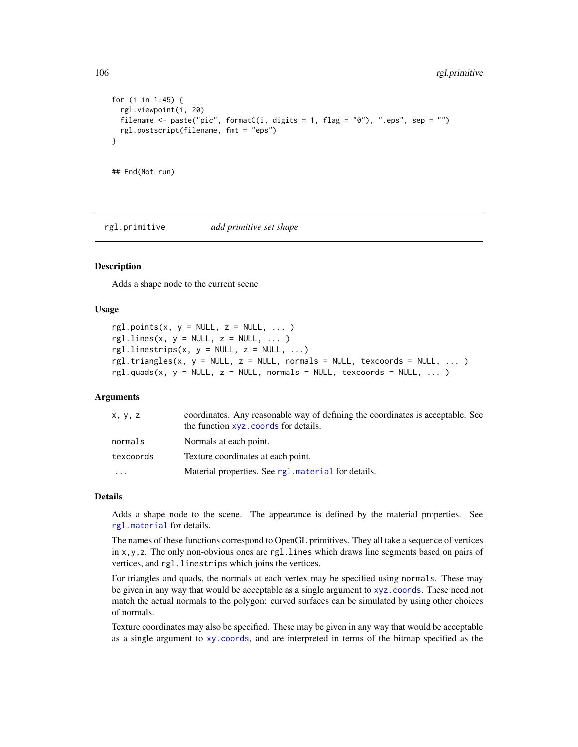```
for (i in 1:45) {
 rgl.viewpoint(i, 20)
 filename <- paste("pic", formatC(i, digits = 1, flag = "0"), ".eps", sep = "")
 rgl.postscript(filename, fmt = "eps")
}
## End(Not run)
```
<span id="page-105-0"></span>rgl.primitive *add primitive set shape*

#### <span id="page-105-1"></span>**Description**

Adds a shape node to the current scene

#### Usage

```
rgl.points(x, y = NULL, z = NULL, ... )rgl.lines(x, y = NULL, z = NULL, ... )rgl.linestrips(x, y = NULL, z = NULL, ...)
rgl.triangles(x, y = NULL, z = NULL, normals = NULL, texcoordinates = NULL, ... )rgl.guads(x, y = NULL, z = NULL, normals = NULL, txexcoords = NULL, ... )
```
#### Arguments

| x, y, z   | coordinates. Any reasonable way of defining the coordinates is acceptable. See<br>the function xyz. coords for details. |
|-----------|-------------------------------------------------------------------------------------------------------------------------|
| normals   | Normals at each point.                                                                                                  |
| texcoords | Texture coordinates at each point.                                                                                      |
|           | Material properties. See rg1. material for details.                                                                     |

#### Details

Adds a shape node to the scene. The appearance is defined by the material properties. See [rgl.material](#page-98-1) for details.

The names of these functions correspond to OpenGL primitives. They all take a sequence of vertices in x,y,z. The only non-obvious ones are rgl.lines which draws line segments based on pairs of vertices, and rgl.linestrips which joins the vertices.

For triangles and quads, the normals at each vertex may be specified using normals. These may be given in any way that would be acceptable as a single argument to [xyz.coords](#page-0-0). These need not match the actual normals to the polygon: curved surfaces can be simulated by using other choices of normals.

Texture coordinates may also be specified. These may be given in any way that would be acceptable as a single argument to [xy.coords](#page-0-0), and are interpreted in terms of the bitmap specified as the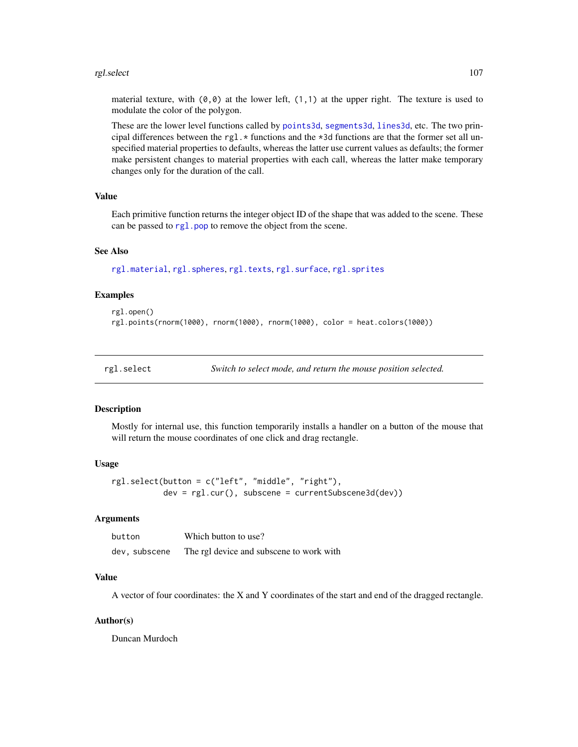#### rgl.select 107

material texture, with  $(0,0)$  at the lower left,  $(1,1)$  at the upper right. The texture is used to modulate the color of the polygon.

These are the lower level functions called by [points3d](#page-81-1), [segments3d](#page-81-0), [lines3d](#page-81-0), etc. The two principal differences between the rgl.  $\star$  functions and the  $\star$ 3d functions are that the former set all unspecified material properties to defaults, whereas the latter use current values as defaults; the former make persistent changes to material properties with each call, whereas the latter make temporary changes only for the duration of the call.

#### Value

Each primitive function returns the integer object ID of the shape that was added to the scene. These can be passed to rg1.pop to remove the object from the scene.

#### See Also

[rgl.material](#page-98-1), [rgl.spheres](#page-139-1), [rgl.texts](#page-149-1), [rgl.surface](#page-110-0), [rgl.sprites](#page-142-0)

# Examples

```
rgl.open()
rgl.points(rnorm(1000), rnorm(1000), rnorm(1000), color = heat.colors(1000))
```
rgl.select *Switch to select mode, and return the mouse position selected.*

## **Description**

Mostly for internal use, this function temporarily installs a handler on a button of the mouse that will return the mouse coordinates of one click and drag rectangle.

#### Usage

rgl.select(button = c("left", "middle", "right"), dev = rgl.cur(), subscene = currentSubscene3d(dev))

# **Arguments**

| button        | Which button to use?                     |
|---------------|------------------------------------------|
| dev. subscene | The rgl device and subscene to work with |

## Value

A vector of four coordinates: the X and Y coordinates of the start and end of the dragged rectangle.

## Author(s)

Duncan Murdoch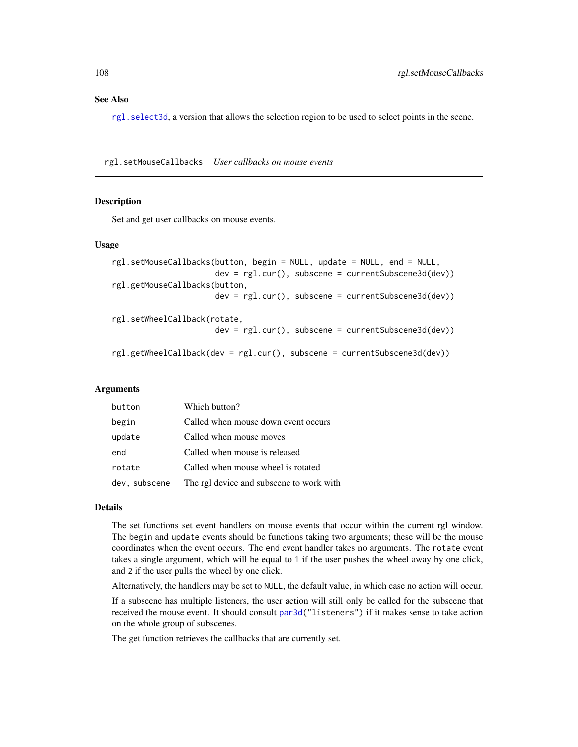# See Also

[rgl.select3d](#page-127-1), a version that allows the selection region to be used to select points in the scene.

rgl.setMouseCallbacks *User callbacks on mouse events*

#### Description

Set and get user callbacks on mouse events.

#### Usage

```
rgl.setMouseCallbacks(button, begin = NULL, update = NULL, end = NULL,
                      dev = rgl.cur(), subscene = currentSubscene3d(dev))
rgl.getMouseCallbacks(button,
                      dev = rgl.cur(), subscene = currentSubscene3d(dev))
rgl.setWheelCallback(rotate,
                      dev = rgl.cur(), subscene = currentSubscene3d(dev))
```
rgl.getWheelCallback(dev = rgl.cur(), subscene = currentSubscene3d(dev))

# Arguments

| button        | Which button?                            |
|---------------|------------------------------------------|
| begin         | Called when mouse down event occurs      |
| update        | Called when mouse moves                  |
| end           | Called when mouse is released            |
| rotate        | Called when mouse wheel is rotated       |
| dev, subscene | The rgl device and subscene to work with |

## Details

The set functions set event handlers on mouse events that occur within the current rgl window. The begin and update events should be functions taking two arguments; these will be the mouse coordinates when the event occurs. The end event handler takes no arguments. The rotate event takes a single argument, which will be equal to 1 if the user pushes the wheel away by one click, and 2 if the user pulls the wheel by one click.

Alternatively, the handlers may be set to NULL, the default value, in which case no action will occur.

If a subscene has multiple listeners, the user action will still only be called for the subscene that received the mouse event. It should consult [par3d\(](#page-50-0)"listeners") if it makes sense to take action on the whole group of subscenes.

The get function retrieves the callbacks that are currently set.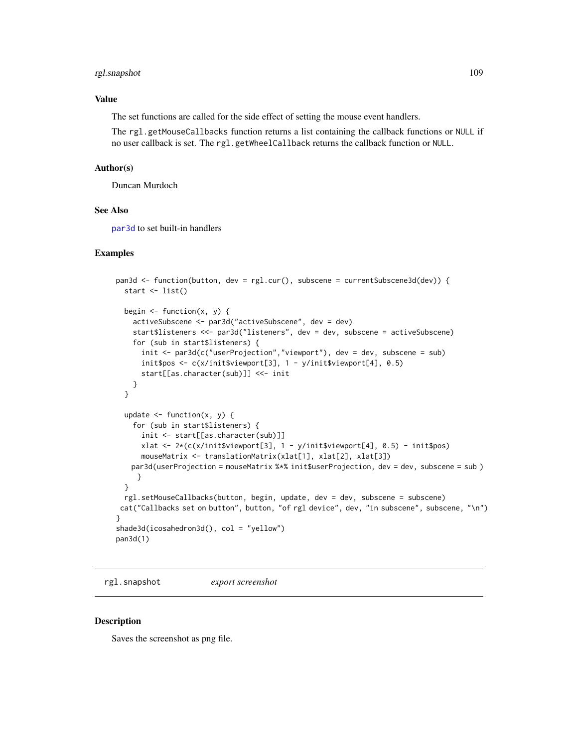# rgl.snapshot 109

### Value

The set functions are called for the side effect of setting the mouse event handlers.

The rgl.getMouseCallbacks function returns a list containing the callback functions or NULL if no user callback is set. The rgl.getWheelCallback returns the callback function or NULL.

#### Author(s)

Duncan Murdoch

### See Also

[par3d](#page-50-0) to set built-in handlers

### Examples

```
pan3d <- function(button, dev = rgl.cur(), subscene = currentSubscene3d(dev)) {
  start <- list()
  begin \leq function(x, y) {
    activeSubscene <- par3d("activeSubscene", dev = dev)
    start$listeners <<- par3d("listeners", dev = dev, subscene = activeSubscene)
    for (sub in start$listeners) {
      init <- par3d(c("userProjection","viewport"), dev = dev, subscene = sub)
      init$pos <- c(x/init$viewport[3], 1 - y/init$viewport[4], 0.5)
      start[[as.character(sub)]] <<- init
    }
  }
  update \leq function(x, y) {
    for (sub in start$listeners) {
      init <- start[[as.character(sub)]]
      xlat <- 2*(c(x/init$viewport[3], 1 - y/init$viewport[4], 0.5) - init$pos)
      mouseMatrix <- translationMatrix(xlat[1], xlat[2], xlat[3])
   par3d(userProjection = mouseMatrix %*% init$userProjection, dev = dev, subscene = sub )
     }
  }
  rgl.setMouseCallbacks(button, begin, update, dev = dev, subscene = subscene)
 cat("Callbacks set on button", button, "of rgl device", dev, "in subscene", subscene, "\n")
}
shade3d(icosahedron3d(), col = "yellow")
pan3d(1)
```
rgl.snapshot *export screenshot*

#### Description

Saves the screenshot as png file.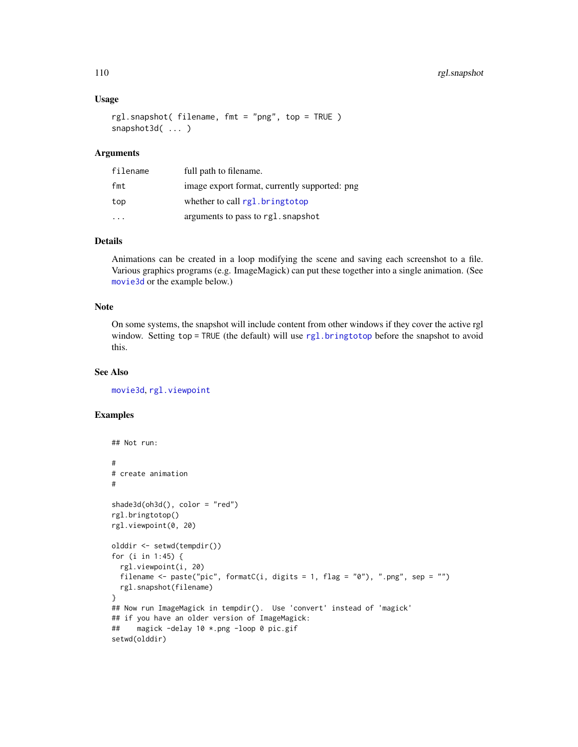### Usage

```
rgl.snapshot( filename, fmt = "png", top = TRUE )
snapshot3d( ... )
```
### Arguments

| filename | full path to filename.                        |
|----------|-----------------------------------------------|
| fmt      | image export format, currently supported: png |
| top      | whether to call rgl.bringtotop                |
|          | arguments to pass to rgl. snapshot            |

# Details

Animations can be created in a loop modifying the scene and saving each screenshot to a file. Various graphics programs (e.g. ImageMagick) can put these together into a single animation. (See [movie3d](#page-70-0) or the example below.)

# Note

On some systems, the snapshot will include content from other windows if they cover the active rgl window. Setting top = TRUE (the default) will use [rgl.bringtotop](#page-96-0) before the snapshot to avoid this.

# See Also

[movie3d](#page-70-0), [rgl.viewpoint](#page-163-0)

# Examples

```
## Not run:
#
# create animation
#
shade3d(oh3d(), color = "red")
rgl.bringtotop()
rgl.viewpoint(0, 20)
olddir <- setwd(tempdir())
for (i in 1:45) {
  rgl.viewpoint(i, 20)
  filename \leq paste("pic", formatC(i, digits = 1, flag = "0"), ".png", sep = "")
  rgl.snapshot(filename)
}
## Now run ImageMagick in tempdir(). Use 'convert' instead of 'magick'
## if you have an older version of ImageMagick:
## magick -delay 10 *.png -loop 0 pic.gif
setwd(olddir)
```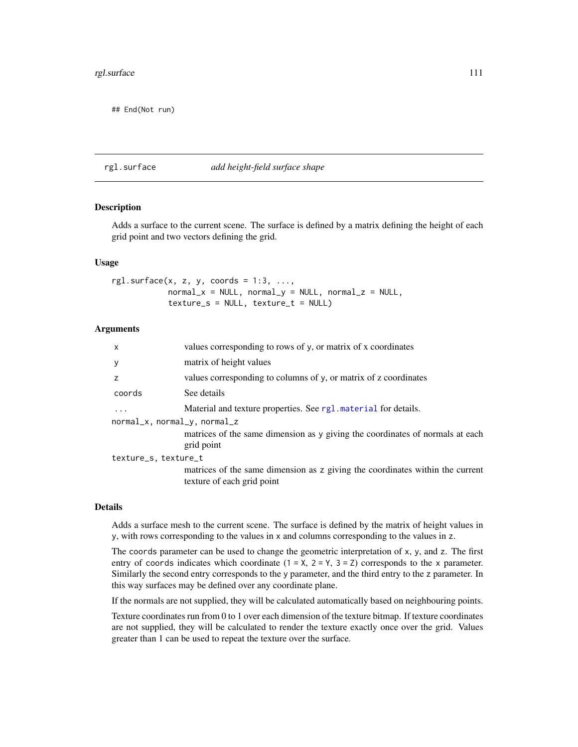## End(Not run)

### rgl.surface *add height-field surface shape*

# **Description**

Adds a surface to the current scene. The surface is defined by a matrix defining the height of each grid point and two vectors defining the grid.

### Usage

rgl.surface $(x, z, y,$  coords = 1:3, ...,  $normal_x = NULL$ ,  $normal_y = NULL$ ,  $normal_z = NULL$  $texture_s = NULL, \text{ texture_t} = NULL)$ 

### **Arguments**

| $\mathsf{x}$                 | values corresponding to rows of y, or matrix of x coordinates                                               |  |
|------------------------------|-------------------------------------------------------------------------------------------------------------|--|
| y                            | matrix of height values                                                                                     |  |
| z                            | values corresponding to columns of y, or matrix of z coordinates                                            |  |
| coords                       | See details                                                                                                 |  |
| $\ddots$                     | Material and texture properties. See rg1. material for details.                                             |  |
| normal_x, normal_y, normal_z |                                                                                                             |  |
|                              | matrices of the same dimension as y giving the coordinates of normals at each<br>grid point                 |  |
| texture_s, texture_t         |                                                                                                             |  |
|                              | matrices of the same dimension as z giving the coordinates within the current<br>texture of each grid point |  |
|                              |                                                                                                             |  |

#### Details

Adds a surface mesh to the current scene. The surface is defined by the matrix of height values in y, with rows corresponding to the values in x and columns corresponding to the values in z.

The coords parameter can be used to change the geometric interpretation of x, y, and z. The first entry of coords indicates which coordinate  $(1 = X, 2 = Y, 3 = Z)$  corresponds to the x parameter. Similarly the second entry corresponds to the y parameter, and the third entry to the z parameter. In this way surfaces may be defined over any coordinate plane.

If the normals are not supplied, they will be calculated automatically based on neighbouring points.

Texture coordinates run from 0 to 1 over each dimension of the texture bitmap. If texture coordinates are not supplied, they will be calculated to render the texture exactly once over the grid. Values greater than 1 can be used to repeat the texture over the surface.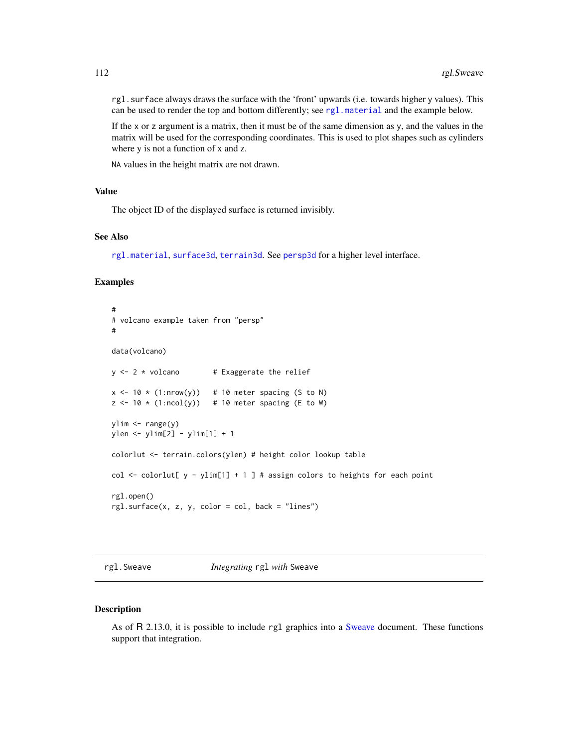rgl.surface always draws the surface with the 'front' upwards (i.e. towards higher y values). This can be used to render the top and bottom differently; see [rgl.material](#page-98-0) and the example below.

If the x or z argument is a matrix, then it must be of the same dimension as y, and the values in the matrix will be used for the corresponding coordinates. This is used to plot shapes such as cylinders where y is not a function of x and z.

NA values in the height matrix are not drawn.

### Value

The object ID of the displayed surface is returned invisibly.

### See Also

[rgl.material](#page-98-0), [surface3d](#page-148-0), [terrain3d](#page-148-1). See [persp3d](#page-59-0) for a higher level interface.

#### Examples

```
#
# volcano example taken from "persp"
#
data(volcano)
y \le -2 * volcano # Exaggerate the relief
x \le -10 \times (1: nrow(y)) # 10 meter spacing (S to N)
z \le -10 \times (1:\text{ncol}(y)) # 10 meter spacing (E to W)
ylim <- range(y)
ylen <- ylim[2] - ylim[1] + 1
colorlut <- terrain.colors(ylen) # height color lookup table
col \le colorlut[ y - ylim[1] + 1 ] # assign colors to heights for each point
rgl.open()
rgl.surface(x, z, y, color = col, back = "lines")
```
rgl.Sweave *Integrating* rgl *with* Sweave

#### Description

As of R 2.13.0, it is possible to include rgl graphics into a [Sweave](#page-0-0) document. These functions support that integration.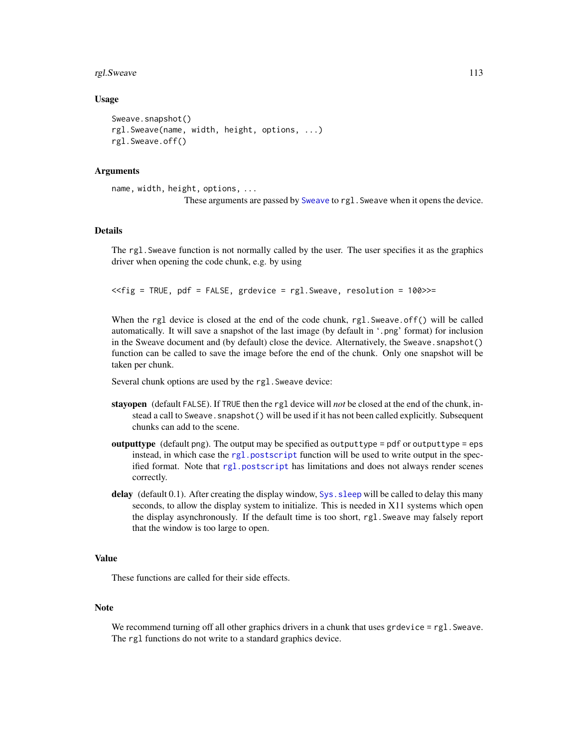#### rgl.Sweave 113

### Usage

```
Sweave.snapshot()
rgl.Sweave(name, width, height, options, ...)
rgl.Sweave.off()
```
### Arguments

```
name, width, height, options, ...
                 These arguments are passed by Sweave to rgl.Sweave when it opens the device.
```
#### Details

The rgl.Sweave function is not normally called by the user. The user specifies it as the graphics driver when opening the code chunk, e.g. by using

<<fig = TRUE, pdf = FALSE, grdevice = rgl.Sweave, resolution = 100>>=

When the rgl device is closed at the end of the code chunk, rgl.Sweave.off() will be called automatically. It will save a snapshot of the last image (by default in '.png' format) for inclusion in the Sweave document and (by default) close the device. Alternatively, the Sweave. snapshot() function can be called to save the image before the end of the chunk. Only one snapshot will be taken per chunk.

Several chunk options are used by the rgl. Sweave device:

- stayopen (default FALSE). If TRUE then the rgl device will *not* be closed at the end of the chunk, instead a call to Sweave. snapshot () will be used if it has not been called explicitly. Subsequent chunks can add to the scene.
- outputtype (default png). The output may be specified as outputtype = pdf or outputtype = eps instead, in which case the rgl. postscript function will be used to write output in the specified format. Note that [rgl.postscript](#page-103-0) has limitations and does not always render scenes correctly.
- delay (default  $(0.1)$ ). After creating the display window,  $Sys$ , sleep will be called to delay this many seconds, to allow the display system to initialize. This is needed in X11 systems which open the display asynchronously. If the default time is too short, rgl.Sweave may falsely report that the window is too large to open.

### Value

These functions are called for their side effects.

### Note

We recommend turning off all other graphics drivers in a chunk that uses grdevice  $=$  rgl. Sweave. The rgl functions do not write to a standard graphics device.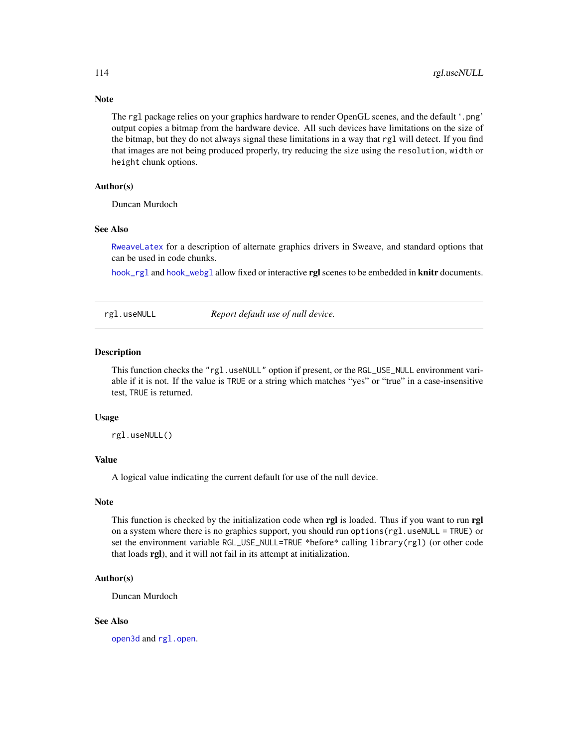Note

The rgl package relies on your graphics hardware to render OpenGL scenes, and the default '.png' output copies a bitmap from the hardware device. All such devices have limitations on the size of the bitmap, but they do not always signal these limitations in a way that rgl will detect. If you find that images are not being produced properly, try reducing the size using the resolution, width or height chunk options.

### Author(s)

Duncan Murdoch

#### See Also

[RweaveLatex](#page-0-0) for a description of alternate graphics drivers in Sweave, and standard options that can be used in code chunks.

[hook\\_rgl](#page-38-0) and [hook\\_webgl](#page-38-1) allow fixed or interactive rgl scenes to be embedded in knitr documents.

rgl.useNULL *Report default use of null device.*

#### Description

This function checks the "rgl.useNULL" option if present, or the RGL\_USE\_NULL environment variable if it is not. If the value is TRUE or a string which matches "yes" or "true" in a case-insensitive test, TRUE is returned.

#### Usage

rgl.useNULL()

### Value

A logical value indicating the current default for use of the null device.

### Note

This function is checked by the initialization code when rgl is loaded. Thus if you want to run rgl on a system where there is no graphics support, you should run options (rgl.useNULL = TRUE) or set the environment variable RGL\_USE\_NULL=TRUE \*before\* calling library(rgl) (or other code that loads rgl), and it will not fail in its attempt at initialization.

# Author(s)

Duncan Murdoch

### See Also

[open3d](#page-50-1) and [rgl.open](#page-101-0).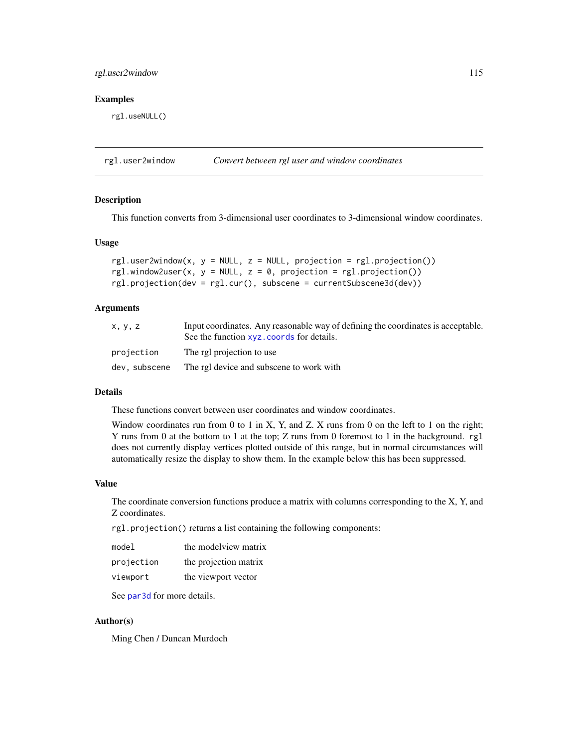# rgl.user2window 115

### Examples

rgl.useNULL()

rgl.user2window *Convert between rgl user and window coordinates*

#### Description

This function converts from 3-dimensional user coordinates to 3-dimensional window coordinates.

#### Usage

```
rgl.user2window(x, y = NULL, z = NULL, projection = rgl.projection())rgl.window2user(x, y = NULL, z = 0, projection = rgl.projection())
rgl.projection(dev = rgl.cur(), subscene = currentSubscene3d(dev))
```
### Arguments

| x, y, z       | Input coordinates. Any reasonable way of defining the coordinates is acceptable.<br>See the function xyz. coords for details. |
|---------------|-------------------------------------------------------------------------------------------------------------------------------|
| projection    | The rgl projection to use                                                                                                     |
| dev, subscene | The rgl device and subscene to work with                                                                                      |

#### Details

These functions convert between user coordinates and window coordinates.

Window coordinates run from 0 to 1 in X, Y, and Z. X runs from 0 on the left to 1 on the right; Y runs from 0 at the bottom to 1 at the top; Z runs from 0 foremost to 1 in the background. rgl does not currently display vertices plotted outside of this range, but in normal circumstances will automatically resize the display to show them. In the example below this has been suppressed.

### Value

The coordinate conversion functions produce a matrix with columns corresponding to the X, Y, and Z coordinates.

rgl.projection() returns a list containing the following components:

| model      | the modelview matrix  |
|------------|-----------------------|
| projection | the projection matrix |
| viewport   | the viewport vector   |

See [par3d](#page-50-0) for more details.

### Author(s)

Ming Chen / Duncan Murdoch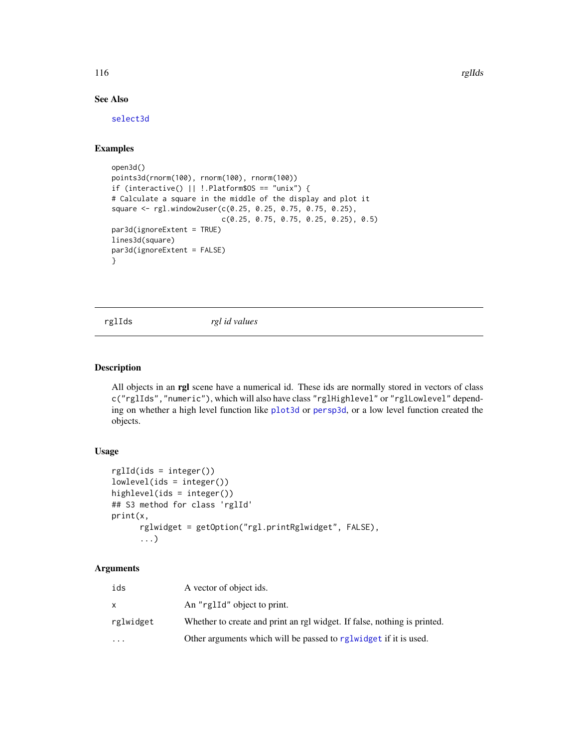116 rglIds and the contract of the contract of the contract of the contract of the contract of the contract of the contract of the contract of the contract of the contract of the contract of the contract of the contract of

# See Also

[select3d](#page-127-0)

### Examples

```
open3d()
points3d(rnorm(100), rnorm(100), rnorm(100))
if (interactive() || !.Platform$OS == "unix") {
# Calculate a square in the middle of the display and plot it
square <- rgl.window2user(c(0.25, 0.25, 0.75, 0.75, 0.25),
                         c(0.25, 0.75, 0.75, 0.25, 0.25), 0.5)
par3d(ignoreExtent = TRUE)
lines3d(square)
par3d(ignoreExtent = FALSE)
}
```
rglIds *rgl id values*

## Description

All objects in an rgl scene have a numerical id. These ids are normally stored in vectors of class c("rglIds","numeric"), which will also have class "rglHighlevel" or "rglLowlevel" depending on whether a high level function like [plot3d](#page-74-0) or [persp3d](#page-59-0), or a low level function created the objects.

# Usage

```
rglId(ids = integer())
lowlevel(ids = integer())
highlevel(ids = integer())
## S3 method for class 'rglId'
print(x,
      rglwidget = getOption("rgl.printRglwidget", FALSE),
      ...)
```
# Arguments

| ids       | A vector of object ids.                                                  |
|-----------|--------------------------------------------------------------------------|
| X         | An "rglId" object to print.                                              |
| rglwidget | Whether to create and print an rgl widget. If false, nothing is printed. |
| $\cdots$  | Other arguments which will be passed to reglwidget if it is used.        |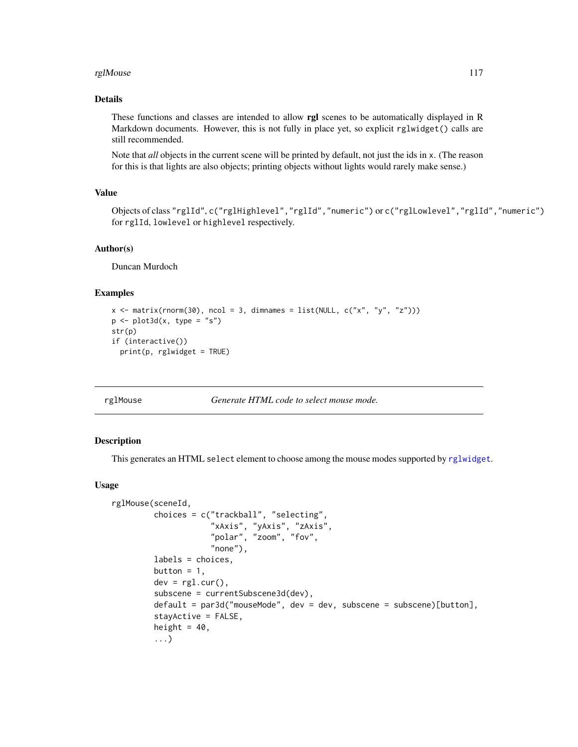#### rglMouse that the contract of the contract of the contract of the contract of the contract of the contract of the contract of the contract of the contract of the contract of the contract of the contract of the contract of

# Details

These functions and classes are intended to allow rgl scenes to be automatically displayed in R Markdown documents. However, this is not fully in place yet, so explicit rglwidget() calls are still recommended.

Note that *all* objects in the current scene will be printed by default, not just the ids in x. (The reason for this is that lights are also objects; printing objects without lights would rarely make sense.)

# Value

Objects of class "rglId", c("rglHighlevel","rglId","numeric") or c("rglLowlevel","rglId","numeric") for rglId, lowlevel or highlevel respectively.

### Author(s)

Duncan Murdoch

### Examples

```
x \le matrix(rnorm(30), ncol = 3, dimnames = list(NULL, c("x", "y", "z")))
p \leftarrow plot3d(x, type = "s")str(p)
if (interactive())
  print(p, rglwidget = TRUE)
```
rglMouse *Generate HTML code to select mouse mode.*

# Description

This generates an HTML select element to choose among the mouse modes supported by [rglwidget](#page-120-0).

```
rglMouse(sceneId,
         choices = c("trackball", "selecting",
                     "xAxis", "yAxis", "zAxis",
                     "polar", "zoom", "fov",
                     "none"),
         labels = choices,
         button = 1,
         dev = rgl.cur().
         subscene = currentSubscene3d(dev),
         default = par3d("mouseMode", dev = dev, subscence = subscence)[button],stayActive = FALSE,
         height = 40,
         ...)
```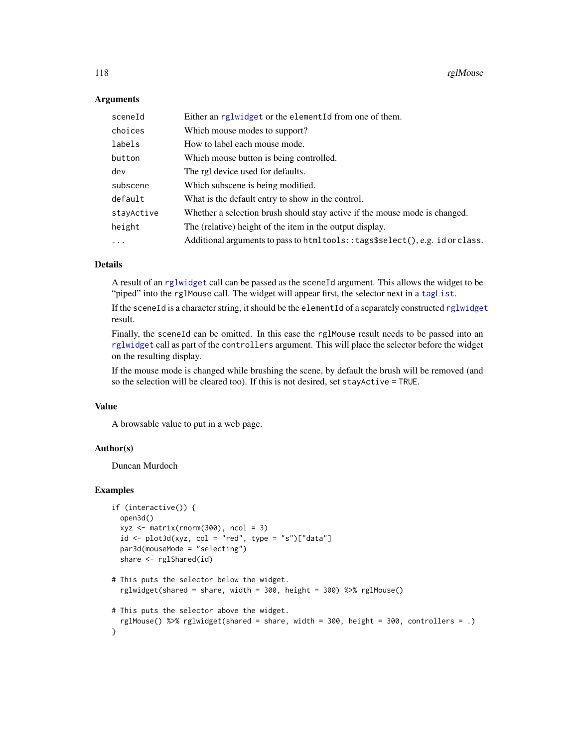### **Arguments**

| sceneId    | Either an rglwidget or the elementId from one of them.                         |
|------------|--------------------------------------------------------------------------------|
| choices    | Which mouse modes to support?                                                  |
| labels     | How to label each mouse mode.                                                  |
| button     | Which mouse button is being controlled.                                        |
| dev        | The rgl device used for defaults.                                              |
| subscene   | Which subscene is being modified.                                              |
| default    | What is the default entry to show in the control.                              |
| stayActive | Whether a selection brush should stay active if the mouse mode is changed.     |
| height     | The (relative) height of the item in the output display.                       |
| $\ddots$ . | Additional arguments to pass to htmltools: : tags\$select(), e.g. id or class. |

# Details

A result of an [rglwidget](#page-120-0) call can be passed as the sceneId argument. This allows the widget to be "piped" into the rglMouse call. The widget will appear first, the selector next in a taglist.

If the sceneId is a character string, it should be the elementId of a separately constructed [rglwidget](#page-120-0) result.

Finally, the sceneId can be omitted. In this case the rglMouse result needs to be passed into an [rglwidget](#page-120-0) call as part of the controllers argument. This will place the selector before the widget on the resulting display.

If the mouse mode is changed while brushing the scene, by default the brush will be removed (and so the selection will be cleared too). If this is not desired, set stayActive = TRUE.

# Value

A browsable value to put in a web page.

### Author(s)

Duncan Murdoch

#### Examples

```
if (interactive()) {
 open3d()
 xyz \leq -\text{matrix}(rnorm(300), ncol = 3)id \leftarrow plot3d(xyz, col = "red", type = "s")['data"]par3d(mouseMode = "selecting")
 share <- rglShared(id)
# This puts the selector below the widget.
 rglwidget(shared = share, width = 300, height = 300) %>% rglMouse()
```

```
# This puts the selector above the widget.
 rglMouse() %>% rglwidget(shared = share, width = 300, height = 300, controllers = .)
}
```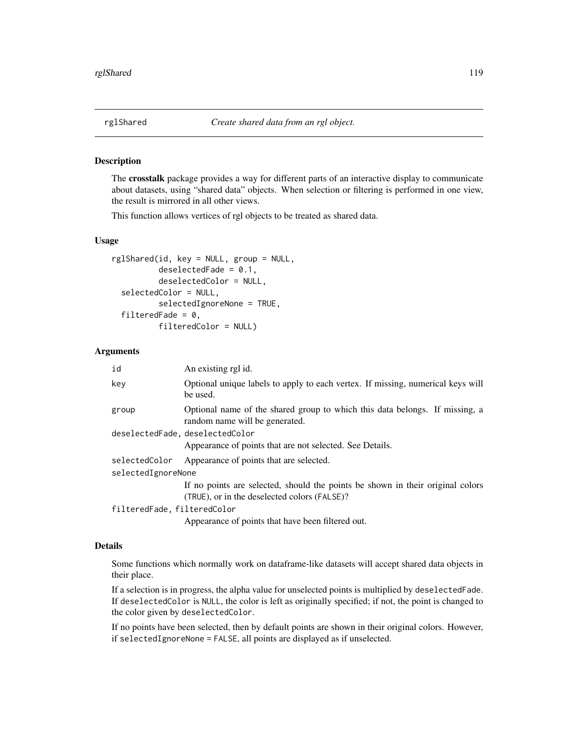### <span id="page-118-0"></span>Description

The crosstalk package provides a way for different parts of an interactive display to communicate about datasets, using "shared data" objects. When selection or filtering is performed in one view, the result is mirrored in all other views.

This function allows vertices of rgl objects to be treated as shared data.

# Usage

```
rglShared(id, key = NULL, group = NULL,
         deselectedFade = 0.1,
          deselectedColor = NULL,
  selectedColor = NULL,
          selectedIgnoreNone = TRUE,
  filteredFade = 0,
          filteredColor = NULL)
```
### Arguments

| id                          | An existing rgl id.                                                                                                            |
|-----------------------------|--------------------------------------------------------------------------------------------------------------------------------|
| key                         | Optional unique labels to apply to each vertex. If missing, numerical keys will<br>be used.                                    |
| group                       | Optional name of the shared group to which this data belongs. If missing, a<br>random name will be generated.                  |
|                             | deselectedFade, deselectedColor                                                                                                |
|                             | Appearance of points that are not selected. See Details.                                                                       |
| selectedColor               | Appearance of points that are selected.                                                                                        |
| selectedIgnoreNone          |                                                                                                                                |
|                             | If no points are selected, should the points be shown in their original colors<br>(TRUE), or in the deselected colors (FALSE)? |
| filteredFade, filteredColor |                                                                                                                                |
|                             | Appearance of points that have been filtered out.                                                                              |

#### Details

Some functions which normally work on dataframe-like datasets will accept shared data objects in their place.

If a selection is in progress, the alpha value for unselected points is multiplied by deselectedFade. If deselectedColor is NULL, the color is left as originally specified; if not, the point is changed to the color given by deselectedColor.

If no points have been selected, then by default points are shown in their original colors. However, if selectedIgnoreNone = FALSE, all points are displayed as if unselected.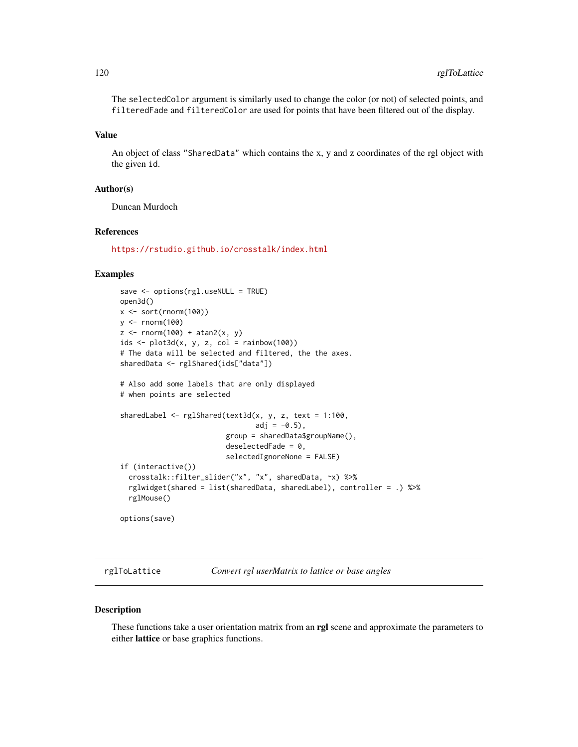The selectedColor argument is similarly used to change the color (or not) of selected points, and filteredFade and filteredColor are used for points that have been filtered out of the display.

### Value

An object of class "SharedData" which contains the x, y and z coordinates of the rgl object with the given id.

### Author(s)

Duncan Murdoch

### References

<https://rstudio.github.io/crosstalk/index.html>

# Examples

```
save <- options(rgl.useNULL = TRUE)
open3d()
x <- sort(rnorm(100))
y <- rnorm(100)
z \leftarrow \text{rnorm}(100) + \text{atan2}(x, y)ids \leftarrow plot3d(x, y, z, col = rainbow(100))# The data will be selected and filtered, the the axes.
sharedData <- rglShared(ids["data"])
# Also add some labels that are only displayed
# when points are selected
sharedLabel \leq rglShared(text3d(x, y, z, text = 1:100,
                                  adj = -0.5,
                          group = sharedData$groupName(),
                          deselectedFade = 0,
                          selectedIgnoreNone = FALSE)
if (interactive())
  crosstalk::filter_slider("x", "x", sharedData, ~x) %>%
  rglwidget(shared = list(sharedData, sharedLabel), controller = .) %>%
  rglMouse()
options(save)
```
rglToLattice *Convert rgl userMatrix to lattice or base angles*

### Description

These functions take a user orientation matrix from an rgl scene and approximate the parameters to either lattice or base graphics functions.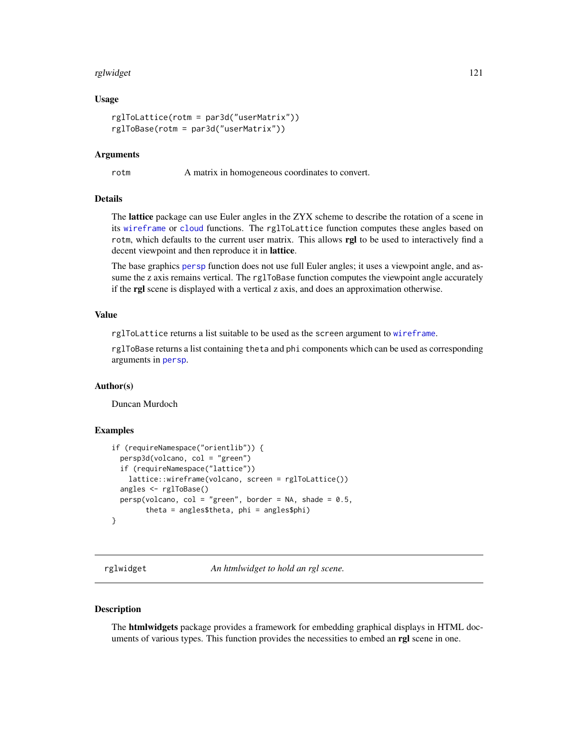#### rglwidget 121

### Usage

```
rglToLattice(rotm = par3d("userMatrix"))
rglToBase(rotm = par3d("userMatrix"))
```
### Arguments

rotm A matrix in homogeneous coordinates to convert.

#### Details

The lattice package can use Euler angles in the ZYX scheme to describe the rotation of a scene in its [wireframe](#page-0-0) or [cloud](#page-0-0) functions. The rglToLattice function computes these angles based on rotm, which defaults to the current user matrix. This allows rgl to be used to interactively find a decent viewpoint and then reproduce it in lattice.

The base graphics [persp](#page-0-0) function does not use full Euler angles; it uses a viewpoint angle, and assume the z axis remains vertical. The rglToBase function computes the viewpoint angle accurately if the rgl scene is displayed with a vertical z axis, and does an approximation otherwise.

# Value

rglToLattice returns a list suitable to be used as the screen argument to [wireframe](#page-0-0).

rglToBase returns a list containing theta and phi components which can be used as corresponding arguments in [persp](#page-0-0).

### Author(s)

Duncan Murdoch

### Examples

```
if (requireNamespace("orientlib")) {
 persp3d(volcano, col = "green")
 if (requireNamespace("lattice"))
   lattice::wireframe(volcano, screen = rglToLattice())
 angles <- rglToBase()
 persp(volcano, col = "green", border = NA, shade = 0.5,theta = angles$theta, phi = angles$phi)
}
```
<span id="page-120-0"></span>rglwidget *An htmlwidget to hold an rgl scene.*

### Description

The **htmlwidgets** package provides a framework for embedding graphical displays in HTML documents of various types. This function provides the necessities to embed an rgl scene in one.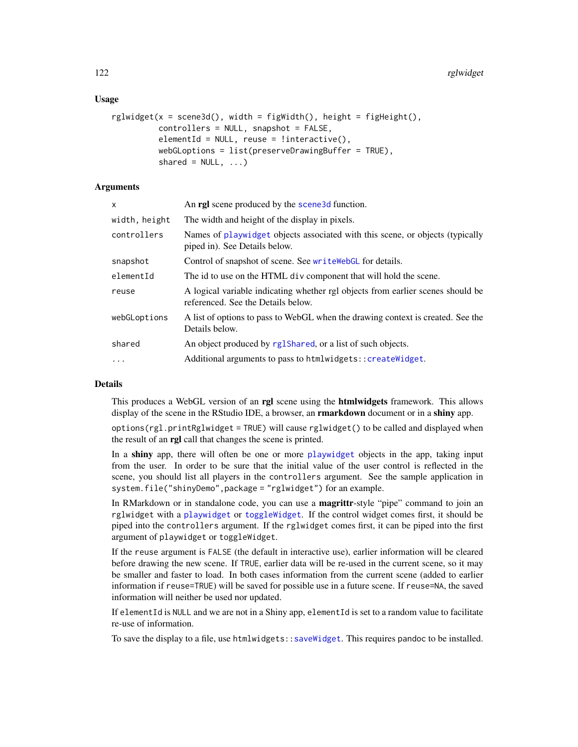### Usage

```
rglwidget(x = scene3d(), width = figWidth(), height = figHeight().
         controllers = NULL, snapshot = FALSE,
         elementId = NULL, reuse = linteractive(),
         webGLoptions = list(preserveDrawingBuffer = TRUE),
         shared = NULL, ...)
```
# Arguments

| x             | An <b>rgl</b> scene produced by the <b>scene3d</b> function.                                                          |
|---------------|-----------------------------------------------------------------------------------------------------------------------|
| width, height | The width and height of the display in pixels.                                                                        |
| controllers   | Names of playwidget objects associated with this scene, or objects (typically<br>piped in). See Details below.        |
| snapshot      | Control of snapshot of scene. See write WebGL for details.                                                            |
| elementId     | The id to use on the HTML div component that will hold the scene.                                                     |
| reuse         | A logical variable indicating whether rgl objects from earlier scenes should be<br>referenced. See the Details below. |
| webGLoptions  | A list of options to pass to WebGL when the drawing context is created. See the<br>Details below.                     |
| shared        | An object produced by rglShared, or a list of such objects.                                                           |
| $\ddots$      | Additional arguments to pass to htmlwidgets:: createWidget.                                                           |
|               |                                                                                                                       |

# Details

This produces a WebGL version of an rgl scene using the htmlwidgets framework. This allows display of the scene in the RStudio IDE, a browser, an **rmarkdown** document or in a **shiny** app.

options(rgl.printRglwidget = TRUE) will cause rglwidget() to be called and displayed when the result of an rgl call that changes the scene is printed.

In a shiny app, there will often be one or more [playwidget](#page-72-0) objects in the app, taking input from the user. In order to be sure that the initial value of the user control is reflected in the scene, you should list all players in the controllers argument. See the sample application in system.file("shinyDemo",package = "rglwidget") for an example.

In RMarkdown or in standalone code, you can use a **magrittr**-style "pipe" command to join an rglwidget with a [playwidget](#page-72-0) or [toggleWidget](#page-158-0). If the control widget comes first, it should be piped into the controllers argument. If the rglwidget comes first, it can be piped into the first argument of playwidget or toggleWidget.

If the reuse argument is FALSE (the default in interactive use), earlier information will be cleared before drawing the new scene. If TRUE, earlier data will be re-used in the current scene, so it may be smaller and faster to load. In both cases information from the current scene (added to earlier information if reuse=TRUE) will be saved for possible use in a future scene. If reuse=NA, the saved information will neither be used nor updated.

If elementId is NULL and we are not in a Shiny app, elementId is set to a random value to facilitate re-use of information.

To save the display to a file, use htmlwidgets:[:saveWidget](#page-0-0). This requires pandoc to be installed.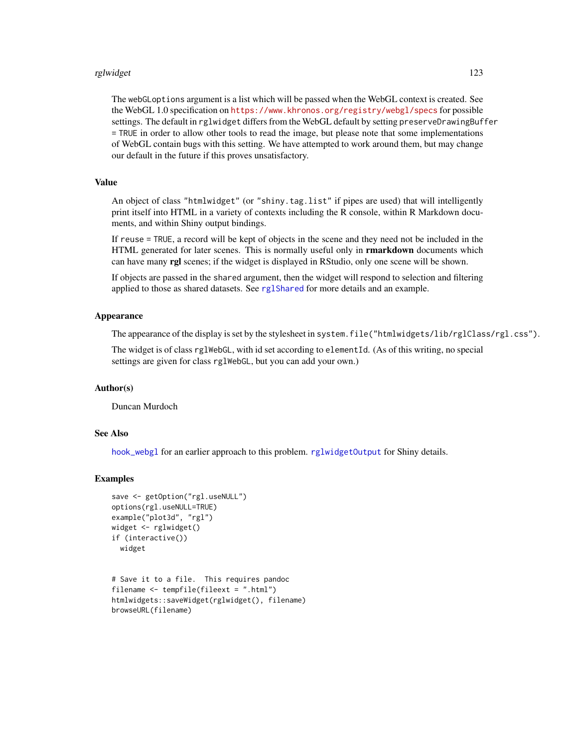#### rglwidget 123

The webGLoptions argument is a list which will be passed when the WebGL context is created. See the WebGL 1.0 specification on <https://www.khronos.org/registry/webgl/specs> for possible settings. The default in rglwidget differs from the WebGL default by setting preserveDrawingBuffer = TRUE in order to allow other tools to read the image, but please note that some implementations of WebGL contain bugs with this setting. We have attempted to work around them, but may change our default in the future if this proves unsatisfactory.

# Value

An object of class "htmlwidget" (or "shiny.tag.list" if pipes are used) that will intelligently print itself into HTML in a variety of contexts including the R console, within R Markdown documents, and within Shiny output bindings.

If reuse = TRUE, a record will be kept of objects in the scene and they need not be included in the HTML generated for later scenes. This is normally useful only in **rmarkdown** documents which can have many **rgl** scenes; if the widget is displayed in RStudio, only one scene will be shown.

If objects are passed in the shared argument, then the widget will respond to selection and filtering applied to those as shared datasets. See [rglShared](#page-118-0) for more details and an example.

### Appearance

The appearance of the display is set by the stylesheet in system.file("htmlwidgets/lib/rglClass/rgl.css").

The widget is of class rglWebGL, with id set according to elementId. (As of this writing, no special settings are given for class rglWebGL, but you can add your own.)

### Author(s)

Duncan Murdoch

### See Also

[hook\\_webgl](#page-38-1) for an earlier approach to this problem. [rglwidgetOutput](#page-134-0) for Shiny details.

### Examples

```
save <- getOption("rgl.useNULL")
options(rgl.useNULL=TRUE)
example("plot3d", "rgl")
widget <- rglwidget()
if (interactive())
 widget
```

```
# Save it to a file. This requires pandoc
filename <- tempfile(fileext = ".html")
htmlwidgets::saveWidget(rglwidget(), filename)
browseURL(filename)
```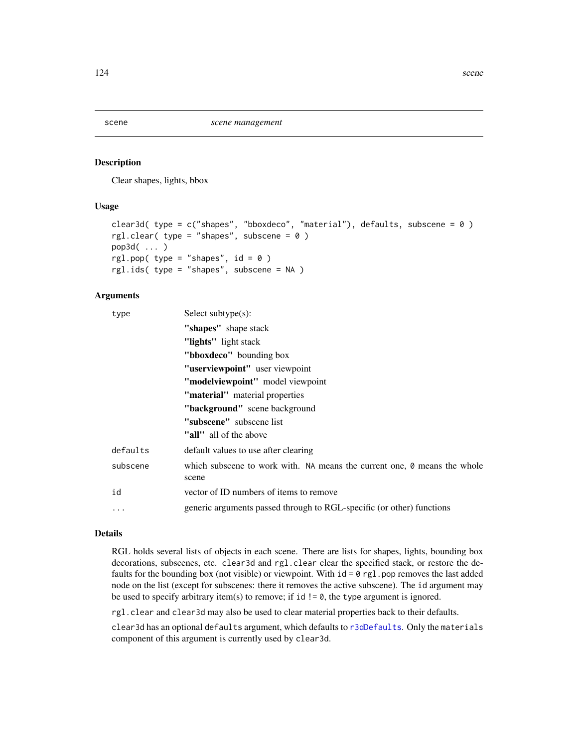#### <span id="page-123-0"></span>Description

Clear shapes, lights, bbox

### Usage

```
clear3d( type = c("shapes", "bboxdeco", "material"), defaults, subscene = 0)
rgl.clear( type = "shapes", subscene = 0)
pop3d( ... )
rgl.pop( type = "shapes", id = 0 )
rgl.ids( type = "shapes", subscene = NA )
```
### Arguments

| type      | Select subtype $(s)$ :                                                                   |
|-----------|------------------------------------------------------------------------------------------|
|           | "shapes" shape stack                                                                     |
|           | "lights" light stack                                                                     |
|           | "bboxdeco" bounding box"                                                                 |
|           | "userviewpoint" user viewpoint                                                           |
|           | "modelviewpoint" model viewpoint                                                         |
|           | "material" material properties                                                           |
|           | "background" scene background                                                            |
|           | "subscene" subscene list                                                                 |
|           | "all" all of the above                                                                   |
| defaults  | default values to use after clearing                                                     |
| subscene  | which subscene to work with. NA means the current one, $\theta$ means the whole<br>scene |
| id        | vector of ID numbers of items to remove                                                  |
| $\ddotsc$ | generic arguments passed through to RGL-specific (or other) functions                    |

# Details

RGL holds several lists of objects in each scene. There are lists for shapes, lights, bounding box decorations, subscenes, etc. clear3d and rgl.clear clear the specified stack, or restore the defaults for the bounding box (not visible) or viewpoint. With  $id = \emptyset$  rgl.pop removes the last added node on the list (except for subscenes: there it removes the active subscene). The id argument may be used to specify arbitrary item(s) to remove; if id  $!= \emptyset$ , the type argument is ignored.

rgl.clear and clear3d may also be used to clear material properties back to their defaults.

clear3d has an optional defaults argument, which defaults to [r3dDefaults](#page-50-1). Only the materials component of this argument is currently used by clear3d.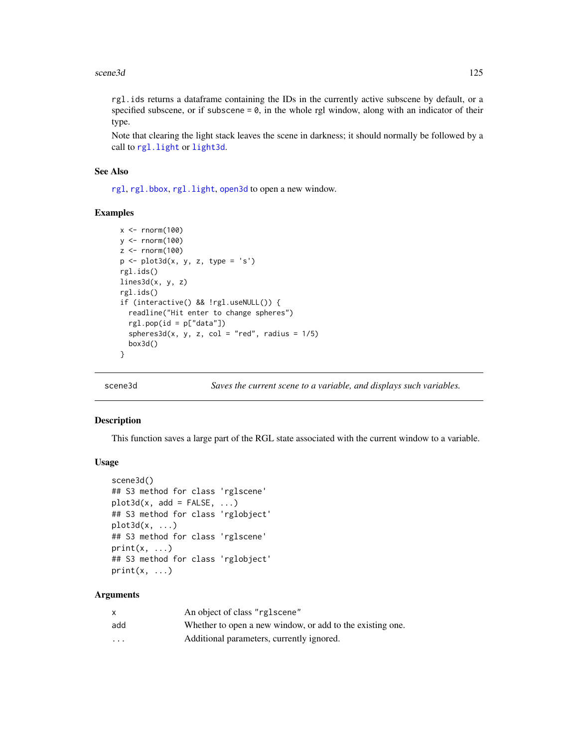rgl.ids returns a dataframe containing the IDs in the currently active subscene by default, or a specified subscene, or if subscene  $= 0$ , in the whole rgl window, along with an indicator of their type.

Note that clearing the light stack leaves the scene in darkness; it should normally be followed by a call to [rgl.light](#page-40-0) or [light3d](#page-40-0).

### See Also

[rgl](#page-3-0), [rgl.bbox](#page-94-0), [rgl.light](#page-40-0), [open3d](#page-50-1) to open a new window.

### Examples

```
x < - rnorm(100)
y <- rnorm(100)
z < - rnorm(100)p \leftarrow plot3d(x, y, z, type = 's')rgl.ids()
lines3d(x, y, z)
rgl.ids()
if (interactive() && !rgl.useNULL()) {
  readline("Hit enter to change spheres")
  rgl.pop(id = p['data''])spheres3d(x, y, z, col = "red", radius = 1/5)box3d()
}
```
<span id="page-124-0"></span>

scene3d *Saves the current scene to a variable, and displays such variables.*

### Description

This function saves a large part of the RGL state associated with the current window to a variable.

#### Usage

```
scene3d()
## S3 method for class 'rglscene'
plot3d(x, add = FALSE, ...)## S3 method for class 'rglobject'
plot3d(x, \ldots)## S3 method for class 'rglscene'
print(x, \ldots)## S3 method for class 'rglobject'
print(x, \ldots)
```
### Arguments

| X                 | An object of class "rglscene"                             |
|-------------------|-----------------------------------------------------------|
| add               | Whether to open a new window, or add to the existing one. |
| $\cdot\cdot\cdot$ | Additional parameters, currently ignored.                 |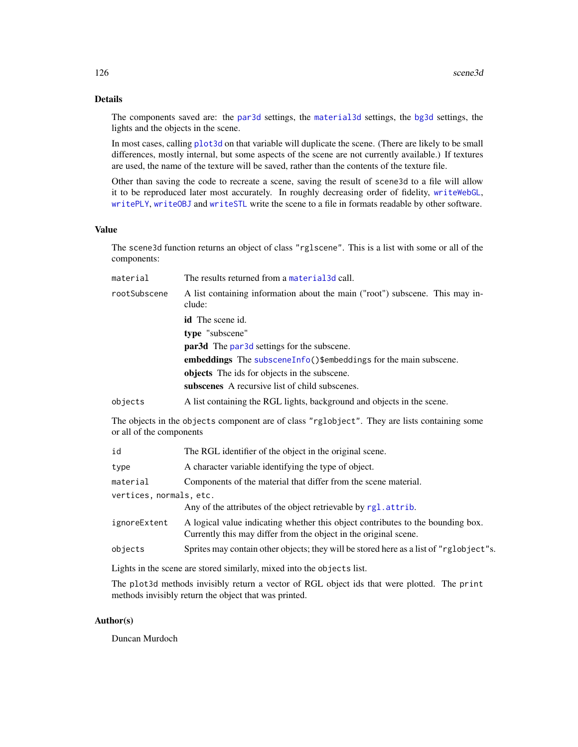# Details

The components saved are: the [par3d](#page-50-0) settings, the [material3d](#page-98-1) settings, the [bg3d](#page-24-0) settings, the lights and the objects in the scene.

In most cases, calling [plot3d](#page-74-0) on that variable will duplicate the scene. (There are likely to be small differences, mostly internal, but some aspects of the scene are not currently available.) If textures are used, the name of the texture will be saved, rather than the contents of the texture file.

Other than saving the code to recreate a scene, saving the result of scene3d to a file will allow it to be reproduced later most accurately. In roughly decreasing order of fidelity, [writeWebGL](#page-171-0), [writePLY](#page-170-0), [writeOBJ](#page-168-0) and [writeSTL](#page-90-0) write the scene to a file in formats readable by other software.

# Value

The scene3d function returns an object of class "rglscene". This is a list with some or all of the components:

| material     | The results returned from a material 3d call.                                          |  |
|--------------|----------------------------------------------------------------------------------------|--|
| rootSubscene | A list containing information about the main ("root") subscene. This may in-<br>clude: |  |
|              | <b>id</b> The scene id.                                                                |  |
|              | type "subscene"                                                                        |  |
|              | <b>par3d</b> The par3d settings for the subscene.                                      |  |
|              | embeddings The subscene Info() $\mathcal{S}$ embeddings for the main subscene.         |  |
|              | objects The ids for objects in the subscene.                                           |  |
|              | subscenes A recursive list of child subscenes.                                         |  |
| objects      | A list containing the RGL lights, background and objects in the scene.                 |  |

The objects in the objects component are of class "rglobject". They are lists containing some or all of the components

| id                      | The RGL identifier of the object in the original scene.                                                                                             |  |
|-------------------------|-----------------------------------------------------------------------------------------------------------------------------------------------------|--|
| type                    | A character variable identifying the type of object.                                                                                                |  |
| material                | Components of the material that differ from the scene material.                                                                                     |  |
| vertices, normals, etc. |                                                                                                                                                     |  |
|                         | Any of the attributes of the object retrievable by rgl. attrib.                                                                                     |  |
| ignoreExtent            | A logical value indicating whether this object contributes to the bounding box.<br>Currently this may differ from the object in the original scene. |  |
| objects                 | Sprites may contain other objects; they will be stored here as a list of "rglobject"s.                                                              |  |
|                         |                                                                                                                                                     |  |

Lights in the scene are stored similarly, mixed into the objects list.

The plot3d methods invisibly return a vector of RGL object ids that were plotted. The print methods invisibly return the object that was printed.

### Author(s)

Duncan Murdoch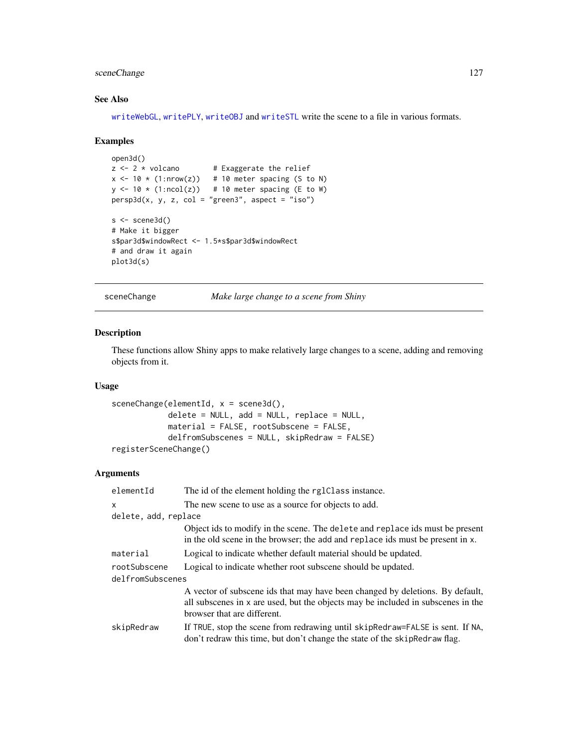# sceneChange 127

# See Also

[writeWebGL](#page-171-0), [writePLY](#page-170-0), [writeOBJ](#page-168-0) and [writeSTL](#page-90-0) write the scene to a file in various formats.

### Examples

```
open3d()
z \le -2 \times volcano # Exaggerate the relief
x \le -10 \times (1: nrow(z)) # 10 meter spacing (S to N)
y \le -10 \times (1:\text{ncol}(z)) # 10 meter spacing (E to W)
persp3d(x, y, z, col = "green3", aspect = "iso")s < - scene3d()
# Make it bigger
s$par3d$windowRect <- 1.5*s$par3d$windowRect
# and draw it again
plot3d(s)
```
sceneChange *Make large change to a scene from Shiny*

## Description

These functions allow Shiny apps to make relatively large changes to a scene, adding and removing objects from it.

### Usage

```
sceneChange(elementId, x = scene3d(),
            delete = NULL, add = NULL, replace = NULL,
            material = FALSE, rootSubscene = FALSE,
            delfromSubscenes = NULL, skipRedraw = FALSE)
registerSceneChange()
```
# Arguments

| elementId                        | The id of the element holding the rglClass instance.                                                                                                                                             |
|----------------------------------|--------------------------------------------------------------------------------------------------------------------------------------------------------------------------------------------------|
| X                                | The new scene to use as a source for objects to add.                                                                                                                                             |
| delete, add, replace             |                                                                                                                                                                                                  |
|                                  | Object ids to modify in the scene. The delete and replace ids must be present<br>in the old scene in the browser; the add and replace ids must be present in x.                                  |
| material                         | Logical to indicate whether default material should be updated.                                                                                                                                  |
| rootSubscene<br>delfromSubscenes | Logical to indicate whether root subscene should be updated.                                                                                                                                     |
|                                  | A vector of subscene ids that may have been changed by deletions. By default,<br>all subscenes in x are used, but the objects may be included in subscenes in the<br>browser that are different. |
| skipRedraw                       | If TRUE, stop the scene from redrawing until skipRedraw=FALSE is sent. If NA,<br>don't redraw this time, but don't change the state of the skipRedraw flag.                                      |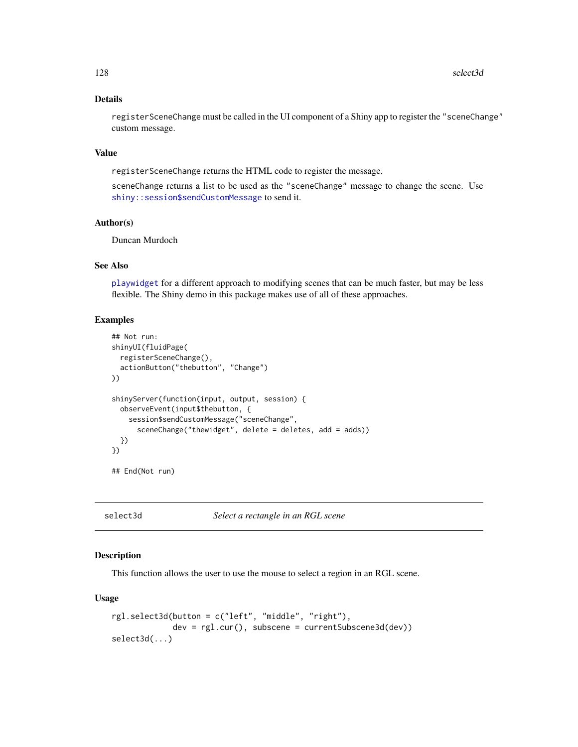# Details

registerSceneChange must be called in the UI component of a Shiny app to register the "sceneChange" custom message.

#### Value

registerSceneChange returns the HTML code to register the message.

sceneChange returns a list to be used as the "sceneChange" message to change the scene. Use [shiny::session\\$sendCustomMessage](#page-0-0) to send it.

# Author(s)

Duncan Murdoch

# See Also

[playwidget](#page-72-0) for a different approach to modifying scenes that can be much faster, but may be less flexible. The Shiny demo in this package makes use of all of these approaches.

### Examples

```
## Not run:
shinyUI(fluidPage(
 registerSceneChange(),
 actionButton("thebutton", "Change")
))
shinyServer(function(input, output, session) {
 observeEvent(input$thebutton, {
   session$sendCustomMessage("sceneChange",
     sceneChange("thewidget", delete = deletes, add = adds))
 })
})
## End(Not run)
```
<span id="page-127-0"></span>

select3d *Select a rectangle in an RGL scene*

#### Description

This function allows the user to use the mouse to select a region in an RGL scene.

```
rgl.select3d(button = c("left", "middle", "right"),
            dev = rgl.cur(), subscene = currentSubscene3d(dev))
select3d(...)
```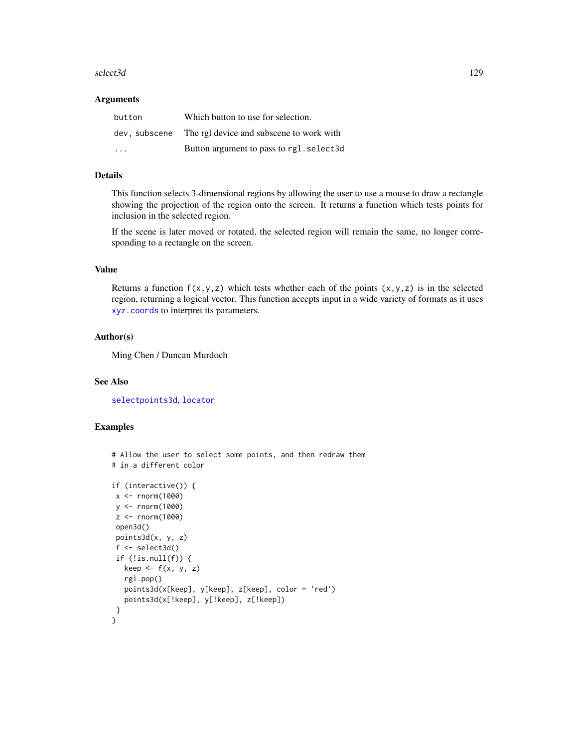#### select3d 129

#### **Arguments**

| button                  | Which button to use for selection.                     |
|-------------------------|--------------------------------------------------------|
|                         | dev, subscene The rgl device and subscene to work with |
| $\cdot$ $\cdot$ $\cdot$ | Button argument to pass to rgl. select3d               |

### Details

This function selects 3-dimensional regions by allowing the user to use a mouse to draw a rectangle showing the projection of the region onto the screen. It returns a function which tests points for inclusion in the selected region.

If the scene is later moved or rotated, the selected region will remain the same, no longer corresponding to a rectangle on the screen.

# Value

Returns a function  $f(x,y,z)$  which tests whether each of the points  $(x,y,z)$  is in the selected region, returning a logical vector. This function accepts input in a wide variety of formats as it uses [xyz.coords](#page-0-0) to interpret its parameters.

# Author(s)

Ming Chen / Duncan Murdoch

# See Also

[selectpoints3d](#page-129-0), [locator](#page-0-0)

### Examples

```
# Allow the user to select some points, and then redraw them
# in a different color
if (interactive()) {
x <- rnorm(1000)
y <- rnorm(1000)
z <- rnorm(1000)
open3d()
points3d(x, y, z)
 f <- select3d()
if (!is.null(f)) {
  keep \leftarrow f(x, y, z)rgl.pop()
  points3d(x[keep], y[keep], z[keep], color = 'red')
  points3d(x[!keep], y[!keep], z[!keep])
}
}
```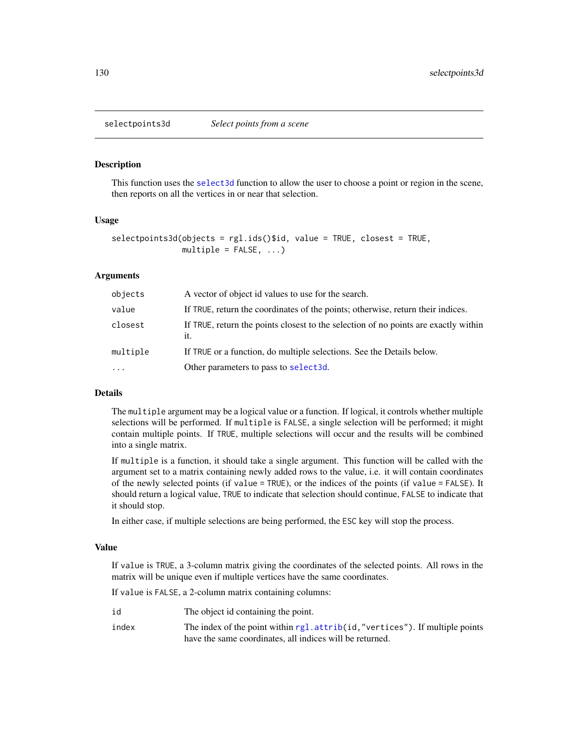<span id="page-129-0"></span>

### Description

This function uses the [select3d](#page-127-0) function to allow the user to choose a point or region in the scene, then reports on all the vertices in or near that selection.

#### Usage

```
selectpoints3d(objects = rgl.ids()$id, value = TRUE, closest = TRUE,
              multiple = FALSE, ...)
```
### Arguments

| objects  | A vector of object id values to use for the search.                                        |
|----------|--------------------------------------------------------------------------------------------|
| value    | If TRUE, return the coordinates of the points; otherwise, return their indices.            |
| closest  | If TRUE, return the points closest to the selection of no points are exactly within<br>it. |
| multiple | If TRUE or a function, do multiple selections. See the Details below.                      |
|          | Other parameters to pass to select3d.                                                      |

#### Details

The multiple argument may be a logical value or a function. If logical, it controls whether multiple selections will be performed. If multiple is FALSE, a single selection will be performed; it might contain multiple points. If TRUE, multiple selections will occur and the results will be combined into a single matrix.

If multiple is a function, it should take a single argument. This function will be called with the argument set to a matrix containing newly added rows to the value, i.e. it will contain coordinates of the newly selected points (if value = TRUE), or the indices of the points (if value = FALSE). It should return a logical value, TRUE to indicate that selection should continue, FALSE to indicate that it should stop.

In either case, if multiple selections are being performed, the ESC key will stop the process.

#### Value

If value is TRUE, a 3-column matrix giving the coordinates of the selected points. All rows in the matrix will be unique even if multiple vertices have the same coordinates.

If value is FALSE, a 2-column matrix containing columns:

| id    | The object id containing the point.                                           |
|-------|-------------------------------------------------------------------------------|
| index | The index of the point within rgl. attrib(id, "vertices"). If multiple points |
|       | have the same coordinates, all indices will be returned.                      |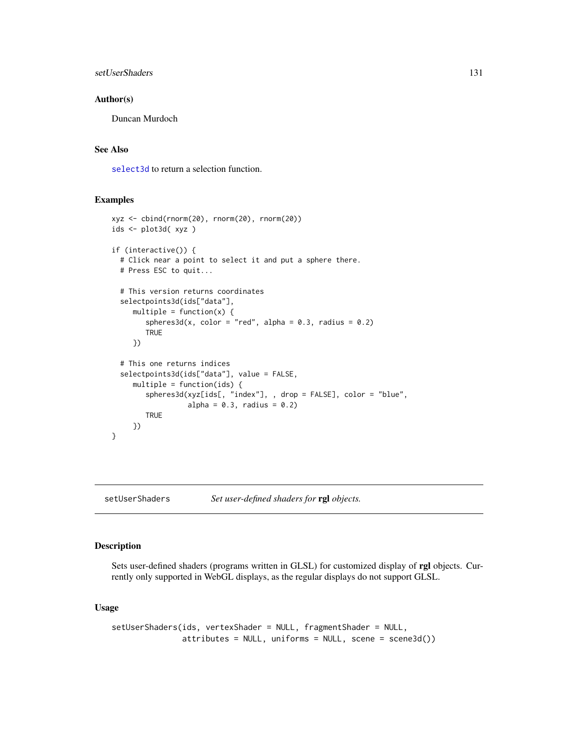```
setUserShaders 131
```
### Author(s)

Duncan Murdoch

# See Also

[select3d](#page-127-0) to return a selection function.

### Examples

```
xyz <- cbind(rnorm(20), rnorm(20), rnorm(20))
ids <- plot3d( xyz )
if (interactive()) {
 # Click near a point to select it and put a sphere there.
 # Press ESC to quit...
 # This version returns coordinates
 selectpoints3d(ids["data"],
     multiple = function(x) {
        spheres3d(x, color = "red", alpha = 0.3, radius = 0.2)
        TRUE
     })
 # This one returns indices
 selectpoints3d(ids["data"], value = FALSE,
     multiple = function(ids) {
        spheres3d(xyz[ids[, "index"], , drop = FALSE], color = "blue",
                  alpha = 0.3, radius = 0.2)
        TRUE
     })
}
```
setUserShaders *Set user-defined shaders for* rgl *objects.*

# Description

Sets user-defined shaders (programs written in GLSL) for customized display of rgl objects. Currently only supported in WebGL displays, as the regular displays do not support GLSL.

```
setUserShaders(ids, vertexShader = NULL, fragmentShader = NULL,
              attributes = NULL, uniforms = NULL, scene = scene3d())
```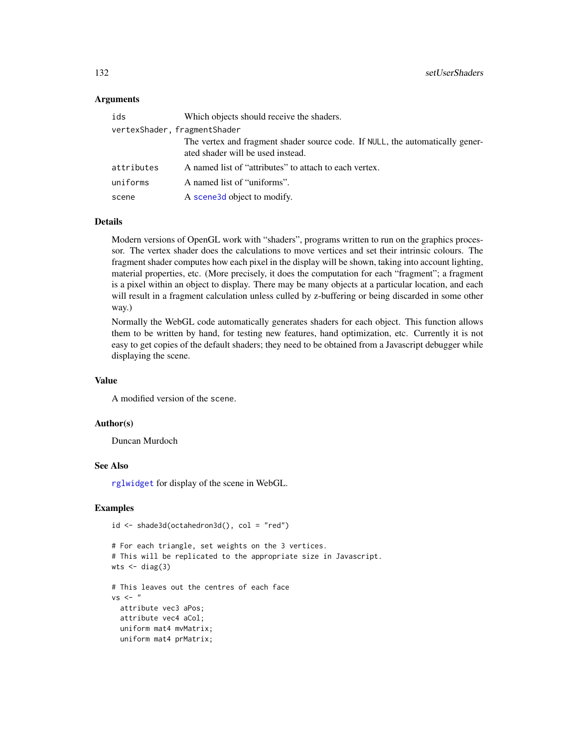### Arguments

| ids                          | Which objects should receive the shaders.                                                                          |
|------------------------------|--------------------------------------------------------------------------------------------------------------------|
| vertexShader, fragmentShader |                                                                                                                    |
|                              | The vertex and fragment shader source code. If NULL, the automatically gener-<br>ated shader will be used instead. |
| attributes                   | A named list of "attributes" to attach to each vertex.                                                             |
| uniforms                     | A named list of "uniforms".                                                                                        |
| scene                        | A scene3d object to modify.                                                                                        |

### Details

Modern versions of OpenGL work with "shaders", programs written to run on the graphics processor. The vertex shader does the calculations to move vertices and set their intrinsic colours. The fragment shader computes how each pixel in the display will be shown, taking into account lighting, material properties, etc. (More precisely, it does the computation for each "fragment"; a fragment is a pixel within an object to display. There may be many objects at a particular location, and each will result in a fragment calculation unless culled by z-buffering or being discarded in some other way.)

Normally the WebGL code automatically generates shaders for each object. This function allows them to be written by hand, for testing new features, hand optimization, etc. Currently it is not easy to get copies of the default shaders; they need to be obtained from a Javascript debugger while displaying the scene.

#### Value

A modified version of the scene.

### Author(s)

Duncan Murdoch

### See Also

[rglwidget](#page-120-0) for display of the scene in WebGL.

### Examples

```
id <- shade3d(octahedron3d(), col = "red")
```

```
# For each triangle, set weights on the 3 vertices.
# This will be replicated to the appropriate size in Javascript.
wts < - diag(3)
```

```
# This leaves out the centres of each face
vs < -"
 attribute vec3 aPos;
 attribute vec4 aCol;
 uniform mat4 mvMatrix;
 uniform mat4 prMatrix;
```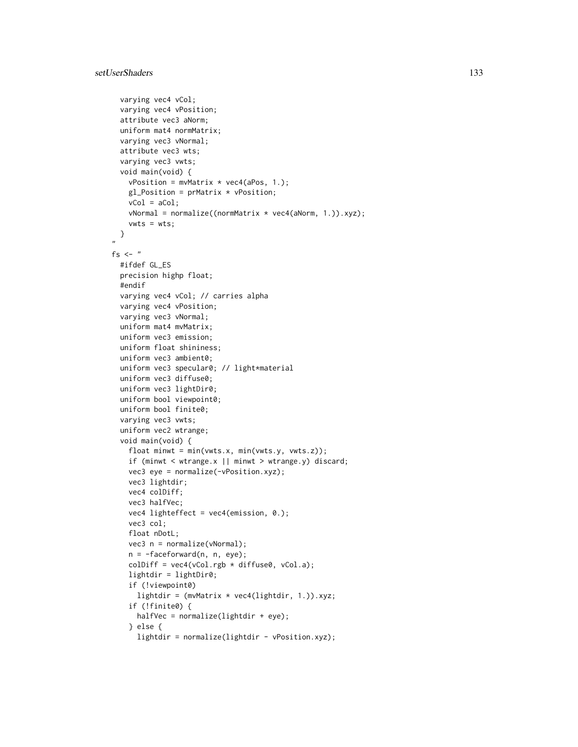```
varying vec4 vCol;
 varying vec4 vPosition;
 attribute vec3 aNorm;
 uniform mat4 normMatrix;
 varying vec3 vNormal;
 attribute vec3 wts;
 varying vec3 vwts;
 void main(void) {
   vPosition = mvMatrix * vec4(aPos, 1.);gl_Position = prMatrix * vPosition;
   vCol = aCol;vNormal = normalize((normMatrix * vec4(aNorm, 1.)).xyz);
   vwts = wts;}
,,
fs \leq - "
 #ifdef GL_ES
 precision highp float;
 #endif
 varying vec4 vCol; // carries alpha
 varying vec4 vPosition;
 varying vec3 vNormal;
 uniform mat4 mvMatrix;
 uniform vec3 emission;
 uniform float shininess;
 uniform vec3 ambient0;
 uniform vec3 specular0; // light*material
 uniform vec3 diffuse0;
 uniform vec3 lightDir0;
 uniform bool viewpoint0;
 uniform bool finite0;
 varying vec3 vwts;
 uniform vec2 wtrange;
 void main(void) {
    float minwt = min(vwts.x, min(vwts.y, vwts.z));
    if (minwt < wtrange.x || minwt > wtrange.y) discard;
   vec3 eye = normalize(-vPosition.xyz);
   vec3 lightdir;
    vec4 colDiff;
    vec3 halfVec;
   vec4 lighteffect = vec4(emission, 0.);
   vec3 col;
    float nDotL;
   vec3 n = normalize(vNormal);
   n = -faceforward(n, n, eye);
   colDiff = vec4(vCol.rgb * diffuse0, vCol.a);lightdir = lightDir0;
    if (!viewpoint0)
     lightdir = (mvMatrix * vec4(lightdir, 1.)).xyz;
    if (!finite0) {
     halfVec = normalize(lightdir + eye);
    } else {
     lightdir = normalize(lightdir - vPosition.xyz);
```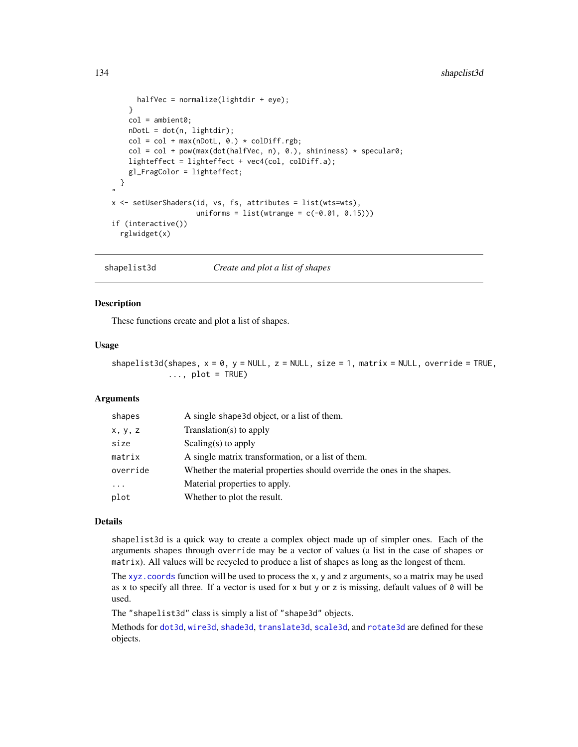```
halfVec = normalize(lightdir + eye);
   }
   col = ambient0;nDotL = dot(n, lightdir);col = col + max(nDotL, 0.) * colDiff.rgb;col = col + pow(max(dot(halfVec, n), 0.), shininess) * specular0;lighteffect = lighteffect + vec4(col, colDiff.a);
    gl_FragColor = lighteffect;
 }
,,
x <- setUserShaders(id, vs, fs, attributes = list(wts=wts),
                    uniforms = list(wrange = c(-0.01, 0.15)))if (interactive())
  rglwidget(x)
```
shapelist3d *Create and plot a list of shapes*

### Description

These functions create and plot a list of shapes.

#### Usage

shapelist3d(shapes,  $x = 0$ ,  $y = NULL$ ,  $z = NULL$ , size = 1, matrix = NULL, override = TRUE,  $\ldots$ , plot = TRUE)

# Arguments

| shapes     | A single shape 3d object, or a list of them.                            |
|------------|-------------------------------------------------------------------------|
| X, Y, Z    | Translation(s) to apply                                                 |
| size       | Scaling(s) to apply                                                     |
| matrix     | A single matrix transformation, or a list of them.                      |
| override   | Whether the material properties should override the ones in the shapes. |
| $\ddots$ . | Material properties to apply.                                           |
| plot       | Whether to plot the result.                                             |

#### Details

shapelist3d is a quick way to create a complex object made up of simpler ones. Each of the arguments shapes through override may be a vector of values (a list in the case of shapes or matrix). All values will be recycled to produce a list of shapes as long as the longest of them.

The [xyz.coords](#page-0-0) function will be used to process the x, y and z arguments, so a matrix may be used as x to specify all three. If a vector is used for x but y or z is missing, default values of  $\theta$  will be used.

The "shapelist3d" class is simply a list of "shape3d" objects.

Methods for [dot3d](#page-45-0), [wire3d](#page-45-0), [shade3d](#page-45-0), [translate3d](#page-42-0), [scale3d](#page-42-0), and [rotate3d](#page-42-0) are defined for these objects.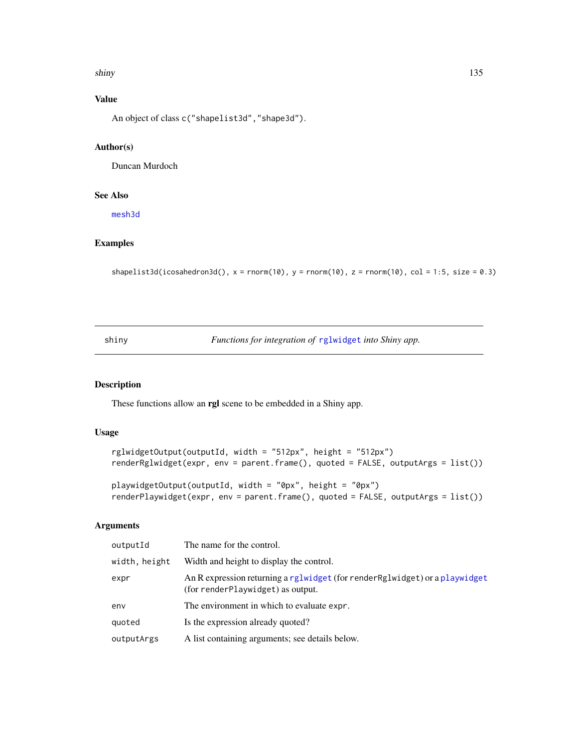#### shiny and the state of the state of the state of the state of the state of the state of the state of the state of the state of the state of the state of the state of the state of the state of the state of the state of the

# Value

An object of class c("shapelist3d","shape3d").

# Author(s)

Duncan Murdoch

### See Also

[mesh3d](#page-45-1)

# Examples

```
shapelist3d(icosahedron3d(), x = rnorm(10), y = rnorm(10), z = rnorm(10), col = 1:5, size = 0.3)
```
shiny *Functions for integration of* [rglwidget](#page-120-0) *into Shiny app.*

# <span id="page-134-0"></span>Description

These functions allow an rgl scene to be embedded in a Shiny app.

### Usage

```
rglwidgetOutput(outputId, width = "512px", height = "512px")
renderRglwidget(expr, env = parent.frame(), quoted = FALSE, outputArgs = list())
```

```
playwidgetOutput(outputId, width = "0px", height = "0px")
renderPlaywidget(expr, env = parent.frame(), quoted = FALSE, outputArgs = list())
```
# Arguments

| outputId      | The name for the control.                                                                                         |
|---------------|-------------------------------------------------------------------------------------------------------------------|
| width, height | Width and height to display the control.                                                                          |
| expr          | An R expression returning a rglwidget (for render Rglwidget) or a playwidget<br>(for renderPlaywidget) as output. |
| env           | The environment in which to evaluate expr.                                                                        |
| quoted        | Is the expression already quoted?                                                                                 |
| outputArgs    | A list containing arguments; see details below.                                                                   |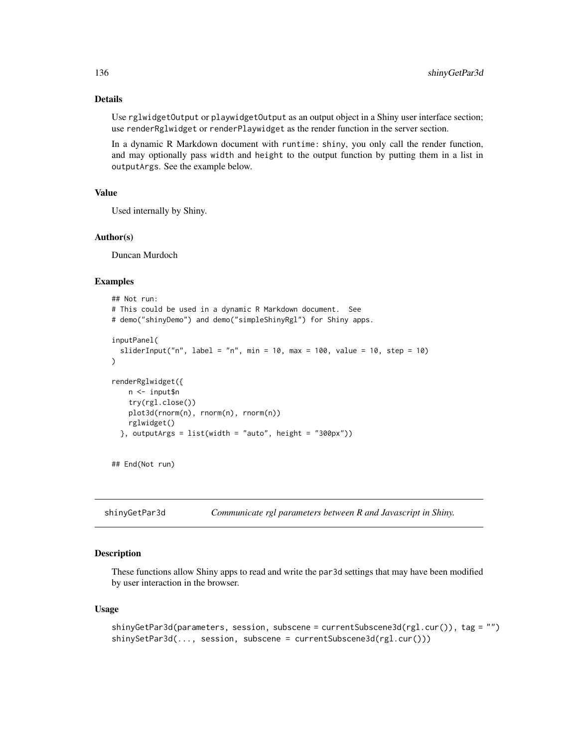### Details

Use rglwidgetOutput or playwidgetOutput as an output object in a Shiny user interface section; use renderRglwidget or renderPlaywidget as the render function in the server section.

In a dynamic R Markdown document with runtime: shiny, you only call the render function, and may optionally pass width and height to the output function by putting them in a list in outputArgs. See the example below.

# Value

Used internally by Shiny.

### Author(s)

Duncan Murdoch

#### Examples

```
## Not run:
# This could be used in a dynamic R Markdown document. See
# demo("shinyDemo") and demo("simpleShinyRgl") for Shiny apps.
inputPanel(
 sliderInput("n", label = "n", min = 10, max = 100, value = 10, step = 10)
)
renderRglwidget({
   n <- input$n
   try(rgl.close())
   plot3d(rnorm(n), rnorm(n), rnorm(n))
   rglwidget()
 }, outputArgs = list(width = "auto", height = "300px"))
```

```
## End(Not run)
```
shinyGetPar3d *Communicate rgl parameters between R and Javascript in Shiny.*

## Description

These functions allow Shiny apps to read and write the par3d settings that may have been modified by user interaction in the browser.

```
shinyGetPar3d(parameters, session, subscene = currentSubscene3d(rgl.cur()), tag = "")
shinySetPar3d(..., session, subscene = currentSubscene3d(rgl.cur()))
```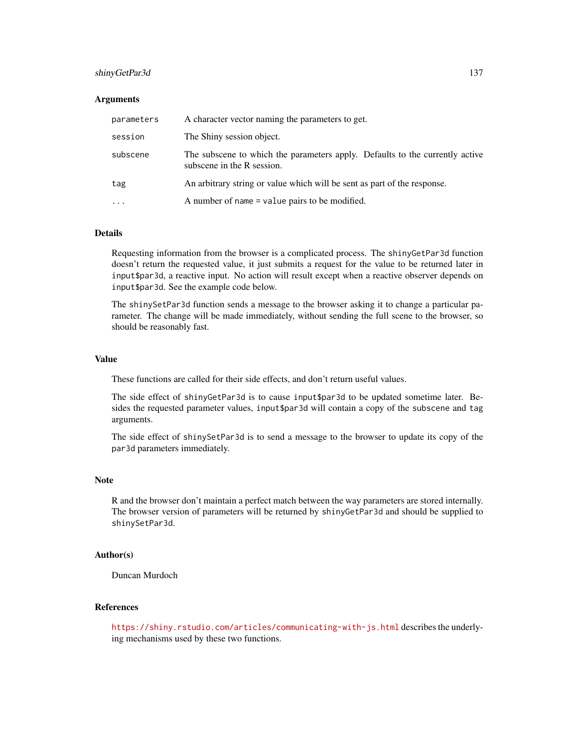### shinyGetPar3d 137

#### Arguments

| parameters | A character vector naming the parameters to get.                                                           |
|------------|------------------------------------------------------------------------------------------------------------|
| session    | The Shiny session object.                                                                                  |
| subscene   | The subscene to which the parameters apply. Defaults to the currently active<br>subscene in the R session. |
| tag        | An arbitrary string or value which will be sent as part of the response.                                   |
| $\cdots$   | A number of name = value pairs to be modified.                                                             |

#### Details

Requesting information from the browser is a complicated process. The shinyGetPar3d function doesn't return the requested value, it just submits a request for the value to be returned later in input\$par3d, a reactive input. No action will result except when a reactive observer depends on input\$par3d. See the example code below.

The shinySetPar3d function sends a message to the browser asking it to change a particular parameter. The change will be made immediately, without sending the full scene to the browser, so should be reasonably fast.

### Value

These functions are called for their side effects, and don't return useful values.

The side effect of shinyGetPar3d is to cause input\$par3d to be updated sometime later. Besides the requested parameter values, input\$par3d will contain a copy of the subscene and tag arguments.

The side effect of shinySetPar3d is to send a message to the browser to update its copy of the par3d parameters immediately.

#### **Note**

R and the browser don't maintain a perfect match between the way parameters are stored internally. The browser version of parameters will be returned by shinyGetPar3d and should be supplied to shinySetPar3d.

#### Author(s)

Duncan Murdoch

### References

<https://shiny.rstudio.com/articles/communicating-with-js.html> describes the underlying mechanisms used by these two functions.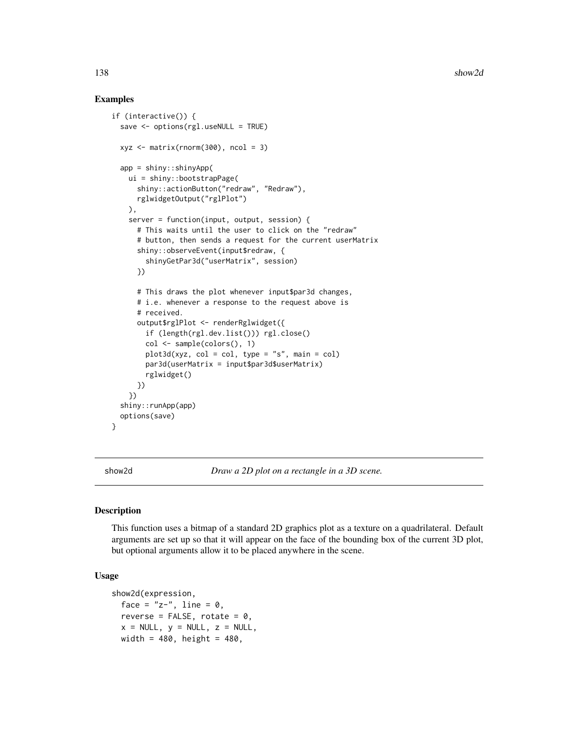### Examples

```
if (interactive()) {
 save <- options(rgl.useNULL = TRUE)
 xyz \le - matrix(rnorm(300), ncol = 3)
 app = shiny::shinyApp(
   ui = shiny::bootstrapPage(
     shiny::actionButton("redraw", "Redraw"),
     rglwidgetOutput("rglPlot")
   ),
    server = function(input, output, session) {
     # This waits until the user to click on the "redraw"
     # button, then sends a request for the current userMatrix
     shiny::observeEvent(input$redraw, {
        shinyGetPar3d("userMatrix", session)
     })
     # This draws the plot whenever input$par3d changes,
     # i.e. whenever a response to the request above is
      # received.
     output$rglPlot <- renderRglwidget({
        if (length(rgl.dev.list())) rgl.close()
        col <- sample(colors(), 1)
        plot3d(xyz, col = col, type = "s", main = col)par3d(userMatrix = input$par3d$userMatrix)
        rglwidget()
     })
   })
 shiny::runApp(app)
 options(save)
}
```
show2d *Draw a 2D plot on a rectangle in a 3D scene.*

#### Description

This function uses a bitmap of a standard 2D graphics plot as a texture on a quadrilateral. Default arguments are set up so that it will appear on the face of the bounding box of the current 3D plot, but optional arguments allow it to be placed anywhere in the scene.

```
show2d(expression,
 face = "z-", line = 0,
  reverse = FALSE, rotate = 0,x = NULL, y = NULL, z = NULL,width = 480, height = 480,
```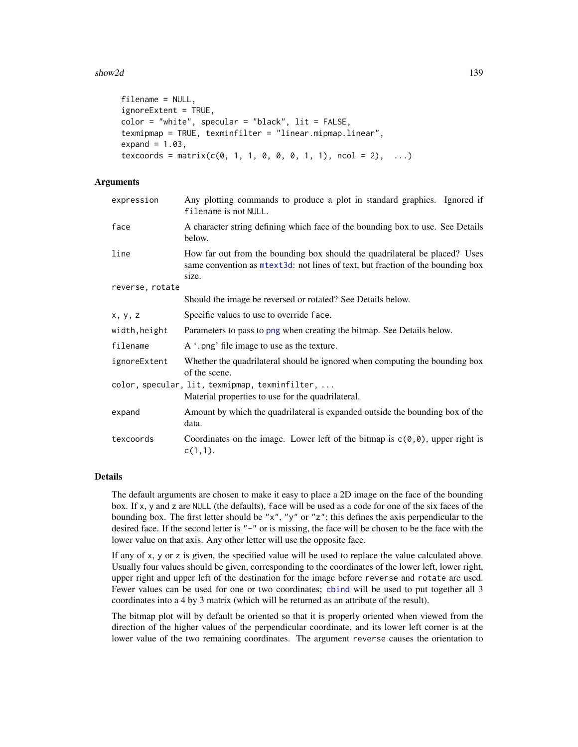#### show2d 139

```
filename = NULL,
ignoreExtent = TRUE,
color = "white", spectrum = "black", i>1texmipmap = TRUE, texminfilter = "linear.mipmap.linear",
expand = 1.03,
texcoords = matrix(c(0, 1, 1, 0, 0, 0, 1, 1), ncol = 2), ...
```
# Arguments

| Any plotting commands to produce a plot in standard graphics. Ignored if<br>filename is not NULL.                                                                      |
|------------------------------------------------------------------------------------------------------------------------------------------------------------------------|
| A character string defining which face of the bounding box to use. See Details<br>below.                                                                               |
| How far out from the bounding box should the quadrilateral be placed? Uses<br>same convention as mtext3d: not lines of text, but fraction of the bounding box<br>size. |
|                                                                                                                                                                        |
| Should the image be reversed or rotated? See Details below.                                                                                                            |
| Specific values to use to override face.                                                                                                                               |
| Parameters to pass to png when creating the bitmap. See Details below.                                                                                                 |
| A '.png' file image to use as the texture.                                                                                                                             |
| Whether the quadrilateral should be ignored when computing the bounding box<br>of the scene.                                                                           |
| color, specular, lit, texmipmap, texminfilter,                                                                                                                         |
| Material properties to use for the quadrilateral.                                                                                                                      |
| Amount by which the quadrilateral is expanded outside the bounding box of the<br>data.                                                                                 |
| Coordinates on the image. Lower left of the bitmap is $c(\theta, \theta)$ , upper right is<br>$c(1,1)$ .                                                               |
|                                                                                                                                                                        |

# Details

The default arguments are chosen to make it easy to place a 2D image on the face of the bounding box. If x, y and z are NULL (the defaults), face will be used as a code for one of the six faces of the bounding box. The first letter should be "x", "y" or "z"; this defines the axis perpendicular to the desired face. If the second letter is "-" or is missing, the face will be chosen to be the face with the lower value on that axis. Any other letter will use the opposite face.

If any of x, y or z is given, the specified value will be used to replace the value calculated above. Usually four values should be given, corresponding to the coordinates of the lower left, lower right, upper right and upper left of the destination for the image before reverse and rotate are used. Fewer values can be used for one or two coordinates; [cbind](#page-0-0) will be used to put together all 3 coordinates into a 4 by 3 matrix (which will be returned as an attribute of the result).

The bitmap plot will by default be oriented so that it is properly oriented when viewed from the direction of the higher values of the perpendicular coordinate, and its lower left corner is at the lower value of the two remaining coordinates. The argument reverse causes the orientation to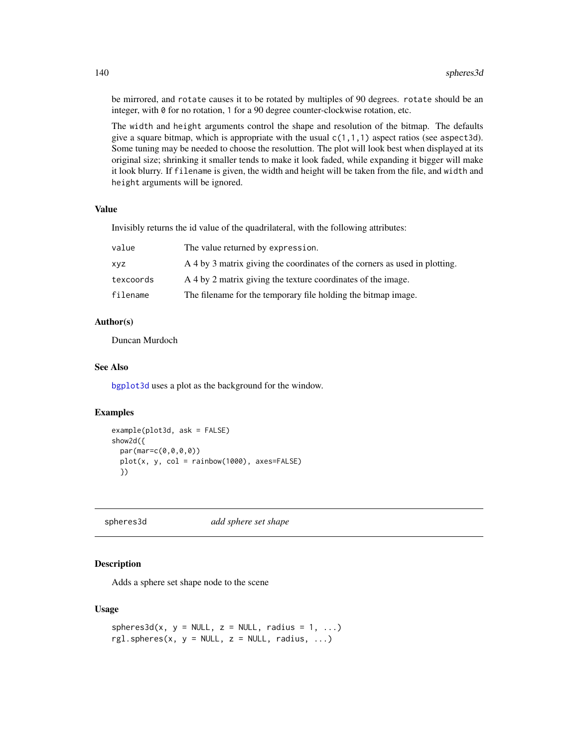be mirrored, and rotate causes it to be rotated by multiples of 90 degrees. rotate should be an integer, with 0 for no rotation, 1 for a 90 degree counter-clockwise rotation, etc.

The width and height arguments control the shape and resolution of the bitmap. The defaults give a square bitmap, which is appropriate with the usual  $c(1,1,1)$  aspect ratios (see aspect3d). Some tuning may be needed to choose the resoluttion. The plot will look best when displayed at its original size; shrinking it smaller tends to make it look faded, while expanding it bigger will make it look blurry. If filename is given, the width and height will be taken from the file, and width and height arguments will be ignored.

#### Value

Invisibly returns the id value of the quadrilateral, with the following attributes:

| value     | The value returned by expression.                                          |
|-----------|----------------------------------------------------------------------------|
| XVZ       | A 4 by 3 matrix giving the coordinates of the corners as used in plotting. |
| texcoords | A 4 by 2 matrix giving the texture coordinates of the image.               |
| filename  | The filename for the temporary file holding the bitmap image.              |

# Author(s)

Duncan Murdoch

### See Also

[bgplot3d](#page-25-0) uses a plot as the background for the window.

#### Examples

```
example(plot3d, ask = FALSE)
show2d({
 par(mar=c(0,0,0,0))
 plot(x, y, col = rainbow(1000), axes=FALSE)
 })
```
spheres3d *add sphere set shape*

### Description

Adds a sphere set shape node to the scene

```
spheres3d(x, y = NULL, z = NULL, radius = 1, ...)rgl.spheres(x, y = NULL, z = NULL, radius, ...)
```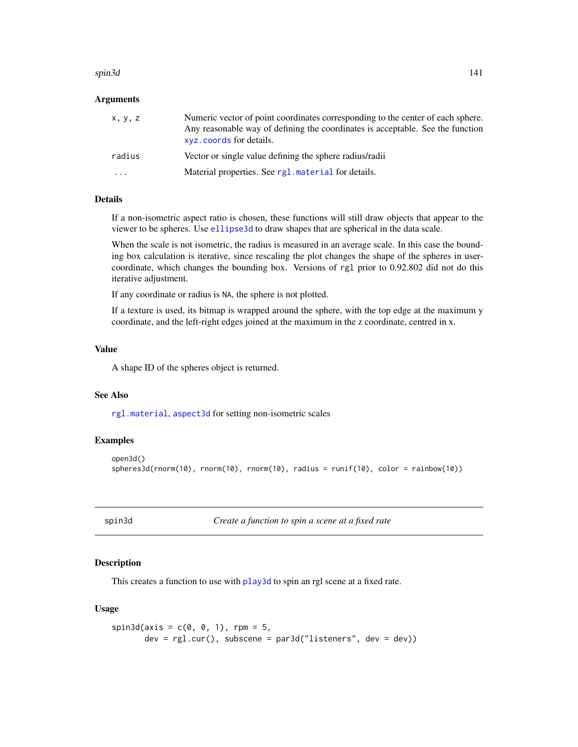#### spin3d 141

### Arguments

| x, y, z                 | Numeric vector of point coordinates corresponding to the center of each sphere.<br>Any reasonable way of defining the coordinates is acceptable. See the function<br>xyz. coords for details. |
|-------------------------|-----------------------------------------------------------------------------------------------------------------------------------------------------------------------------------------------|
| radius                  | Vector or single value defining the sphere radius/radii                                                                                                                                       |
| $\cdot$ $\cdot$ $\cdot$ | Material properties. See rg1. material for details.                                                                                                                                           |

### Details

If a non-isometric aspect ratio is chosen, these functions will still draw objects that appear to the viewer to be spheres. Use [ellipse3d](#page-32-0) to draw shapes that are spherical in the data scale.

When the scale is not isometric, the radius is measured in an average scale. In this case the bounding box calculation is iterative, since rescaling the plot changes the shape of the spheres in usercoordinate, which changes the bounding box. Versions of rgl prior to 0.92.802 did not do this iterative adjustment.

If any coordinate or radius is NA, the sphere is not plotted.

If a texture is used, its bitmap is wrapped around the sphere, with the top edge at the maximum y coordinate, and the left-right edges joined at the maximum in the z coordinate, centred in x.

### Value

A shape ID of the spheres object is returned.

### See Also

[rgl.material](#page-98-0), [aspect3d](#page-19-0) for setting non-isometric scales

#### Examples

```
open3d()
spheres3d(rnorm(10), rnorm(10), rnorm(10), radius = runif(10), color = rainbow(10))
```
spin3d *Create a function to spin a scene at a fixed rate*

### Description

This creates a function to use with [play3d](#page-70-1) to spin an rgl scene at a fixed rate.

```
spin3d(axis = c(0, 0, 1), rpm = 5,dev = rg1.cur(), subscene = par3d("listeners", dev = dev))
```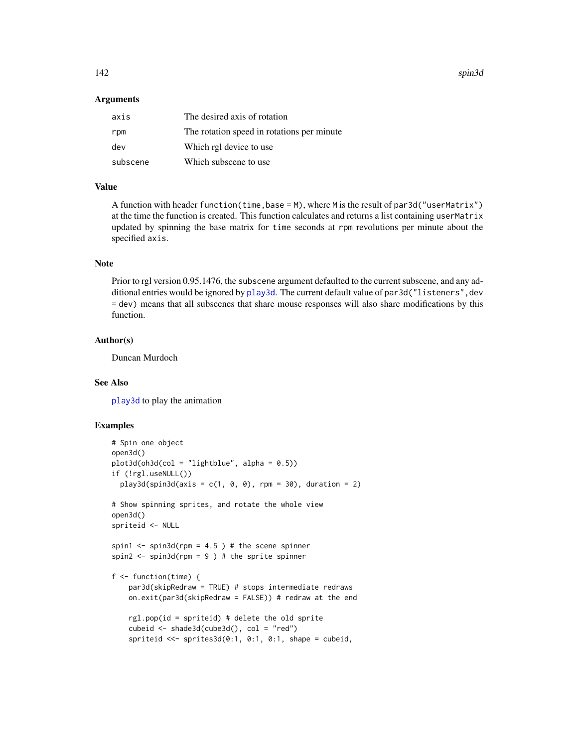142 spin3d

#### **Arguments**

| axis     | The desired axis of rotation                |
|----------|---------------------------------------------|
| rpm      | The rotation speed in rotations per minute. |
| dev      | Which rgl device to use                     |
| subscene | Which subscene to use                       |

# Value

A function with header function(time, base = M), where M is the result of par3d("userMatrix") at the time the function is created. This function calculates and returns a list containing userMatrix updated by spinning the base matrix for time seconds at rpm revolutions per minute about the specified axis.

### Note

Prior to rgl version 0.95.1476, the subscene argument defaulted to the current subscene, and any additional entries would be ignored by [play3d](#page-70-1). The current default value of par3d("listeners", dev = dev) means that all subscenes that share mouse responses will also share modifications by this function.

### Author(s)

Duncan Murdoch

### See Also

[play3d](#page-70-1) to play the animation

## Examples

```
# Spin one object
open3d()
plot3d(oh3d(col = "lightblue", alpha = 0.5))if (!rgl.useNULL())
 play3d(spin3d(axis = c(1, 0, 0), rpm = 30), duration = 2)# Show spinning sprites, and rotate the whole view
open3d()
spriteid <- NULL
spin1 <- spin3d(rpm = 4.5) # the scene spinner
spin2 \le spin3d(rpm = 9 ) # the sprite spinner
f <- function(time) {
    par3d(skipRedraw = TRUE) # stops intermediate redraws
   on.exit(par3d(skipRedraw = FALSE)) # redraw at the end
    rgl.pop(id = spriteid) # delete the old sprite
    cubeid <- shade3d(cube3d(), col = "red")
    spriteid <<- sprites3d(0:1, 0:1, 0:1, shape = cubeid,
```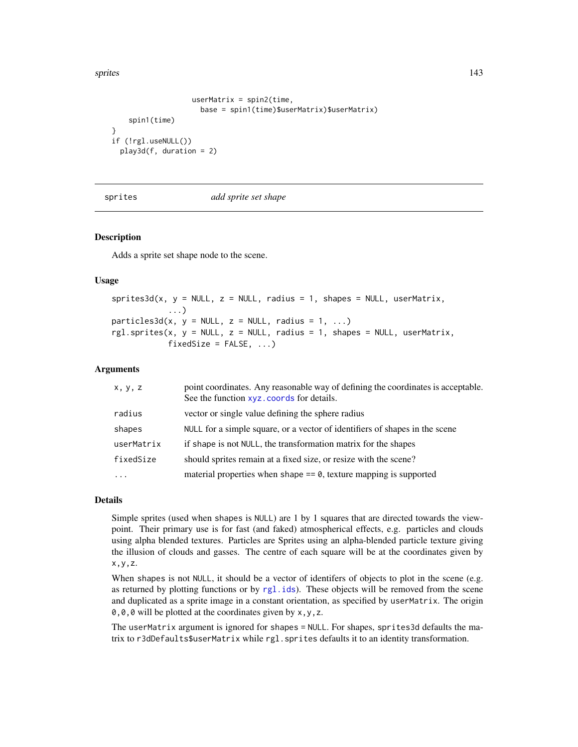sprites that the set of the set of the set of the set of the set of the set of the set of the set of the set of the set of the set of the set of the set of the set of the set of the set of the set of the set of the set of

}

```
userMatrix = spin2(time,
                     base = spin1(time)$userMatrix)$userMatrix)
    spin1(time)
if (!rgl.useNULL())
 play3d(f, duration = 2)
```
sprites *add sprite set shape*

#### Description

Adds a sprite set shape node to the scene.

#### Usage

 $sprites3d(x, y = NULL, z = NULL, radius = 1, shapes = NULL, userMatrix,$ ...)  $particles3d(x, y = NULL, z = NULL, radius = 1, ...)$ rgl.sprites(x, y = NULL, z = NULL, radius = 1, shapes = NULL, userMatrix,  $fixedSize = FALSE, ...$ 

#### Arguments

| x, y, z    | point coordinates. Any reasonable way of defining the coordinates is acceptable.<br>See the function xyz. coords for details. |
|------------|-------------------------------------------------------------------------------------------------------------------------------|
| radius     | vector or single value defining the sphere radius                                                                             |
| shapes     | NULL for a simple square, or a vector of identifiers of shapes in the scene                                                   |
| userMatrix | if shape is not NULL, the transformation matrix for the shapes                                                                |
| fixedSize  | should sprites remain at a fixed size, or resize with the scene?                                                              |
| $\ddotsc$  | material properties when shape $== 0$ , texture mapping is supported                                                          |

### Details

Simple sprites (used when shapes is NULL) are 1 by 1 squares that are directed towards the viewpoint. Their primary use is for fast (and faked) atmospherical effects, e.g. particles and clouds using alpha blended textures. Particles are Sprites using an alpha-blended particle texture giving the illusion of clouds and gasses. The centre of each square will be at the coordinates given by x,y,z.

When shapes is not NULL, it should be a vector of identifers of objects to plot in the scene (e.g. as returned by plotting functions or by [rgl.ids](#page-123-0)). These objects will be removed from the scene and duplicated as a sprite image in a constant orientation, as specified by userMatrix. The origin 0,0,0 will be plotted at the coordinates given by x,y,z.

The userMatrix argument is ignored for shapes = NULL. For shapes, sprites3d defaults the matrix to r3dDefaults\$userMatrix while rgl.sprites defaults it to an identity transformation.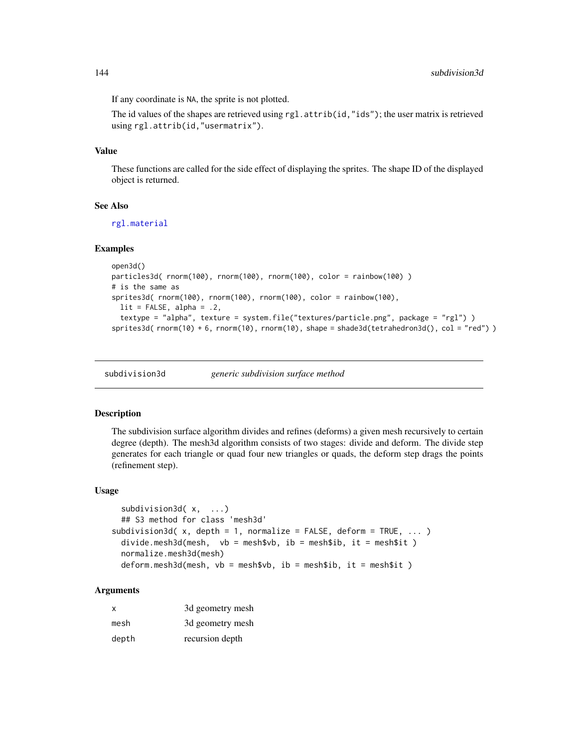If any coordinate is NA, the sprite is not plotted.

The id values of the shapes are retrieved using  $rgl.attrib(id,"ids")$ ; the user matrix is retrieved using rgl.attrib(id,"usermatrix").

### Value

These functions are called for the side effect of displaying the sprites. The shape ID of the displayed object is returned.

### See Also

[rgl.material](#page-98-0)

### Examples

```
open3d()
particles3d( rnorm(100), rnorm(100), rnorm(100), color = rainbow(100))
# is the same as
sprites3d( rnorm(100), rnorm(100), rnorm(100), color = rainbow(100),
  lit = FALSE, alpha = .2,textype = "alpha", texture = system.file("textures/particle.png", package = "rgl") )
sprites3d( rnorm(10) + 6, rnorm(10), rnorm(10), shape = shade3d(tetrahedron3d(), col = "red") )
```
subdivision3d *generic subdivision surface method*

### Description

The subdivision surface algorithm divides and refines (deforms) a given mesh recursively to certain degree (depth). The mesh3d algorithm consists of two stages: divide and deform. The divide step generates for each triangle or quad four new triangles or quads, the deform step drags the points (refinement step).

### Usage

```
subdivision3d( x, ...)
  ## S3 method for class 'mesh3d'
subdivision3d(x, depth = 1, normalize = FALSE, deform = TRUE, ... )
  divide.mesh3d(mesh, vb = mesh$vb, ib = mesh$ib, it = mesh$it )
  normalize.mesh3d(mesh)
  deform.mesh3d(mesh, vb = mesh$vb, ib = mesh$ib, it = mesh$it )
```
# **Arguments**

| x     | 3d geometry mesh |
|-------|------------------|
| mesh  | 3d geometry mesh |
| depth | recursion depth  |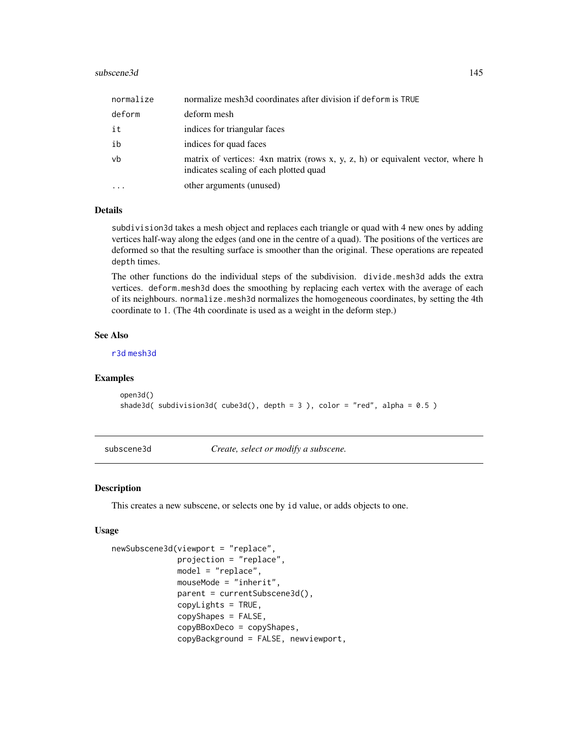#### <span id="page-144-1"></span>subscene3d 145

| normalize | normalize mesh3d coordinates after division if deform is TRUE                                                            |
|-----------|--------------------------------------------------------------------------------------------------------------------------|
| deform    | deform mesh                                                                                                              |
| it        | indices for triangular faces                                                                                             |
| ib        | indices for quad faces                                                                                                   |
| vb        | matrix of vertices: 4xn matrix (rows x, y, z, h) or equivalent vector, where h<br>indicates scaling of each plotted quad |
| $\ddotsc$ | other arguments (unused)                                                                                                 |

# **Details**

subdivision3d takes a mesh object and replaces each triangle or quad with 4 new ones by adding vertices half-way along the edges (and one in the centre of a quad). The positions of the vertices are deformed so that the resulting surface is smoother than the original. These operations are repeated depth times.

The other functions do the individual steps of the subdivision. divide.mesh3d adds the extra vertices. deform.mesh3d does the smoothing by replacing each vertex with the average of each of its neighbours. normalize.mesh3d normalizes the homogeneous coordinates, by setting the 4th coordinate to 1. (The 4th coordinate is used as a weight in the deform step.)

#### See Also

[r3d](#page-89-0) [mesh3d](#page-45-0)

# Examples

```
open3d()
shade3d( subdivision3d( cube3d(), depth = 3 ), color = "red", alpha = 0.5 )
```
subscene3d *Create, select or modify a subscene.*

#### <span id="page-144-0"></span>**Description**

This creates a new subscene, or selects one by id value, or adds objects to one.

#### Usage

```
newSubscene3d(viewport = "replace",
              projection = "replace",
              model = "replace",
              mouseMode = "inherit",
              parent = currentSubscene3d(),
              copyLights = TRUE,
              copyShapes = FALSE,
              copyBBoxDeco = copyShapes,
              copyBackground = FALSE, newviewport,
```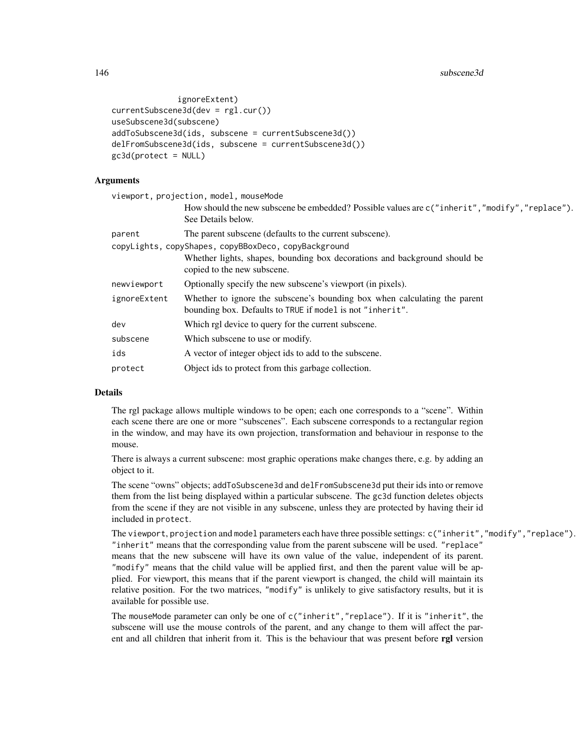```
ignoreExtent)
currentSubscene3d(dev = rgl.cur())
useSubscene3d(subscene)
addToSubscene3d(ids, subscene = currentSubscene3d())
delFromSubscene3d(ids, subscene = currentSubscene3d())
gc3d(protect = NULL)
```
# **Arguments**

| viewport, projection, model, mouseMode                                                                                                 |
|----------------------------------------------------------------------------------------------------------------------------------------|
| How should the new subscene be embedded? Possible values are c("inherit","modify","replace").<br>See Details below.                    |
| The parent subscene (defaults to the current subscene).                                                                                |
| copyLights, copyShapes, copyBBoxDeco, copyBackground                                                                                   |
| Whether lights, shapes, bounding box decorations and background should be<br>copied to the new subscene.                               |
| Optionally specify the new subscene's viewport (in pixels).                                                                            |
| Whether to ignore the subscene's bounding box when calculating the parent<br>bounding box. Defaults to TRUE if model is not "inherit". |
| Which rgl device to query for the current subscene.                                                                                    |
| Which subscene to use or modify.                                                                                                       |
| A vector of integer object ids to add to the subscene.                                                                                 |
| Object ids to protect from this garbage collection.                                                                                    |
|                                                                                                                                        |

#### Details

The rgl package allows multiple windows to be open; each one corresponds to a "scene". Within each scene there are one or more "subscenes". Each subscene corresponds to a rectangular region in the window, and may have its own projection, transformation and behaviour in response to the mouse.

There is always a current subscene: most graphic operations make changes there, e.g. by adding an object to it.

The scene "owns" objects; addToSubscene3d and delFromSubscene3d put their ids into or remove them from the list being displayed within a particular subscene. The gc3d function deletes objects from the scene if they are not visible in any subscene, unless they are protected by having their id included in protect.

The viewport, projection and model parameters each have three possible settings: c("inherit","modify","replace"). "inherit" means that the corresponding value from the parent subscene will be used. "replace" means that the new subscene will have its own value of the value, independent of its parent. "modify" means that the child value will be applied first, and then the parent value will be applied. For viewport, this means that if the parent viewport is changed, the child will maintain its relative position. For the two matrices, "modify" is unlikely to give satisfactory results, but it is available for possible use.

The mouseMode parameter can only be one of c("inherit","replace"). If it is "inherit", the subscene will use the mouse controls of the parent, and any change to them will affect the parent and all children that inherit from it. This is the behaviour that was present before rgl version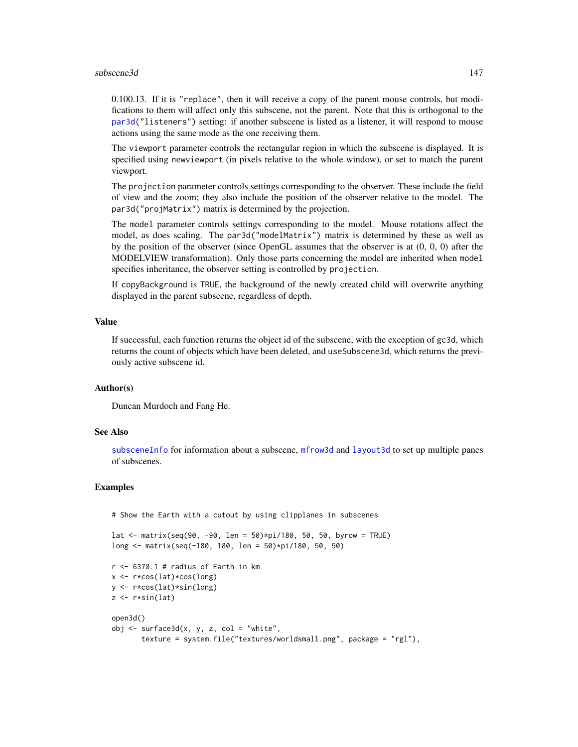#### <span id="page-146-0"></span>subscene3d and the subscene of the subscene of the subscene of the subscene of the subscene of the subscene of the subscene of the subscene of the subscene of the subscene of the subscene of the subscene of the subscene of

0.100.13. If it is "replace", then it will receive a copy of the parent mouse controls, but modifications to them will affect only this subscene, not the parent. Note that this is orthogonal to the [par3d\(](#page-50-0)"listeners") setting: if another subscene is listed as a listener, it will respond to mouse actions using the same mode as the one receiving them.

The viewport parameter controls the rectangular region in which the subscene is displayed. It is specified using newviewport (in pixels relative to the whole window), or set to match the parent viewport.

The projection parameter controls settings corresponding to the observer. These include the field of view and the zoom; they also include the position of the observer relative to the model. The par3d("projMatrix") matrix is determined by the projection.

The model parameter controls settings corresponding to the model. Mouse rotations affect the model, as does scaling. The par3d("modelMatrix") matrix is determined by these as well as by the position of the observer (since OpenGL assumes that the observer is at (0, 0, 0) after the MODELVIEW transformation). Only those parts concerning the model are inherited when model specifies inheritance, the observer setting is controlled by projection.

If copyBackground is TRUE, the background of the newly created child will overwrite anything displayed in the parent subscene, regardless of depth.

# Value

If successful, each function returns the object id of the subscene, with the exception of gc3d, which returns the count of objects which have been deleted, and useSubscene3d, which returns the previously active subscene id.

#### Author(s)

Duncan Murdoch and Fang He.

# See Also

[subsceneInfo](#page-147-0) for information about a subscene, [mfrow3d](#page-47-0) and [layout3d](#page-47-1) to set up multiple panes of subscenes.

#### Examples

# Show the Earth with a cutout by using clipplanes in subscenes

```
lat \le matrix(seq(90, -90, len = 50)*pi/180, 50, 50, byrow = TRUE)
long <- matrix(seq(-180, 180, len = 50)*pi/180, 50, 50)
```

```
r <- 6378.1 # radius of Earth in kmx <- r*cos(lat)*cos(long)
y <- r*cos(lat)*sin(long)
z \leftarrow r * sin(lat)open3d()
obj \leq surface3d(x, y, z, col = "white",texture = system.file("textures/worldsmall.png", package = "rgl"),
```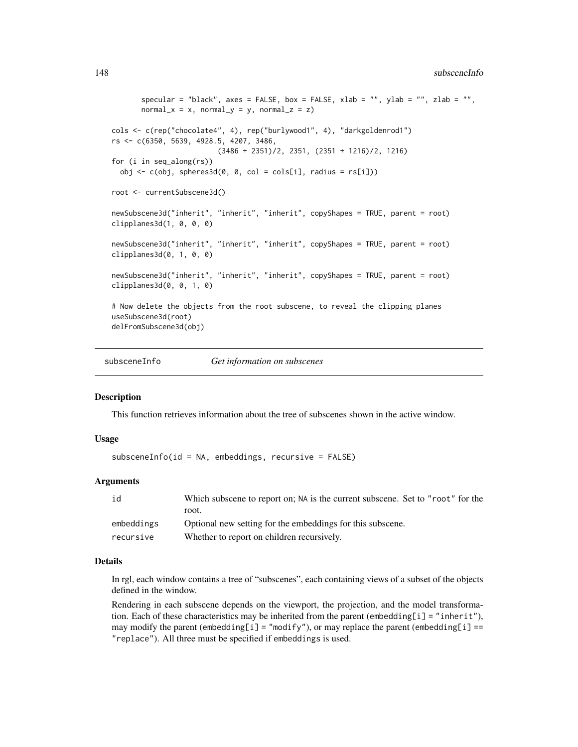```
specular = "black", axes = FALSE, box = FALSE, xlab = "", ylab = "", zlab = "",
      normal_x = x, normal_y = y, normal_z = z)
cols <- c(rep("chocolate4", 4), rep("burlywood1", 4), "darkgoldenrod1")
rs <- c(6350, 5639, 4928.5, 4207, 3486,
                         (3486 + 2351)/2, 2351, (2351 + 1216)/2, 1216)
for (i in seq_along(rs))
 obj \leq c(obj, spheres3d(0, 0, col = cols[i], radius = rs[i]))
root <- currentSubscene3d()
newSubscene3d("inherit", "inherit", "inherit", copyShapes = TRUE, parent = root)
clipplanes3d(1, 0, 0, 0)
newSubscene3d("inherit", "inherit", "inherit", copyShapes = TRUE, parent = root)
clipplanes3d(0, 1, 0, 0)newSubscene3d("inherit", "inherit", "inherit", copyShapes = TRUE, parent = root)
clipplanes3d(0, 0, 1, 0)
# Now delete the objects from the root subscene, to reveal the clipping planes
useSubscene3d(root)
delFromSubscene3d(obj)
```
<span id="page-147-0"></span>subsceneInfo *Get information on subscenes*

#### **Description**

This function retrieves information about the tree of subscenes shown in the active window.

#### Usage

subsceneInfo(id = NA, embeddings, recursive = FALSE)

# Arguments

| id         | Which subscene to report on; NA is the current subscene. Set to "root" for the |
|------------|--------------------------------------------------------------------------------|
|            | root.                                                                          |
| embeddings | Optional new setting for the embeddings for this subscene.                     |
| recursive  | Whether to report on children recursively.                                     |

#### Details

In rgl, each window contains a tree of "subscenes", each containing views of a subset of the objects defined in the window.

Rendering in each subscene depends on the viewport, the projection, and the model transformation. Each of these characteristics may be inherited from the parent (embedding[i] = "inherit"), may modify the parent ( $\text{embedding}[i] = \text{"modify"}$ ), or may replace the parent ( $\text{embedding}[i] =$ "replace"). All three must be specified if embeddings is used.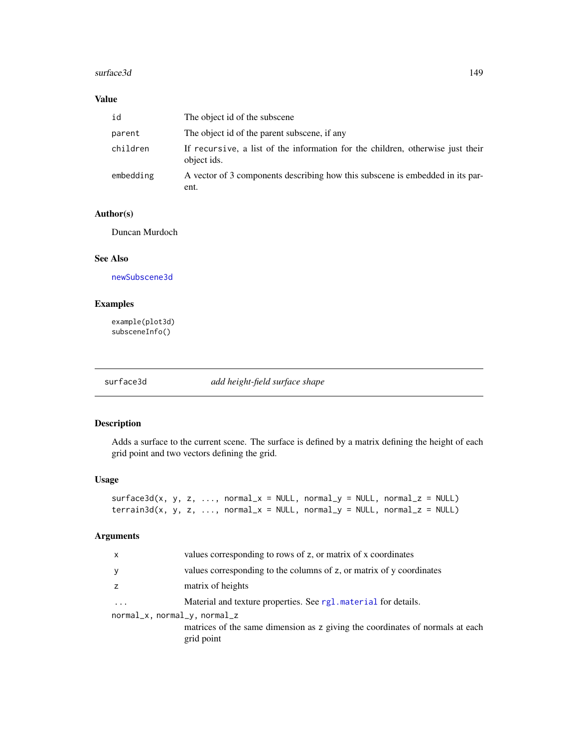#### <span id="page-148-0"></span>surface3d 149

# Value

| id        | The object id of the subscene                                                                 |
|-----------|-----------------------------------------------------------------------------------------------|
| parent    | The object id of the parent subscene, if any                                                  |
| children  | If recursive, a list of the information for the children, otherwise just their<br>object ids. |
| embedding | A vector of 3 components describing how this subscene is embedded in its par-<br>ent.         |

# Author(s)

Duncan Murdoch

# See Also

[newSubscene3d](#page-144-0)

# Examples

example(plot3d) subsceneInfo()

surface3d *add height-field surface shape*

# Description

Adds a surface to the current scene. The surface is defined by a matrix defining the height of each grid point and two vectors defining the grid.

# Usage

```
surface3d(x, y, z, ..., normal_x = NULL, normal_y = NULL, normal_z = NULL)\text{terrain3d}(x, y, z, ..., \text{normal}_x = \text{NULL}, \text{normal}_y = \text{NULL}, \text{normal}_z = \text{NULL})
```
#### Arguments

| $\mathsf{x}$                 | values corresponding to rows of z, or matrix of x coordinates                               |
|------------------------------|---------------------------------------------------------------------------------------------|
| y                            | values corresponding to the columns of z, or matrix of y coordinates                        |
| z                            | matrix of heights                                                                           |
| $\cdots$                     | Material and texture properties. See rg1. material for details.                             |
| normal_x, normal_y, normal_z | matrices of the same dimension as z giving the coordinates of normals at each<br>grid point |
|                              |                                                                                             |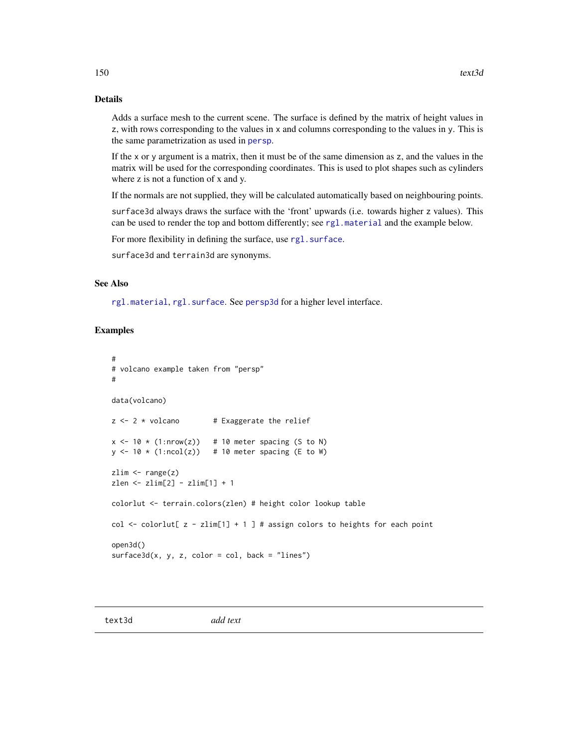# <span id="page-149-1"></span>Details

Adds a surface mesh to the current scene. The surface is defined by the matrix of height values in z, with rows corresponding to the values in x and columns corresponding to the values in y. This is the same parametrization as used in [persp](#page-0-0).

If the x or y argument is a matrix, then it must be of the same dimension as z, and the values in the matrix will be used for the corresponding coordinates. This is used to plot shapes such as cylinders where z is not a function of x and y.

If the normals are not supplied, they will be calculated automatically based on neighbouring points.

surface3d always draws the surface with the 'front' upwards (i.e. towards higher z values). This can be used to render the top and bottom differently; see [rgl.material](#page-98-0) and the example below.

For more flexibility in defining the surface, use rgl. surface.

surface3d and terrain3d are synonyms.

# See Also

[rgl.material](#page-98-0), [rgl.surface](#page-110-0). See [persp3d](#page-59-0) for a higher level interface.

#### Examples

```
#
# volcano example taken from "persp"
#
data(volcano)
z \le -2 \times volcano # Exaggerate the relief
x \le -10 \times (1: nrow(z)) # 10 meter spacing (S to N)
y \le -10 \times (1:\text{ncol}(z)) # 10 meter spacing (E to W)
zlim \leftarrow range(z)zlen <- zlim[2] - zlim[1] + 1
colorlut <- terrain.colors(zlen) # height color lookup table
col <- colorlut[ z - zlim[1] + 1 ] # assign colors to heights for each point
open3d()
surface3d(x, y, z, color = col, back = "lines")
```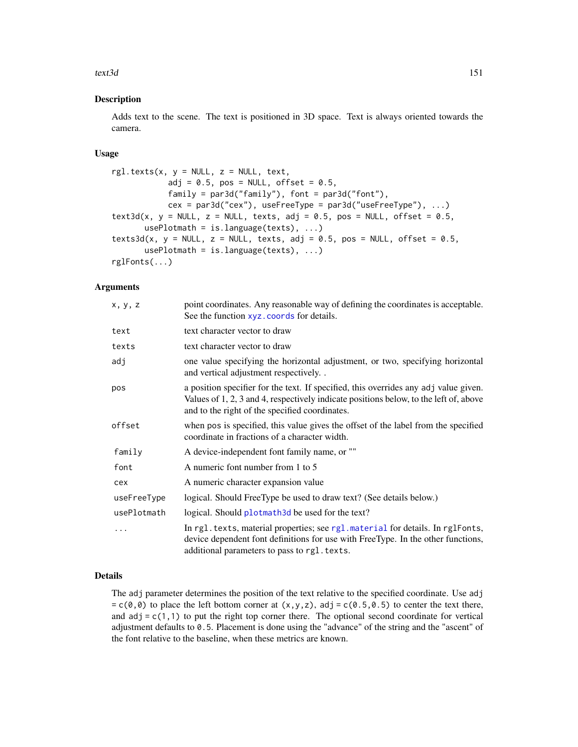#### <span id="page-150-0"></span>text3d 151

#### Description

Adds text to the scene. The text is positioned in 3D space. Text is always oriented towards the camera.

# Usage

```
rgl.texts(x, y = NULL, z = NULL, text,
           adj = 0.5, pos = NULL, offset = 0.5,
           family = par3d("family"), font = par3d("font"),
           cex = par3d("cex"), useFreeType = par3d("useFreeType"), ...)text3d(x, y = NULL, z = NULL, texts, adj = 0.5, pos = NULL, offset = 0.5,usePlotmath = is.language(texts), ...)
text3d(x, y = NULL, z = NULL, texts, adj = 0.5, pos = NULL, offset = 0.5,usePlotmath = is.language(texts), ...)
rglFonts(...)
```
# Arguments

| x, y, z     | point coordinates. Any reasonable way of defining the coordinates is acceptable.<br>See the function xyz. coords for details.                                                                                                   |
|-------------|---------------------------------------------------------------------------------------------------------------------------------------------------------------------------------------------------------------------------------|
| text        | text character vector to draw                                                                                                                                                                                                   |
| texts       | text character vector to draw                                                                                                                                                                                                   |
| adj         | one value specifying the horizontal adjustment, or two, specifying horizontal<br>and vertical adjustment respectively. .                                                                                                        |
| pos         | a position specifier for the text. If specified, this overrides any adj value given.<br>Values of 1, 2, 3 and 4, respectively indicate positions below, to the left of, above<br>and to the right of the specified coordinates. |
| offset      | when pos is specified, this value gives the offset of the label from the specified<br>coordinate in fractions of a character width.                                                                                             |
| family      | A device-independent font family name, or ""                                                                                                                                                                                    |
| font        | A numeric font number from 1 to 5                                                                                                                                                                                               |
| cex         | A numeric character expansion value                                                                                                                                                                                             |
| useFreeType | logical. Should FreeType be used to draw text? (See details below.)                                                                                                                                                             |
| usePlotmath | logical. Should plotmath 3d be used for the text?                                                                                                                                                                               |
| .           | In rgl. texts, material properties; see rgl. material for details. In rglFonts,<br>device dependent font definitions for use with FreeType. In the other functions,<br>additional parameters to pass to rgl. texts.             |

# Details

The adj parameter determines the position of the text relative to the specified coordinate. Use adj  $= c(0,0)$  to place the left bottom corner at  $(x,y,z)$ , adj =  $c(0.5,0.5)$  to center the text there, and  $adj = c(1,1)$  to put the right top corner there. The optional second coordinate for vertical adjustment defaults to 0.5. Placement is done using the "advance" of the string and the "ascent" of the font relative to the baseline, when these metrics are known.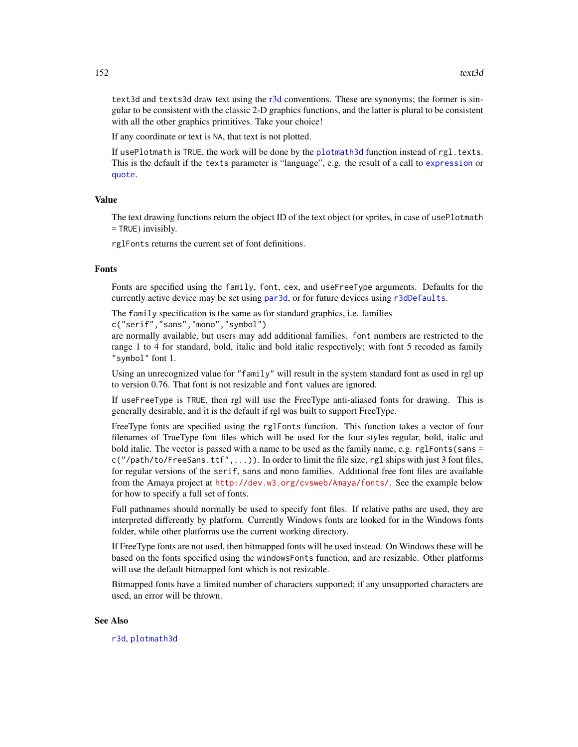<span id="page-151-0"></span>text3d and texts3d draw text using the [r3d](#page-89-0) conventions. These are synonyms; the former is singular to be consistent with the classic 2-D graphics functions, and the latter is plural to be consistent with all the other graphics primitives. Take your choice!

If any coordinate or text is NA, that text is not plotted.

If usePlotmath is TRUE, the work will be done by the [plotmath3d](#page-80-0) function instead of  $rgl.$  texts. This is the default if the texts parameter is "language", e.g. the result of a call to [expression](#page-0-0) or [quote](#page-0-0).

#### Value

The text drawing functions return the object ID of the text object (or sprites, in case of usePlotmath = TRUE) invisibly.

rglFonts returns the current set of font definitions.

# Fonts

Fonts are specified using the family, font, cex, and useFreeType arguments. Defaults for the currently active device may be set using [par3d](#page-50-0), or for future devices using [r3dDefaults](#page-50-1).

The family specification is the same as for standard graphics, i.e. families

c("serif","sans","mono","symbol")

are normally available, but users may add additional families. font numbers are restricted to the range 1 to 4 for standard, bold, italic and bold italic respectively; with font 5 recoded as family "symbol" font 1.

Using an unrecognized value for "family" will result in the system standard font as used in rgl up to version 0.76. That font is not resizable and font values are ignored.

If useFreeType is TRUE, then rgl will use the FreeType anti-aliased fonts for drawing. This is generally desirable, and it is the default if rgl was built to support FreeType.

FreeType fonts are specified using the rglFonts function. This function takes a vector of four filenames of TrueType font files which will be used for the four styles regular, bold, italic and bold italic. The vector is passed with a name to be used as the family name, e.g. rglFonts(sans =  $c('/path/to/FreeSans.ttf'',...)$ . In order to limit the file size, rg1 ships with just 3 font files, for regular versions of the serif, sans and mono families. Additional free font files are available from the Amaya project at <http://dev.w3.org/cvsweb/Amaya/fonts/>. See the example below for how to specify a full set of fonts.

Full pathnames should normally be used to specify font files. If relative paths are used, they are interpreted differently by platform. Currently Windows fonts are looked for in the Windows fonts folder, while other platforms use the current working directory.

If FreeType fonts are not used, then bitmapped fonts will be used instead. On Windows these will be based on the fonts specified using the windowsFonts function, and are resizable. Other platforms will use the default bitmapped font which is not resizable.

Bitmapped fonts have a limited number of characters supported; if any unsupported characters are used, an error will be thrown.

#### See Also

[r3d](#page-89-0), [plotmath3d](#page-80-0)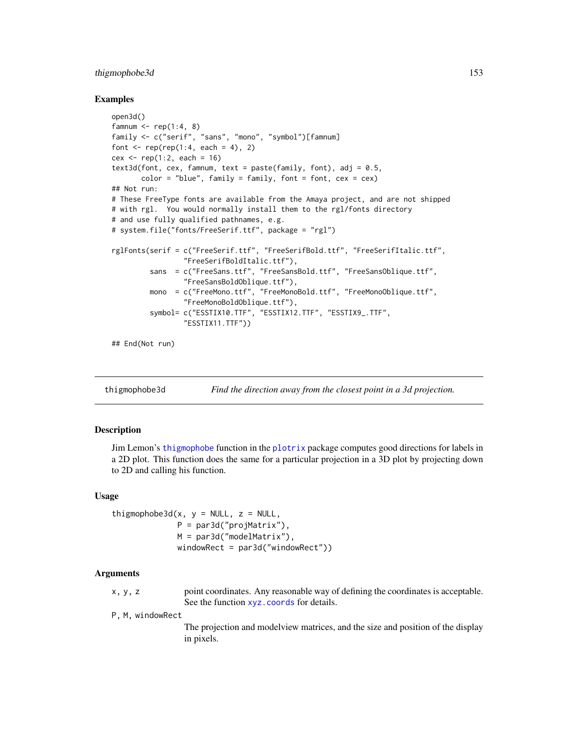# <span id="page-152-0"></span>thigmophobe3d 153

#### Examples

```
open3d()
famnum \leq rep(1:4, 8)
family <- c("serif", "sans", "mono", "symbol")[famnum]
font \leq rep(rep(1:4, each = 4), 2)
cex \le rep(1:2, each = 16)
text3d(font, cex, fammum, text = paste(family, font), adj = 0.5,color = "blue", family = family, font = font, cex = cex)
## Not run:
# These FreeType fonts are available from the Amaya project, and are not shipped
# with rgl. You would normally install them to the rgl/fonts directory
# and use fully qualified pathnames, e.g.
# system.file("fonts/FreeSerif.ttf", package = "rgl")
rglFonts(serif = c("FreeSerif.ttf", "FreeSerifBold.ttf", "FreeSerifItalic.ttf",
                 "FreeSerifBoldItalic.ttf"),
         sans = c("FreeSans.ttf", "FreeSansBold.ttf", "FreeSansOblique.ttf",
                 "FreeSansBoldOblique.ttf"),
         mono = c("FreeMono.ttf", "FreeMonoBold.ttf", "FreeMonoOblique.ttf",
                 "FreeMonoBoldOblique.ttf"),
         symbol= c("ESSTIX10.TTF", "ESSTIX12.TTF", "ESSTIX9_.TTF",
                 "ESSTIX11.TTF"))
```
## End(Not run)

thigmophobe3d *Find the direction away from the closest point in a 3d projection.*

#### Description

Jim Lemon's [thigmophobe](#page-0-0) function in the [plotrix](#page-0-0) package computes good directions for labels in a 2D plot. This function does the same for a particular projection in a 3D plot by projecting down to 2D and calling his function.

#### Usage

```
thigmophobe3d(x, y = NULL, z = NULL,
             P = par3d("projMatrix"),M = par3d("modelMatrix"),
             windowRect = par3d("windowRect"))
```
# Arguments

x, y, z point coordinates. Any reasonable way of defining the coordinates is acceptable. See the function [xyz.coords](#page-0-0) for details.

P, M, windowRect

The projection and modelview matrices, and the size and position of the display in pixels.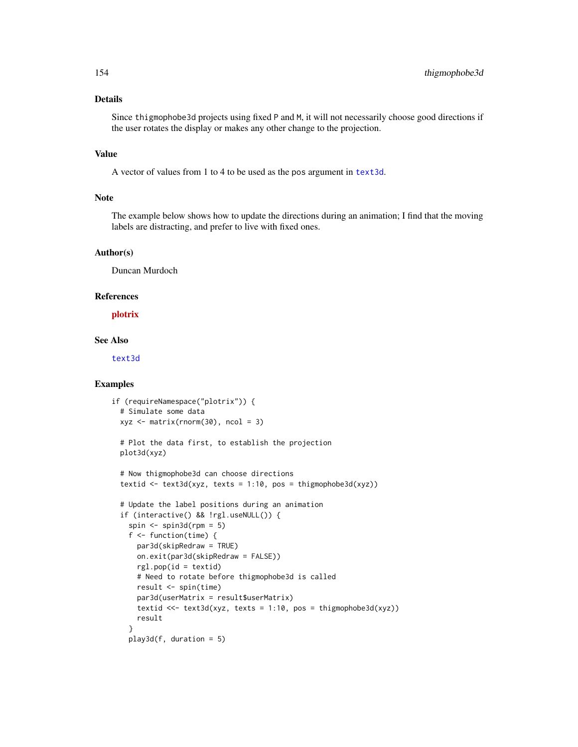# Details

Since thigmophobe3d projects using fixed P and M, it will not necessarily choose good directions if the user rotates the display or makes any other change to the projection.

#### Value

A vector of values from 1 to 4 to be used as the pos argument in [text3d](#page-149-0).

# Note

The example below shows how to update the directions during an animation; I find that the moving labels are distracting, and prefer to live with fixed ones.

#### Author(s)

Duncan Murdoch

#### References

[plotrix](https://CRAN.R-project.org/package=plotrix)

# See Also

[text3d](#page-149-0)

# Examples

```
if (requireNamespace("plotrix")) {
 # Simulate some data
 xyz \leq -\text{matrix}(rnorm(30), ncol = 3)# Plot the data first, to establish the projection
 plot3d(xyz)
 # Now thigmophobe3d can choose directions
 textid \le text3d(xyz, texts = 1:10, pos = thigmophobe3d(xyz))
 # Update the label positions during an animation
 if (interactive() && !rgl.useNULL()) {
   spin \le spin3d(rpm = 5)
   f <- function(time) {
      par3d(skipRedraw = TRUE)
      on.exit(par3d(skipRedraw = FALSE))
      rgl.pop(id = textid)
      # Need to rotate before thigmophobe3d is called
      result <- spin(time)
      par3d(userMatrix = result$userMatrix)
      textid <<- text3d(xyz, texts = 1:10, pos = thigmophobe3d(xyz))
      result
    }
   play3d(f, duration = 5)
```
<span id="page-153-0"></span>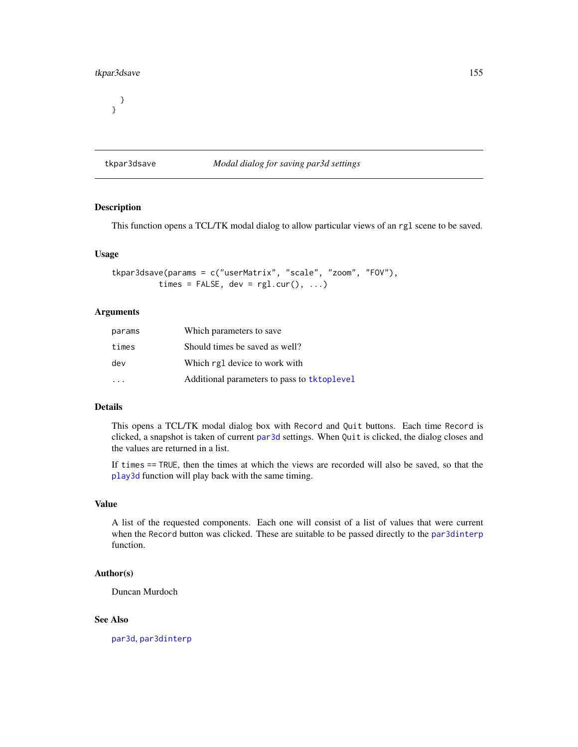# <span id="page-154-1"></span>tkpar3dsave 155

} }

# <span id="page-154-0"></span>tkpar3dsave *Modal dialog for saving par3d settings*

# **Description**

This function opens a TCL/TK modal dialog to allow particular views of an rgl scene to be saved.

#### Usage

```
tkpar3dsave(params = c("userMatrix", "scale", "zoom", "FOV"),
          times = FALSE, dev = rgl.cur(), ...)
```
# Arguments

| params | Which parameters to save                    |
|--------|---------------------------------------------|
| times  | Should times be saved as well?              |
| dev    | Which rg1 device to work with               |
|        | Additional parameters to pass to tktoplevel |

# Details

This opens a TCL/TK modal dialog box with Record and Quit buttons. Each time Record is clicked, a snapshot is taken of current [par3d](#page-50-0) settings. When Quit is clicked, the dialog closes and the values are returned in a list.

If times == TRUE, then the times at which the views are recorded will also be saved, so that the [play3d](#page-70-0) function will play back with the same timing.

# Value

A list of the requested components. Each one will consist of a list of values that were current when the Record button was clicked. These are suitable to be passed directly to the [par3dinterp](#page-55-0) function.

# Author(s)

Duncan Murdoch

# See Also

[par3d](#page-50-0), [par3dinterp](#page-55-0)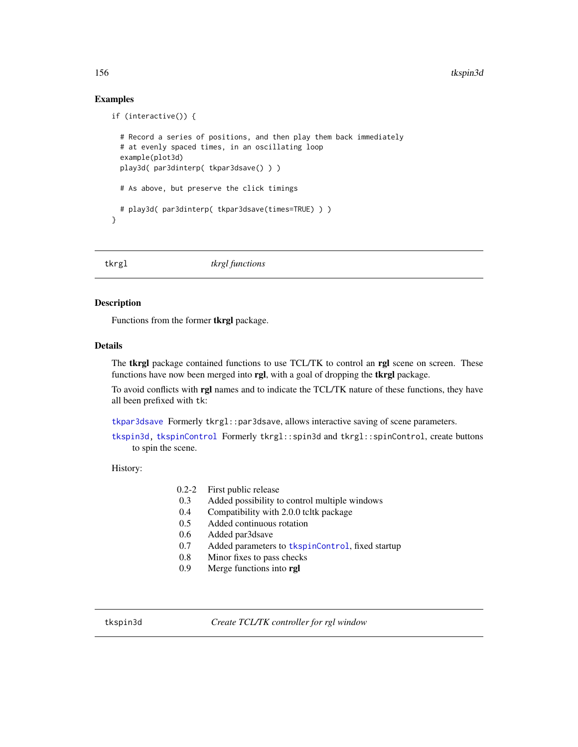# Examples

```
if (interactive()) {
 # Record a series of positions, and then play them back immediately
 # at evenly spaced times, in an oscillating loop
 example(plot3d)
 play3d( par3dinterp( tkpar3dsave() ) )
 # As above, but preserve the click timings
 # play3d( par3dinterp( tkpar3dsave(times=TRUE) ) )
}
```
tkrgl *tkrgl functions*

#### Description

Functions from the former tkrgl package.

#### Details

The tkrgl package contained functions to use TCL/TK to control an rgl scene on screen. These functions have now been merged into rgl, with a goal of dropping the tkrgl package.

To avoid conflicts with rgl names and to indicate the TCL/TK nature of these functions, they have all been prefixed with tk:

[tkpar3dsave](#page-154-0) Formerly tkrgl::par3dsave, allows interactive saving of scene parameters.

[tkspin3d,](#page-155-0) [tkspinControl](#page-156-0) Formerly tkrgl::spin3d and tkrgl::spinControl, create buttons to spin the scene.

History:

| $0.2 - 2$ |  |  | First public release |
|-----------|--|--|----------------------|
|-----------|--|--|----------------------|

- 0.3 Added possibility to control multiple windows
- 0.4 Compatibility with 2.0.0 tcltk package
- 0.5 Added continuous rotation
- 0.6 Added par3dsave
- 0.7 Added parameters to [tkspinControl](#page-156-0), fixed startup
- 0.8 Minor fixes to pass checks
- 0.9 Merge functions into rgl

<span id="page-155-0"></span>tkspin3d *Create TCL/TK controller for rgl window*

<span id="page-155-1"></span>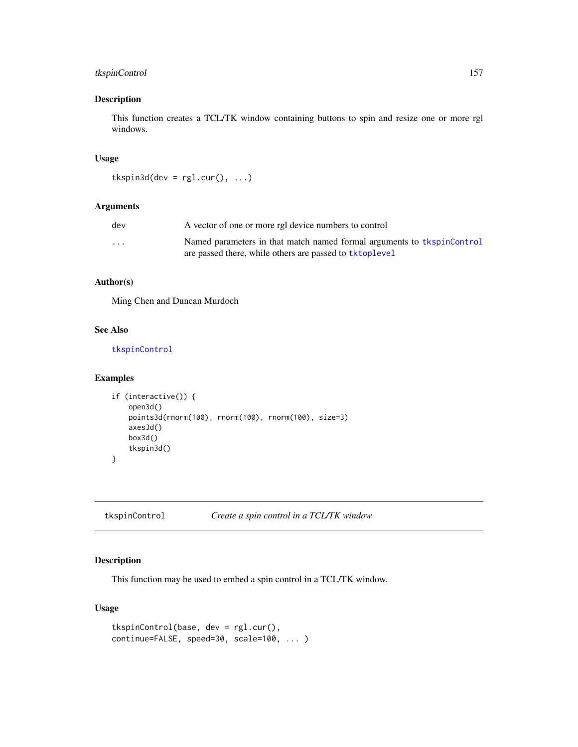# <span id="page-156-1"></span>tkspinControl 157

# Description

This function creates a TCL/TK window containing buttons to spin and resize one or more rgl windows.

# Usage

```
tkspin3d(dev = rgl.cur(), ...)
```
#### Arguments

| dev                     | A vector of one or more rgl device numbers to control                  |
|-------------------------|------------------------------------------------------------------------|
| $\cdot$ $\cdot$ $\cdot$ | Named parameters in that match named formal arguments to tkspinControl |
|                         | are passed there, while others are passed to tktoplevel                |

# Author(s)

Ming Chen and Duncan Murdoch

# See Also

[tkspinControl](#page-156-0)

# Examples

```
if (interactive()) {
   open3d()
   points3d(rnorm(100), rnorm(100), rnorm(100), size=3)
   axes3d()
   box3d()
    tkspin3d()
}
```
<span id="page-156-0"></span>tkspinControl *Create a spin control in a TCL/TK window*

# **Description**

This function may be used to embed a spin control in a TCL/TK window.

# Usage

```
tkspinControl(base, dev = rgl.cur(),
continue=FALSE, speed=30, scale=100, ... )
```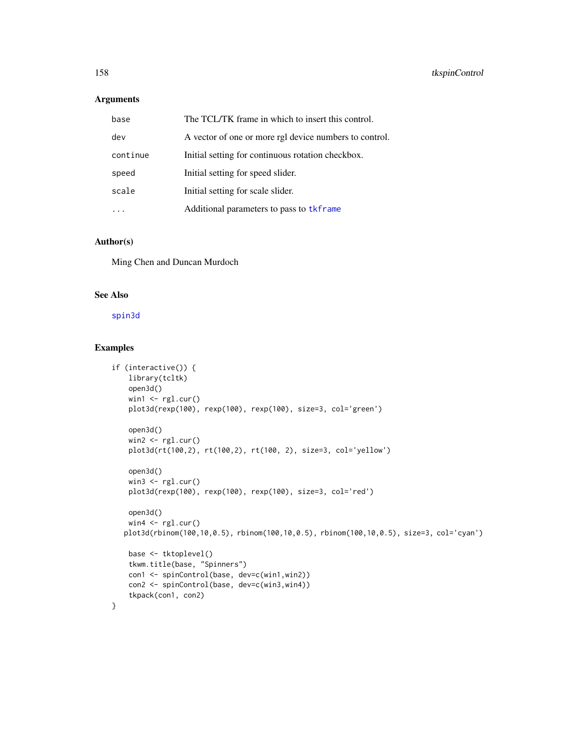# <span id="page-157-0"></span>Arguments

| base     | The TCL/TK frame in which to insert this control.      |
|----------|--------------------------------------------------------|
| dev      | A vector of one or more rgl device numbers to control. |
| continue | Initial setting for continuous rotation checkbox.      |
| speed    | Initial setting for speed slider.                      |
| scale    | Initial setting for scale slider.                      |
|          | Additional parameters to pass to tkframe               |

#### Author(s)

Ming Chen and Duncan Murdoch

# See Also

[spin3d](#page-140-0)

# Examples

```
if (interactive()) {
   library(tcltk)
   open3d()
   win1 <- rgl.cur()
   plot3d(rexp(100), rexp(100), rexp(100), size=3, col='green')
   open3d()
   win2 < - rgl.cur()
   plot3d(rt(100,2), rt(100,2), rt(100, 2), size=3, col='yellow')
   open3d()
   win3 <- rgl.cur()
   plot3d(rexp(100), rexp(100), rexp(100), size=3, col='red')
   open3d()
   win4 \leftarrow rgl.cur()
  plot3d(rbinom(100,10,0.5), rbinom(100,10,0.5), rbinom(100,10,0.5), size=3, col='cyan')
   base <- tktoplevel()
   tkwm.title(base, "Spinners")
   con1 <- spinControl(base, dev=c(win1,win2))
   con2 <- spinControl(base, dev=c(win3,win4))
    tkpack(con1, con2)
}
```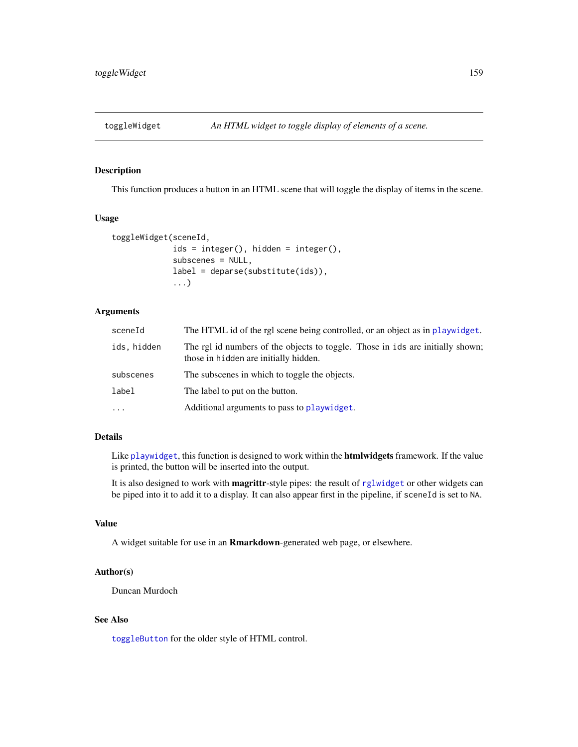<span id="page-158-1"></span><span id="page-158-0"></span>

# **Description**

This function produces a button in an HTML scene that will toggle the display of items in the scene.

#### Usage

```
toggleWidget(sceneId,
             ids = integer(), hidden = integer(),
             subscenes = NULL,
             label = deparse(substitute(ids)),
             ...)
```
# Arguments

| sceneId     | The HTML id of the rgl scene being controlled, or an object as in playwidget.                                           |
|-------------|-------------------------------------------------------------------------------------------------------------------------|
| ids, hidden | The rgl id numbers of the objects to toggle. Those in ids are initially shown;<br>those in hidden are initially hidden. |
| subscenes   | The subscenes in which to toggle the objects.                                                                           |
| label       | The label to put on the button.                                                                                         |
| $\ddots$    | Additional arguments to pass to playwidget.                                                                             |

# Details

Like [playwidget](#page-72-0), this function is designed to work within the **htmlwidgets** framework. If the value is printed, the button will be inserted into the output.

It is also designed to work with magrittr-style pipes: the result of [rglwidget](#page-120-0) or other widgets can be piped into it to add it to a display. It can also appear first in the pipeline, if sceneId is set to NA.

# Value

A widget suitable for use in an Rmarkdown-generated web page, or elsewhere.

# Author(s)

Duncan Murdoch

# See Also

[toggleButton](#page-164-0) for the older style of HTML control.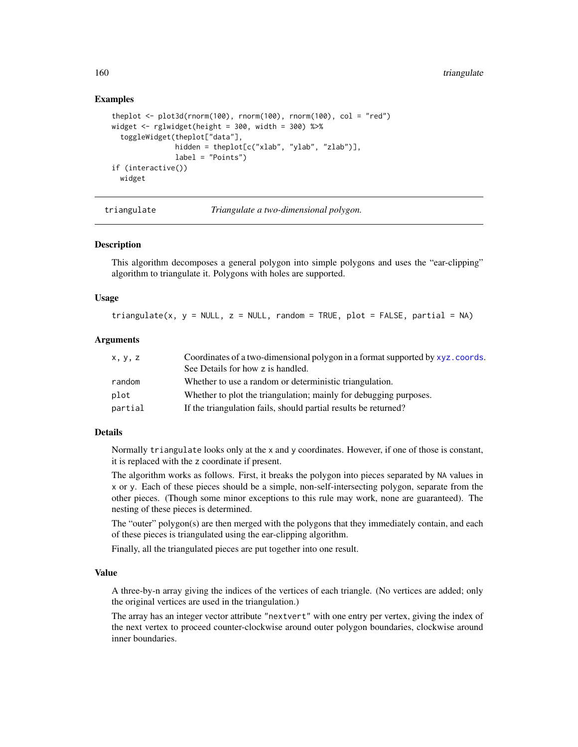# Examples

```
theplot \le plot3d(rnorm(100), rnorm(100), rnorm(100), col = "red")
widget \le- rglwidget(height = 300, width = 300) %\gg%
  toggleWidget(theplot["data"],
               hidden = theplot[c("xlab", "ylab", "zlab")],
               label = "Points")if (interactive())
 widget
```
triangulate *Triangulate a two-dimensional polygon.*

# **Description**

This algorithm decomposes a general polygon into simple polygons and uses the "ear-clipping" algorithm to triangulate it. Polygons with holes are supported.

#### Usage

triangulate(x, y = NULL, z = NULL, random = TRUE, plot = FALSE, partial = NA)

#### Arguments

| x, y, z | Coordinates of a two-dimensional polygon in a format supported by xyz.coords. |  |
|---------|-------------------------------------------------------------------------------|--|
|         | See Details for how z is handled.                                             |  |
| random  | Whether to use a random or deterministic triangulation.                       |  |
| plot    | Whether to plot the triangulation; mainly for debugging purposes.             |  |
| partial | If the triangulation fails, should partial results be returned?               |  |

#### Details

Normally triangulate looks only at the x and y coordinates. However, if one of those is constant, it is replaced with the z coordinate if present.

The algorithm works as follows. First, it breaks the polygon into pieces separated by NA values in x or y. Each of these pieces should be a simple, non-self-intersecting polygon, separate from the other pieces. (Though some minor exceptions to this rule may work, none are guaranteed). The nesting of these pieces is determined.

The "outer" polygon(s) are then merged with the polygons that they immediately contain, and each of these pieces is triangulated using the ear-clipping algorithm.

Finally, all the triangulated pieces are put together into one result.

#### Value

A three-by-n array giving the indices of the vertices of each triangle. (No vertices are added; only the original vertices are used in the triangulation.)

The array has an integer vector attribute "nextvert" with one entry per vertex, giving the index of the next vertex to proceed counter-clockwise around outer polygon boundaries, clockwise around inner boundaries.

<span id="page-159-0"></span>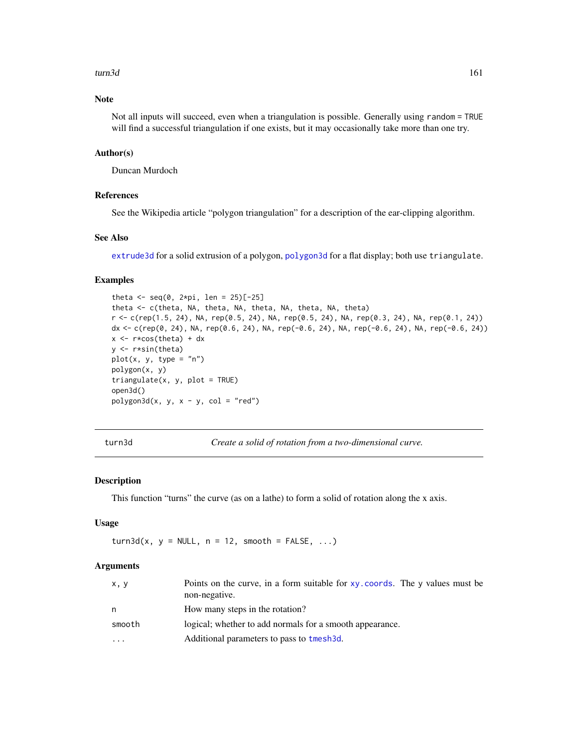#### <span id="page-160-0"></span>turn3d 161

# Note

Not all inputs will succeed, even when a triangulation is possible. Generally using random = TRUE will find a successful triangulation if one exists, but it may occasionally take more than one try.

#### Author(s)

Duncan Murdoch

# References

See the Wikipedia article "polygon triangulation" for a description of the ear-clipping algorithm.

# See Also

[extrude3d](#page-34-0) for a solid extrusion of a polygon, [polygon3d](#page-83-0) for a flat display; both use triangulate.

#### Examples

```
theta <- seq(0, 2*pi, len = 25)[-25]theta <- c(theta, NA, theta, NA, theta, NA, theta, NA, theta)
r <- c(rep(1.5, 24), NA, rep(0.5, 24), NA, rep(0.5, 24), NA, rep(0.3, 24), NA, rep(0.1, 24))
dx <- c(rep(0, 24), NA, rep(0.6, 24), NA, rep(-0.6, 24), NA, rep(-0.6, 24), NA, rep(-0.6, 24))
x \leftarrow r * cos(theta) + dxy <- r*sin(theta)
plot(x, y, type = "n")
polygon(x, y)
triangle(x, y, plot = TRUE)open3d()
polygon3d(x, y, x - y, col = "red")
```
turn3d *Create a solid of rotation from a two-dimensional curve.*

# Description

This function "turns" the curve (as on a lathe) to form a solid of rotation along the x axis.

# Usage

 $turn3d(x, y = NULL, n = 12, smooth = FALSE, ...)$ 

# Arguments

| x, y   | Points on the curve, in a form suitable for $xy$ , coords. The y values must be<br>non-negative. |
|--------|--------------------------------------------------------------------------------------------------|
| n.     | How many steps in the rotation?                                                                  |
| smooth | logical; whether to add normals for a smooth appearance.                                         |
| .      | Additional parameters to pass to tmesh3d.                                                        |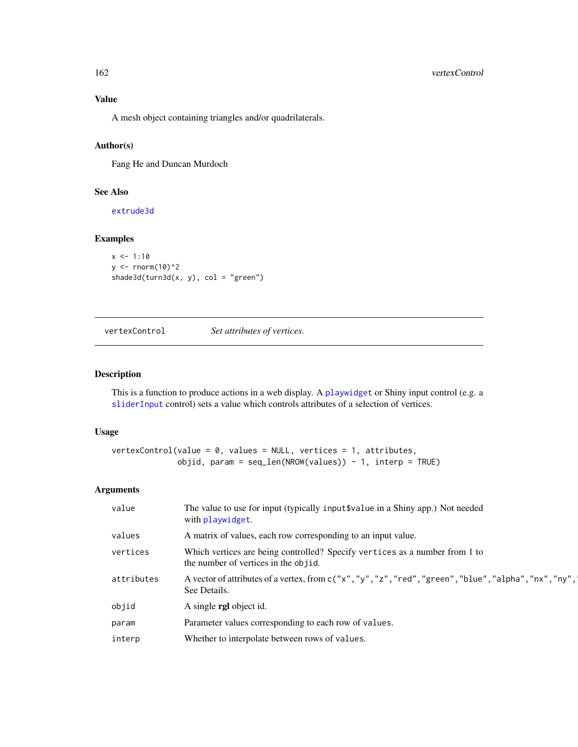# Value

A mesh object containing triangles and/or quadrilaterals.

# Author(s)

Fang He and Duncan Murdoch

# See Also

[extrude3d](#page-34-0)

# Examples

```
x \le -1:10y \le - rnorm(10)^2
shade3d(turn3d(x, y), col = "green")
```
vertexControl *Set attributes of vertices.*

# Description

This is a function to produce actions in a web display. A [playwidget](#page-72-0) or Shiny input control (e.g. a [sliderInput](#page-0-0) control) sets a value which controls attributes of a selection of vertices.

# Usage

```
vertexControl(value = 0, values = NULL, vertices = 1, attributes,
             objid, param = seq\_len(NROW(value)) - 1, interp = TRUE)
```
# Arguments

| value      | The value to use for input (typically input \$value in a Shiny app.) Not needed<br>with playwidget.                               |
|------------|-----------------------------------------------------------------------------------------------------------------------------------|
| values     | A matrix of values, each row corresponding to an input value.                                                                     |
| vertices   | Which vertices are being controlled? Specify vertices as a number from 1 to<br>the number of vertices in the objid.               |
| attributes | A vector of attributes of a vertex, from $c('x'', y'', 'z'', 'red'', 'green'', 'blue'', 'alpha'', 'n x'', 'ny'',$<br>See Details. |
| objid      | A single <b>rgl</b> object id.                                                                                                    |
| param      | Parameter values corresponding to each row of values.                                                                             |
| interp     | Whether to interpolate between rows of values.                                                                                    |

<span id="page-161-0"></span>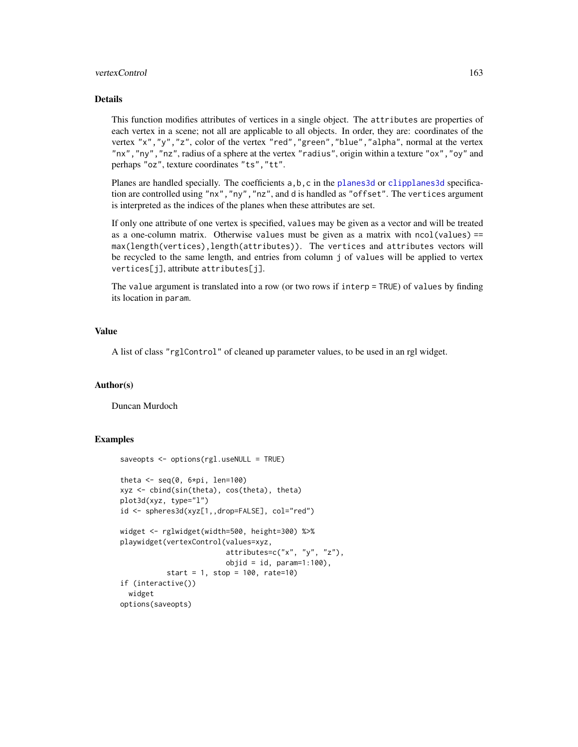#### <span id="page-162-0"></span>vertexControl 163

# Details

This function modifies attributes of vertices in a single object. The attributes are properties of each vertex in a scene; not all are applicable to all objects. In order, they are: coordinates of the vertex "x","y","z", color of the vertex "red","green","blue","alpha", normal at the vertex "nx","ny","nz", radius of a sphere at the vertex "radius", origin within a texture "ox","oy" and perhaps "oz", texture coordinates "ts","tt".

Planes are handled specially. The coefficients  $a, b, c$  in the planes 3d or clipplanes 3d specification are controlled using "nx","ny","nz", and d is handled as "offset". The vertices argument is interpreted as the indices of the planes when these attributes are set.

If only one attribute of one vertex is specified, values may be given as a vector and will be treated as a one-column matrix. Otherwise values must be given as a matrix with ncol(values) == max(length(vertices),length(attributes)). The vertices and attributes vectors will be recycled to the same length, and entries from column j of values will be applied to vertex vertices[j], attribute attributes[j].

The value argument is translated into a row (or two rows if interp = TRUE) of values by finding its location in param.

# Value

A list of class "rglControl" of cleaned up parameter values, to be used in an rgl widget.

#### Author(s)

Duncan Murdoch

# Examples

```
saveopts <- options(rgl.useNULL = TRUE)
theta \leq seq(0, 6 \times pi, len=100)
xyz <- cbind(sin(theta), cos(theta), theta)
plot3d(xyz, type="l")
id <- spheres3d(xyz[1,,drop=FALSE], col="red")
widget <- rglwidget(width=500, height=300) %>%
playwidget(vertexControl(values=xyz,
                         attributes=c("x", "y", "z"),
                         objid = id, param=1:100,
           start = 1, stop = 100, rate=10)
if (interactive())
  widget
options(saveopts)
```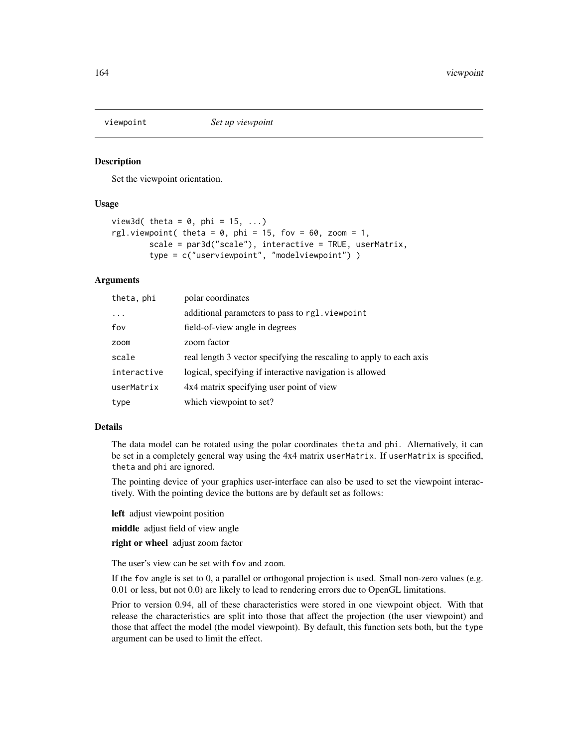<span id="page-163-0"></span>

#### **Description**

Set the viewpoint orientation.

#### Usage

```
view3d( theta = 0, phi = 15, ...)
rgl.viewpoint( theta = 0, phi = 15, fov = 60, zoom = 1,
        scale = par3d("scale"), interactive = TRUE, userMatrix,
       type = c("userviewpoint", "modelviewpoint") )
```
# Arguments

| theta, phi  | polar coordinates                                                   |
|-------------|---------------------------------------------------------------------|
| $\ddots$ .  | additional parameters to pass to rgl. viewpoint                     |
| fov         | field-of-view angle in degrees                                      |
| zoom        | zoom factor                                                         |
| scale       | real length 3 vector specifying the rescaling to apply to each axis |
| interactive | logical, specifying if interactive navigation is allowed            |
| userMatrix  | 4x4 matrix specifying user point of view                            |
| type        | which viewpoint to set?                                             |

#### Details

The data model can be rotated using the polar coordinates theta and phi. Alternatively, it can be set in a completely general way using the 4x4 matrix userMatrix. If userMatrix is specified, theta and phi are ignored.

The pointing device of your graphics user-interface can also be used to set the viewpoint interactively. With the pointing device the buttons are by default set as follows:

left adjust viewpoint position

middle adjust field of view angle

right or wheel adjust zoom factor

The user's view can be set with fov and zoom.

If the fov angle is set to 0, a parallel or orthogonal projection is used. Small non-zero values (e.g. 0.01 or less, but not 0.0) are likely to lead to rendering errors due to OpenGL limitations.

Prior to version 0.94, all of these characteristics were stored in one viewpoint object. With that release the characteristics are split into those that affect the projection (the user viewpoint) and those that affect the model (the model viewpoint). By default, this function sets both, but the type argument can be used to limit the effect.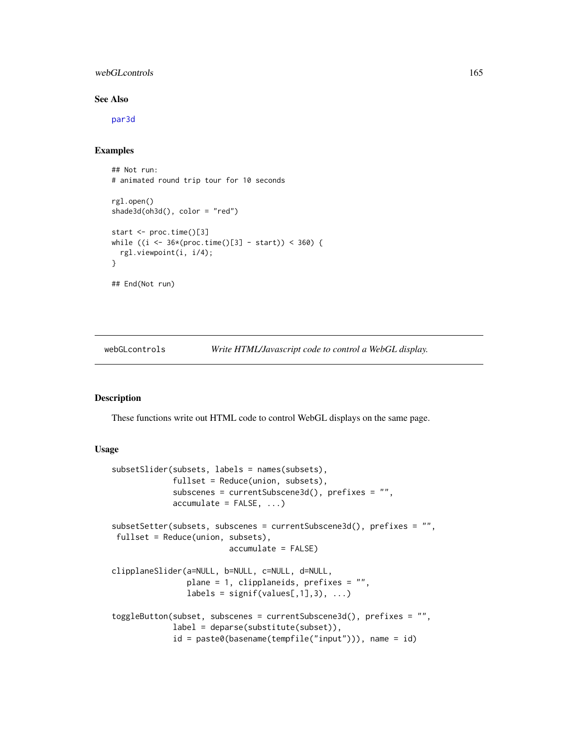# <span id="page-164-1"></span>webGLcontrols 165

# See Also

[par3d](#page-50-0)

# Examples

## Not run: # animated round trip tour for 10 seconds rgl.open() shade3d(oh3d(), color = "red") start <- proc.time()[3] while  $((i \leq 36*(proc.time))[3] - start)) \leq 360)$  { rgl.viewpoint(i, i/4); } ## End(Not run)

webGLcontrols *Write HTML/Javascript code to control a WebGL display.*

# <span id="page-164-0"></span>Description

These functions write out HTML code to control WebGL displays on the same page.

#### Usage

```
subsetSlider(subsets, labels = names(subsets),
             fullset = Reduce(union, subsets),
             subscenes = currentSubscene3d(), prefixes = "",
             accumulate = FALSE, ...)subsetSetter(subsets, subscenes = currentSubscene3d(), prefixes = "",
fullset = Reduce(union, subsets),
                         accumulate = FALSE)
clipplaneSlider(a=NULL, b=NULL, c=NULL, d=NULL,
                plane = 1, clipplaneids, prefixes = "",
                labels = signif(values[, 1], 3), ...toggleButton(subset, subscenes = currentSubscene3d(), prefixes = "",
             label = deparse(substitute(subset)),
             id = paste0(basename(tempfile("input"))), name = id)
```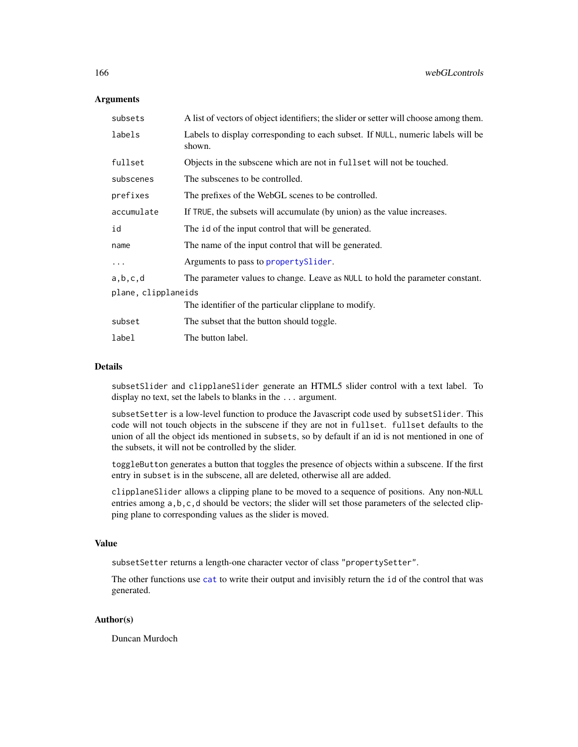#### <span id="page-165-0"></span>**Arguments**

| subsets             | A list of vectors of object identifiers; the slider or setter will choose among them.     |
|---------------------|-------------------------------------------------------------------------------------------|
| labels              | Labels to display corresponding to each subset. If NULL, numeric labels will be<br>shown. |
| fullset             | Objects in the subscene which are not in fuller will not be touched.                      |
| subscenes           | The subscenes to be controlled.                                                           |
| prefixes            | The prefixes of the WebGL scenes to be controlled.                                        |
| accumulate          | If TRUE, the subsets will accumulate (by union) as the value increases.                   |
| id                  | The id of the input control that will be generated.                                       |
| name                | The name of the input control that will be generated.                                     |
| $\ddots$            | Arguments to pass to property Slider.                                                     |
| a,b,c,d             | The parameter values to change. Leave as NULL to hold the parameter constant.             |
| plane, clipplaneids |                                                                                           |
|                     | The identifier of the particular clipplane to modify.                                     |
| subset              | The subset that the button should toggle.                                                 |
| label               | The button label.                                                                         |

#### Details

subsetSlider and clipplaneSlider generate an HTML5 slider control with a text label. To display no text, set the labels to blanks in the ... argument.

subsetSetter is a low-level function to produce the Javascript code used by subsetSlider. This code will not touch objects in the subscene if they are not in fullset. fullset defaults to the union of all the object ids mentioned in subsets, so by default if an id is not mentioned in one of the subsets, it will not be controlled by the slider.

toggleButton generates a button that toggles the presence of objects within a subscene. If the first entry in subset is in the subscene, all are deleted, otherwise all are added.

clipplaneSlider allows a clipping plane to be moved to a sequence of positions. Any non-NULL entries among a, b, c, d should be vectors; the slider will set those parameters of the selected clipping plane to corresponding values as the slider is moved.

#### Value

subsetSetter returns a length-one character vector of class "propertySetter".

The other functions use [cat](#page-0-0) to write their output and invisibly return the id of the control that was generated.

#### Author(s)

Duncan Murdoch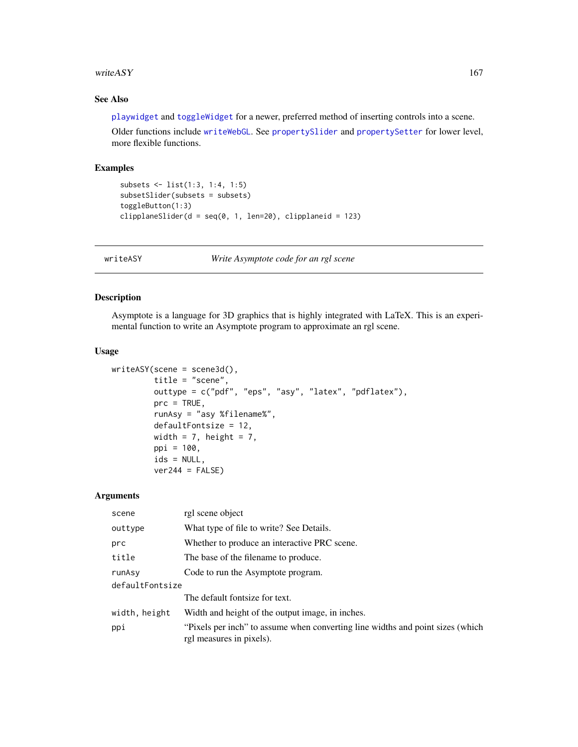#### <span id="page-166-1"></span>writeASY  $167$

# See Also

[playwidget](#page-72-0) and [toggleWidget](#page-158-0) for a newer, preferred method of inserting controls into a scene.

Older functions include [writeWebGL](#page-171-0). See [propertySlider](#page-85-0) and [propertySetter](#page-85-1) for lower level, more flexible functions.

# Examples

```
subsets <- list(1:3, 1:4, 1:5)
subsetSlider(subsets = subsets)
toggleButton(1:3)
clipplaneSlider(d = seq(0, 1, len=20), clipplaneid = 123)
```
<span id="page-166-0"></span>writeASY *Write Asymptote code for an rgl scene*

#### Description

Asymptote is a language for 3D graphics that is highly integrated with LaTeX. This is an experimental function to write an Asymptote program to approximate an rgl scene.

#### Usage

```
writeASY(scene = scene3d(),
         title = "scene",
         outtype = c("pdf", "eps", "asy", "latex", "pdflatex"),
         prc = TRUE,
         runAsy = "asy %filename%",
         defaultFontsize = 12,
         width = 7, height = 7,
         ppi = 100,
         ids = NULL,ver244 = FALSE)
```
#### Arguments

| scene           | rgl scene object                                                                                           |
|-----------------|------------------------------------------------------------------------------------------------------------|
| outtype         | What type of file to write? See Details.                                                                   |
| prc             | Whether to produce an interactive PRC scene.                                                               |
| title           | The base of the filename to produce.                                                                       |
| runAsy          | Code to run the Asymptote program.                                                                         |
| defaultFontsize |                                                                                                            |
|                 | The default fontsize for text.                                                                             |
| width, height   | Width and height of the output image, in inches.                                                           |
| ppi             | "Pixels per inch" to assume when converting line widths and point sizes (which<br>rgl measures in pixels). |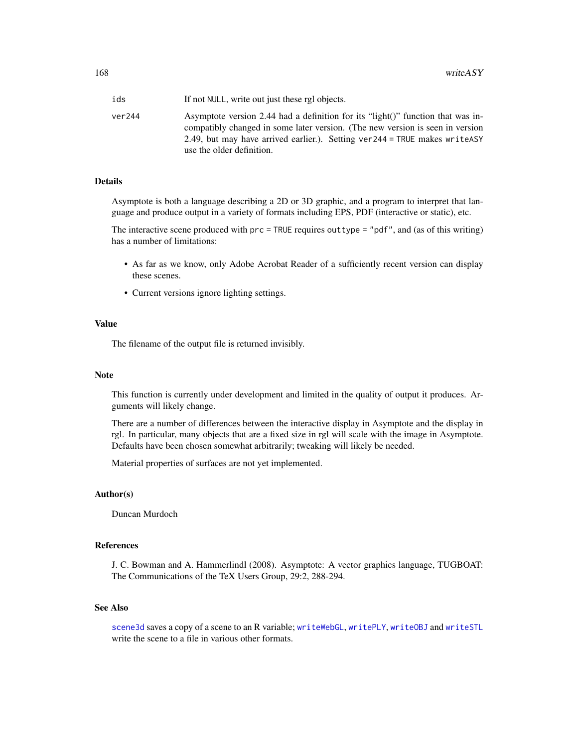<span id="page-167-0"></span>

| ids    | If not NULL, write out just these rgl objects.                                                                                                                                                                                                                                  |
|--------|---------------------------------------------------------------------------------------------------------------------------------------------------------------------------------------------------------------------------------------------------------------------------------|
| ver244 | Asymptote version 2.44 had a definition for its "light()" function that was in-<br>compatibly changed in some later version. (The new version is seen in version<br>2.49, but may have arrived earlier.). Setting ver $244 = TRUE$ makes write ASY<br>use the older definition. |

#### Details

Asymptote is both a language describing a 2D or 3D graphic, and a program to interpret that language and produce output in a variety of formats including EPS, PDF (interactive or static), etc.

The interactive scene produced with prc = TRUE requires outtype = "pdf", and (as of this writing) has a number of limitations:

- As far as we know, only Adobe Acrobat Reader of a sufficiently recent version can display these scenes.
- Current versions ignore lighting settings.

#### Value

The filename of the output file is returned invisibly.

# Note

This function is currently under development and limited in the quality of output it produces. Arguments will likely change.

There are a number of differences between the interactive display in Asymptote and the display in rgl. In particular, many objects that are a fixed size in rgl will scale with the image in Asymptote. Defaults have been chosen somewhat arbitrarily; tweaking will likely be needed.

Material properties of surfaces are not yet implemented.

# Author(s)

Duncan Murdoch

#### References

J. C. Bowman and A. Hammerlindl (2008). Asymptote: A vector graphics language, TUGBOAT: The Communications of the TeX Users Group, 29:2, 288-294.

#### See Also

[scene3d](#page-124-0) saves a copy of a scene to an R variable; [writeWebGL](#page-171-0), [writePLY](#page-170-0), [writeOBJ](#page-168-0) and [writeSTL](#page-90-0) write the scene to a file in various other formats.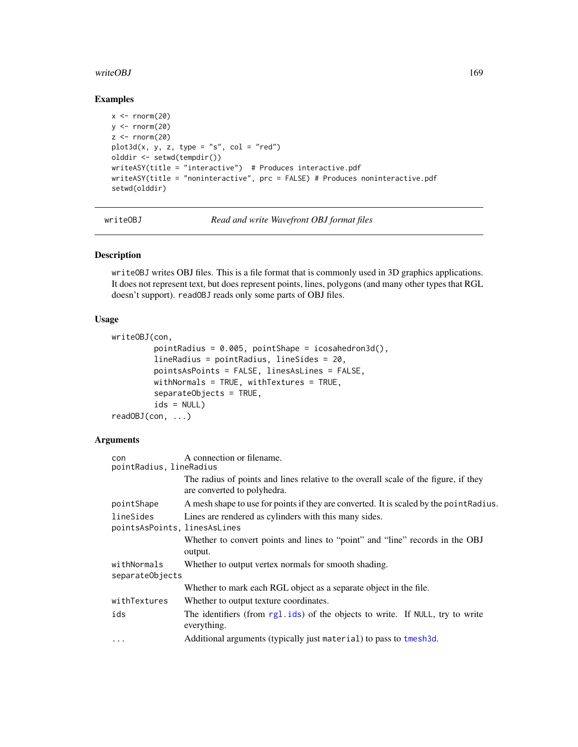#### <span id="page-168-1"></span>writeOBJ 169

#### Examples

```
x < - rnorm(20)y \le - rnorm(20)z \le- rnorm(20)plot3d(x, y, z, type = "s", col = "red")olddir <- setwd(tempdir())
writeASY(title = "interactive") # Produces interactive.pdf
writeASY(title = "noninteractive", prc = FALSE) # Produces noninteractive.pdf
setwd(olddir)
```
<span id="page-168-0"></span>writeOBJ *Read and write Wavefront OBJ format files*

# Description

writeOBJ writes OBJ files. This is a file format that is commonly used in 3D graphics applications. It does not represent text, but does represent points, lines, polygons (and many other types that RGL doesn't support). readOBJ reads only some parts of OBJ files.

#### Usage

```
writeOBJ(con,
         pointRadius = 0.005, pointShape = icosahedron3d(),
         lineRadius = pointRadius, lineSides = 20,
         pointsAsPoints = FALSE, linesAsLines = FALSE,
        withNormals = TRUE, withTextures = TRUE,
         separateObjects = TRUE,
         ids = NULL)
readOBJ(con, ...)
```
# **Arguments**

| con<br>pointRadius, lineRadius            | A connection or filename.                                                                                          |
|-------------------------------------------|--------------------------------------------------------------------------------------------------------------------|
|                                           | The radius of points and lines relative to the overall scale of the figure, if they<br>are converted to polyhedra. |
| pointShape                                | A mesh shape to use for points if they are converted. It is scaled by the point Radius.                            |
| lineSides<br>pointsAsPoints, linesAsLines | Lines are rendered as cylinders with this many sides.                                                              |
|                                           | Whether to convert points and lines to "point" and "line" records in the OBJ<br>output.                            |
| withNormals<br>separateObjects            | Whether to output vertex normals for smooth shading.                                                               |
|                                           | Whether to mark each RGL object as a separate object in the file.                                                  |
| withTextures                              | Whether to output texture coordinates.                                                                             |
| ids                                       | The identifiers (from rgl.ids) of the objects to write. If NULL, try to write<br>everything.                       |
| $\cdots$                                  | Additional arguments (typically just material) to pass to tmesh3d.                                                 |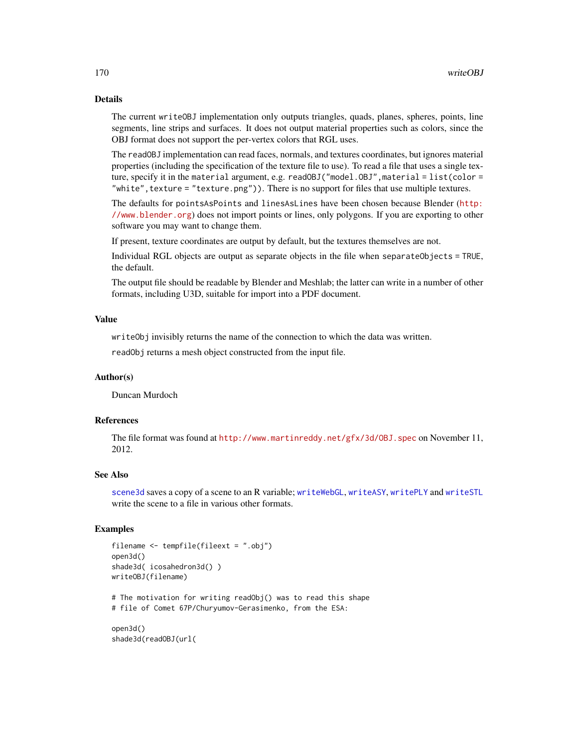# <span id="page-169-0"></span>Details

The current writeOBJ implementation only outputs triangles, quads, planes, spheres, points, line segments, line strips and surfaces. It does not output material properties such as colors, since the OBJ format does not support the per-vertex colors that RGL uses.

The readOBJ implementation can read faces, normals, and textures coordinates, but ignores material properties (including the specification of the texture file to use). To read a file that uses a single texture, specify it in the material argument, e.g. readOBJ("model.OBJ", material = list(color = "white",texture = "texture.png")). There is no support for files that use multiple textures.

The defaults for pointsAsPoints and linesAsLines have been chosen because Blender ([http:](http://www.blender.org) [//www.blender.org](http://www.blender.org)) does not import points or lines, only polygons. If you are exporting to other software you may want to change them.

If present, texture coordinates are output by default, but the textures themselves are not.

Individual RGL objects are output as separate objects in the file when separateObjects = TRUE, the default.

The output file should be readable by Blender and Meshlab; the latter can write in a number of other formats, including U3D, suitable for import into a PDF document.

#### Value

writeObj invisibly returns the name of the connection to which the data was written.

readObj returns a mesh object constructed from the input file.

# Author(s)

Duncan Murdoch

# References

The file format was found at <http://www.martinreddy.net/gfx/3d/OBJ.spec> on November 11, 2012.

#### See Also

[scene3d](#page-124-0) saves a copy of a scene to an R variable; [writeWebGL](#page-171-0), [writeASY](#page-166-0), [writePLY](#page-170-0) and [writeSTL](#page-90-0) write the scene to a file in various other formats.

#### Examples

```
filename <- tempfile(fileext = ".obj")
open3d()
shade3d( icosahedron3d() )
writeOBJ(filename)
# The motivation for writing readObj() was to read this shape
# file of Comet 67P/Churyumov-Gerasimenko, from the ESA:
open3d()
shade3d(readOBJ(url(
```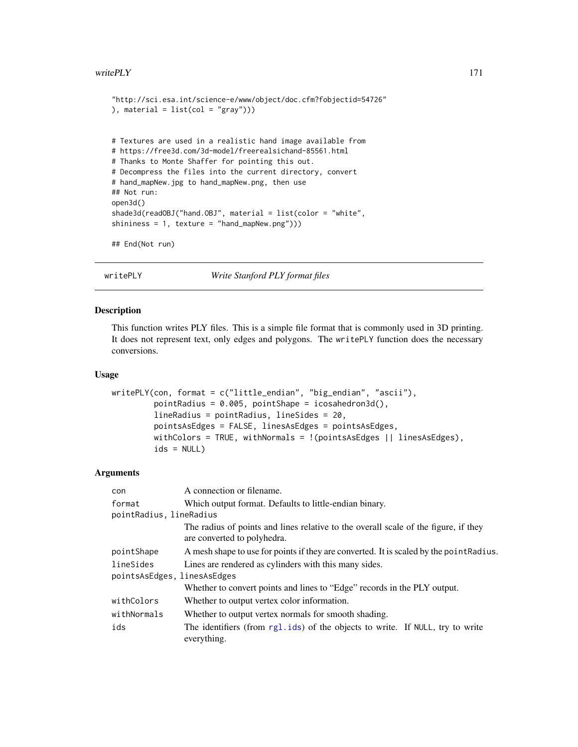#### <span id="page-170-1"></span>write  $PLY$  171

```
"http://sci.esa.int/science-e/www/object/doc.cfm?fobjectid=54726"
), material = list(col = "gray"))# Textures are used in a realistic hand image available from
# https://free3d.com/3d-model/freerealsichand-85561.html
# Thanks to Monte Shaffer for pointing this out.
# Decompress the files into the current directory, convert
# hand_mapNew.jpg to hand_mapNew.png, then use
## Not run:
open3d()
shade3d(readOBJ("hand.OBJ", material = list(color = "white",
shininess = 1, texture = "hand_mapNew.png")))
```

```
## End(Not run)
```
writePLY *Write Stanford PLY format files*

# Description

This function writes PLY files. This is a simple file format that is commonly used in 3D printing. It does not represent text, only edges and polygons. The writePLY function does the necessary conversions.

#### Usage

```
writePLY(con, format = c("little_endian", "big_endian", "ascii"),
         pointRadius = 0.005, pointShape = icosahedron3d(),
         lineRadius = pointRadius, lineSides = 20,
         pointsAsEdges = FALSE, linesAsEdges = pointsAsEdges,
        withColors = TRUE, withNormals = !(pointsAsEdges || linesAsEdges),
        ids = NULL)
```
#### **Arguments**

| con                                      | A connection or filename.                                                                                          |
|------------------------------------------|--------------------------------------------------------------------------------------------------------------------|
| format                                   | Which output format. Defaults to little-endian binary.                                                             |
| pointRadius, lineRadius                  |                                                                                                                    |
|                                          | The radius of points and lines relative to the overall scale of the figure, if they<br>are converted to polyhedra. |
| pointShape                               | A mesh shape to use for points if they are converted. It is scaled by the point Radius.                            |
| lineSides<br>pointsAsEdges, linesAsEdges | Lines are rendered as cylinders with this many sides.                                                              |
|                                          | Whether to convert points and lines to "Edge" records in the PLY output.                                           |
| withColors                               | Whether to output vertex color information.                                                                        |
| withNormals                              | Whether to output vertex normals for smooth shading.                                                               |
| ids                                      | The identifiers (from rg1.ids) of the objects to write. If NULL, try to write<br>everything.                       |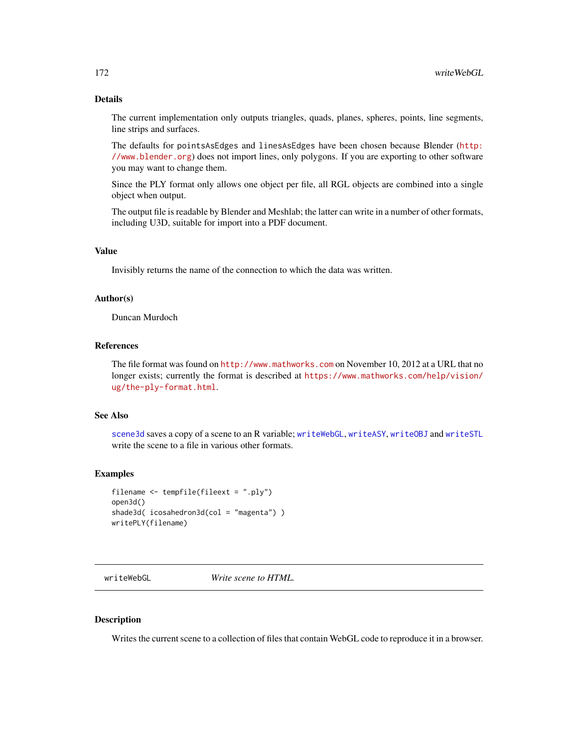# <span id="page-171-1"></span>Details

The current implementation only outputs triangles, quads, planes, spheres, points, line segments, line strips and surfaces.

The defaults for pointsAsEdges and linesAsEdges have been chosen because Blender ([http:](http://www.blender.org) [//www.blender.org](http://www.blender.org)) does not import lines, only polygons. If you are exporting to other software you may want to change them.

Since the PLY format only allows one object per file, all RGL objects are combined into a single object when output.

The output file is readable by Blender and Meshlab; the latter can write in a number of other formats, including U3D, suitable for import into a PDF document.

#### Value

Invisibly returns the name of the connection to which the data was written.

#### Author(s)

Duncan Murdoch

#### References

The file format was found on <http://www.mathworks.com> on November 10, 2012 at a URL that no longer exists; currently the format is described at [https://www.mathworks.com/help/vision/](https://www.mathworks.com/help/vision/ug/the-ply-format.html) [ug/the-ply-format.html](https://www.mathworks.com/help/vision/ug/the-ply-format.html).

# See Also

[scene3d](#page-124-0) saves a copy of a scene to an R variable; [writeWebGL](#page-171-0), [writeASY](#page-166-0), [writeOBJ](#page-168-0) and [writeSTL](#page-90-0) write the scene to a file in various other formats.

#### Examples

```
filename <- tempfile(fileext = ".ply")
open3d()
shade3d( icosahedron3d(col = "magenta") )
writePLY(filename)
```
<span id="page-171-0"></span>writeWebGL *Write scene to HTML.*

#### Description

Writes the current scene to a collection of files that contain WebGL code to reproduce it in a browser.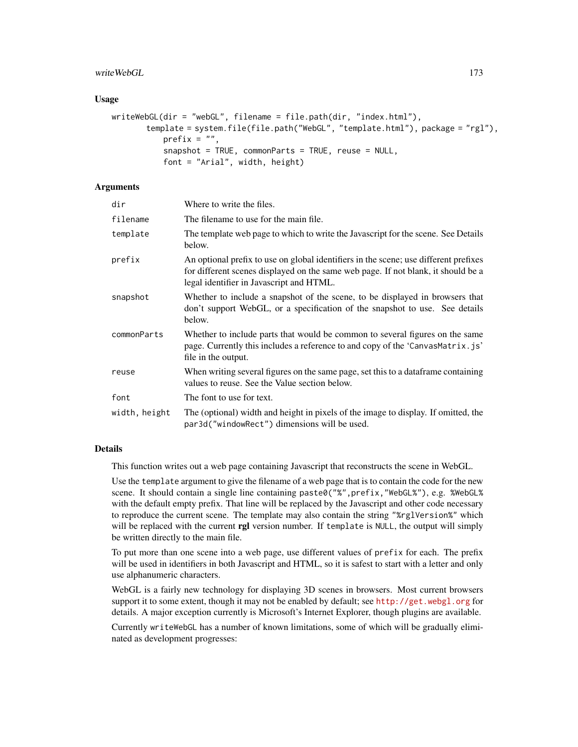#### writeWebGL 173

#### Usage

```
writeWebGL(dir = "webGL", filename = file.path(dir, "index.html"),
       template = system.file(file.path("WebGL", "template.html"), package = "rgl"),
           prefix = ",
           snapshot = TRUE, commonParts = TRUE, reuse = NULL,
           font = "Arial", width, height)
```
# **Arguments**

| dir           | Where to write the files.                                                                                                                                                                                             |
|---------------|-----------------------------------------------------------------------------------------------------------------------------------------------------------------------------------------------------------------------|
| filename      | The filename to use for the main file.                                                                                                                                                                                |
| template      | The template web page to which to write the Javascript for the scene. See Details<br>below.                                                                                                                           |
| prefix        | An optional prefix to use on global identifiers in the scene; use different prefixes<br>for different scenes displayed on the same web page. If not blank, it should be a<br>legal identifier in Javascript and HTML. |
| snapshot      | Whether to include a snapshot of the scene, to be displayed in browsers that<br>don't support WebGL, or a specification of the snapshot to use. See details<br>below.                                                 |
| commonParts   | Whether to include parts that would be common to several figures on the same<br>page. Currently this includes a reference to and copy of the 'CanvasMatrix.js'<br>file in the output.                                 |
| reuse         | When writing several figures on the same page, set this to a dataframe containing<br>values to reuse. See the Value section below.                                                                                    |
| font          | The font to use for text.                                                                                                                                                                                             |
| width, height | The (optional) width and height in pixels of the image to display. If omitted, the<br>par3d("windowRect") dimensions will be used.                                                                                    |

#### Details

This function writes out a web page containing Javascript that reconstructs the scene in WebGL.

Use the template argument to give the filename of a web page that is to contain the code for the new scene. It should contain a single line containing paste0("%", prefix, "WebGL%"), e.g. %WebGL% with the default empty prefix. That line will be replaced by the Javascript and other code necessary to reproduce the current scene. The template may also contain the string "%rglVersion%" which will be replaced with the current rgl version number. If template is NULL, the output will simply be written directly to the main file.

To put more than one scene into a web page, use different values of prefix for each. The prefix will be used in identifiers in both Javascript and HTML, so it is safest to start with a letter and only use alphanumeric characters.

WebGL is a fairly new technology for displaying 3D scenes in browsers. Most current browsers support it to some extent, though it may not be enabled by default; see <http://get.webgl.org> for details. A major exception currently is Microsoft's Internet Explorer, though plugins are available.

Currently writeWebGL has a number of known limitations, some of which will be gradually eliminated as development progresses: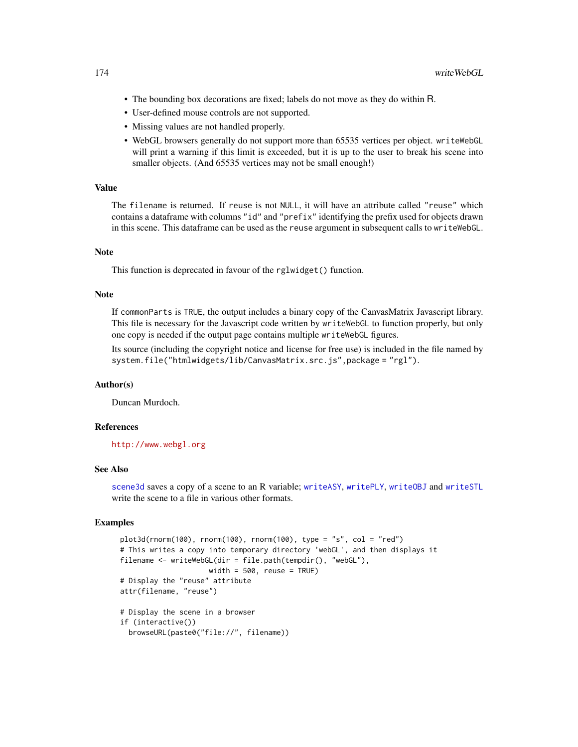- <span id="page-173-0"></span>• The bounding box decorations are fixed; labels do not move as they do within R.
- User-defined mouse controls are not supported.
- Missing values are not handled properly.
- WebGL browsers generally do not support more than 65535 vertices per object. writeWebGL will print a warning if this limit is exceeded, but it is up to the user to break his scene into smaller objects. (And 65535 vertices may not be small enough!)

# Value

The filename is returned. If reuse is not NULL, it will have an attribute called "reuse" which contains a dataframe with columns "id" and "prefix" identifying the prefix used for objects drawn in this scene. This dataframe can be used as the reuse argument in subsequent calls to writeWebGL.

#### **Note**

This function is deprecated in favour of the rglwidget() function.

# **Note**

If commonParts is TRUE, the output includes a binary copy of the CanvasMatrix Javascript library. This file is necessary for the Javascript code written by writeWebGL to function properly, but only one copy is needed if the output page contains multiple writeWebGL figures.

Its source (including the copyright notice and license for free use) is included in the file named by system.file("htmlwidgets/lib/CanvasMatrix.src.js",package = "rgl").

# Author(s)

Duncan Murdoch.

# References

<http://www.webgl.org>

#### See Also

[scene3d](#page-124-0) saves a copy of a scene to an R variable; [writeASY](#page-166-0), [writePLY](#page-170-0), [writeOBJ](#page-168-0) and [writeSTL](#page-90-0) write the scene to a file in various other formats.

#### Examples

```
plot3d(rnorm(100), rnorm(100), rnorm(100), rnorm(100), type = "s", col = "red")# This writes a copy into temporary directory 'webGL', and then displays it
filename <- writeWebGL(dir = file.path(tempdir(), "webGL"),
                     width = 500, reuse = TRUE)
# Display the "reuse" attribute
attr(filename, "reuse")
# Display the scene in a browser
if (interactive())
  browseURL(paste0("file://", filename))
```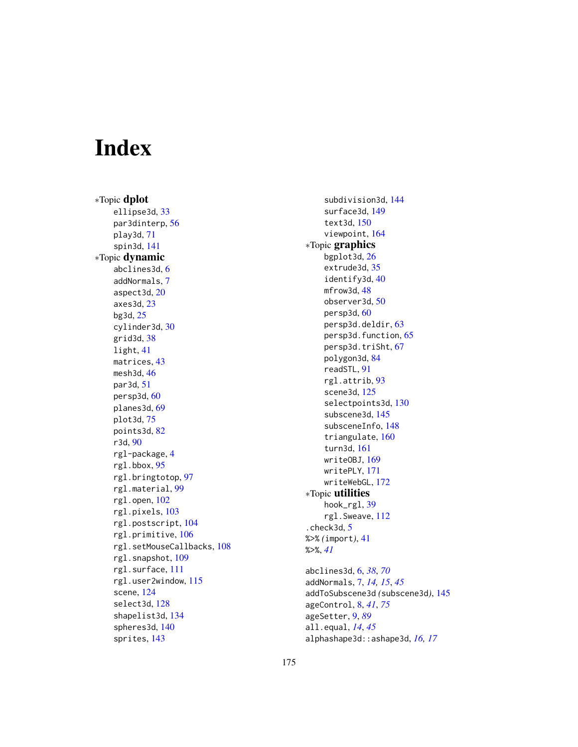# **Index**

∗Topic dplot ellipse3d, [33](#page-32-0) par3dinterp, [56](#page-55-1) play3d, [71](#page-70-1) spin3d, [141](#page-140-1) ∗Topic dynamic abclines3d, [6](#page-5-0) addNormals, [7](#page-6-0) aspect3d, [20](#page-19-0) axes3d, [23](#page-22-0) bg3d, [25](#page-24-0) cylinder3d, [30](#page-29-0) grid3d, [38](#page-37-0) light, [41](#page-40-0) matrices, [43](#page-42-0) mesh3d, [46](#page-45-2) par3d, [51](#page-50-2) persp3d, [60](#page-59-1) planes3d, [69](#page-68-2) plot3d, [75](#page-74-0) points3d, [82](#page-81-0) r3d, [90](#page-89-1) rgl-package, [4](#page-3-0) rgl.bbox, [95](#page-94-0) rgl.bringtotop, [97](#page-96-0) rgl.material, [99](#page-98-1) rgl.open, [102](#page-101-0) rgl.pixels, [103](#page-102-0) rgl.postscript, [104](#page-103-0) rgl.primitive, [106](#page-105-0) rgl.setMouseCallbacks, [108](#page-107-0) rgl.snapshot, [109](#page-108-0) rgl.surface, [111](#page-110-1) rgl.user2window, [115](#page-114-0) scene, [124](#page-123-1) select3d, [128](#page-127-0) shapelist3d, [134](#page-133-0) spheres3d, [140](#page-139-0) sprites, [143](#page-142-0)

subdivision3d, [144](#page-143-0) surface3d, [149](#page-148-0) text3d, [150](#page-149-1) viewpoint, [164](#page-163-0) ∗Topic graphics bgplot3d, [26](#page-25-0) extrude3d, [35](#page-34-1) identify3d, [40](#page-39-0) mfrow3d, [48](#page-47-2) observer3d, [50](#page-49-0) persp3d, [60](#page-59-1) persp3d.deldir, [63](#page-62-0) persp3d.function, [65](#page-64-0) persp3d.triSht, [67](#page-66-0) polygon3d, [84](#page-83-1) readSTL, [91](#page-90-1) rgl.attrib, [93](#page-92-0) scene3d, [125](#page-124-1) selectpoints3d, [130](#page-129-0) subscene3d, [145](#page-144-1) subsceneInfo, [148](#page-147-1) triangulate, [160](#page-159-0) turn3d, [161](#page-160-0) writeOBJ, [169](#page-168-1) writePLY, [171](#page-170-1) writeWebGL, [172](#page-171-1) ∗Topic utilities hook\_rgl, [39](#page-38-0) rgl.Sweave, [112](#page-111-0) .check3d, [5](#page-4-0) %>% *(*import*)*, [41](#page-40-0) %>%, *[41](#page-40-0)* abclines3d, [6,](#page-5-0) *[38](#page-37-0)*, *[70](#page-69-0)* addNormals, [7,](#page-6-0) *[14,](#page-13-0) [15](#page-14-0)*, *[45](#page-44-0)* addToSubscene3d *(*subscene3d*)*, [145](#page-144-1) ageControl, [8,](#page-7-0) *[41](#page-40-0)*, *[75](#page-74-0)* ageSetter, [9,](#page-8-0) *[89](#page-88-0)* all.equal, *[14](#page-13-0)*, *[45](#page-44-0)*

alphashape3d::ashape3d, *[16,](#page-15-0) [17](#page-16-0)*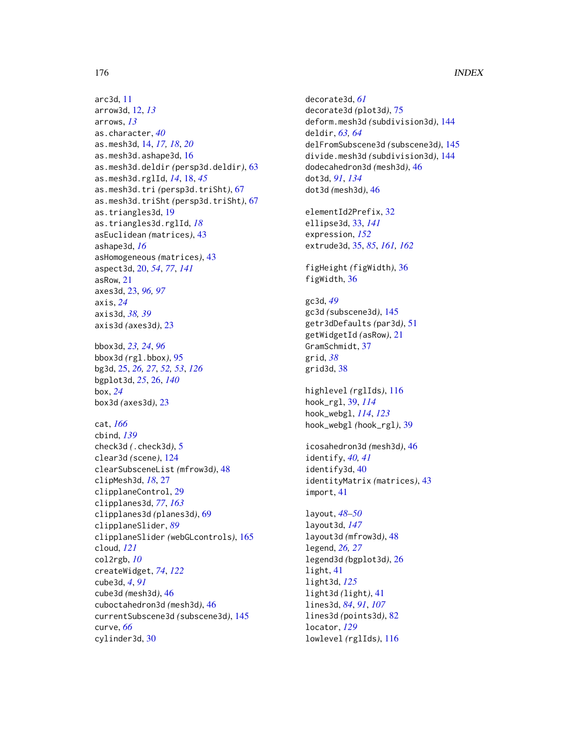```
arc3d, 11
arrow3d, 12, 13
arrows, 13
as.character, 40
as.mesh3d, 14, 17, 18, 20
as.mesh3d.ashape3d, 16
as.mesh3d.deldir (persp3d.deldir), 63
as.mesh3d.rglId, 14, 18, 45
as.mesh3d.tri (persp3d.triSht), 67
as.mesh3d.triSht (persp3d.triSht), 67
as.triangles3d, 19
as.triangles3d.rglId, 18
asEuclidean (matrices), 43
ashape3d, 16
asHomogeneous (matrices), 43
aspect3d, 20, 54, 77, 141
asRow, 21
axes3d, 23, 96, 97
axis, 24
axis3d, 38, 39
axis3d (axes3d), 23
bbox3d, 23, 24, 96
bbox3d (rgl.bbox), 95
bg3d, 25, 26, 27, 52, 53, 126
bgplot3d, 25, 26, 140
box, 24
box3d (axes3d), 23
cat, 166
cbind, 139
check3d (.check3d), 5
clear3d (scene), 124
clearSubsceneList (mfrow3d), 48
clipMesh3d, 18, 27
clipplaneControl, 29
clipplanes3d, 77, 163
clipplanes3d (planes3d), 69
clipplaneSlider, 89
clipplaneSlider (webGLcontrols), 165
cloud, 121
col2rgb, 10
createWidget, 74, 122
cube3d, 4, 91
cube3d (mesh3d), 46
cuboctahedron3d (mesh3d), 46
currentSubscene3d (subscene3d), 145
curve, 66
```
cylinder3d, [30](#page-29-0)

```
decorate3d, 61
decorate3d (plot3d), 75
deform.mesh3d (subdivision3d), 144
deldir, 63, 64
delFromSubscene3d (subscene3d), 145
divide.mesh3d (subdivision3d), 144
dodecahedron3d (mesh3d), 46
dot3d, 91, 134
dot3d (mesh3d), 46
elementId2Prefix, 32
ellipse3d, 33, 141
expression, 152
extrude3d, 35, 85, 161, 162
figHeight (figWidth), 36
figWidth, 36
gc3d, 49
```
gc3d *(*subscene3d*)*, [145](#page-144-1) getr3dDefaults *(*par3d*)*, [51](#page-50-2) getWidgetId *(*asRow*)*, [21](#page-20-0) GramSchmidt, [37](#page-36-0) grid, *[38](#page-37-0)* grid3d, [38](#page-37-0)

highlevel *(*rglIds*)*, [116](#page-115-0) hook\_rgl, [39,](#page-38-0) *[114](#page-113-0)* hook\_webgl, *[114](#page-113-0)*, *[123](#page-122-0)* hook\_webgl *(*hook\_rgl*)*, [39](#page-38-0)

icosahedron3d *(*mesh3d*)*, [46](#page-45-2) identify, *[40,](#page-39-0) [41](#page-40-0)* identify3d, [40](#page-39-0) identityMatrix *(*matrices*)*, [43](#page-42-0) import, [41](#page-40-0)

layout, *[48](#page-47-2)[–50](#page-49-0)* layout3d, *[147](#page-146-0)* layout3d *(*mfrow3d*)*, [48](#page-47-2) legend, *[26,](#page-25-0) [27](#page-26-0)* legend3d *(*bgplot3d*)*, [26](#page-25-0) light, [41](#page-40-0) light3d, *[125](#page-124-1)* light3d *(*light*)*, [41](#page-40-0) lines3d, *[84](#page-83-1)*, *[91](#page-90-1)*, *[107](#page-106-0)* lines3d *(*points3d*)*, [82](#page-81-0) locator, *[129](#page-128-0)* lowlevel *(*rglIds*)*, [116](#page-115-0)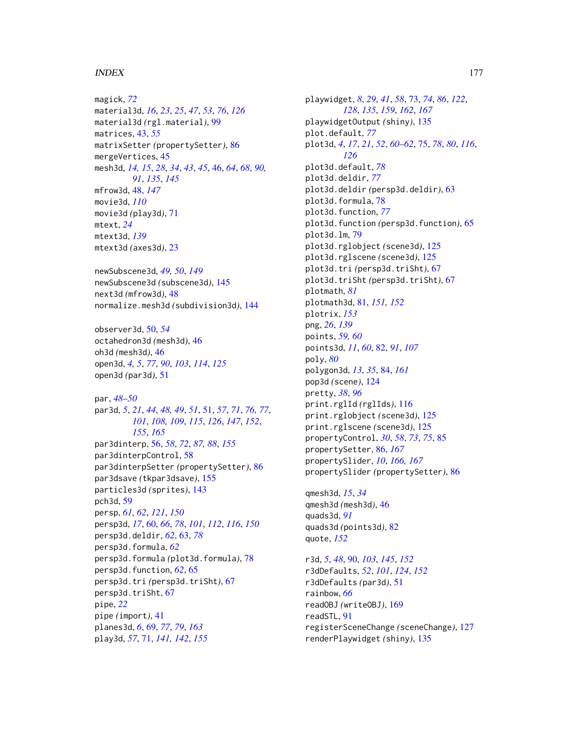#### INDEX 177

magick, *[72](#page-71-0)* material3d, *[16](#page-15-0)*, *[23](#page-22-0)*, *[25](#page-24-0)*, *[47](#page-46-0)*, *[53](#page-52-0)*, *[76](#page-75-0)*, *[126](#page-125-0)* material3d *(*rgl.material*)*, [99](#page-98-1) matrices, [43,](#page-42-0) *[55](#page-54-0)* matrixSetter *(*propertySetter*)*, [86](#page-85-2) mergeVertices, [45](#page-44-0) mesh3d, *[14,](#page-13-0) [15](#page-14-0)*, *[28](#page-27-0)*, *[34](#page-33-0)*, *[43](#page-42-0)*, *[45](#page-44-0)*, [46,](#page-45-2) *[64](#page-63-0)*, *[68](#page-67-0)*, *[90,](#page-89-1) [91](#page-90-1)*, *[135](#page-134-0)*, *[145](#page-144-1)* mfrow3d, [48,](#page-47-2) *[147](#page-146-0)* movie3d, *[110](#page-109-0)* movie3d *(*play3d*)*, [71](#page-70-1) mtext, *[24](#page-23-0)* mtext3d, *[139](#page-138-0)* mtext3d *(*axes3d*)*, [23](#page-22-0)

newSubscene3d, *[49,](#page-48-0) [50](#page-49-0)*, *[149](#page-148-0)* newSubscene3d *(*subscene3d*)*, [145](#page-144-1) next3d *(*mfrow3d*)*, [48](#page-47-2) normalize.mesh3d *(*subdivision3d*)*, [144](#page-143-0)

observer3d, [50,](#page-49-0) *[54](#page-53-0)* octahedron3d *(*mesh3d*)*, [46](#page-45-2) oh3d *(*mesh3d*)*, [46](#page-45-2) open3d, *[4,](#page-3-0) [5](#page-4-0)*, *[77](#page-76-0)*, *[90](#page-89-1)*, *[103](#page-102-0)*, *[114](#page-113-0)*, *[125](#page-124-1)* open3d *(*par3d*)*, [51](#page-50-2)

par, *[48](#page-47-2)[–50](#page-49-0)* par3d, *[5](#page-4-0)*, *[21](#page-20-0)*, *[44](#page-43-0)*, *[48,](#page-47-2) [49](#page-48-0)*, *[51](#page-50-2)*, [51,](#page-50-2) *[57](#page-56-0)*, *[71](#page-70-1)*, *[76,](#page-75-0) [77](#page-76-0)*, *[101](#page-100-0)*, *[108,](#page-107-0) [109](#page-108-0)*, *[115](#page-114-0)*, *[126](#page-125-0)*, *[147](#page-146-0)*, *[152](#page-151-0)*, *[155](#page-154-1)*, *[165](#page-164-1)* par3dinterp, [56,](#page-55-1) *[58](#page-57-0)*, *[72](#page-71-0)*, *[87,](#page-86-0) [88](#page-87-0)*, *[155](#page-154-1)* par3dinterpControl, [58](#page-57-0) par3dinterpSetter *(*propertySetter*)*, [86](#page-85-2) par3dsave *(*tkpar3dsave*)*, [155](#page-154-1) particles3d *(*sprites*)*, [143](#page-142-0) pch3d, [59](#page-58-0) persp, *[61,](#page-60-0) [62](#page-61-0)*, *[121](#page-120-1)*, *[150](#page-149-1)* persp3d, *[17](#page-16-0)*, [60,](#page-59-1) *[66](#page-65-0)*, *[78](#page-77-0)*, *[101](#page-100-0)*, *[112](#page-111-0)*, *[116](#page-115-0)*, *[150](#page-149-1)* persp3d.deldir, *[62](#page-61-0)*, [63,](#page-62-0) *[78](#page-77-0)* persp3d.formula, *[62](#page-61-0)* persp3d.formula *(*plot3d.formula*)*, [78](#page-77-0) persp3d.function, *[62](#page-61-0)*, [65](#page-64-0) persp3d.tri *(*persp3d.triSht*)*, [67](#page-66-0) persp3d.triSht, [67](#page-66-0) pipe, *[22](#page-21-0)* pipe *(*import*)*, [41](#page-40-0) planes3d, *[6](#page-5-0)*, [69,](#page-68-2) *[77](#page-76-0)*, *[79](#page-78-0)*, *[163](#page-162-0)* play3d, *[57](#page-56-0)*, [71,](#page-70-1) *[141,](#page-140-1) [142](#page-141-0)*, *[155](#page-154-1)*

playwidget, *[8](#page-7-0)*, *[29](#page-28-0)*, *[41](#page-40-0)*, *[58](#page-57-0)*, [73,](#page-72-1) *[74](#page-73-0)*, *[86](#page-85-2)*, *[122](#page-121-0)*, *[128](#page-127-0)*, *[135](#page-134-0)*, *[159](#page-158-1)*, *[162](#page-161-0)*, *[167](#page-166-1)* playwidgetOutput *(*shiny*)*, [135](#page-134-0) plot.default, *[77](#page-76-0)* plot3d, *[4](#page-3-0)*, *[17](#page-16-0)*, *[21](#page-20-0)*, *[52](#page-51-0)*, *[60](#page-59-1)[–62](#page-61-0)*, [75,](#page-74-0) *[78](#page-77-0)*, *[80](#page-79-0)*, *[116](#page-115-0)*, *[126](#page-125-0)* plot3d.default, *[78](#page-77-0)* plot3d.deldir, *[77](#page-76-0)* plot3d.deldir *(*persp3d.deldir*)*, [63](#page-62-0) plot3d.formula, [78](#page-77-0) plot3d.function, *[77](#page-76-0)* plot3d.function *(*persp3d.function*)*, [65](#page-64-0) plot3d.lm, [79](#page-78-0) plot3d.rglobject *(*scene3d*)*, [125](#page-124-1) plot3d.rglscene *(*scene3d*)*, [125](#page-124-1) plot3d.tri *(*persp3d.triSht*)*, [67](#page-66-0) plot3d.triSht *(*persp3d.triSht*)*, [67](#page-66-0) plotmath, *[81](#page-80-1)* plotmath3d, [81,](#page-80-1) *[151,](#page-150-0) [152](#page-151-0)* plotrix, *[153](#page-152-0)* png, *[26](#page-25-0)*, *[139](#page-138-0)* points, *[59,](#page-58-0) [60](#page-59-1)* points3d, *[11](#page-10-0)*, *[60](#page-59-1)*, [82,](#page-81-0) *[91](#page-90-1)*, *[107](#page-106-0)* poly, *[80](#page-79-0)* polygon3d, *[13](#page-12-0)*, *[35](#page-34-1)*, [84,](#page-83-1) *[161](#page-160-0)* pop3d *(*scene*)*, [124](#page-123-1) pretty, *[38](#page-37-0)*, *[96](#page-95-0)* print.rglId *(*rglIds*)*, [116](#page-115-0) print.rglobject *(*scene3d*)*, [125](#page-124-1) print.rglscene *(*scene3d*)*, [125](#page-124-1) propertyControl, *[30](#page-29-0)*, *[58](#page-57-0)*, *[73](#page-72-1)*, *[75](#page-74-0)*, [85](#page-84-0) propertySetter, [86,](#page-85-2) *[167](#page-166-1)* propertySlider, *[10](#page-9-0)*, *[166,](#page-165-0) [167](#page-166-1)* propertySlider *(*propertySetter*)*, [86](#page-85-2) qmesh3d, *[15](#page-14-0)*, *[34](#page-33-0)*

qmesh3d *(*mesh3d*)*, [46](#page-45-2) quads3d, *[91](#page-90-1)* quads3d *(*points3d*)*, [82](#page-81-0) quote, *[152](#page-151-0)*

r3d, *[5](#page-4-0)*, *[48](#page-47-2)*, [90,](#page-89-1) *[103](#page-102-0)*, *[145](#page-144-1)*, *[152](#page-151-0)* r3dDefaults, *[52](#page-51-0)*, *[101](#page-100-0)*, *[124](#page-123-1)*, *[152](#page-151-0)* r3dDefaults *(*par3d*)*, [51](#page-50-2) rainbow, *[66](#page-65-0)* readOBJ *(*writeOBJ*)*, [169](#page-168-1) readSTL, [91](#page-90-1) registerSceneChange *(*sceneChange*)*, [127](#page-126-0) renderPlaywidget *(*shiny*)*, [135](#page-134-0)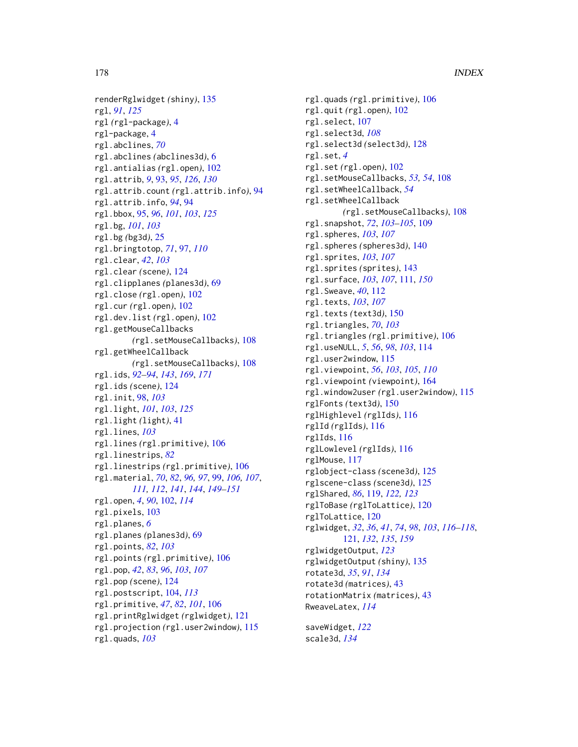renderRglwidget *(*shiny*)*, [135](#page-134-0) rgl, *[91](#page-90-1)*, *[125](#page-124-1)* rgl *(*rgl-package*)*, [4](#page-3-0) rgl-package, [4](#page-3-0) rgl.abclines, *[70](#page-69-0)* rgl.abclines *(*abclines3d*)*, [6](#page-5-0) rgl.antialias *(*rgl.open*)*, [102](#page-101-0) rgl.attrib, *[9](#page-8-0)*, [93,](#page-92-0) *[95](#page-94-0)*, *[126](#page-125-0)*, *[130](#page-129-0)* rgl.attrib.count *(*rgl.attrib.info*)*, [94](#page-93-0) rgl.attrib.info, *[94](#page-93-0)*, [94](#page-93-0) rgl.bbox, [95,](#page-94-0) *[96](#page-95-0)*, *[101](#page-100-0)*, *[103](#page-102-0)*, *[125](#page-124-1)* rgl.bg, *[101](#page-100-0)*, *[103](#page-102-0)* rgl.bg *(*bg3d*)*, [25](#page-24-0) rgl.bringtotop, *[71](#page-70-1)*, [97,](#page-96-0) *[110](#page-109-0)* rgl.clear, *[42](#page-41-0)*, *[103](#page-102-0)* rgl.clear *(*scene*)*, [124](#page-123-1) rgl.clipplanes *(*planes3d*)*, [69](#page-68-2) rgl.close *(*rgl.open*)*, [102](#page-101-0) rgl.cur *(*rgl.open*)*, [102](#page-101-0) rgl.dev.list *(*rgl.open*)*, [102](#page-101-0) rgl.getMouseCallbacks *(*rgl.setMouseCallbacks*)*, [108](#page-107-0) rgl.getWheelCallback *(*rgl.setMouseCallbacks*)*, [108](#page-107-0) rgl.ids, *[92](#page-91-0)[–94](#page-93-0)*, *[143](#page-142-0)*, *[169](#page-168-1)*, *[171](#page-170-1)* rgl.ids *(*scene*)*, [124](#page-123-1) rgl.init, [98,](#page-97-0) *[103](#page-102-0)* rgl.light, *[101](#page-100-0)*, *[103](#page-102-0)*, *[125](#page-124-1)* rgl.light *(*light*)*, [41](#page-40-0) rgl.lines, *[103](#page-102-0)* rgl.lines *(*rgl.primitive*)*, [106](#page-105-0) rgl.linestrips, *[82](#page-81-0)* rgl.linestrips *(*rgl.primitive*)*, [106](#page-105-0) rgl.material, *[70](#page-69-0)*, *[82](#page-81-0)*, *[96,](#page-95-0) [97](#page-96-0)*, [99,](#page-98-1) *[106,](#page-105-0) [107](#page-106-0)*, *[111,](#page-110-1) [112](#page-111-0)*, *[141](#page-140-1)*, *[144](#page-143-0)*, *[149–](#page-148-0)[151](#page-150-0)* rgl.open, *[4](#page-3-0)*, *[90](#page-89-1)*, [102,](#page-101-0) *[114](#page-113-0)* rgl.pixels, [103](#page-102-0) rgl.planes, *[6](#page-5-0)* rgl.planes *(*planes3d*)*, [69](#page-68-2) rgl.points, *[82](#page-81-0)*, *[103](#page-102-0)* rgl.points *(*rgl.primitive*)*, [106](#page-105-0) rgl.pop, *[42](#page-41-0)*, *[83](#page-82-0)*, *[96](#page-95-0)*, *[103](#page-102-0)*, *[107](#page-106-0)* rgl.pop *(*scene*)*, [124](#page-123-1) rgl.postscript, [104,](#page-103-0) *[113](#page-112-0)* rgl.primitive, *[47](#page-46-0)*, *[82](#page-81-0)*, *[101](#page-100-0)*, [106](#page-105-0) rgl.printRglwidget *(*rglwidget*)*, [121](#page-120-1) rgl.projection *(*rgl.user2window*)*, [115](#page-114-0) rgl.quads, *[103](#page-102-0)*

rgl.quads *(*rgl.primitive*)*, [106](#page-105-0) rgl.quit *(*rgl.open*)*, [102](#page-101-0) rgl.select, [107](#page-106-0) rgl.select3d, *[108](#page-107-0)* rgl.select3d *(*select3d*)*, [128](#page-127-0) rgl.set, *[4](#page-3-0)* rgl.set *(*rgl.open*)*, [102](#page-101-0) rgl.setMouseCallbacks, *[53,](#page-52-0) [54](#page-53-0)*, [108](#page-107-0) rgl.setWheelCallback, *[54](#page-53-0)* rgl.setWheelCallback *(*rgl.setMouseCallbacks*)*, [108](#page-107-0) rgl.snapshot, *[72](#page-71-0)*, *[103](#page-102-0)[–105](#page-104-0)*, [109](#page-108-0) rgl.spheres, *[103](#page-102-0)*, *[107](#page-106-0)* rgl.spheres *(*spheres3d*)*, [140](#page-139-0) rgl.sprites, *[103](#page-102-0)*, *[107](#page-106-0)* rgl.sprites *(*sprites*)*, [143](#page-142-0) rgl.surface, *[103](#page-102-0)*, *[107](#page-106-0)*, [111,](#page-110-1) *[150](#page-149-1)* rgl.Sweave, *[40](#page-39-0)*, [112](#page-111-0) rgl.texts, *[103](#page-102-0)*, *[107](#page-106-0)* rgl.texts *(*text3d*)*, [150](#page-149-1) rgl.triangles, *[70](#page-69-0)*, *[103](#page-102-0)* rgl.triangles *(*rgl.primitive*)*, [106](#page-105-0) rgl.useNULL, *[5](#page-4-0)*, *[56](#page-55-1)*, *[98](#page-97-0)*, *[103](#page-102-0)*, [114](#page-113-0) rgl.user2window, [115](#page-114-0) rgl.viewpoint, *[56](#page-55-1)*, *[103](#page-102-0)*, *[105](#page-104-0)*, *[110](#page-109-0)* rgl.viewpoint *(*viewpoint*)*, [164](#page-163-0) rgl.window2user *(*rgl.user2window*)*, [115](#page-114-0) rglFonts *(*text3d*)*, [150](#page-149-1) rglHighlevel *(*rglIds*)*, [116](#page-115-0) rglId *(*rglIds*)*, [116](#page-115-0) rglIds, [116](#page-115-0) rglLowlevel *(*rglIds*)*, [116](#page-115-0) rglMouse, [117](#page-116-0) rglobject-class *(*scene3d*)*, [125](#page-124-1) rglscene-class *(*scene3d*)*, [125](#page-124-1) rglShared, *[86](#page-85-2)*, [119,](#page-118-0) *[122,](#page-121-0) [123](#page-122-0)* rglToBase *(*rglToLattice*)*, [120](#page-119-0) rglToLattice, [120](#page-119-0) rglwidget, *[32](#page-31-0)*, *[36](#page-35-0)*, *[41](#page-40-0)*, *[74](#page-73-0)*, *[98](#page-97-0)*, *[103](#page-102-0)*, *[116](#page-115-0)[–118](#page-117-0)*, [121,](#page-120-1) *[132](#page-131-0)*, *[135](#page-134-0)*, *[159](#page-158-1)* rglwidgetOutput, *[123](#page-122-0)* rglwidgetOutput *(*shiny*)*, [135](#page-134-0) rotate3d, *[35](#page-34-1)*, *[91](#page-90-1)*, *[134](#page-133-0)* rotate3d *(*matrices*)*, [43](#page-42-0) rotationMatrix *(*matrices*)*, [43](#page-42-0) RweaveLatex, *[114](#page-113-0)*

saveWidget, *[122](#page-121-0)* scale3d, *[134](#page-133-0)*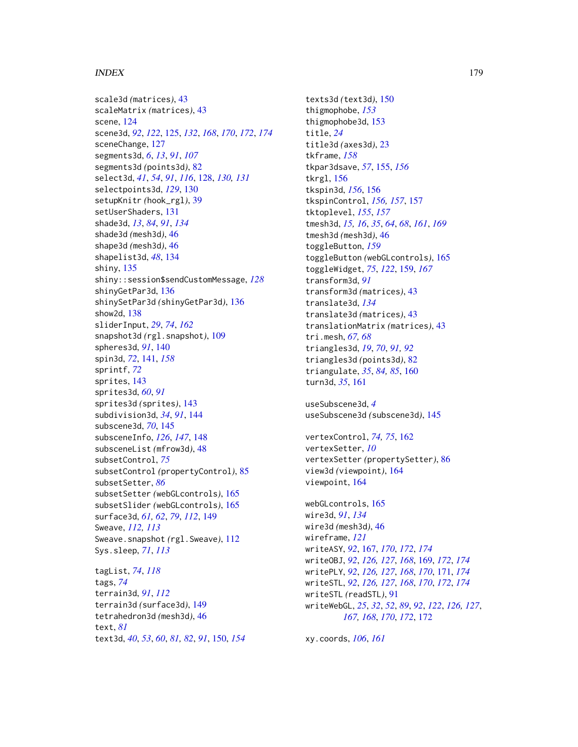# INDEX 279

scale3d *(*matrices*)*, [43](#page-42-0) scaleMatrix *(*matrices*)*, [43](#page-42-0) scene, [124](#page-123-1) scene3d, *[92](#page-91-0)*, *[122](#page-121-0)*, [125,](#page-124-1) *[132](#page-131-0)*, *[168](#page-167-0)*, *[170](#page-169-0)*, *[172](#page-171-1)*, *[174](#page-173-0)* sceneChange, [127](#page-126-0) segments3d, *[6](#page-5-0)*, *[13](#page-12-0)*, *[91](#page-90-1)*, *[107](#page-106-0)* segments3d *(*points3d*)*, [82](#page-81-0) select3d, *[41](#page-40-0)*, *[54](#page-53-0)*, *[91](#page-90-1)*, *[116](#page-115-0)*, [128,](#page-127-0) *[130,](#page-129-0) [131](#page-130-0)* selectpoints3d, *[129](#page-128-0)*, [130](#page-129-0) setupKnitr *(*hook\_rgl*)*, [39](#page-38-0) setUserShaders, [131](#page-130-0) shade3d, *[13](#page-12-0)*, *[84](#page-83-1)*, *[91](#page-90-1)*, *[134](#page-133-0)* shade3d *(*mesh3d*)*, [46](#page-45-2) shape3d *(*mesh3d*)*, [46](#page-45-2) shapelist3d, *[48](#page-47-2)*, [134](#page-133-0) shiny, [135](#page-134-0) shiny::session\$sendCustomMessage, *[128](#page-127-0)* shinyGetPar3d, [136](#page-135-0) shinySetPar3d *(*shinyGetPar3d*)*, [136](#page-135-0) show2d, [138](#page-137-0) sliderInput, *[29](#page-28-0)*, *[74](#page-73-0)*, *[162](#page-161-0)* snapshot3d *(*rgl.snapshot*)*, [109](#page-108-0) spheres3d, *[91](#page-90-1)*, [140](#page-139-0) spin3d, *[72](#page-71-0)*, [141,](#page-140-1) *[158](#page-157-0)* sprintf, *[72](#page-71-0)* sprites, [143](#page-142-0) sprites3d, *[60](#page-59-1)*, *[91](#page-90-1)* sprites3d *(*sprites*)*, [143](#page-142-0) subdivision3d, *[34](#page-33-0)*, *[91](#page-90-1)*, [144](#page-143-0) subscene3d, *[70](#page-69-0)*, [145](#page-144-1) subsceneInfo, *[126](#page-125-0)*, *[147](#page-146-0)*, [148](#page-147-1) subsceneList *(*mfrow3d*)*, [48](#page-47-2) subsetControl, *[75](#page-74-0)* subsetControl *(*propertyControl*)*, [85](#page-84-0) subsetSetter, *[86](#page-85-2)* subsetSetter *(*webGLcontrols*)*, [165](#page-164-1) subsetSlider *(*webGLcontrols*)*, [165](#page-164-1) surface3d, *[61,](#page-60-0) [62](#page-61-0)*, *[79](#page-78-0)*, *[112](#page-111-0)*, [149](#page-148-0) Sweave, *[112,](#page-111-0) [113](#page-112-0)* Sweave.snapshot *(*rgl.Sweave*)*, [112](#page-111-0) Sys.sleep, *[71](#page-70-1)*, *[113](#page-112-0)*

tagList, *[74](#page-73-0)*, *[118](#page-117-0)* tags, *[74](#page-73-0)* terrain3d, *[91](#page-90-1)*, *[112](#page-111-0)* terrain3d *(*surface3d*)*, [149](#page-148-0) tetrahedron3d *(*mesh3d*)*, [46](#page-45-2) text, *[81](#page-80-1)* text3d, *[40](#page-39-0)*, *[53](#page-52-0)*, *[60](#page-59-1)*, *[81,](#page-80-1) [82](#page-81-0)*, *[91](#page-90-1)*, [150,](#page-149-1) *[154](#page-153-0)*

texts3d *(*text3d*)*, [150](#page-149-1) thigmophobe, *[153](#page-152-0)* thigmophobe3d, [153](#page-152-0) title, *[24](#page-23-0)* title3d *(*axes3d*)*, [23](#page-22-0) tkframe, *[158](#page-157-0)* tkpar3dsave, *[57](#page-56-0)*, [155,](#page-154-1) *[156](#page-155-1)* tkrgl, [156](#page-155-1) tkspin3d, *[156](#page-155-1)*, [156](#page-155-1) tkspinControl, *[156,](#page-155-1) [157](#page-156-1)*, [157](#page-156-1) tktoplevel, *[155](#page-154-1)*, *[157](#page-156-1)* tmesh3d, *[15,](#page-14-0) [16](#page-15-0)*, *[35](#page-34-1)*, *[64](#page-63-0)*, *[68](#page-67-0)*, *[161](#page-160-0)*, *[169](#page-168-1)* tmesh3d *(*mesh3d*)*, [46](#page-45-2) toggleButton, *[159](#page-158-1)* toggleButton *(*webGLcontrols*)*, [165](#page-164-1) toggleWidget, *[75](#page-74-0)*, *[122](#page-121-0)*, [159,](#page-158-1) *[167](#page-166-1)* transform3d, *[91](#page-90-1)* transform3d *(*matrices*)*, [43](#page-42-0) translate3d, *[134](#page-133-0)* translate3d *(*matrices*)*, [43](#page-42-0) translationMatrix *(*matrices*)*, [43](#page-42-0) tri.mesh, *[67,](#page-66-0) [68](#page-67-0)* triangles3d, *[19](#page-18-0)*, *[70](#page-69-0)*, *[91,](#page-90-1) [92](#page-91-0)* triangles3d *(*points3d*)*, [82](#page-81-0) triangulate, *[35](#page-34-1)*, *[84,](#page-83-1) [85](#page-84-0)*, [160](#page-159-0) turn3d, *[35](#page-34-1)*, [161](#page-160-0)

```
useSubscene3d, 4
useSubscene3d (subscene3d), 145
```

```
vertexControl, 74, 75, 162
vertexSetter, 10
vertexSetter (propertySetter), 86
view3d (viewpoint), 164
viewpoint, 164
```

```
webGLcontrols, 165
wire3d, 91, 134
wire3d (mesh3d), 46
wireframe, 121
writeASY, 92, 167, 170, 172, 174
writeOBJ, 92, 126, 127, 168, 169, 172, 174
writePLY, 92, 126, 127, 168, 170, 171, 174
writeSTL, 92, 126, 127, 168, 170, 172, 174
writeSTL (readSTL), 91
writeWebGL, 25, 32, 52, 89, 92, 122, 126, 127,
         167, 168, 170, 172, 172
```
xy.coords, *[106](#page-105-0)*, *[161](#page-160-0)*